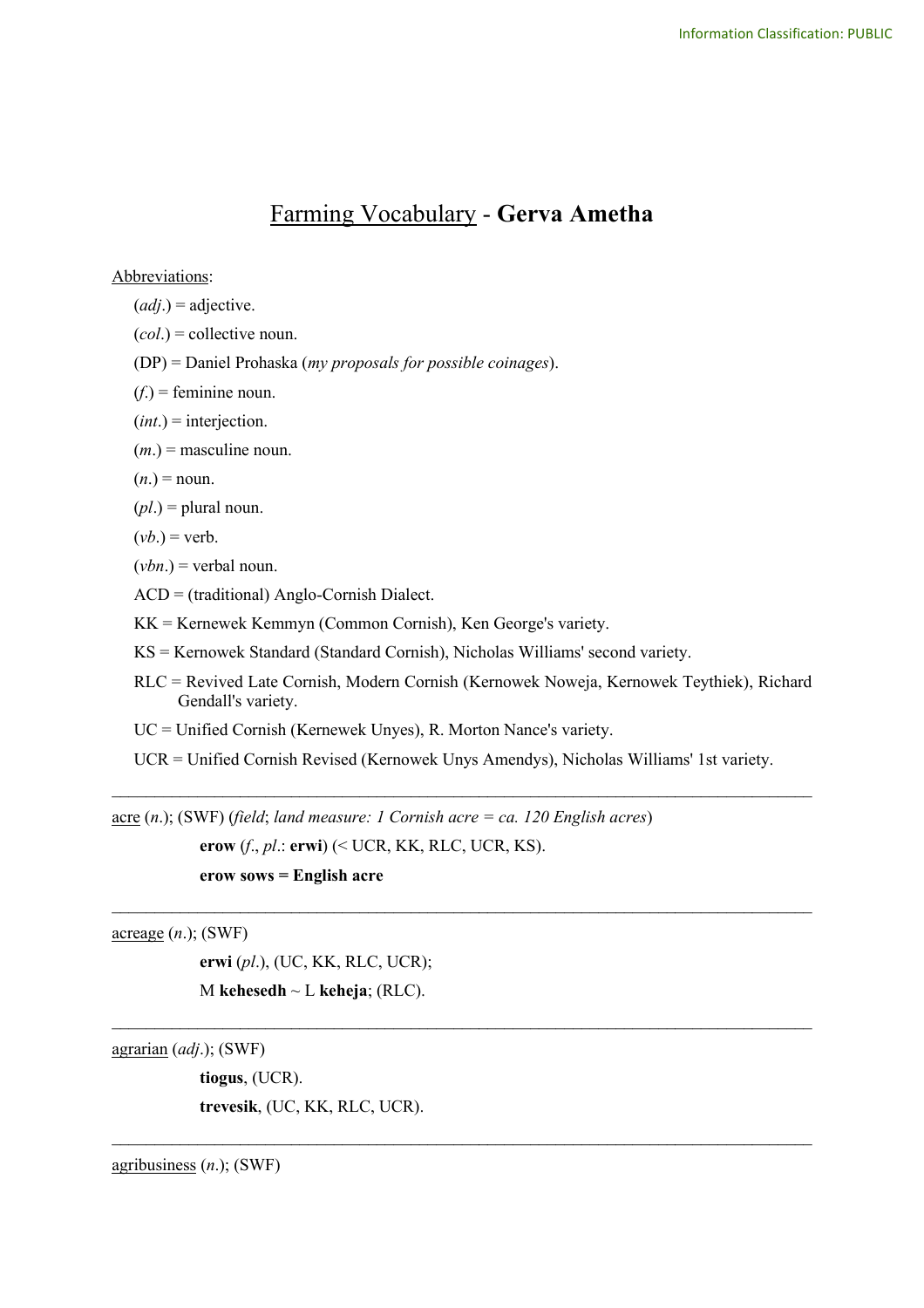# Farming Vocabulary - **Gerva Ametha**

Abbreviations:

(*adj*.) = adjective.

(*col*.) = collective noun.

(DP) = Daniel Prohaska (*my proposals for possible coinages*).

 $(f<sub>i</sub>)$  = feminine noun.

- (*int*.) = interjection.
- $(m<sub>l</sub>)$  = masculine noun.

 $(n.) = \text{noun}.$ 

(*pl*.) = plural noun.

$$
(vb.) = verb.
$$

 $(vbn.)$  = verbal noun.

ACD = (traditional) Anglo-Cornish Dialect.

KK = Kernewek Kemmyn (Common Cornish), Ken George's variety.

KS = Kernowek Standard (Standard Cornish), Nicholas Williams' second variety.

- RLC = Revived Late Cornish, Modern Cornish (Kernowek Noweja, Kernowek Teythiek), Richard Gendall's variety.
- UC = Unified Cornish (Kernewek Unyes), R. Morton Nance's variety.

UCR = Unified Cornish Revised (Kernowek Unys Amendys), Nicholas Williams' 1st variety.

 $\mathcal{L}_\text{max}$  and  $\mathcal{L}_\text{max}$  and  $\mathcal{L}_\text{max}$  and  $\mathcal{L}_\text{max}$  and  $\mathcal{L}_\text{max}$  and  $\mathcal{L}_\text{max}$ 

 $\mathcal{L}_\text{max}$  and  $\mathcal{L}_\text{max}$  and  $\mathcal{L}_\text{max}$  and  $\mathcal{L}_\text{max}$  and  $\mathcal{L}_\text{max}$  and  $\mathcal{L}_\text{max}$ 

 $\mathcal{L}_\text{max}$  and  $\mathcal{L}_\text{max}$  and  $\mathcal{L}_\text{max}$  and  $\mathcal{L}_\text{max}$  and  $\mathcal{L}_\text{max}$  and  $\mathcal{L}_\text{max}$ 

 $\_$ 

acre (*n*.); (SWF) (*field*; *land measure: 1 Cornish acre = ca. 120 English acres*) **erow** (*f*., *pl*.: **erwi**) (< UCR, KK, RLC, UCR, KS).

**erow sows = English acre**

acreage (*n*.); (SWF)

**erwi** (*pl*.), (UC, KK, RLC, UCR); M **kehesedh** ~ L **keheja**; (RLC).

agrarian (*adj*.); (SWF)

**tiogus**, (UCR). **trevesik**, (UC, KK, RLC, UCR).

agribusiness (*n*.); (SWF)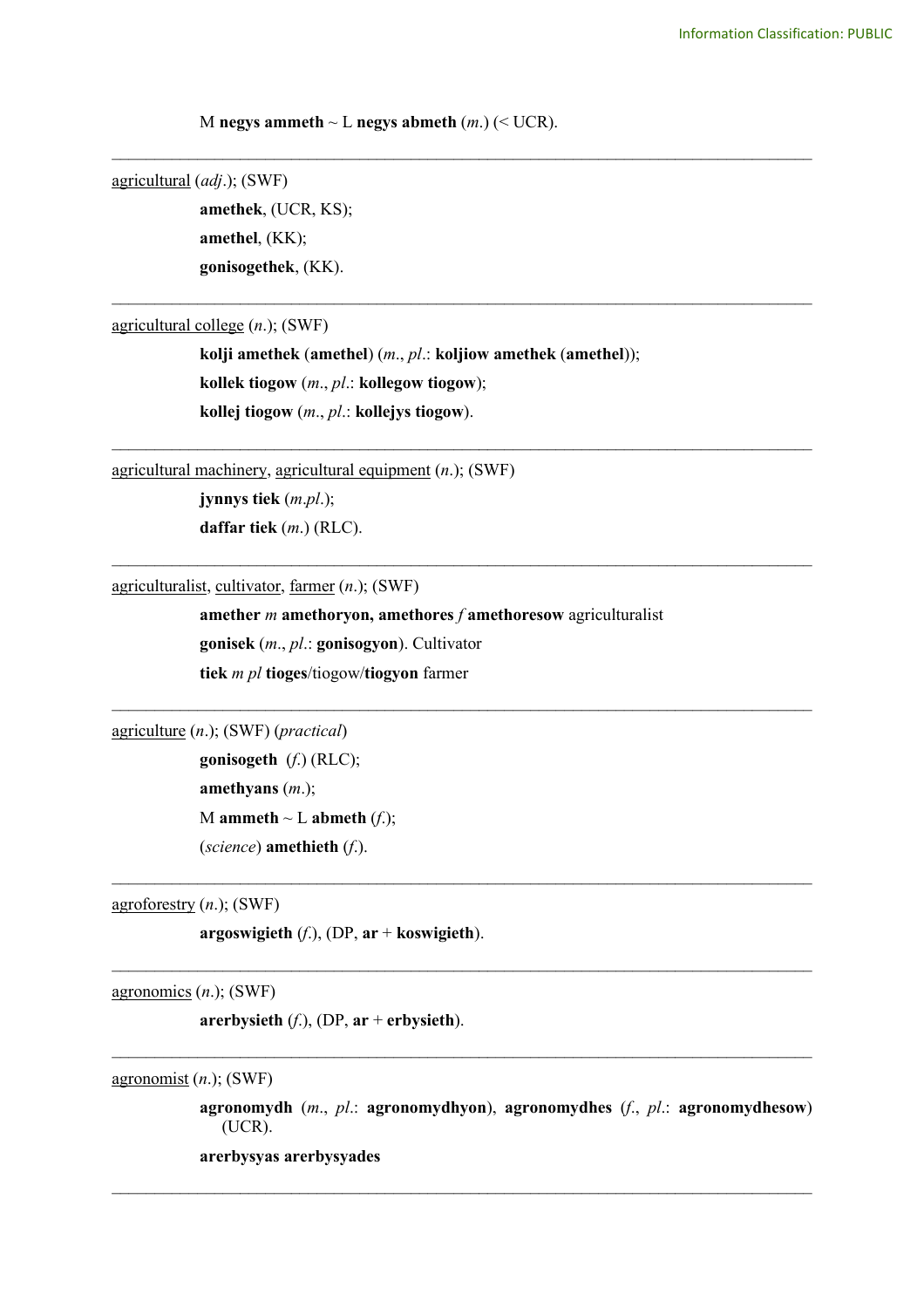M negys ammeth  $\sim$  L negys abmeth  $(m.)$  ( $\lt$  UCR).

agricultural (*adj*.); (SWF)

**amethek**, (UCR, KS); **amethel**, (KK); **gonisogethek**, (KK).

agricultural college (*n*.); (SWF)

**kolji amethek** (**amethel**) (*m*., *pl*.: **koljiow amethek** (**amethel**)); **kollek tiogow** (*m*., *pl*.: **kollegow tiogow**); **kollej tiogow** (*m*., *pl*.: **kollejys tiogow**).

\_\_\_\_\_\_\_\_\_\_\_\_\_\_\_\_\_\_\_\_\_\_\_\_\_\_\_\_\_\_\_\_\_\_\_\_\_\_\_\_\_\_\_\_\_\_\_\_\_\_\_\_\_\_\_\_\_\_\_\_\_\_\_\_\_\_\_\_\_\_\_\_\_\_\_\_\_\_\_\_\_\_

\_\_\_\_\_\_\_\_\_\_\_\_\_\_\_\_\_\_\_\_\_\_\_\_\_\_\_\_\_\_\_\_\_\_\_\_\_\_\_\_\_\_\_\_\_\_\_\_\_\_\_\_\_\_\_\_\_\_\_\_\_\_\_\_\_\_\_\_\_\_\_\_\_\_\_\_\_\_\_\_\_\_

\_\_\_\_\_\_\_\_\_\_\_\_\_\_\_\_\_\_\_\_\_\_\_\_\_\_\_\_\_\_\_\_\_\_\_\_\_\_\_\_\_\_\_\_\_\_\_\_\_\_\_\_\_\_\_\_\_\_\_\_\_\_\_\_\_\_\_\_\_\_\_\_\_\_\_\_\_\_\_\_\_\_

\_\_\_\_\_\_\_\_\_\_\_\_\_\_\_\_\_\_\_\_\_\_\_\_\_\_\_\_\_\_\_\_\_\_\_\_\_\_\_\_\_\_\_\_\_\_\_\_\_\_\_\_\_\_\_\_\_\_\_\_\_\_\_\_\_\_\_\_\_\_\_\_\_\_\_\_\_\_\_\_\_\_

 $\mathcal{L}_\text{max}$  and  $\mathcal{L}_\text{max}$  and  $\mathcal{L}_\text{max}$  and  $\mathcal{L}_\text{max}$  and  $\mathcal{L}_\text{max}$  and  $\mathcal{L}_\text{max}$ 

 $\mathcal{L}_\text{max}$  and  $\mathcal{L}_\text{max}$  and  $\mathcal{L}_\text{max}$  and  $\mathcal{L}_\text{max}$  and  $\mathcal{L}_\text{max}$  and  $\mathcal{L}_\text{max}$ 

 $\mathcal{L}_\text{max}$  and  $\mathcal{L}_\text{max}$  and  $\mathcal{L}_\text{max}$  and  $\mathcal{L}_\text{max}$  and  $\mathcal{L}_\text{max}$  and  $\mathcal{L}_\text{max}$ 

 $\mathcal{L}_\mathcal{L} = \{ \mathcal{L}_\mathcal{L} = \{ \mathcal{L}_\mathcal{L} = \{ \mathcal{L}_\mathcal{L} = \{ \mathcal{L}_\mathcal{L} = \{ \mathcal{L}_\mathcal{L} = \{ \mathcal{L}_\mathcal{L} = \{ \mathcal{L}_\mathcal{L} = \{ \mathcal{L}_\mathcal{L} = \{ \mathcal{L}_\mathcal{L} = \{ \mathcal{L}_\mathcal{L} = \{ \mathcal{L}_\mathcal{L} = \{ \mathcal{L}_\mathcal{L} = \{ \mathcal{L}_\mathcal{L} = \{ \mathcal{L}_\mathcal{$ 

 $\_$ 

agricultural machinery, agricultural equipment (*n*.); (SWF)

**jynnys tiek** (*m*.*pl*.); **daffar tiek** (*m*.) (RLC).

agriculturalist, cultivator, farmer (*n*.); (SWF)

**amether** *m* **amethoryon, amethores** *f* **amethoresow** agriculturalist **gonisek** (*m*., *pl*.: **gonisogyon**). Cultivator **tiek** *m pl* **tioges**/tiogow/**tiogyon** farmer

agriculture (*n*.); (SWF) (*practical*)

**gonisogeth** (*f*.) (RLC); **amethyans** (*m*.); M **ammeth**  $\sim$  L **abmeth** (*f*.); (*science*) **amethieth** (*f*.).

agroforestry (*n*.); (SWF)

**argoswigieth** (*f*.), (DP, **ar** + **koswigieth**).

agronomics (*n*.); (SWF)

**arerbysieth** (*f*.), (DP, **ar** + **erbysieth**).

agronomist (*n*.); (SWF)

**agronomydh** (*m*., *pl*.: **agronomydhyon**), **agronomydhes** (*f*., *pl*.: **agronomydhesow**) (UCR).

**arerbysyas arerbysyades**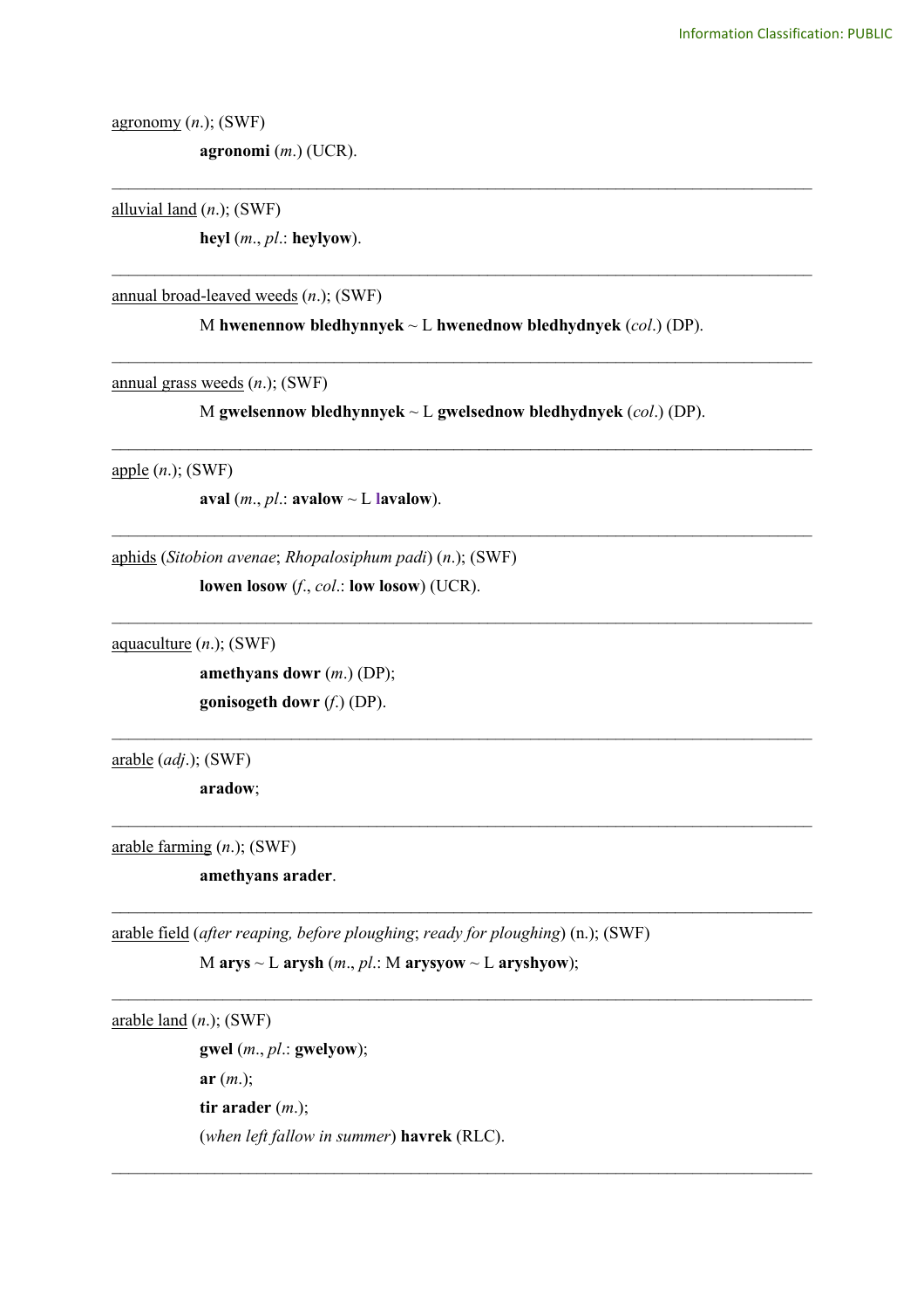agronomy (*n*.); (SWF)

**agronomi** (*m*.) (UCR).

alluvial land (*n*.); (SWF)

**heyl** (*m*., *pl*.: **heylyow**).

annual broad-leaved weeds (*n*.); (SWF)

M **hwenennow bledhynnyek** ~ L **hwenednow bledhydnyek** (*col*.) (DP).

\_\_\_\_\_\_\_\_\_\_\_\_\_\_\_\_\_\_\_\_\_\_\_\_\_\_\_\_\_\_\_\_\_\_\_\_\_\_\_\_\_\_\_\_\_\_\_\_\_\_\_\_\_\_\_\_\_\_\_\_\_\_\_\_\_\_\_\_\_\_\_\_\_\_\_\_\_\_\_\_\_\_

\_\_\_\_\_\_\_\_\_\_\_\_\_\_\_\_\_\_\_\_\_\_\_\_\_\_\_\_\_\_\_\_\_\_\_\_\_\_\_\_\_\_\_\_\_\_\_\_\_\_\_\_\_\_\_\_\_\_\_\_\_\_\_\_\_\_\_\_\_\_\_\_\_\_\_\_\_\_\_\_\_\_

\_\_\_\_\_\_\_\_\_\_\_\_\_\_\_\_\_\_\_\_\_\_\_\_\_\_\_\_\_\_\_\_\_\_\_\_\_\_\_\_\_\_\_\_\_\_\_\_\_\_\_\_\_\_\_\_\_\_\_\_\_\_\_\_\_\_\_\_\_\_\_\_\_\_\_\_\_\_\_\_\_\_

annual grass weeds (*n*.); (SWF)

M **gwelsennow bledhynnyek** ~ L **gwelsednow bledhydnyek** (*col*.) (DP).

\_\_\_\_\_\_\_\_\_\_\_\_\_\_\_\_\_\_\_\_\_\_\_\_\_\_\_\_\_\_\_\_\_\_\_\_\_\_\_\_\_\_\_\_\_\_\_\_\_\_\_\_\_\_\_\_\_\_\_\_\_\_\_\_\_\_\_\_\_\_\_\_\_\_\_\_\_\_\_\_\_\_

\_\_\_\_\_\_\_\_\_\_\_\_\_\_\_\_\_\_\_\_\_\_\_\_\_\_\_\_\_\_\_\_\_\_\_\_\_\_\_\_\_\_\_\_\_\_\_\_\_\_\_\_\_\_\_\_\_\_\_\_\_\_\_\_\_\_\_\_\_\_\_\_\_\_\_\_\_\_\_\_\_\_

\_\_\_\_\_\_\_\_\_\_\_\_\_\_\_\_\_\_\_\_\_\_\_\_\_\_\_\_\_\_\_\_\_\_\_\_\_\_\_\_\_\_\_\_\_\_\_\_\_\_\_\_\_\_\_\_\_\_\_\_\_\_\_\_\_\_\_\_\_\_\_\_\_\_\_\_\_\_\_\_\_\_

 $\_$ 

 $\_$ 

 $\_$ 

 $\_$ 

 $\mathcal{L}_\mathcal{L} = \{ \mathcal{L}_\mathcal{L} = \{ \mathcal{L}_\mathcal{L} = \{ \mathcal{L}_\mathcal{L} = \{ \mathcal{L}_\mathcal{L} = \{ \mathcal{L}_\mathcal{L} = \{ \mathcal{L}_\mathcal{L} = \{ \mathcal{L}_\mathcal{L} = \{ \mathcal{L}_\mathcal{L} = \{ \mathcal{L}_\mathcal{L} = \{ \mathcal{L}_\mathcal{L} = \{ \mathcal{L}_\mathcal{L} = \{ \mathcal{L}_\mathcal{L} = \{ \mathcal{L}_\mathcal{L} = \{ \mathcal{L}_\mathcal{$ 

apple (*n*.); (SWF)

**aval**  $(m., pl.:$  **avalow**  $\sim$  **L lavalow**).

aphids (*Sitobion avenae*; *Rhopalosiphum padi*) (*n*.); (SWF)

**lowen losow** (*f*., *col*.: **low losow**) (UCR).

aquaculture (*n*.); (SWF)

**amethyans dowr** (*m*.) (DP); **gonisogeth dowr** (*f*.) (DP).

arable (*adj*.); (SWF)

**aradow**;

arable farming (*n*.); (SWF)

**amethyans arader**.

arable field (*after reaping, before ploughing*; *ready for ploughing*) (n.); (SWF)

 $M$  **arys** ~ L **arysh** (*m*., *pl*.: M **arysyow** ~ L **aryshyow**);

arable land (*n*.); (SWF)

**gwel** (*m*., *pl*.: **gwelyow**); **ar** (*m*.); **tir arader** (*m*.); (*when left fallow in summer*) **havrek** (RLC).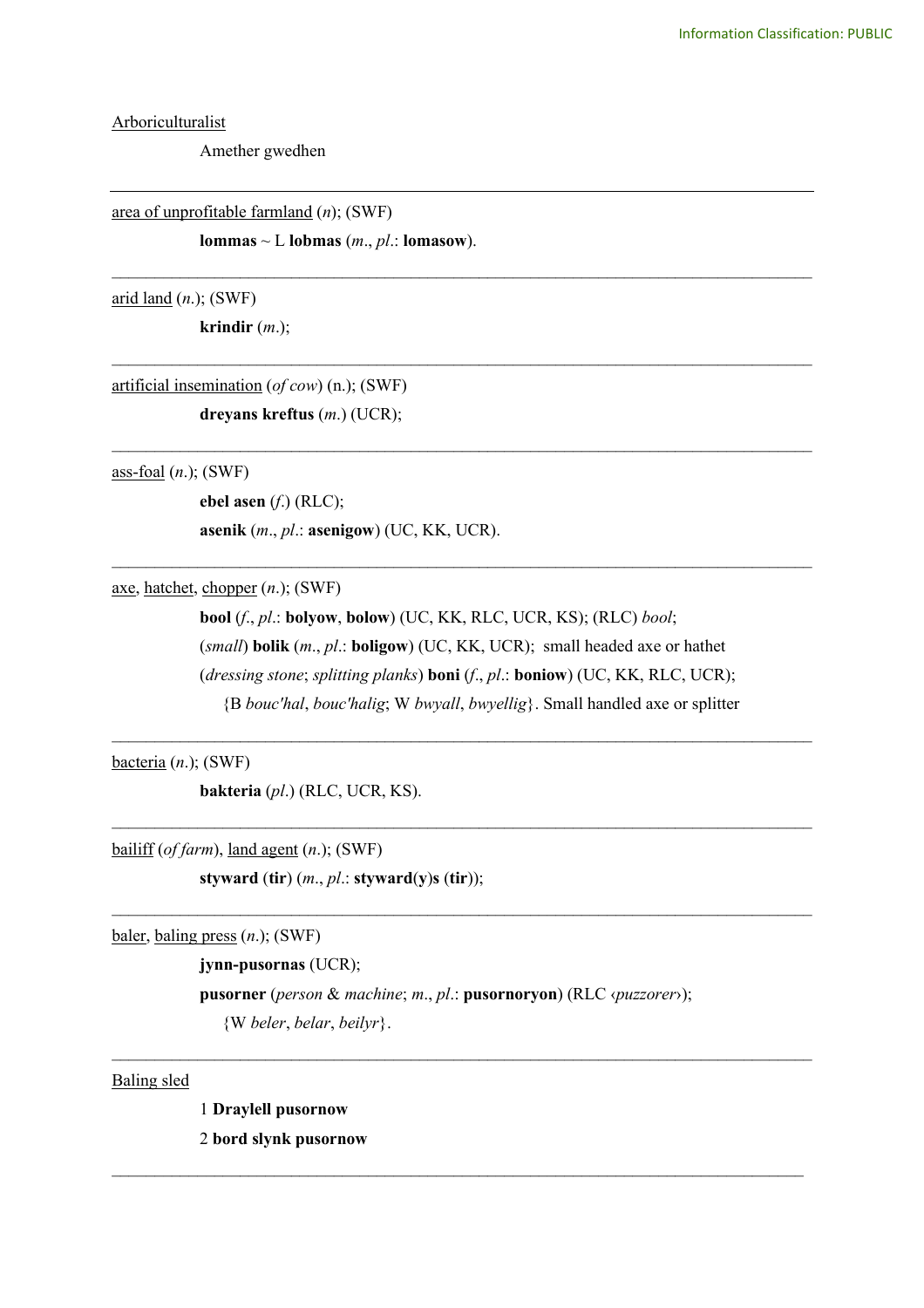**Arboriculturalist** 

Amether gwedhen

area of unprofitable farmland (*n*); (SWF)

**lommas**  $\sim$  L **lobmas** (*m., pl.:* **lomasow**).

arid land (*n*.); (SWF)

**krindir** (*m*.);

artificial insemination (*of cow*) (n.); (SWF) **dreyans kreftus** (*m*.) (UCR);

ass-foal (*n*.); (SWF)

**ebel asen** (*f*.) (RLC);

**asenik** (*m*., *pl*.: **asenigow**) (UC, KK, UCR).

axe, hatchet, chopper (*n*.); (SWF)

**bool** (*f*., *pl*.: **bolyow**, **bolow**) (UC, KK, RLC, UCR, KS); (RLC) *bool*; (*small*) **bolik** (*m*., *pl*.: **boligow**) (UC, KK, UCR); small headed axe or hathet (*dressing stone*; *splitting planks*) **boni** (*f*., *pl*.: **boniow**) (UC, KK, RLC, UCR); {B *bouc'hal*, *bouc'halig*; W *bwyall*, *bwyellig*}. Small handled axe or splitter

\_\_\_\_\_\_\_\_\_\_\_\_\_\_\_\_\_\_\_\_\_\_\_\_\_\_\_\_\_\_\_\_\_\_\_\_\_\_\_\_\_\_\_\_\_\_\_\_\_\_\_\_\_\_\_\_\_\_\_\_\_\_\_\_\_\_\_\_\_\_\_\_\_\_\_\_\_\_\_\_\_\_

 $\_$ 

 $\mathcal{L}_\text{max}$  and  $\mathcal{L}_\text{max}$  and  $\mathcal{L}_\text{max}$  and  $\mathcal{L}_\text{max}$  and  $\mathcal{L}_\text{max}$  and  $\mathcal{L}_\text{max}$ 

\_\_\_\_\_\_\_\_\_\_\_\_\_\_\_\_\_\_\_\_\_\_\_\_\_\_\_\_\_\_\_\_\_\_\_\_\_\_\_\_\_\_\_\_\_\_\_\_\_\_\_\_\_\_\_\_\_\_\_\_\_\_\_\_\_\_\_\_\_\_\_\_\_\_\_\_\_\_\_\_\_\_

\_\_\_\_\_\_\_\_\_\_\_\_\_\_\_\_\_\_\_\_\_\_\_\_\_\_\_\_\_\_\_\_\_\_\_\_\_\_\_\_\_\_\_\_\_\_\_\_\_\_\_\_\_\_\_\_\_\_\_\_\_\_\_\_\_\_\_\_\_\_\_\_\_\_\_\_\_\_\_\_\_\_

\_\_\_\_\_\_\_\_\_\_\_\_\_\_\_\_\_\_\_\_\_\_\_\_\_\_\_\_\_\_\_\_\_\_\_\_\_\_\_\_\_\_\_\_\_\_\_\_\_\_\_\_\_\_\_\_\_\_\_\_\_\_\_\_\_\_\_\_\_\_\_\_\_\_\_\_\_\_\_\_\_\_

\_\_\_\_\_\_\_\_\_\_\_\_\_\_\_\_\_\_\_\_\_\_\_\_\_\_\_\_\_\_\_\_\_\_\_\_\_\_\_\_\_\_\_\_\_\_\_\_\_\_\_\_\_\_\_\_\_\_\_\_\_\_\_\_\_\_\_\_\_\_\_\_\_\_\_\_\_\_\_\_\_\_

bacteria (*n*.); (SWF)

**bakteria** (*pl*.) (RLC, UCR, KS).

bailiff (*of farm*), land agent (*n*.); (SWF) **styward** (**tir**) (*m*., *pl*.: **styward**(**y**)**s** (**tir**));

baler, baling press (*n*.); (SWF)

**jynn-pusornas** (UCR);

**pusorner** (*person* & *machine*; *m*., *pl*.: **pusornoryon**) (RLC ‹*puzzorer*›); {W *beler*, *belar*, *beilyr*}.

 $\mathcal{L}_\mathcal{L} = \{ \mathcal{L}_\mathcal{L} = \{ \mathcal{L}_\mathcal{L} = \{ \mathcal{L}_\mathcal{L} = \{ \mathcal{L}_\mathcal{L} = \{ \mathcal{L}_\mathcal{L} = \{ \mathcal{L}_\mathcal{L} = \{ \mathcal{L}_\mathcal{L} = \{ \mathcal{L}_\mathcal{L} = \{ \mathcal{L}_\mathcal{L} = \{ \mathcal{L}_\mathcal{L} = \{ \mathcal{L}_\mathcal{L} = \{ \mathcal{L}_\mathcal{L} = \{ \mathcal{L}_\mathcal{L} = \{ \mathcal{L}_\mathcal{$ 

 $\mathcal{L}_\mathcal{L} = \{ \mathcal{L}_\mathcal{L} = \{ \mathcal{L}_\mathcal{L} = \{ \mathcal{L}_\mathcal{L} = \{ \mathcal{L}_\mathcal{L} = \{ \mathcal{L}_\mathcal{L} = \{ \mathcal{L}_\mathcal{L} = \{ \mathcal{L}_\mathcal{L} = \{ \mathcal{L}_\mathcal{L} = \{ \mathcal{L}_\mathcal{L} = \{ \mathcal{L}_\mathcal{L} = \{ \mathcal{L}_\mathcal{L} = \{ \mathcal{L}_\mathcal{L} = \{ \mathcal{L}_\mathcal{L} = \{ \mathcal{L}_\mathcal{$ 

Baling sled

1 **Draylell pusornow** 2 **bord slynk pusornow**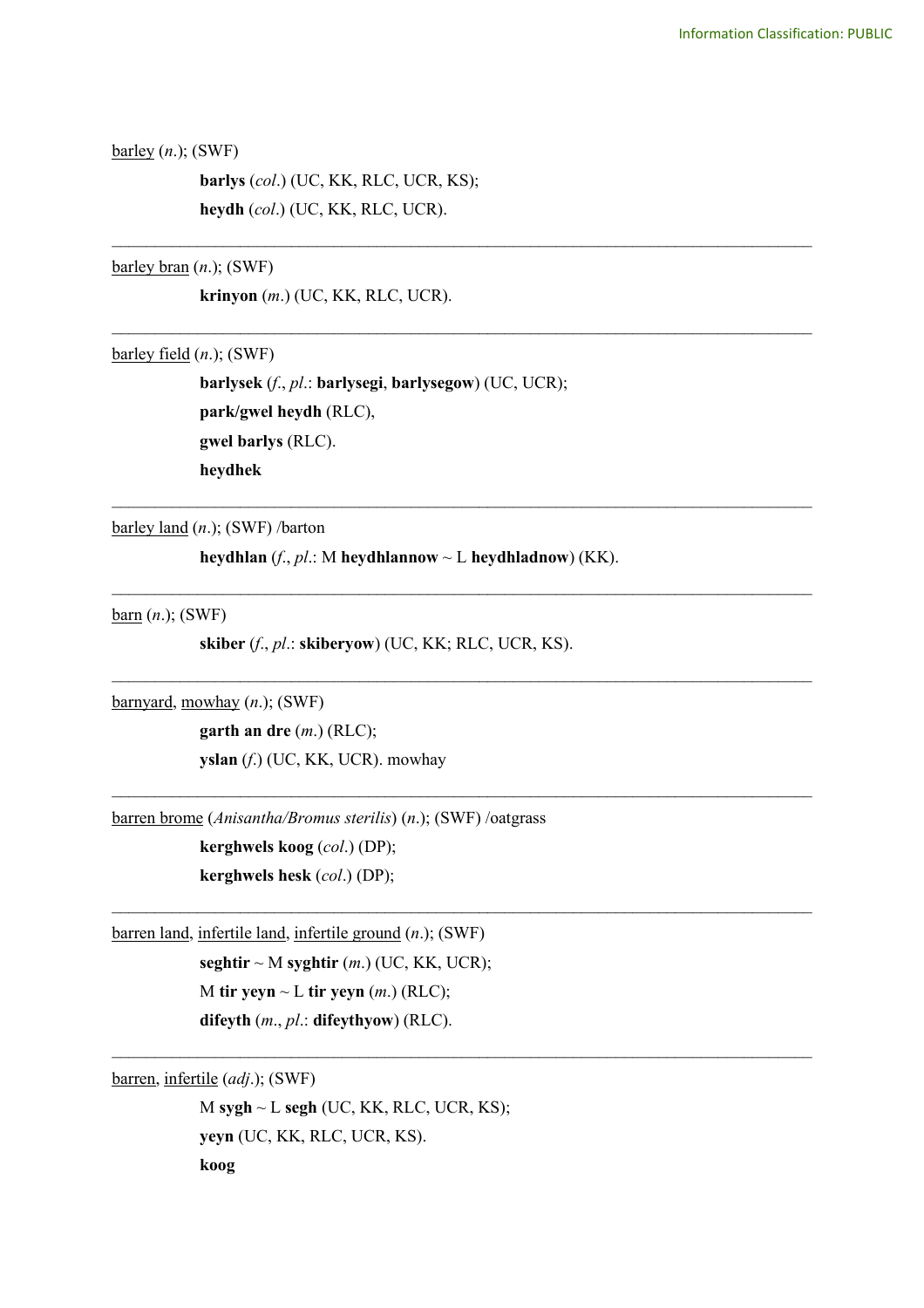barley (*n*.); (SWF)

**barlys** (*col*.) (UC, KK, RLC, UCR, KS); **heydh** (*col*.) (UC, KK, RLC, UCR).

barley bran (*n*.); (SWF)

**krinyon** (*m*.) (UC, KK, RLC, UCR).

barley field (*n*.); (SWF)

**barlysek** (*f*., *pl*.: **barlysegi**, **barlysegow**) (UC, UCR); **park/gwel heydh** (RLC), **gwel barlys** (RLC). **heydhek**

\_\_\_\_\_\_\_\_\_\_\_\_\_\_\_\_\_\_\_\_\_\_\_\_\_\_\_\_\_\_\_\_\_\_\_\_\_\_\_\_\_\_\_\_\_\_\_\_\_\_\_\_\_\_\_\_\_\_\_\_\_\_\_\_\_\_\_\_\_\_\_\_\_\_\_\_\_\_\_\_\_\_

\_\_\_\_\_\_\_\_\_\_\_\_\_\_\_\_\_\_\_\_\_\_\_\_\_\_\_\_\_\_\_\_\_\_\_\_\_\_\_\_\_\_\_\_\_\_\_\_\_\_\_\_\_\_\_\_\_\_\_\_\_\_\_\_\_\_\_\_\_\_\_\_\_\_\_\_\_\_\_\_\_\_

\_\_\_\_\_\_\_\_\_\_\_\_\_\_\_\_\_\_\_\_\_\_\_\_\_\_\_\_\_\_\_\_\_\_\_\_\_\_\_\_\_\_\_\_\_\_\_\_\_\_\_\_\_\_\_\_\_\_\_\_\_\_\_\_\_\_\_\_\_\_\_\_\_\_\_\_\_\_\_\_\_\_

 $\mathcal{L}_\text{max}$  and  $\mathcal{L}_\text{max}$  and  $\mathcal{L}_\text{max}$  and  $\mathcal{L}_\text{max}$  and  $\mathcal{L}_\text{max}$  and  $\mathcal{L}_\text{max}$ 

 $\mathcal{L}_\text{max}$  and  $\mathcal{L}_\text{max}$  and  $\mathcal{L}_\text{max}$  and  $\mathcal{L}_\text{max}$  and  $\mathcal{L}_\text{max}$  and  $\mathcal{L}_\text{max}$ 

 $\mathcal{L}_\text{max}$  and  $\mathcal{L}_\text{max}$  and  $\mathcal{L}_\text{max}$  and  $\mathcal{L}_\text{max}$  and  $\mathcal{L}_\text{max}$  and  $\mathcal{L}_\text{max}$ 

 $\_$ 

 $\mathcal{L}_\mathcal{L} = \{ \mathcal{L}_\mathcal{L} = \{ \mathcal{L}_\mathcal{L} = \{ \mathcal{L}_\mathcal{L} = \{ \mathcal{L}_\mathcal{L} = \{ \mathcal{L}_\mathcal{L} = \{ \mathcal{L}_\mathcal{L} = \{ \mathcal{L}_\mathcal{L} = \{ \mathcal{L}_\mathcal{L} = \{ \mathcal{L}_\mathcal{L} = \{ \mathcal{L}_\mathcal{L} = \{ \mathcal{L}_\mathcal{L} = \{ \mathcal{L}_\mathcal{L} = \{ \mathcal{L}_\mathcal{L} = \{ \mathcal{L}_\mathcal{$ 

barley land (*n*.); (SWF) /barton

**heydhlan** (*f*., *pl*.: M **heydhlannow** ~ L **heydhladnow**) (KK).

barn (*n*.); (SWF)

**skiber** (*f*., *pl*.: **skiberyow**) (UC, KK; RLC, UCR, KS).

barnyard, mowhay (*n*.); (SWF)

**garth an dre** (*m*.) (RLC); **yslan** (*f*.) (UC, KK, UCR). mowhay

barren brome (*Anisantha/Bromus sterilis*) (*n*.); (SWF) /oatgrass

**kerghwels koog** (*col*.) (DP); **kerghwels hesk** (*col*.) (DP);

barren land, infertile land, infertile ground (*n*.); (SWF)

**seghtir**  $\sim$  M **syghtir** (*m*.) (UC, KK, UCR); M **tir yeyn**  $\sim$  L **tir yeyn** (*m*.) (RLC); **difeyth** (*m*., *pl*.: **difeythyow**) (RLC).

barren, infertile (*adj*.); (SWF)

M **sygh** ~ L **segh** (UC, KK, RLC, UCR, KS); **yeyn** (UC, KK, RLC, UCR, KS). **koog**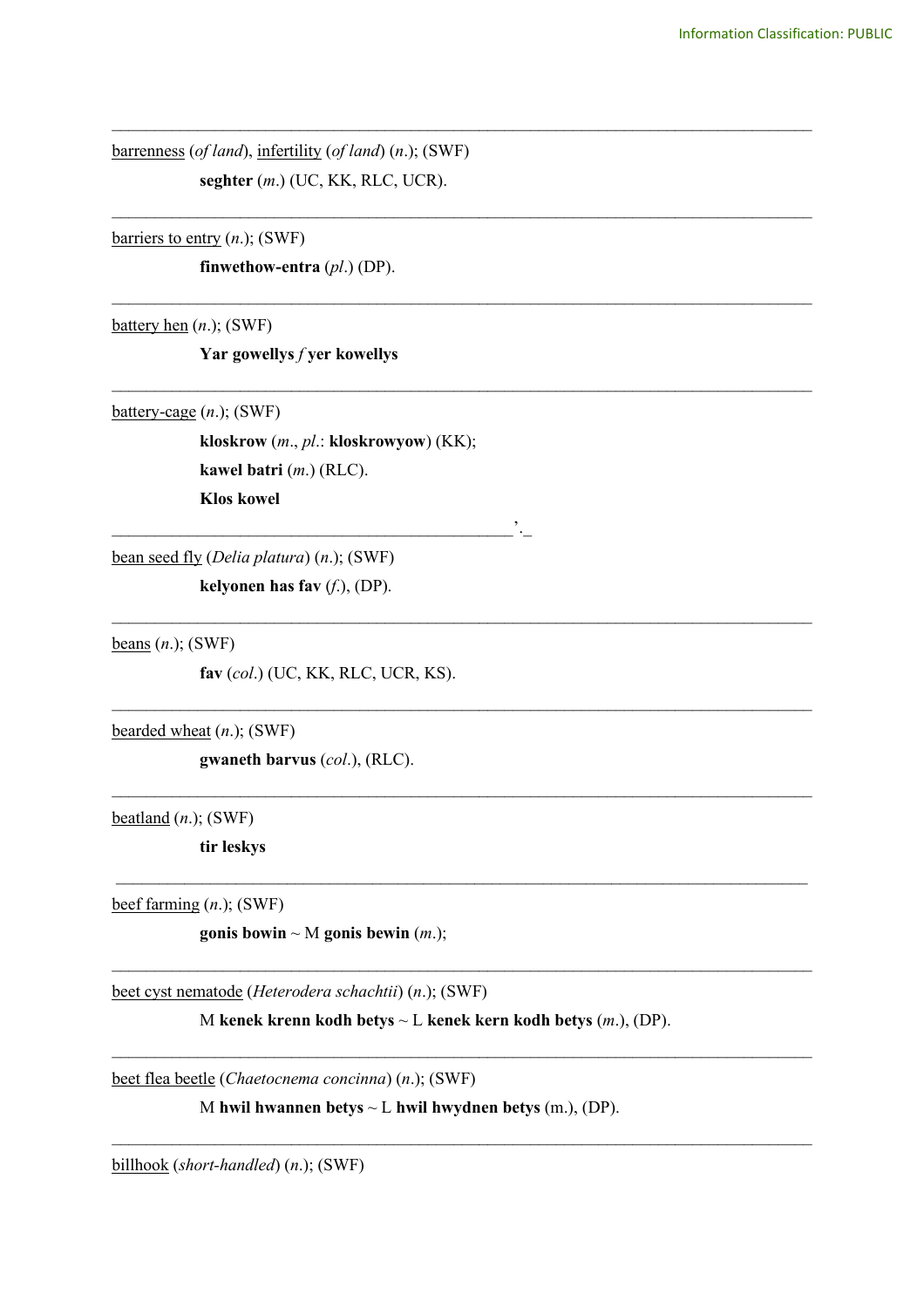barrenness (*of land*), infertility (*of land*) (*n*.); (SWF) **seghter** (*m*.) (UC, KK, RLC, UCR).

\_\_\_\_\_\_\_\_\_\_\_\_\_\_\_\_\_\_\_\_\_\_\_\_\_\_\_\_\_\_\_\_\_\_\_\_\_\_\_\_\_\_\_\_\_\_\_\_\_\_\_\_\_\_\_\_\_\_\_\_\_\_\_\_\_\_\_\_\_\_\_\_\_\_\_\_\_\_\_\_\_\_

\_\_\_\_\_\_\_\_\_\_\_\_\_\_\_\_\_\_\_\_\_\_\_\_\_\_\_\_\_\_\_\_\_\_\_\_\_\_\_\_\_\_\_\_\_\_\_\_\_\_\_\_\_\_\_\_\_\_\_\_\_\_\_\_\_\_\_\_\_\_\_\_\_\_\_\_\_\_\_\_\_\_

\_\_\_\_\_\_\_\_\_\_\_\_\_\_\_\_\_\_\_\_\_\_\_\_\_\_\_\_\_\_\_\_\_\_\_\_\_\_\_\_\_\_\_\_\_\_\_\_\_\_\_\_\_\_\_\_\_\_\_\_\_\_\_\_\_\_\_\_\_\_\_\_\_\_\_\_\_\_\_\_\_\_

\_\_\_\_\_\_\_\_\_\_\_\_\_\_\_\_\_\_\_\_\_\_\_\_\_\_\_\_\_\_\_\_\_\_\_\_\_\_\_\_\_\_\_\_\_\_\_\_\_\_\_\_\_\_\_\_\_\_\_\_\_\_\_\_\_\_\_\_\_\_\_\_\_\_\_\_\_\_\_\_\_\_

\_\_\_\_\_\_\_\_\_\_\_\_\_\_\_\_\_\_\_\_\_\_\_\_\_\_\_\_\_\_\_\_\_\_\_\_\_\_\_\_\_\_\_\_\_\_\_\_\_\_\_\_\_\_\_\_\_\_\_\_\_\_\_\_\_\_\_\_\_\_\_\_\_\_\_\_\_\_\_\_\_\_

 $\mathcal{L}_\text{max}$  and  $\mathcal{L}_\text{max}$  and  $\mathcal{L}_\text{max}$  and  $\mathcal{L}_\text{max}$  and  $\mathcal{L}_\text{max}$  and  $\mathcal{L}_\text{max}$ 

 $\mathcal{L}_\text{max}$  and  $\mathcal{L}_\text{max}$  and  $\mathcal{L}_\text{max}$  and  $\mathcal{L}_\text{max}$  and  $\mathcal{L}_\text{max}$  and  $\mathcal{L}_\text{max}$ 

 $\_$  , and the set of the set of the set of the set of the set of the set of the set of the set of the set of the set of the set of the set of the set of the set of the set of the set of the set of the set of the set of th

 $\mathcal{L}_\text{max}$  and  $\mathcal{L}_\text{max}$  and  $\mathcal{L}_\text{max}$  and  $\mathcal{L}_\text{max}$  and  $\mathcal{L}_\text{max}$  and  $\mathcal{L}_\text{max}$ 

 $\mathcal{L}_\mathcal{L} = \{ \mathcal{L}_\mathcal{L} = \{ \mathcal{L}_\mathcal{L} = \{ \mathcal{L}_\mathcal{L} = \{ \mathcal{L}_\mathcal{L} = \{ \mathcal{L}_\mathcal{L} = \{ \mathcal{L}_\mathcal{L} = \{ \mathcal{L}_\mathcal{L} = \{ \mathcal{L}_\mathcal{L} = \{ \mathcal{L}_\mathcal{L} = \{ \mathcal{L}_\mathcal{L} = \{ \mathcal{L}_\mathcal{L} = \{ \mathcal{L}_\mathcal{L} = \{ \mathcal{L}_\mathcal{L} = \{ \mathcal{L}_\mathcal{$ 

 $\mathcal{L}_\mathcal{L} = \{ \mathcal{L}_\mathcal{L} = \{ \mathcal{L}_\mathcal{L} = \{ \mathcal{L}_\mathcal{L} = \{ \mathcal{L}_\mathcal{L} = \{ \mathcal{L}_\mathcal{L} = \{ \mathcal{L}_\mathcal{L} = \{ \mathcal{L}_\mathcal{L} = \{ \mathcal{L}_\mathcal{L} = \{ \mathcal{L}_\mathcal{L} = \{ \mathcal{L}_\mathcal{L} = \{ \mathcal{L}_\mathcal{L} = \{ \mathcal{L}_\mathcal{L} = \{ \mathcal{L}_\mathcal{L} = \{ \mathcal{L}_\mathcal{$ 

barriers to entry (*n*.); (SWF)

**finwethow-entra** (*pl*.) (DP).

battery hen (*n*.); (SWF)

**Yar gowellys** *f* **yer kowellys**

battery-cage (*n*.); (SWF)

**kloskrow** (*m*., *pl*.: **kloskrowyow**) (KK); **kawel batri** (*m*.) (RLC). **Klos kowel**

\_\_\_\_\_\_\_\_\_\_\_\_\_\_\_\_\_\_\_\_\_\_\_\_\_\_\_\_\_\_\_\_\_\_\_\_\_\_\_\_\_\_\_\_\_\_\_'.\_

bean seed fly (*Delia platura*) (*n*.); (SWF)

**kelyonen has fav** (*f*.), (DP).

beans (*n*.); (SWF)

**fav** (*col*.) (UC, KK, RLC, UCR, KS).

bearded wheat (*n*.); (SWF)

**gwaneth barvus** (*col*.), (RLC).

beatland (*n*.); (SWF)

**tir leskys**

beef farming (*n*.); (SWF)

**gonis bowin**  $\sim$  M **gonis bewin** (*m*.);

beet cyst nematode (*Heterodera schachtii*) (*n*.); (SWF)

M **kenek krenn kodh betys** ~ L **kenek kern kodh betys** (*m*.), (DP).

beet flea beetle (*Chaetocnema concinna*) (*n*.); (SWF)

M **hwil hwannen betys** ~ L **hwil hwydnen betys** (m.), (DP).

billhook (*short-handled*) (*n*.); (SWF)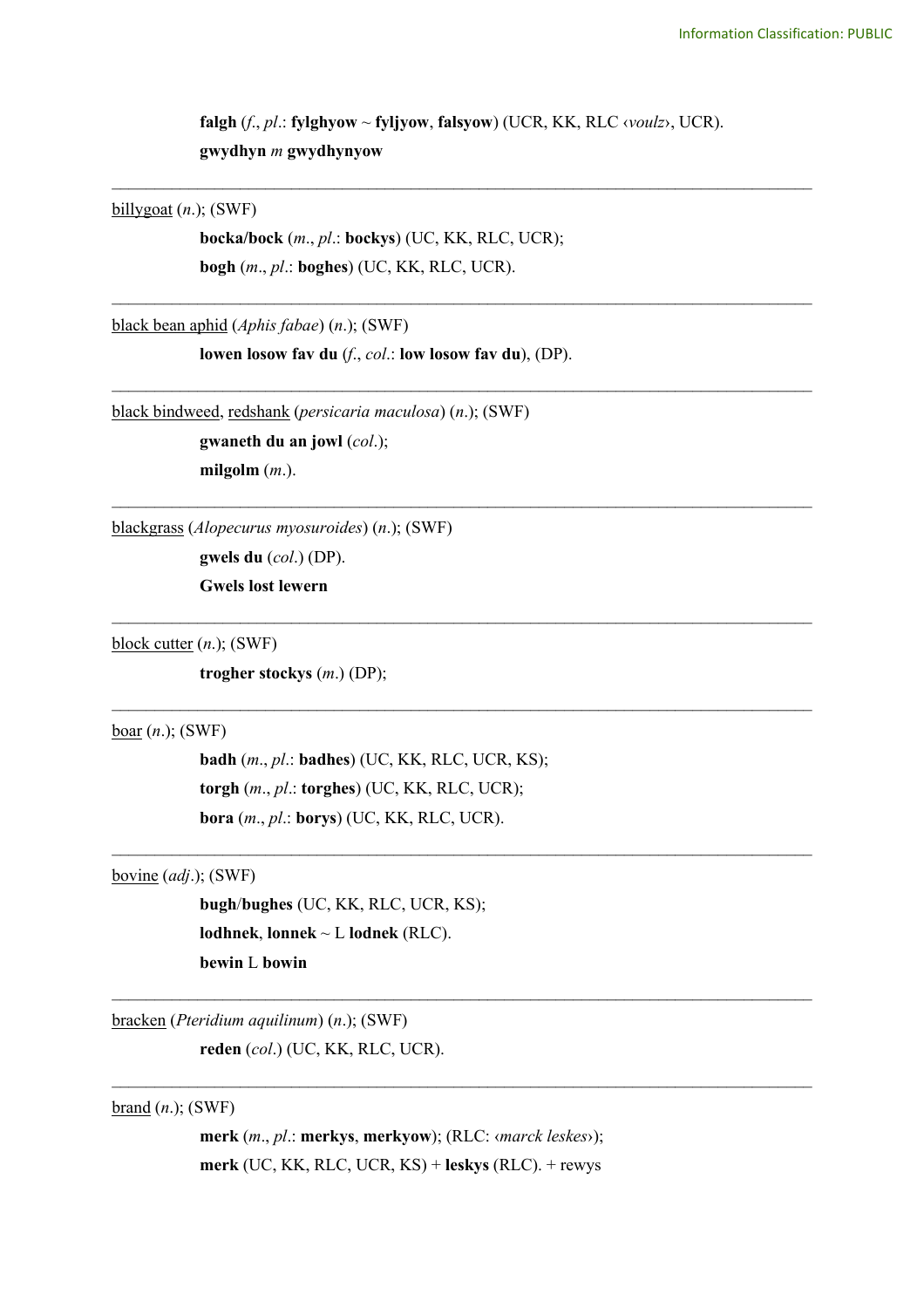**falgh** (*f*., *pl*.: **fylghyow** ~ **fyljyow**, **falsyow**) (UCR, KK, RLC ‹*voulz*›, UCR). **gwydhyn** *m* **gwydhynyow**

\_\_\_\_\_\_\_\_\_\_\_\_\_\_\_\_\_\_\_\_\_\_\_\_\_\_\_\_\_\_\_\_\_\_\_\_\_\_\_\_\_\_\_\_\_\_\_\_\_\_\_\_\_\_\_\_\_\_\_\_\_\_\_\_\_\_\_\_\_\_\_\_\_\_\_\_\_\_\_\_\_\_

\_\_\_\_\_\_\_\_\_\_\_\_\_\_\_\_\_\_\_\_\_\_\_\_\_\_\_\_\_\_\_\_\_\_\_\_\_\_\_\_\_\_\_\_\_\_\_\_\_\_\_\_\_\_\_\_\_\_\_\_\_\_\_\_\_\_\_\_\_\_\_\_\_\_\_\_\_\_\_\_\_\_

\_\_\_\_\_\_\_\_\_\_\_\_\_\_\_\_\_\_\_\_\_\_\_\_\_\_\_\_\_\_\_\_\_\_\_\_\_\_\_\_\_\_\_\_\_\_\_\_\_\_\_\_\_\_\_\_\_\_\_\_\_\_\_\_\_\_\_\_\_\_\_\_\_\_\_\_\_\_\_\_\_\_

\_\_\_\_\_\_\_\_\_\_\_\_\_\_\_\_\_\_\_\_\_\_\_\_\_\_\_\_\_\_\_\_\_\_\_\_\_\_\_\_\_\_\_\_\_\_\_\_\_\_\_\_\_\_\_\_\_\_\_\_\_\_\_\_\_\_\_\_\_\_\_\_\_\_\_\_\_\_\_\_\_\_

\_\_\_\_\_\_\_\_\_\_\_\_\_\_\_\_\_\_\_\_\_\_\_\_\_\_\_\_\_\_\_\_\_\_\_\_\_\_\_\_\_\_\_\_\_\_\_\_\_\_\_\_\_\_\_\_\_\_\_\_\_\_\_\_\_\_\_\_\_\_\_\_\_\_\_\_\_\_\_\_\_\_

 $\mathcal{L}_\text{max}$  and  $\mathcal{L}_\text{max}$  and  $\mathcal{L}_\text{max}$  and  $\mathcal{L}_\text{max}$  and  $\mathcal{L}_\text{max}$  and  $\mathcal{L}_\text{max}$ 

 $\mathcal{L}_\text{max}$  and  $\mathcal{L}_\text{max}$  and  $\mathcal{L}_\text{max}$  and  $\mathcal{L}_\text{max}$  and  $\mathcal{L}_\text{max}$  and  $\mathcal{L}_\text{max}$ 

 $\_$ 

 $\_$ 

billygoat (*n*.); (SWF)

**bocka/bock** (*m*., *pl*.: **bockys**) (UC, KK, RLC, UCR); **bogh** (*m*., *pl*.: **boghes**) (UC, KK, RLC, UCR).

black bean aphid (*Aphis fabae*) (*n*.); (SWF)

**lowen losow fav du** (*f*., *col*.: **low losow fav du**), (DP).

black bindweed, redshank (*persicaria maculosa*) (*n*.); (SWF)

**gwaneth du an jowl** (*col*.); **milgolm** (*m*.).

blackgrass (*Alopecurus myosuroides*) (*n*.); (SWF)

**gwels du** (*col*.) (DP). **Gwels lost lewern** 

block cutter (*n*.); (SWF)

**trogher stockys** (*m*.) (DP);

boar (*n*.); (SWF)

**badh** (*m*., *pl*.: **badhes**) (UC, KK, RLC, UCR, KS); **torgh** (*m*., *pl*.: **torghes**) (UC, KK, RLC, UCR); **bora** (*m*., *pl*.: **borys**) (UC, KK, RLC, UCR).

bovine (*adj*.); (SWF)

**bugh**/**bughes** (UC, KK, RLC, UCR, KS); **lodhnek**, **lonnek** ~ L **lodnek** (RLC). **bewin** L **bowin**

bracken (*Pteridium aquilinum*) (*n*.); (SWF)

**reden** (*col*.) (UC, KK, RLC, UCR).

brand (*n*.); (SWF)

**merk** (*m*., *pl*.: **merkys**, **merkyow**); (RLC: ‹*marck leskes*›); **merk** (UC, KK, RLC, UCR, KS) + **leskys** (RLC). + rewys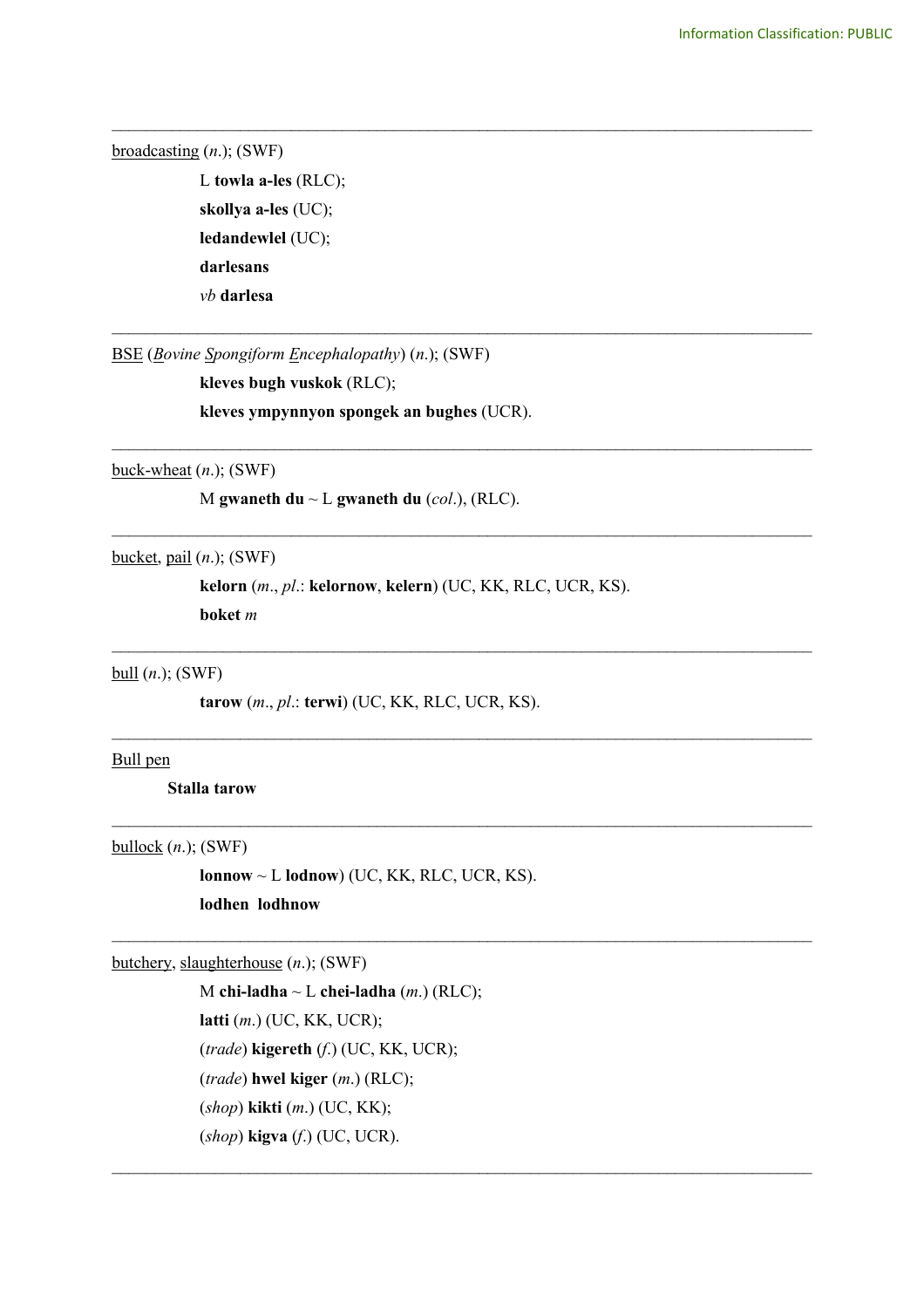broadcasting (*n*.); (SWF)

L **towla a-les** (RLC); **skollya a-les** (UC); **ledandewlel** (UC); **darlesans**  *vb* **darlesa**

BSE (*Bovine Spongiform Encephalopathy*) (*n*.); (SWF)

**kleves bugh vuskok** (RLC);

**kleves ympynnyon spongek an bughes** (UCR).

buck-wheat (*n*.); (SWF)

M **gwaneth du** ~ L **gwaneth du** (*col*.), (RLC).

bucket, pail (*n*.); (SWF)

**kelorn** (*m*., *pl*.: **kelornow**, **kelern**) (UC, KK, RLC, UCR, KS).

\_\_\_\_\_\_\_\_\_\_\_\_\_\_\_\_\_\_\_\_\_\_\_\_\_\_\_\_\_\_\_\_\_\_\_\_\_\_\_\_\_\_\_\_\_\_\_\_\_\_\_\_\_\_\_\_\_\_\_\_\_\_\_\_\_\_\_\_\_\_\_\_\_\_\_\_\_\_\_\_\_\_

\_\_\_\_\_\_\_\_\_\_\_\_\_\_\_\_\_\_\_\_\_\_\_\_\_\_\_\_\_\_\_\_\_\_\_\_\_\_\_\_\_\_\_\_\_\_\_\_\_\_\_\_\_\_\_\_\_\_\_\_\_\_\_\_\_\_\_\_\_\_\_\_\_\_\_\_\_\_\_\_\_\_

\_\_\_\_\_\_\_\_\_\_\_\_\_\_\_\_\_\_\_\_\_\_\_\_\_\_\_\_\_\_\_\_\_\_\_\_\_\_\_\_\_\_\_\_\_\_\_\_\_\_\_\_\_\_\_\_\_\_\_\_\_\_\_\_\_\_\_\_\_\_\_\_\_\_\_\_\_\_\_\_\_\_

\_\_\_\_\_\_\_\_\_\_\_\_\_\_\_\_\_\_\_\_\_\_\_\_\_\_\_\_\_\_\_\_\_\_\_\_\_\_\_\_\_\_\_\_\_\_\_\_\_\_\_\_\_\_\_\_\_\_\_\_\_\_\_\_\_\_\_\_\_\_\_\_\_\_\_\_\_\_\_\_\_\_

 $\mathcal{L}_\text{max}$  and  $\mathcal{L}_\text{max}$  and  $\mathcal{L}_\text{max}$  and  $\mathcal{L}_\text{max}$  and  $\mathcal{L}_\text{max}$  and  $\mathcal{L}_\text{max}$ 

 $\_$ 

 $\_$ 

 $\mathcal{L}_\mathcal{L} = \{ \mathcal{L}_\mathcal{L} = \{ \mathcal{L}_\mathcal{L} = \{ \mathcal{L}_\mathcal{L} = \{ \mathcal{L}_\mathcal{L} = \{ \mathcal{L}_\mathcal{L} = \{ \mathcal{L}_\mathcal{L} = \{ \mathcal{L}_\mathcal{L} = \{ \mathcal{L}_\mathcal{L} = \{ \mathcal{L}_\mathcal{L} = \{ \mathcal{L}_\mathcal{L} = \{ \mathcal{L}_\mathcal{L} = \{ \mathcal{L}_\mathcal{L} = \{ \mathcal{L}_\mathcal{L} = \{ \mathcal{L}_\mathcal{$ 

 $\mathcal{L}_\mathcal{L} = \{ \mathcal{L}_\mathcal{L} = \{ \mathcal{L}_\mathcal{L} = \{ \mathcal{L}_\mathcal{L} = \{ \mathcal{L}_\mathcal{L} = \{ \mathcal{L}_\mathcal{L} = \{ \mathcal{L}_\mathcal{L} = \{ \mathcal{L}_\mathcal{L} = \{ \mathcal{L}_\mathcal{L} = \{ \mathcal{L}_\mathcal{L} = \{ \mathcal{L}_\mathcal{L} = \{ \mathcal{L}_\mathcal{L} = \{ \mathcal{L}_\mathcal{L} = \{ \mathcal{L}_\mathcal{L} = \{ \mathcal{L}_\mathcal{$ 

**boket** *m*

bull (*n*.); (SWF)

**tarow** (*m*., *pl*.: **terwi**) (UC, KK, RLC, UCR, KS).

## Bull pen

**Stalla tarow**

bullock (*n*.); (SWF)

**lonnow** ~ L **lodnow**) (UC, KK, RLC, UCR, KS). **lodhen lodhnow**

butchery, slaughterhouse (*n*.); (SWF)

M **chi-ladha** ~ L **chei-ladha** (*m*.) (RLC); **latti** (*m*.) (UC, KK, UCR); (*trade*) **kigereth** (*f*.) (UC, KK, UCR); (*trade*) **hwel kiger** (*m*.) (RLC); (*shop*) **kikti** (*m*.) (UC, KK); (*shop*) **kigva** (*f*.) (UC, UCR).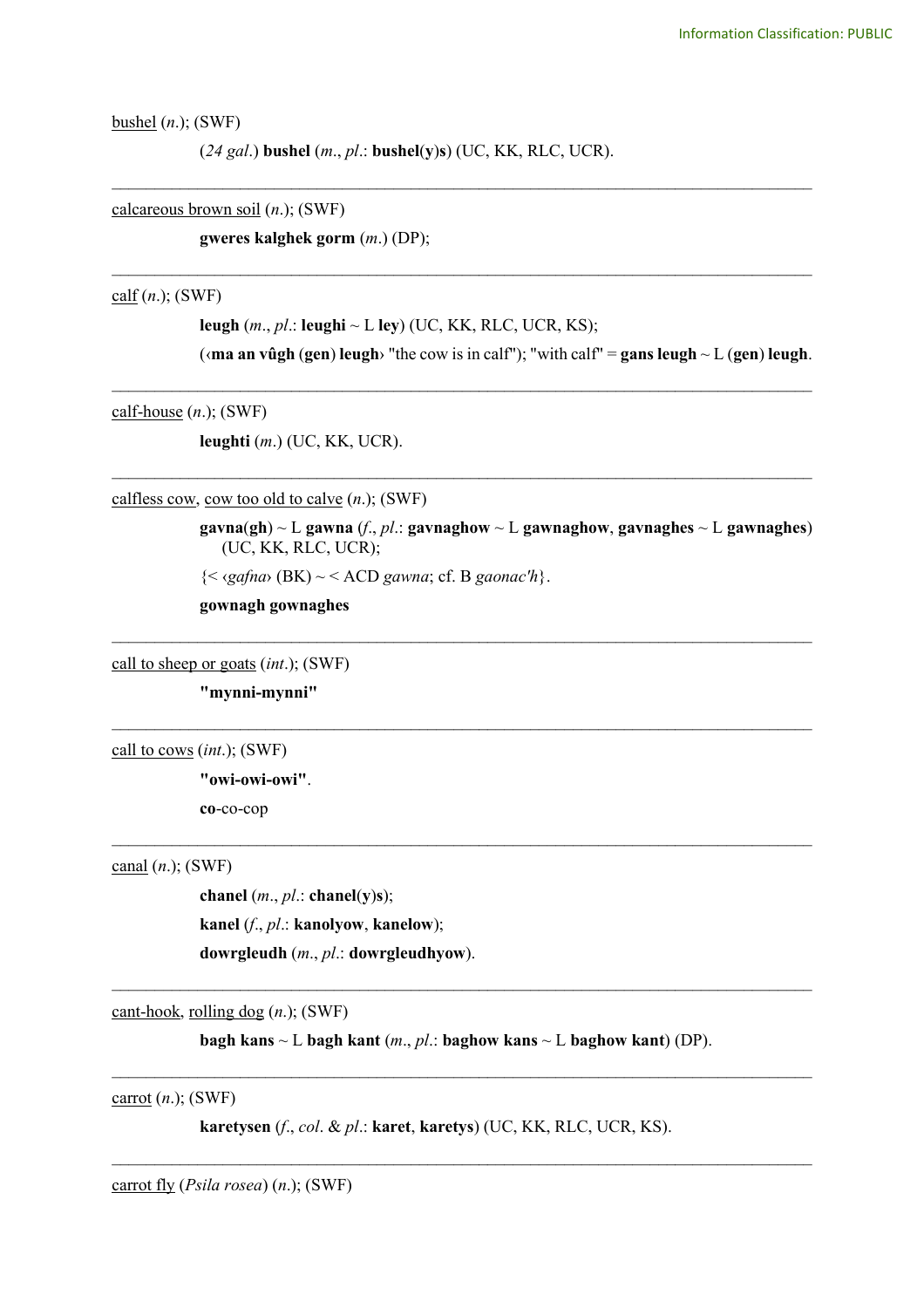bushel (*n*.); (SWF)

(*24 gal*.) **bushel** (*m*., *pl*.: **bushel**(**y**)**s**) (UC, KK, RLC, UCR).

\_\_\_\_\_\_\_\_\_\_\_\_\_\_\_\_\_\_\_\_\_\_\_\_\_\_\_\_\_\_\_\_\_\_\_\_\_\_\_\_\_\_\_\_\_\_\_\_\_\_\_\_\_\_\_\_\_\_\_\_\_\_\_\_\_\_\_\_\_\_\_\_\_\_\_\_\_\_\_\_\_\_

\_\_\_\_\_\_\_\_\_\_\_\_\_\_\_\_\_\_\_\_\_\_\_\_\_\_\_\_\_\_\_\_\_\_\_\_\_\_\_\_\_\_\_\_\_\_\_\_\_\_\_\_\_\_\_\_\_\_\_\_\_\_\_\_\_\_\_\_\_\_\_\_\_\_\_\_\_\_\_\_\_\_

\_\_\_\_\_\_\_\_\_\_\_\_\_\_\_\_\_\_\_\_\_\_\_\_\_\_\_\_\_\_\_\_\_\_\_\_\_\_\_\_\_\_\_\_\_\_\_\_\_\_\_\_\_\_\_\_\_\_\_\_\_\_\_\_\_\_\_\_\_\_\_\_\_\_\_\_\_\_\_\_\_\_

\_\_\_\_\_\_\_\_\_\_\_\_\_\_\_\_\_\_\_\_\_\_\_\_\_\_\_\_\_\_\_\_\_\_\_\_\_\_\_\_\_\_\_\_\_\_\_\_\_\_\_\_\_\_\_\_\_\_\_\_\_\_\_\_\_\_\_\_\_\_\_\_\_\_\_\_\_\_\_\_\_\_

\_\_\_\_\_\_\_\_\_\_\_\_\_\_\_\_\_\_\_\_\_\_\_\_\_\_\_\_\_\_\_\_\_\_\_\_\_\_\_\_\_\_\_\_\_\_\_\_\_\_\_\_\_\_\_\_\_\_\_\_\_\_\_\_\_\_\_\_\_\_\_\_\_\_\_\_\_\_\_\_\_\_

\_\_\_\_\_\_\_\_\_\_\_\_\_\_\_\_\_\_\_\_\_\_\_\_\_\_\_\_\_\_\_\_\_\_\_\_\_\_\_\_\_\_\_\_\_\_\_\_\_\_\_\_\_\_\_\_\_\_\_\_\_\_\_\_\_\_\_\_\_\_\_\_\_\_\_\_\_\_\_\_\_\_

 $\mathcal{L}_\text{max}$  and  $\mathcal{L}_\text{max}$  and  $\mathcal{L}_\text{max}$  and  $\mathcal{L}_\text{max}$  and  $\mathcal{L}_\text{max}$  and  $\mathcal{L}_\text{max}$ 

calcareous brown soil (*n*.); (SWF)

**gweres kalghek gorm** (*m*.) (DP);

calf (*n*.); (SWF)

**leugh** (*m*., *pl*.: **leughi** ~ L **ley**) (UC, KK, RLC, UCR, KS);

( $\langle$ **ma an vûgh (gen) leugh**> "the cow is in calf"); "with calf" = **gans leugh** ~ L (**gen**) **leugh**.

calf-house (*n*.); (SWF)

**leughti** (*m*.) (UC, KK, UCR).

calfless cow, cow too old to calve (*n*.); (SWF)

**gavna**(**gh**) ~ L **gawna** (*f*., *pl*.: **gavnaghow** ~ L **gawnaghow**, **gavnaghes** ~ L **gawnaghes**) (UC, KK, RLC, UCR);

{< ‹*gafna*› (BK) ~ < ACD *gawna*; cf. B *gaonac'h*}.

**gownagh gownaghes**

call to sheep or goats (*int*.); (SWF)

**"mynni-mynni"**

call to cows (*int*.); (SWF)

**"owi-owi-owi"**. **co**-co-cop

canal (*n*.); (SWF)

**chanel** (*m*., *pl*.: **chanel**(**y**)**s**); **kanel** (*f*., *pl*.: **kanolyow**, **kanelow**); **dowrgleudh** (*m*., *pl*.: **dowrgleudhyow**).

cant-hook, rolling dog (*n*.); (SWF)

**bagh kans** ~ L **bagh kant** (*m*., *pl*.: **baghow kans** ~ L **baghow kant**) (DP).

 $\_$ 

 $\mathcal{L}_\mathcal{L} = \{ \mathcal{L}_\mathcal{L} = \{ \mathcal{L}_\mathcal{L} = \{ \mathcal{L}_\mathcal{L} = \{ \mathcal{L}_\mathcal{L} = \{ \mathcal{L}_\mathcal{L} = \{ \mathcal{L}_\mathcal{L} = \{ \mathcal{L}_\mathcal{L} = \{ \mathcal{L}_\mathcal{L} = \{ \mathcal{L}_\mathcal{L} = \{ \mathcal{L}_\mathcal{L} = \{ \mathcal{L}_\mathcal{L} = \{ \mathcal{L}_\mathcal{L} = \{ \mathcal{L}_\mathcal{L} = \{ \mathcal{L}_\mathcal{$ 

 $\mathcal{L}_\text{max}$  and  $\mathcal{L}_\text{max}$  and  $\mathcal{L}_\text{max}$  and  $\mathcal{L}_\text{max}$  and  $\mathcal{L}_\text{max}$  and  $\mathcal{L}_\text{max}$ 

carrot (*n*.); (SWF)

**karetysen** (*f*., *col*. & *pl*.: **karet**, **karetys**) (UC, KK, RLC, UCR, KS).

carrot fly (*Psila rosea*) (*n*.); (SWF)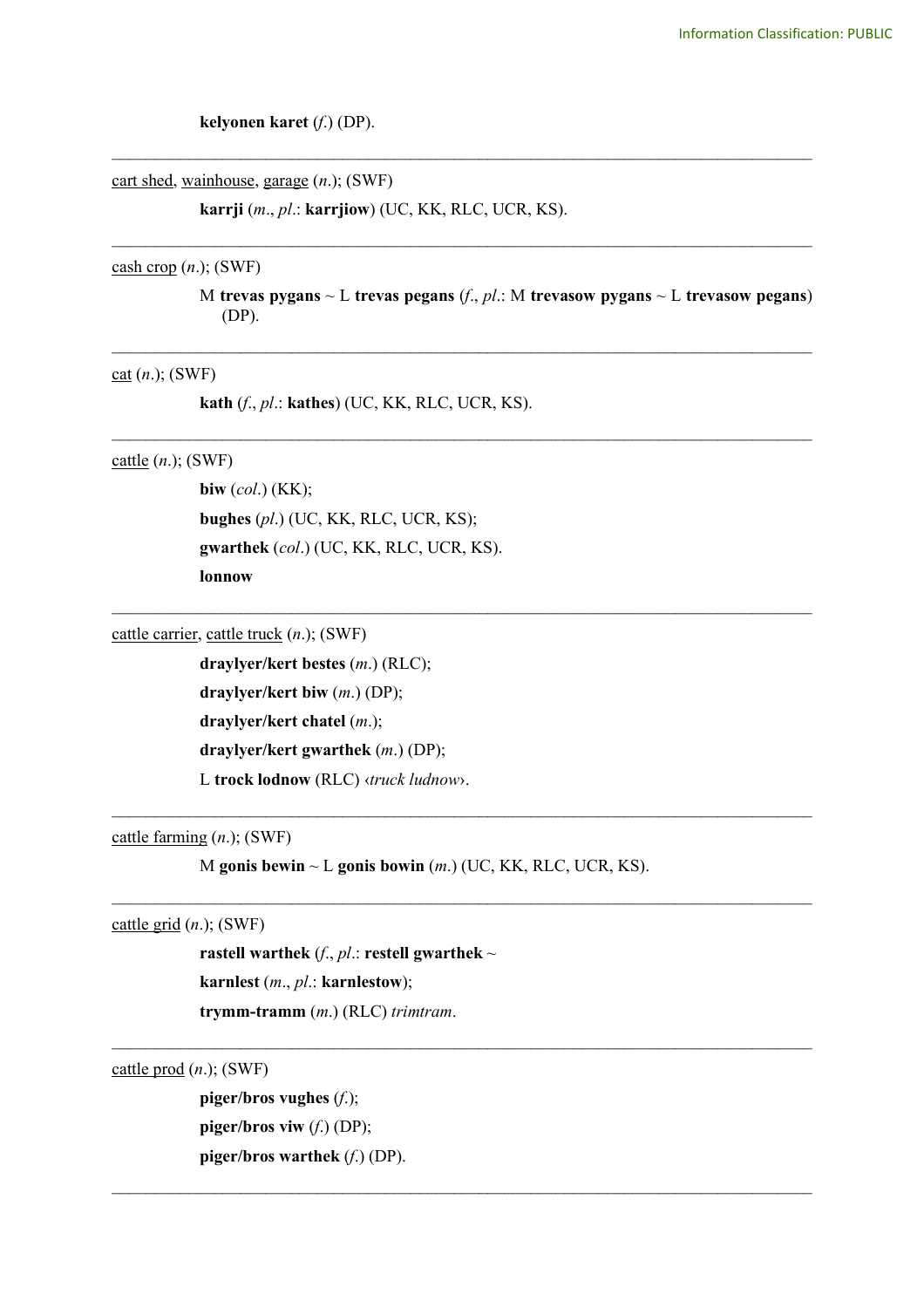**kelyonen karet** (*f*.) (DP).

cart shed, wainhouse, garage (*n*.); (SWF)

**karrji** (*m*., *pl*.: **karrjiow**) (UC, KK, RLC, UCR, KS).

#### $\cosh$  crop  $(n.)$ ; (SWF)

M **trevas pygans** ~ L **trevas pegans** (*f*., *pl*.: M **trevasow pygans** ~ L **trevasow pegans**) (DP).

\_\_\_\_\_\_\_\_\_\_\_\_\_\_\_\_\_\_\_\_\_\_\_\_\_\_\_\_\_\_\_\_\_\_\_\_\_\_\_\_\_\_\_\_\_\_\_\_\_\_\_\_\_\_\_\_\_\_\_\_\_\_\_\_\_\_\_\_\_\_\_\_\_\_\_\_\_\_\_\_\_\_

\_\_\_\_\_\_\_\_\_\_\_\_\_\_\_\_\_\_\_\_\_\_\_\_\_\_\_\_\_\_\_\_\_\_\_\_\_\_\_\_\_\_\_\_\_\_\_\_\_\_\_\_\_\_\_\_\_\_\_\_\_\_\_\_\_\_\_\_\_\_\_\_\_\_\_\_\_\_\_\_\_\_

\_\_\_\_\_\_\_\_\_\_\_\_\_\_\_\_\_\_\_\_\_\_\_\_\_\_\_\_\_\_\_\_\_\_\_\_\_\_\_\_\_\_\_\_\_\_\_\_\_\_\_\_\_\_\_\_\_\_\_\_\_\_\_\_\_\_\_\_\_\_\_\_\_\_\_\_\_\_\_\_\_\_

\_\_\_\_\_\_\_\_\_\_\_\_\_\_\_\_\_\_\_\_\_\_\_\_\_\_\_\_\_\_\_\_\_\_\_\_\_\_\_\_\_\_\_\_\_\_\_\_\_\_\_\_\_\_\_\_\_\_\_\_\_\_\_\_\_\_\_\_\_\_\_\_\_\_\_\_\_\_\_\_\_\_

\_\_\_\_\_\_\_\_\_\_\_\_\_\_\_\_\_\_\_\_\_\_\_\_\_\_\_\_\_\_\_\_\_\_\_\_\_\_\_\_\_\_\_\_\_\_\_\_\_\_\_\_\_\_\_\_\_\_\_\_\_\_\_\_\_\_\_\_\_\_\_\_\_\_\_\_\_\_\_\_\_\_

 $\_$ 

 $\_$ 

 $\mathcal{L}_\mathcal{L} = \{ \mathcal{L}_\mathcal{L} = \{ \mathcal{L}_\mathcal{L} = \{ \mathcal{L}_\mathcal{L} = \{ \mathcal{L}_\mathcal{L} = \{ \mathcal{L}_\mathcal{L} = \{ \mathcal{L}_\mathcal{L} = \{ \mathcal{L}_\mathcal{L} = \{ \mathcal{L}_\mathcal{L} = \{ \mathcal{L}_\mathcal{L} = \{ \mathcal{L}_\mathcal{L} = \{ \mathcal{L}_\mathcal{L} = \{ \mathcal{L}_\mathcal{L} = \{ \mathcal{L}_\mathcal{L} = \{ \mathcal{L}_\mathcal{$ 

 $\_$ 

#### $ext{cat}(n.);$  (SWF)

**kath** (*f*., *pl*.: **kathes**) (UC, KK, RLC, UCR, KS).

## cattle (*n*.); (SWF)

**biw** (*col*.) (KK); **bughes** (*pl*.) (UC, KK, RLC, UCR, KS); **gwarthek** (*col*.) (UC, KK, RLC, UCR, KS). **lonnow**

cattle carrier, cattle truck (*n*.); (SWF)

**draylyer/kert bestes** (*m*.) (RLC); **draylyer/kert biw** (*m*.) (DP); **draylyer/kert chatel** (*m*.); **draylyer/kert gwarthek** (*m*.) (DP); L **trock lodnow** (RLC) ‹*truck ludnow*›.

cattle farming (*n*.); (SWF)

M **gonis bewin** ~ L **gonis bowin** (*m*.) (UC, KK, RLC, UCR, KS).

## cattle grid (*n*.); (SWF)

**rastell** warthek  $(f, pl.:$  **restell gwarthek** ~ **karnlest** (*m*., *pl*.: **karnlestow**); **trymm-tramm** (*m*.) (RLC) *trimtram*.

cattle prod (*n*.); (SWF)

**piger/bros vughes** (*f*.); **piger/bros viw** (*f*.) (DP); **piger/bros warthek** (*f*.) (DP).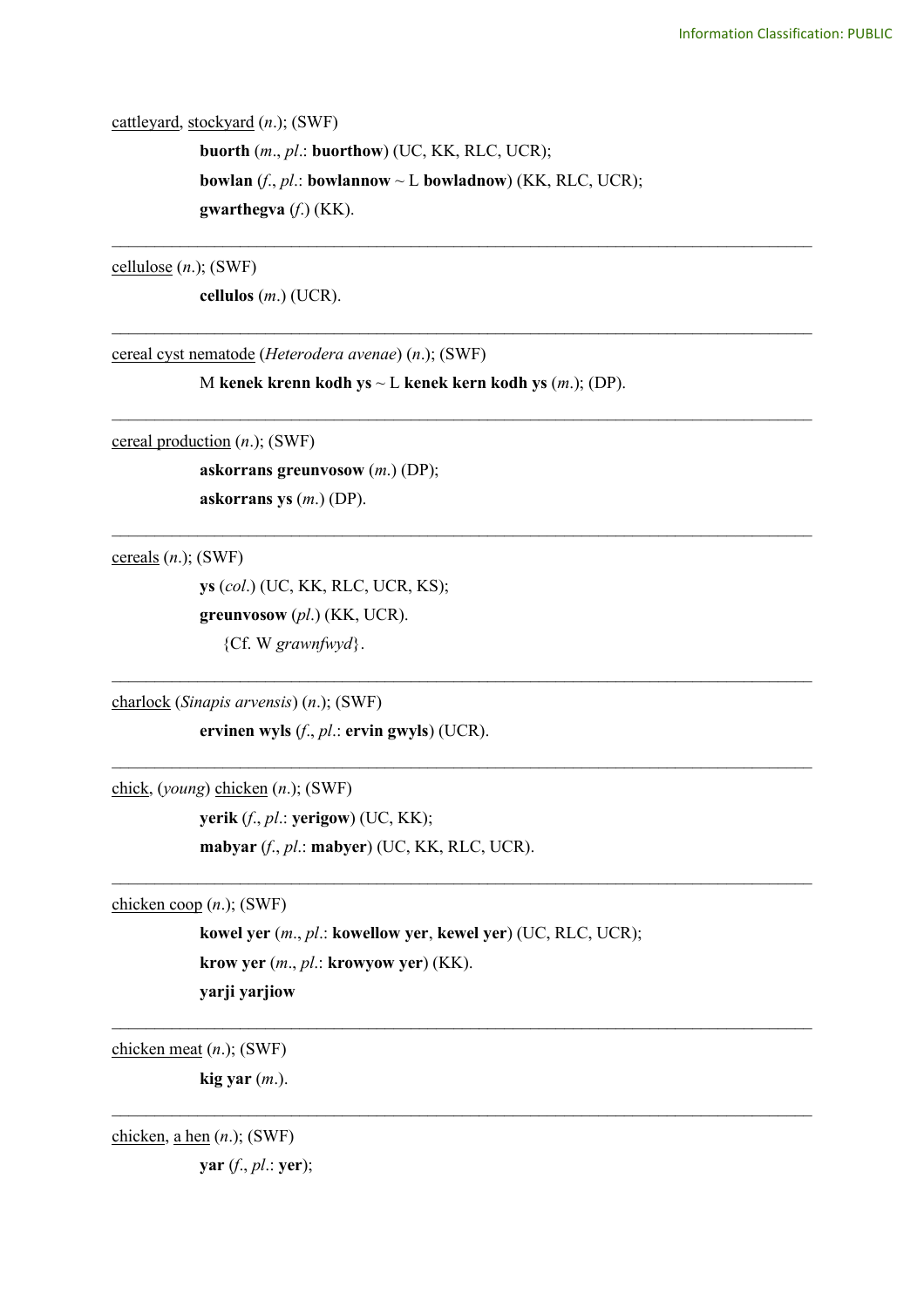cattleyard, stockyard (*n*.); (SWF)

**buorth** (*m*., *pl*.: **buorthow**) (UC, KK, RLC, UCR); **bowlan** (*f*., *pl*.: **bowlannow** ~ L **bowladnow**) (KK, RLC, UCR); **gwarthegva** (*f*.) (KK).

\_\_\_\_\_\_\_\_\_\_\_\_\_\_\_\_\_\_\_\_\_\_\_\_\_\_\_\_\_\_\_\_\_\_\_\_\_\_\_\_\_\_\_\_\_\_\_\_\_\_\_\_\_\_\_\_\_\_\_\_\_\_\_\_\_\_\_\_\_\_\_\_\_\_\_\_\_\_\_\_\_\_

\_\_\_\_\_\_\_\_\_\_\_\_\_\_\_\_\_\_\_\_\_\_\_\_\_\_\_\_\_\_\_\_\_\_\_\_\_\_\_\_\_\_\_\_\_\_\_\_\_\_\_\_\_\_\_\_\_\_\_\_\_\_\_\_\_\_\_\_\_\_\_\_\_\_\_\_\_\_\_\_\_\_

\_\_\_\_\_\_\_\_\_\_\_\_\_\_\_\_\_\_\_\_\_\_\_\_\_\_\_\_\_\_\_\_\_\_\_\_\_\_\_\_\_\_\_\_\_\_\_\_\_\_\_\_\_\_\_\_\_\_\_\_\_\_\_\_\_\_\_\_\_\_\_\_\_\_\_\_\_\_\_\_\_\_

\_\_\_\_\_\_\_\_\_\_\_\_\_\_\_\_\_\_\_\_\_\_\_\_\_\_\_\_\_\_\_\_\_\_\_\_\_\_\_\_\_\_\_\_\_\_\_\_\_\_\_\_\_\_\_\_\_\_\_\_\_\_\_\_\_\_\_\_\_\_\_\_\_\_\_\_\_\_\_\_\_\_

 $\mathcal{L}_\text{max}$  and  $\mathcal{L}_\text{max}$  and  $\mathcal{L}_\text{max}$  and  $\mathcal{L}_\text{max}$  and  $\mathcal{L}_\text{max}$  and  $\mathcal{L}_\text{max}$ 

 $\mathcal{L}_\text{max}$  and  $\mathcal{L}_\text{max}$  and  $\mathcal{L}_\text{max}$  and  $\mathcal{L}_\text{max}$  and  $\mathcal{L}_\text{max}$  and  $\mathcal{L}_\text{max}$ 

 $\mathcal{L}_\text{max}$  and  $\mathcal{L}_\text{max}$  and  $\mathcal{L}_\text{max}$  and  $\mathcal{L}_\text{max}$  and  $\mathcal{L}_\text{max}$  and  $\mathcal{L}_\text{max}$ 

 $\_$ 

 $\_$ 

cellulose (*n*.); (SWF)

**cellulos** (*m*.) (UCR).

cereal cyst nematode (*Heterodera avenae*) (*n*.); (SWF)

M **kenek krenn kodh ys** ~ L **kenek kern kodh ys** (*m*.); (DP).

cereal production (*n*.); (SWF)

**askorrans greunvosow** (*m*.) (DP); **askorrans ys** (*m*.) (DP).

cereals (*n*.); (SWF)

**ys** (*col*.) (UC, KK, RLC, UCR, KS); **greunvosow** (*pl*.) (KK, UCR). {Cf. W *grawnfwyd*}.

charlock (*Sinapis arvensis*) (*n*.); (SWF)

**ervinen wyls** (*f*., *pl*.: **ervin gwyls**) (UCR).

chick, (*young*) chicken (*n*.); (SWF)

**yerik** (*f*., *pl*.: **yerigow**) (UC, KK); **mabyar** (*f*., *pl*.: **mabyer**) (UC, KK, RLC, UCR).

chicken coop (*n*.); (SWF)

**kowel yer** (*m*., *pl*.: **kowellow yer**, **kewel yer**) (UC, RLC, UCR); **krow yer** (*m*., *pl*.: **krowyow yer**) (KK). **yarji yarjiow**

chicken meat (*n*.); (SWF)

**kig yar** (*m*.).

chicken, a hen (*n*.); (SWF)

**yar** (*f*., *pl*.: **yer**);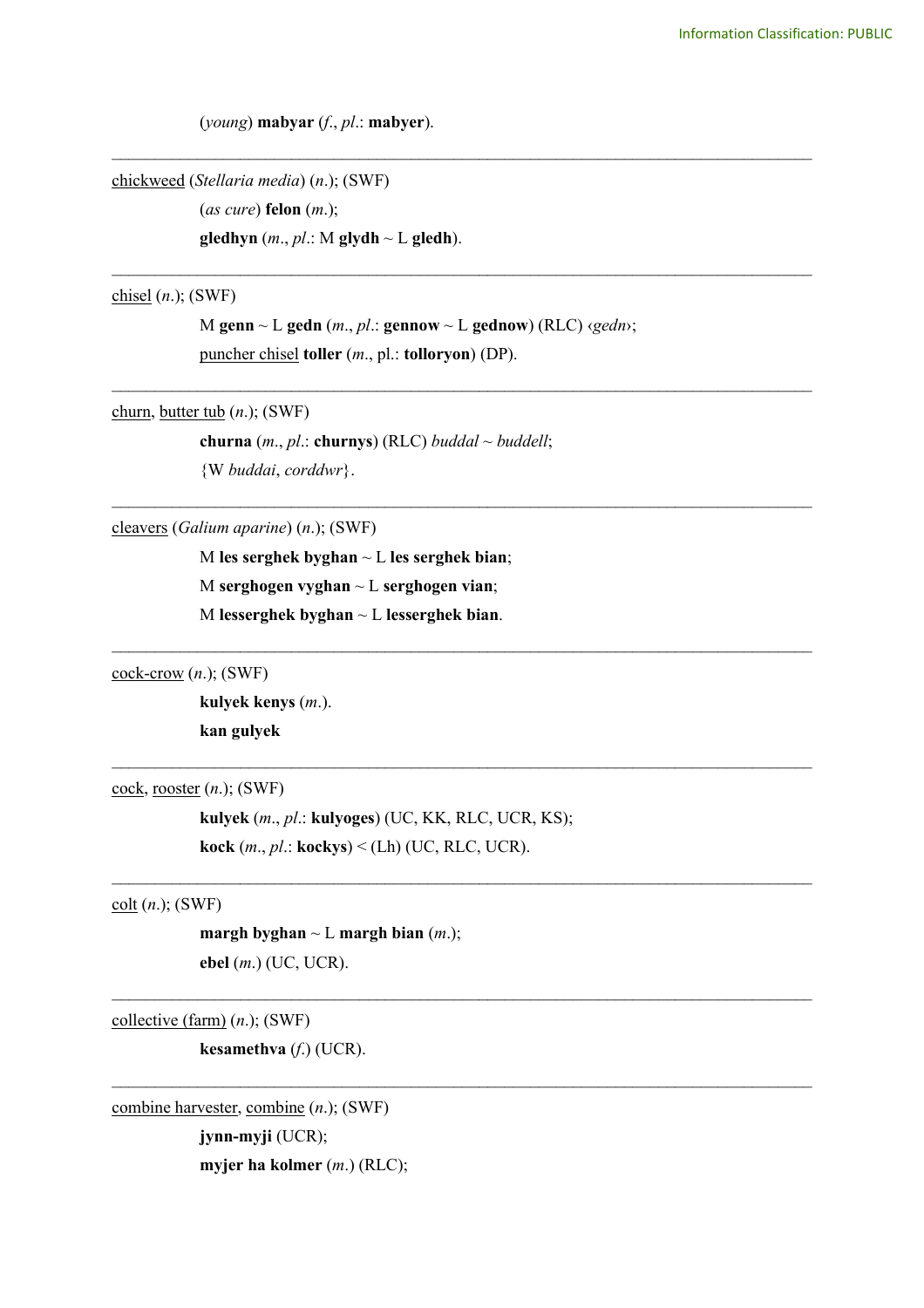(*young*) **mabyar** (*f*., *pl*.: **mabyer**).

chickweed (*Stellaria media*) (*n*.); (SWF)

(*as cure*) **felon** (*m*.); **gledhyn** (*m*., *pl*.: M **glydh** ~ L **gledh**).

chisel (*n*.); (SWF)

M **genn** ~ L **gedn** (*m*., *pl*.: **gennow** ~ L **gednow**) (RLC) ‹*gedn*›; puncher chisel **toller** (*m*., pl.: **tolloryon**) (DP).

\_\_\_\_\_\_\_\_\_\_\_\_\_\_\_\_\_\_\_\_\_\_\_\_\_\_\_\_\_\_\_\_\_\_\_\_\_\_\_\_\_\_\_\_\_\_\_\_\_\_\_\_\_\_\_\_\_\_\_\_\_\_\_\_\_\_\_\_\_\_\_\_\_\_\_\_\_\_\_\_\_\_

\_\_\_\_\_\_\_\_\_\_\_\_\_\_\_\_\_\_\_\_\_\_\_\_\_\_\_\_\_\_\_\_\_\_\_\_\_\_\_\_\_\_\_\_\_\_\_\_\_\_\_\_\_\_\_\_\_\_\_\_\_\_\_\_\_\_\_\_\_\_\_\_\_\_\_\_\_\_\_\_\_\_

\_\_\_\_\_\_\_\_\_\_\_\_\_\_\_\_\_\_\_\_\_\_\_\_\_\_\_\_\_\_\_\_\_\_\_\_\_\_\_\_\_\_\_\_\_\_\_\_\_\_\_\_\_\_\_\_\_\_\_\_\_\_\_\_\_\_\_\_\_\_\_\_\_\_\_\_\_\_\_\_\_\_

\_\_\_\_\_\_\_\_\_\_\_\_\_\_\_\_\_\_\_\_\_\_\_\_\_\_\_\_\_\_\_\_\_\_\_\_\_\_\_\_\_\_\_\_\_\_\_\_\_\_\_\_\_\_\_\_\_\_\_\_\_\_\_\_\_\_\_\_\_\_\_\_\_\_\_\_\_\_\_\_\_\_

 $\mathcal{L}_\text{max}$  and  $\mathcal{L}_\text{max}$  and  $\mathcal{L}_\text{max}$  and  $\mathcal{L}_\text{max}$  and  $\mathcal{L}_\text{max}$  and  $\mathcal{L}_\text{max}$ 

 $\mathcal{L}_\text{max}$  and  $\mathcal{L}_\text{max}$  and  $\mathcal{L}_\text{max}$  and  $\mathcal{L}_\text{max}$  and  $\mathcal{L}_\text{max}$  and  $\mathcal{L}_\text{max}$ 

 $\mathcal{L}_\text{max}$  and  $\mathcal{L}_\text{max}$  and  $\mathcal{L}_\text{max}$  and  $\mathcal{L}_\text{max}$  and  $\mathcal{L}_\text{max}$  and  $\mathcal{L}_\text{max}$ 

 $\_$ 

 $\_$ 

churn, butter tub (*n*.); (SWF)

**churna** (*m*., *pl*.: **churnys**) (RLC) *buddal* ~ *buddell*; {W *buddai*, *corddwr*}.

cleavers (*Galium aparine*) (*n*.); (SWF)

M **les serghek byghan** ~ L **les serghek bian**; M **serghogen vyghan** ~ L **serghogen vian**; M **lesserghek byghan** ~ L **lesserghek bian**.

cock-crow (*n*.); (SWF)

**kulyek kenys** (*m*.). **kan gulyek**

cock, rooster (*n*.); (SWF)

**kulyek** (*m*., *pl*.: **kulyoges**) (UC, KK, RLC, UCR, KS); **kock** (*m*., *pl*.: **kockys**) < (Lh) (UC, RLC, UCR).

colt (*n*.); (SWF)

**margh byghan** ~ L **margh bian** (*m*.); **ebel** (*m*.) (UC, UCR).

collective (farm) (*n*.); (SWF)

**kesamethva** (*f*.) (UCR).

combine harvester, combine (*n*.); (SWF) **jynn-myji** (UCR); **myjer ha kolmer** (*m*.) (RLC);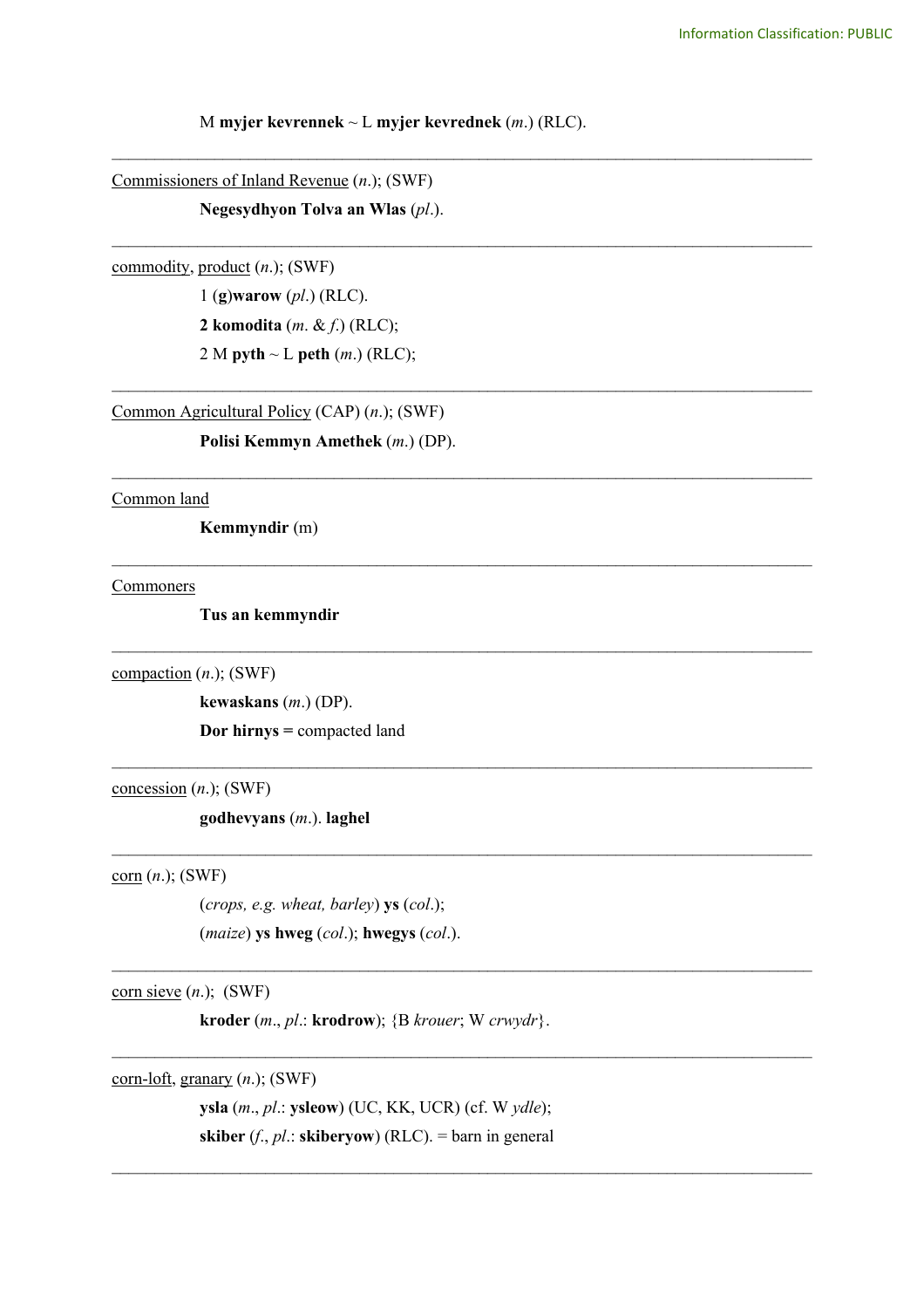## M **myjer kevrennek** ~ L **myjer kevrednek** (*m*.) (RLC).

\_\_\_\_\_\_\_\_\_\_\_\_\_\_\_\_\_\_\_\_\_\_\_\_\_\_\_\_\_\_\_\_\_\_\_\_\_\_\_\_\_\_\_\_\_\_\_\_\_\_\_\_\_\_\_\_\_\_\_\_\_\_\_\_\_\_\_\_\_\_\_\_\_\_\_\_\_\_\_\_\_\_

\_\_\_\_\_\_\_\_\_\_\_\_\_\_\_\_\_\_\_\_\_\_\_\_\_\_\_\_\_\_\_\_\_\_\_\_\_\_\_\_\_\_\_\_\_\_\_\_\_\_\_\_\_\_\_\_\_\_\_\_\_\_\_\_\_\_\_\_\_\_\_\_\_\_\_\_\_\_\_\_\_\_

\_\_\_\_\_\_\_\_\_\_\_\_\_\_\_\_\_\_\_\_\_\_\_\_\_\_\_\_\_\_\_\_\_\_\_\_\_\_\_\_\_\_\_\_\_\_\_\_\_\_\_\_\_\_\_\_\_\_\_\_\_\_\_\_\_\_\_\_\_\_\_\_\_\_\_\_\_\_\_\_\_\_

\_\_\_\_\_\_\_\_\_\_\_\_\_\_\_\_\_\_\_\_\_\_\_\_\_\_\_\_\_\_\_\_\_\_\_\_\_\_\_\_\_\_\_\_\_\_\_\_\_\_\_\_\_\_\_\_\_\_\_\_\_\_\_\_\_\_\_\_\_\_\_\_\_\_\_\_\_\_\_\_\_\_

\_\_\_\_\_\_\_\_\_\_\_\_\_\_\_\_\_\_\_\_\_\_\_\_\_\_\_\_\_\_\_\_\_\_\_\_\_\_\_\_\_\_\_\_\_\_\_\_\_\_\_\_\_\_\_\_\_\_\_\_\_\_\_\_\_\_\_\_\_\_\_\_\_\_\_\_\_\_\_\_\_\_

 $\mathcal{L}_\text{max}$  and  $\mathcal{L}_\text{max}$  and  $\mathcal{L}_\text{max}$  and  $\mathcal{L}_\text{max}$  and  $\mathcal{L}_\text{max}$  and  $\mathcal{L}_\text{max}$ 

 $\mathcal{L}_\text{max}$  and  $\mathcal{L}_\text{max}$  and  $\mathcal{L}_\text{max}$  and  $\mathcal{L}_\text{max}$  and  $\mathcal{L}_\text{max}$  and  $\mathcal{L}_\text{max}$ 

 $\mathcal{L}_\text{max}$  and  $\mathcal{L}_\text{max}$  and  $\mathcal{L}_\text{max}$  and  $\mathcal{L}_\text{max}$  and  $\mathcal{L}_\text{max}$  and  $\mathcal{L}_\text{max}$ 

 $\mathcal{L}_\text{max}$  and  $\mathcal{L}_\text{max}$  and  $\mathcal{L}_\text{max}$  and  $\mathcal{L}_\text{max}$  and  $\mathcal{L}_\text{max}$  and  $\mathcal{L}_\text{max}$ 

 $\mathcal{L}_\mathcal{L} = \{ \mathcal{L}_\mathcal{L} = \{ \mathcal{L}_\mathcal{L} = \{ \mathcal{L}_\mathcal{L} = \{ \mathcal{L}_\mathcal{L} = \{ \mathcal{L}_\mathcal{L} = \{ \mathcal{L}_\mathcal{L} = \{ \mathcal{L}_\mathcal{L} = \{ \mathcal{L}_\mathcal{L} = \{ \mathcal{L}_\mathcal{L} = \{ \mathcal{L}_\mathcal{L} = \{ \mathcal{L}_\mathcal{L} = \{ \mathcal{L}_\mathcal{L} = \{ \mathcal{L}_\mathcal{L} = \{ \mathcal{L}_\mathcal{$ 

 $\mathcal{L}_\mathcal{L} = \{ \mathcal{L}_\mathcal{L} = \{ \mathcal{L}_\mathcal{L} = \{ \mathcal{L}_\mathcal{L} = \{ \mathcal{L}_\mathcal{L} = \{ \mathcal{L}_\mathcal{L} = \{ \mathcal{L}_\mathcal{L} = \{ \mathcal{L}_\mathcal{L} = \{ \mathcal{L}_\mathcal{L} = \{ \mathcal{L}_\mathcal{L} = \{ \mathcal{L}_\mathcal{L} = \{ \mathcal{L}_\mathcal{L} = \{ \mathcal{L}_\mathcal{L} = \{ \mathcal{L}_\mathcal{L} = \{ \mathcal{L}_\mathcal{$ 

Commissioners of Inland Revenue (*n*.); (SWF)

**Negesydhyon Tolva an Wlas** (*pl*.).

## commodity, product (*n*.); (SWF)

1 (**g**)**warow** (*pl*.) (RLC). **2 komodita** (*m*. & *f*.) (RLC); 2 M **pyth** ~ L **peth** (*m*.) (RLC);

Common Agricultural Policy (CAP) (*n*.); (SWF)

**Polisi Kemmyn Amethek** (*m*.) (DP).

Common land

**Kemmyndir** (m)

**Commoners** 

**Tus an kemmyndir**

compaction (*n*.); (SWF)

**kewaskans** (*m*.) (DP). **Dor hirnys =** compacted land

concession (*n*.); (SWF)

**godhevyans** (*m*.). **laghel**

corn (*n*.); (SWF)

(*crops, e.g. wheat, barley*) **ys** (*col*.); (*maize*) **ys hweg** (*col*.); **hwegys** (*col*.).

 $corn sieve (*n*.)$ ; (SWF)</u>

**kroder** (*m*., *pl*.: **krodrow**); {B *krouer*; W *crwydr*}.

corn-loft, granary (*n*.); (SWF)

**ysla** (*m*., *pl*.: **ysleow**) (UC, KK, UCR) (cf. W *ydle*); **skiber** (*f*., *pl*.: **skiberyow**) (RLC). = barn in general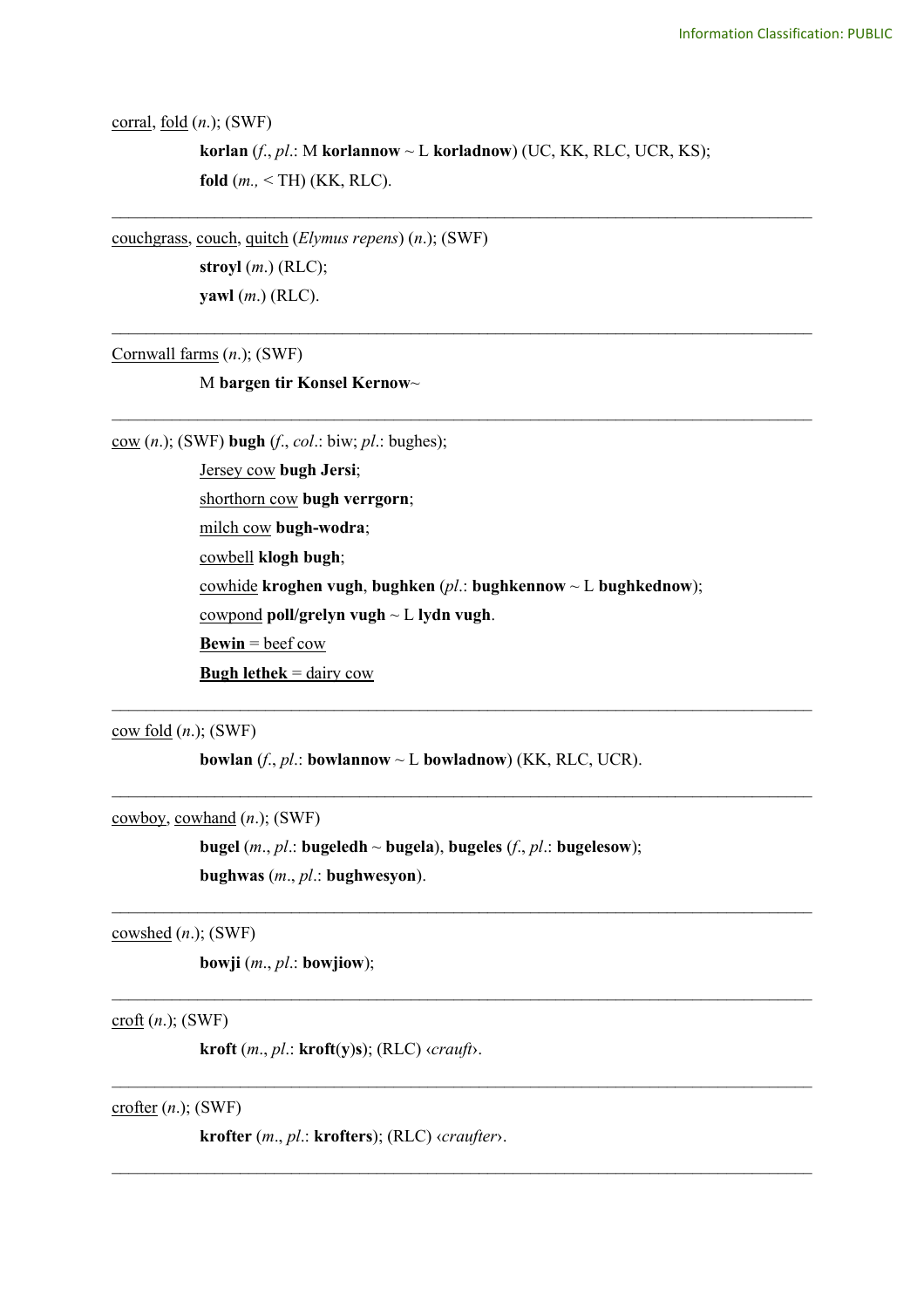corral, fold (*n*.); (SWF)

**korlan** (*f*., *pl*.: M **korlannow** ~ L **korladnow**) (UC, KK, RLC, UCR, KS); **fold** (*m.,* < TH) (KK, RLC).

\_\_\_\_\_\_\_\_\_\_\_\_\_\_\_\_\_\_\_\_\_\_\_\_\_\_\_\_\_\_\_\_\_\_\_\_\_\_\_\_\_\_\_\_\_\_\_\_\_\_\_\_\_\_\_\_\_\_\_\_\_\_\_\_\_\_\_\_\_\_\_\_\_\_\_\_\_\_\_\_\_\_

\_\_\_\_\_\_\_\_\_\_\_\_\_\_\_\_\_\_\_\_\_\_\_\_\_\_\_\_\_\_\_\_\_\_\_\_\_\_\_\_\_\_\_\_\_\_\_\_\_\_\_\_\_\_\_\_\_\_\_\_\_\_\_\_\_\_\_\_\_\_\_\_\_\_\_\_\_\_\_\_\_\_

\_\_\_\_\_\_\_\_\_\_\_\_\_\_\_\_\_\_\_\_\_\_\_\_\_\_\_\_\_\_\_\_\_\_\_\_\_\_\_\_\_\_\_\_\_\_\_\_\_\_\_\_\_\_\_\_\_\_\_\_\_\_\_\_\_\_\_\_\_\_\_\_\_\_\_\_\_\_\_\_\_\_

couchgrass, couch, quitch (*Elymus repens*) (*n*.); (SWF)

**stroyl** (*m*.) (RLC); **yawl** (*m*.) (RLC).

Cornwall farms (*n*.); (SWF)

M **bargen tir Konsel Kernow**~

cow (*n*.); (SWF) **bugh** (*f*., *col*.: biw; *pl*.: bughes);

Jersey cow **bugh Jersi**; shorthorn cow **bugh verrgorn**; milch cow **bugh-wodra**; cowbell **klogh bugh**; cowhide **kroghen vugh**, **bughken** (*pl*.: **bughkennow** ~ L **bughkednow**); cowpond **poll/grelyn vugh** ~ L **lydn vugh**. **Bewin** = beef cow **Bugh lethek** = dairy cow

 $\mathcal{L}_\text{max}$  and  $\mathcal{L}_\text{max}$  and  $\mathcal{L}_\text{max}$  and  $\mathcal{L}_\text{max}$  and  $\mathcal{L}_\text{max}$  and  $\mathcal{L}_\text{max}$ 

 $\mathcal{L}_\text{max}$  and  $\mathcal{L}_\text{max}$  and  $\mathcal{L}_\text{max}$  and  $\mathcal{L}_\text{max}$  and  $\mathcal{L}_\text{max}$  and  $\mathcal{L}_\text{max}$ 

 $\_$ 

 $\_$ 

 $\_$ 

 $\mathcal{L}_\mathcal{L} = \{ \mathcal{L}_\mathcal{L} = \{ \mathcal{L}_\mathcal{L} = \{ \mathcal{L}_\mathcal{L} = \{ \mathcal{L}_\mathcal{L} = \{ \mathcal{L}_\mathcal{L} = \{ \mathcal{L}_\mathcal{L} = \{ \mathcal{L}_\mathcal{L} = \{ \mathcal{L}_\mathcal{L} = \{ \mathcal{L}_\mathcal{L} = \{ \mathcal{L}_\mathcal{L} = \{ \mathcal{L}_\mathcal{L} = \{ \mathcal{L}_\mathcal{L} = \{ \mathcal{L}_\mathcal{L} = \{ \mathcal{L}_\mathcal{$ 

cow fold (*n*.); (SWF)

**bowlan** ( $f$ ,  $p$ *l*.: **bowlannow**  $\sim$  **L bowladnow**) (KK, RLC, UCR).

cowboy, cowhand (*n*.); (SWF)

**bugel** (*m*., *pl*.: **bugeledh** ~ **bugela**), **bugeles** (*f*., *pl*.: **bugelesow**); **bughwas** (*m*., *pl*.: **bughwesyon**).

cowshed (*n*.); (SWF)

**bowji** (*m*., *pl*.: **bowjiow**);

croft (*n*.); (SWF)

**kroft** (*m*., *pl*.: **kroft**(**y**)**s**); (RLC) ‹*crauft*›.

crofter (*n*.); (SWF)

**krofter** (*m*., *pl*.: **krofters**); (RLC) ‹*craufter*›.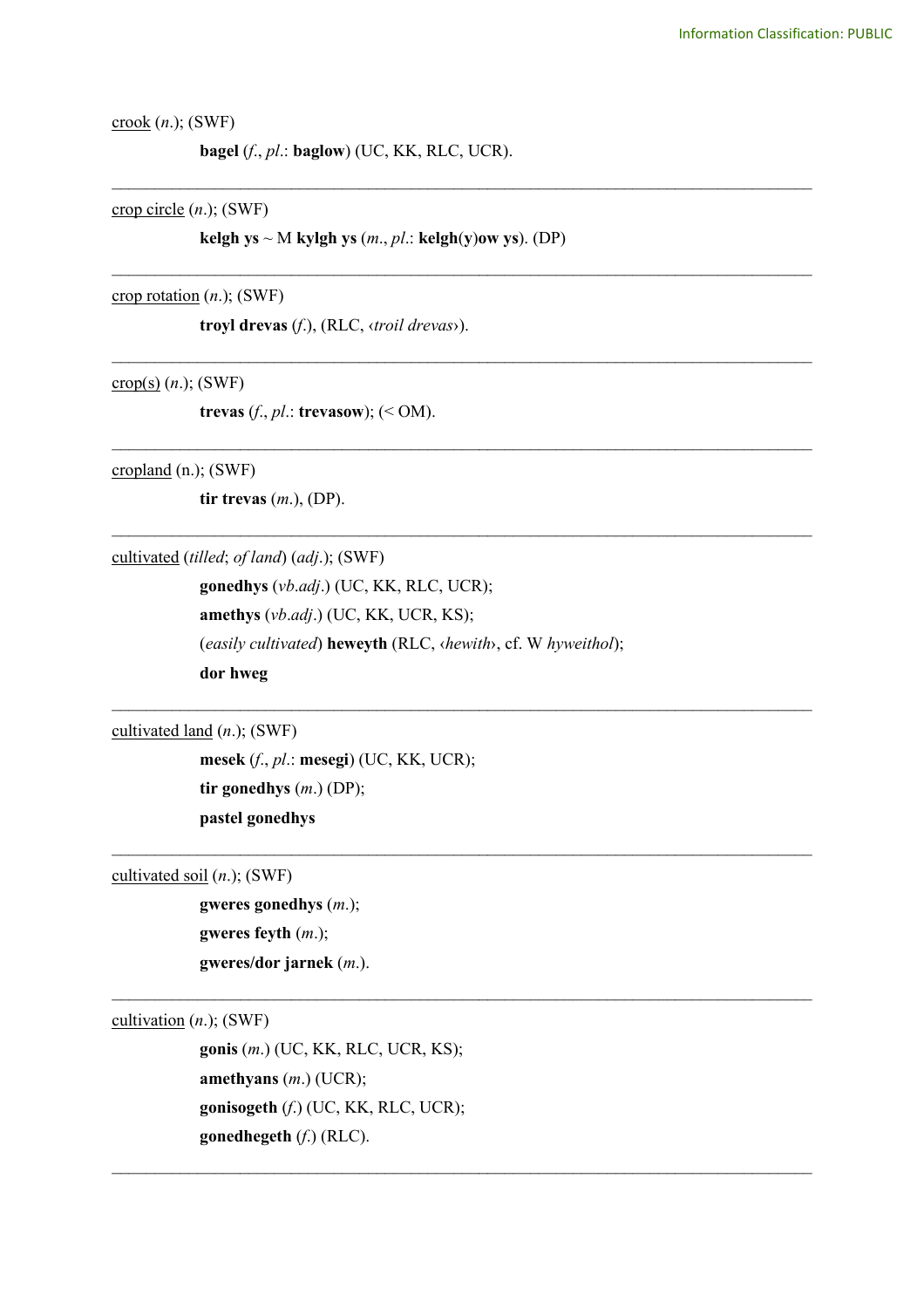crook (*n*.); (SWF)

**bagel** (*f*., *pl*.: **baglow**) (UC, KK, RLC, UCR).

crop circle (*n*.); (SWF)

**kelgh ys**  $\sim$  M **kylgh ys** (*m., pl.:* **kelgh**(**y**)**ow** ys). (DP)

\_\_\_\_\_\_\_\_\_\_\_\_\_\_\_\_\_\_\_\_\_\_\_\_\_\_\_\_\_\_\_\_\_\_\_\_\_\_\_\_\_\_\_\_\_\_\_\_\_\_\_\_\_\_\_\_\_\_\_\_\_\_\_\_\_\_\_\_\_\_\_\_\_\_\_\_\_\_\_\_\_\_

\_\_\_\_\_\_\_\_\_\_\_\_\_\_\_\_\_\_\_\_\_\_\_\_\_\_\_\_\_\_\_\_\_\_\_\_\_\_\_\_\_\_\_\_\_\_\_\_\_\_\_\_\_\_\_\_\_\_\_\_\_\_\_\_\_\_\_\_\_\_\_\_\_\_\_\_\_\_\_\_\_\_

\_\_\_\_\_\_\_\_\_\_\_\_\_\_\_\_\_\_\_\_\_\_\_\_\_\_\_\_\_\_\_\_\_\_\_\_\_\_\_\_\_\_\_\_\_\_\_\_\_\_\_\_\_\_\_\_\_\_\_\_\_\_\_\_\_\_\_\_\_\_\_\_\_\_\_\_\_\_\_\_\_\_

\_\_\_\_\_\_\_\_\_\_\_\_\_\_\_\_\_\_\_\_\_\_\_\_\_\_\_\_\_\_\_\_\_\_\_\_\_\_\_\_\_\_\_\_\_\_\_\_\_\_\_\_\_\_\_\_\_\_\_\_\_\_\_\_\_\_\_\_\_\_\_\_\_\_\_\_\_\_\_\_\_\_

\_\_\_\_\_\_\_\_\_\_\_\_\_\_\_\_\_\_\_\_\_\_\_\_\_\_\_\_\_\_\_\_\_\_\_\_\_\_\_\_\_\_\_\_\_\_\_\_\_\_\_\_\_\_\_\_\_\_\_\_\_\_\_\_\_\_\_\_\_\_\_\_\_\_\_\_\_\_\_\_\_\_

 $\mathcal{L}_\text{max}$  and  $\mathcal{L}_\text{max}$  and  $\mathcal{L}_\text{max}$  and  $\mathcal{L}_\text{max}$  and  $\mathcal{L}_\text{max}$  and  $\mathcal{L}_\text{max}$ 

 $\mathcal{L}_\text{max}$  and  $\mathcal{L}_\text{max}$  and  $\mathcal{L}_\text{max}$  and  $\mathcal{L}_\text{max}$  and  $\mathcal{L}_\text{max}$  and  $\mathcal{L}_\text{max}$ 

 $\_$ 

 $\mathcal{L}_\mathcal{L} = \{ \mathcal{L}_\mathcal{L} = \{ \mathcal{L}_\mathcal{L} = \{ \mathcal{L}_\mathcal{L} = \{ \mathcal{L}_\mathcal{L} = \{ \mathcal{L}_\mathcal{L} = \{ \mathcal{L}_\mathcal{L} = \{ \mathcal{L}_\mathcal{L} = \{ \mathcal{L}_\mathcal{L} = \{ \mathcal{L}_\mathcal{L} = \{ \mathcal{L}_\mathcal{L} = \{ \mathcal{L}_\mathcal{L} = \{ \mathcal{L}_\mathcal{L} = \{ \mathcal{L}_\mathcal{L} = \{ \mathcal{L}_\mathcal{$ 

crop rotation (*n*.); (SWF)

**troyl drevas** (*f*.), (RLC, ‹*troil drevas*›).

crop(s) (*n*.); (SWF)

**trevas** (*f*., *pl*.: **trevasow**); (< OM).

cropland (n.); (SWF)

**tir trevas** (*m*.), (DP).

cultivated (*tilled*; *of land*) (*adj*.); (SWF)

**gonedhys** (*vb*.*adj*.) (UC, KK, RLC, UCR); **amethys** (*vb*.*adj*.) (UC, KK, UCR, KS); (*easily cultivated*) **heweyth** (RLC, ‹*hewith*›, cf. W *hyweithol*); **dor hweg**

cultivated land (*n*.); (SWF)

**mesek** (*f*., *pl*.: **mesegi**) (UC, KK, UCR); **tir gonedhys** (*m*.) (DP); **pastel gonedhys**

cultivated soil (*n*.); (SWF)

**gweres gonedhys** (*m*.); **gweres feyth** (*m*.); **gweres/dor jarnek** (*m*.).

cultivation (*n*.); (SWF)

**gonis** (*m*.) (UC, KK, RLC, UCR, KS); **amethyans** (*m*.) (UCR); **gonisogeth** (*f*.) (UC, KK, RLC, UCR); **gonedhegeth** (*f*.) (RLC).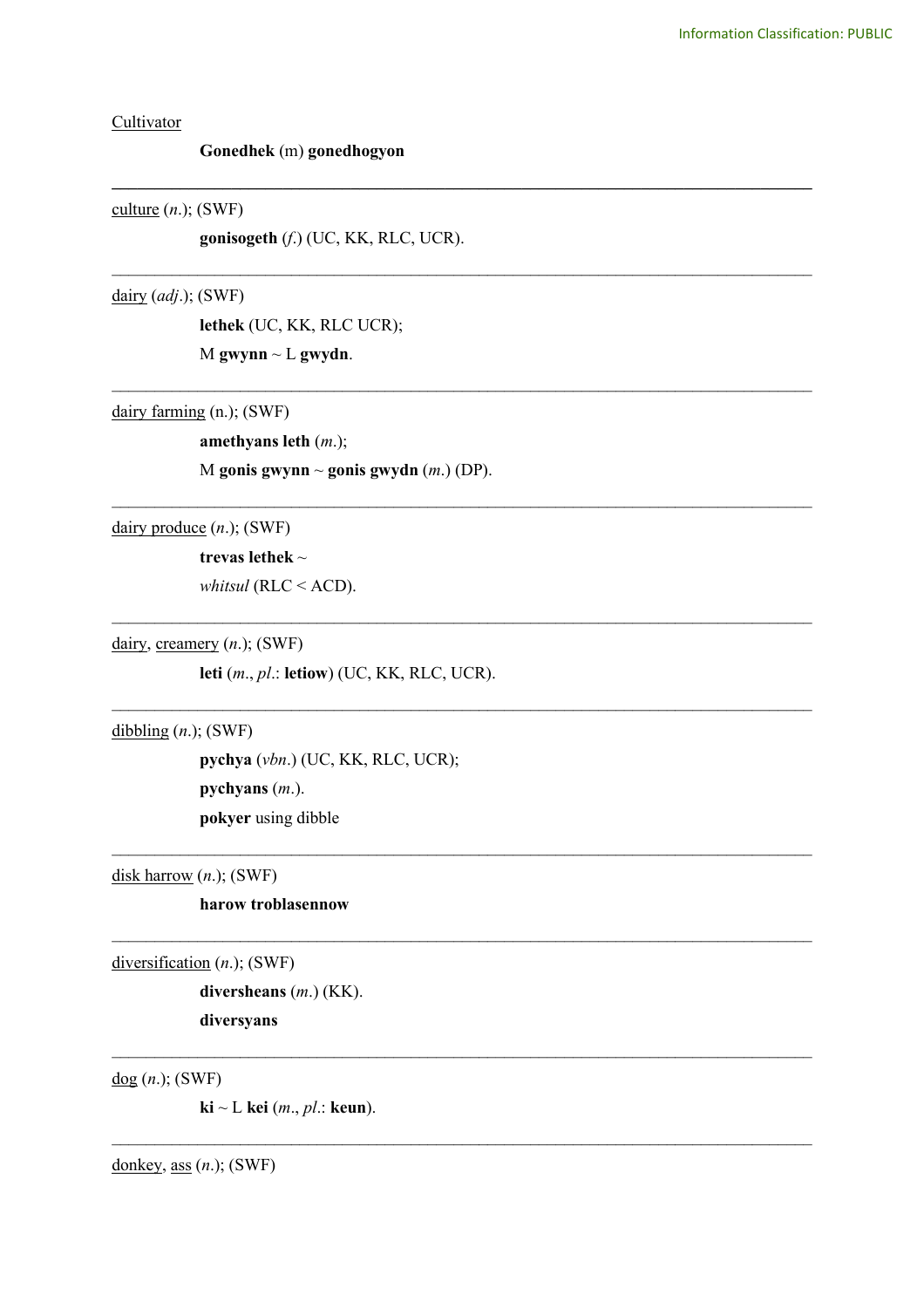**Cultivator** 

## **Gonedhek** (m) **gonedhogyon**

## culture  $(n.);$  (SWF)

**gonisogeth** (*f*.) (UC, KK, RLC, UCR).

**\_\_\_\_\_\_\_\_\_\_\_\_\_\_\_\_\_\_\_\_\_\_\_\_\_\_\_\_\_\_\_\_\_\_\_\_\_\_\_\_\_\_\_\_\_\_\_\_\_\_\_\_\_\_\_\_\_\_\_\_\_\_\_\_\_\_\_\_\_\_\_\_\_\_\_\_\_\_\_\_\_\_**

\_\_\_\_\_\_\_\_\_\_\_\_\_\_\_\_\_\_\_\_\_\_\_\_\_\_\_\_\_\_\_\_\_\_\_\_\_\_\_\_\_\_\_\_\_\_\_\_\_\_\_\_\_\_\_\_\_\_\_\_\_\_\_\_\_\_\_\_\_\_\_\_\_\_\_\_\_\_\_\_\_\_

\_\_\_\_\_\_\_\_\_\_\_\_\_\_\_\_\_\_\_\_\_\_\_\_\_\_\_\_\_\_\_\_\_\_\_\_\_\_\_\_\_\_\_\_\_\_\_\_\_\_\_\_\_\_\_\_\_\_\_\_\_\_\_\_\_\_\_\_\_\_\_\_\_\_\_\_\_\_\_\_\_\_

\_\_\_\_\_\_\_\_\_\_\_\_\_\_\_\_\_\_\_\_\_\_\_\_\_\_\_\_\_\_\_\_\_\_\_\_\_\_\_\_\_\_\_\_\_\_\_\_\_\_\_\_\_\_\_\_\_\_\_\_\_\_\_\_\_\_\_\_\_\_\_\_\_\_\_\_\_\_\_\_\_\_

\_\_\_\_\_\_\_\_\_\_\_\_\_\_\_\_\_\_\_\_\_\_\_\_\_\_\_\_\_\_\_\_\_\_\_\_\_\_\_\_\_\_\_\_\_\_\_\_\_\_\_\_\_\_\_\_\_\_\_\_\_\_\_\_\_\_\_\_\_\_\_\_\_\_\_\_\_\_\_\_\_\_

 $\mathcal{L}_\text{max}$  and  $\mathcal{L}_\text{max}$  and  $\mathcal{L}_\text{max}$  and  $\mathcal{L}_\text{max}$  and  $\mathcal{L}_\text{max}$  and  $\mathcal{L}_\text{max}$ 

 $\mathcal{L}_\text{max}$  and  $\mathcal{L}_\text{max}$  and  $\mathcal{L}_\text{max}$  and  $\mathcal{L}_\text{max}$  and  $\mathcal{L}_\text{max}$  and  $\mathcal{L}_\text{max}$ 

 $\mathcal{L}_\mathcal{L} = \{ \mathcal{L}_\mathcal{L} = \{ \mathcal{L}_\mathcal{L} = \{ \mathcal{L}_\mathcal{L} = \{ \mathcal{L}_\mathcal{L} = \{ \mathcal{L}_\mathcal{L} = \{ \mathcal{L}_\mathcal{L} = \{ \mathcal{L}_\mathcal{L} = \{ \mathcal{L}_\mathcal{L} = \{ \mathcal{L}_\mathcal{L} = \{ \mathcal{L}_\mathcal{L} = \{ \mathcal{L}_\mathcal{L} = \{ \mathcal{L}_\mathcal{L} = \{ \mathcal{L}_\mathcal{L} = \{ \mathcal{L}_\mathcal{$ 

 $\mathcal{L}_\mathcal{L} = \{ \mathcal{L}_\mathcal{L} = \{ \mathcal{L}_\mathcal{L} = \{ \mathcal{L}_\mathcal{L} = \{ \mathcal{L}_\mathcal{L} = \{ \mathcal{L}_\mathcal{L} = \{ \mathcal{L}_\mathcal{L} = \{ \mathcal{L}_\mathcal{L} = \{ \mathcal{L}_\mathcal{L} = \{ \mathcal{L}_\mathcal{L} = \{ \mathcal{L}_\mathcal{L} = \{ \mathcal{L}_\mathcal{L} = \{ \mathcal{L}_\mathcal{L} = \{ \mathcal{L}_\mathcal{L} = \{ \mathcal{L}_\mathcal{$ 

 $\mathcal{L}_\mathcal{L} = \{ \mathcal{L}_\mathcal{L} = \{ \mathcal{L}_\mathcal{L} = \{ \mathcal{L}_\mathcal{L} = \{ \mathcal{L}_\mathcal{L} = \{ \mathcal{L}_\mathcal{L} = \{ \mathcal{L}_\mathcal{L} = \{ \mathcal{L}_\mathcal{L} = \{ \mathcal{L}_\mathcal{L} = \{ \mathcal{L}_\mathcal{L} = \{ \mathcal{L}_\mathcal{L} = \{ \mathcal{L}_\mathcal{L} = \{ \mathcal{L}_\mathcal{L} = \{ \mathcal{L}_\mathcal{L} = \{ \mathcal{L}_\mathcal{$ 

dairy (*adj*.); (SWF)

**lethek** (UC, KK, RLC UCR); M **gwynn** ~ L **gwydn**.

dairy farming (n.); (SWF)

**amethyans leth** (*m*.);

M **gonis gwynn** ~ **gonis gwydn** (*m*.) (DP).

dairy produce (*n*.); (SWF)

**trevas lethek** ~

*whitsul* (RLC < ACD).

dairy, creamery (*n*.); (SWF)

**leti** (*m*., *pl*.: **letiow**) (UC, KK, RLC, UCR).

dibbling (*n*.); (SWF)

**pychya** (*vbn*.) (UC, KK, RLC, UCR);

**pychyans** (*m*.).

**pokyer** using dibble

disk harrow (*n*.); (SWF)

**harow troblasennow**

diversification (*n*.); (SWF)

**diversheans** (*m*.) (KK). **diversyans**

dog (*n*.); (SWF)

**ki** ~ L **kei** (*m*., *pl*.: **keun**).

donkey, ass (*n*.); (SWF)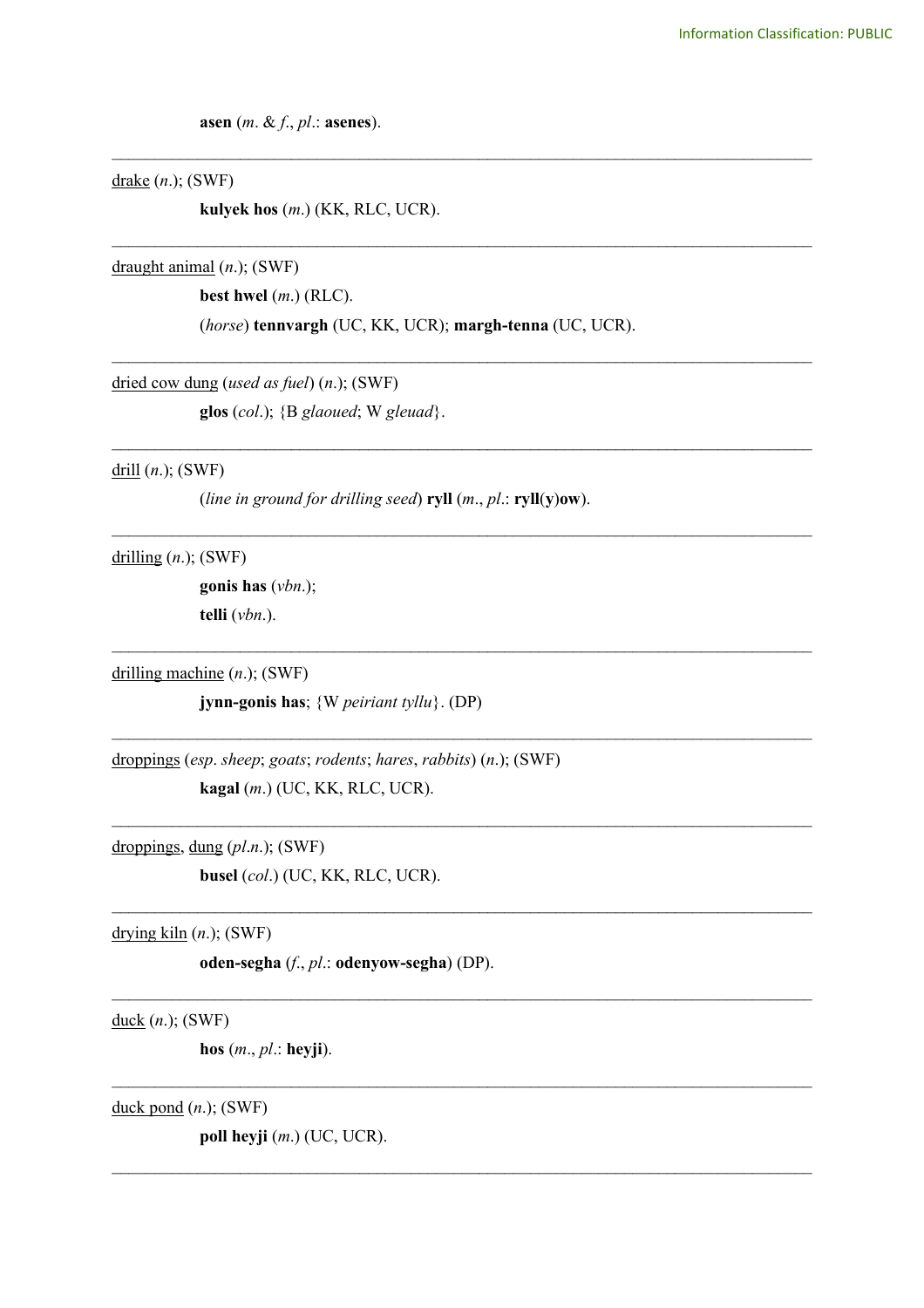asen  $(m. \& f., pl.:$  asenes).

 $\frac{drake}{m}$  (n.); (SWF)

kulyek hos  $(m.)$  (KK, RLC, UCR).

draught animal  $(n.);$  (SWF)

best hwel  $(m.)$  (RLC).

(horse) tennvargh (UC, KK, UCR); margh-tenna (UC, UCR).

dried cow dung (used as fuel)  $(n.);$  (SWF)

glos  $(col.)$ ;  $\{B\,glaoued; W\,gleuad\}.$ 

 $drill (n.); (SWF)$ 

(line in ground for drilling seed) ryll  $(m., pl.: ryll(y)ow)$ .

drilling  $(n.);$  (SWF)

gonis has  $(vbn.);$ telli  $(vbn.)$ .

drilling machine  $(n.);$  (SWF)

jynn-gonis has;  $\{W$  peiriant tyllu $\}$ . (DP)

droppings (esp. sheep; goats; rodents; hares, rabbits)  $(n.);$  (SWF) kagal (m.) (UC, KK, RLC, UCR).

droppings, dung  $(pl.n.);$  (SWF) busel (col.) (UC, KK, RLC, UCR).

drying  $\underline{\text{kiln}}(n)$ ; (SWF)

oden-segha  $(f, pl.:$  odenyow-segha) (DP).

 $duck (*n*.); (SWF)$ </u>

hos  $(m., pl.:$  heyji).

duck pond  $(n.);$  (SWF)

poll heyji  $(m.)$  (UC, UCR).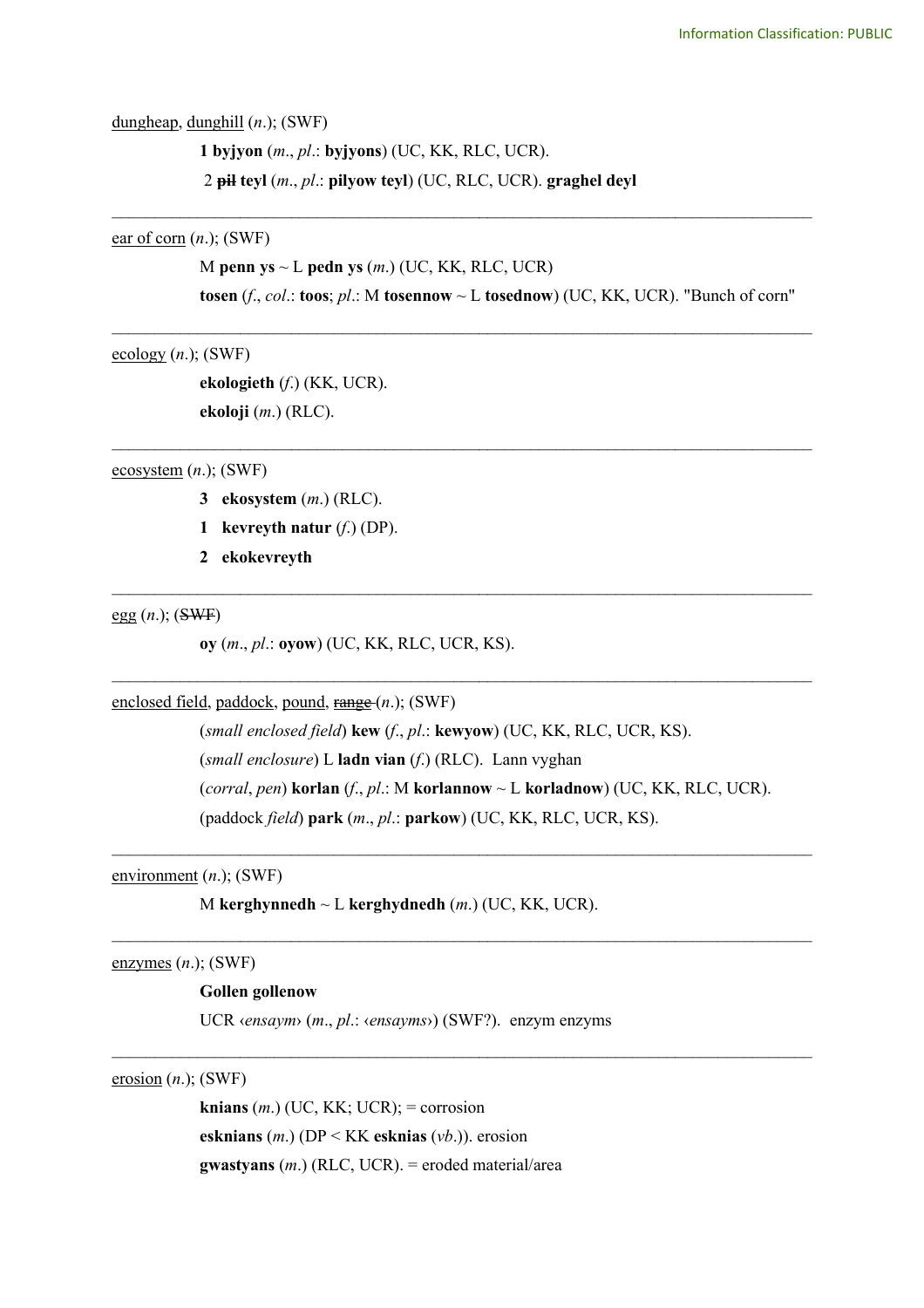dungheap, dunghill (*n*.); (SWF)

**1 byjyon** (*m*., *pl*.: **byjyons**) (UC, KK, RLC, UCR). 2 **pil teyl** (*m*., *pl*.: **pilyow teyl**) (UC, RLC, UCR). **graghel deyl**

ear of corn (*n*.); (SWF)

M **penn ys** ~ L **pedn ys** (*m*.) (UC, KK, RLC, UCR) **tosen** (*f*., *col*.: **toos**; *pl*.: M **tosennow** ~ L **tosednow**) (UC, KK, UCR). "Bunch of corn"

\_\_\_\_\_\_\_\_\_\_\_\_\_\_\_\_\_\_\_\_\_\_\_\_\_\_\_\_\_\_\_\_\_\_\_\_\_\_\_\_\_\_\_\_\_\_\_\_\_\_\_\_\_\_\_\_\_\_\_\_\_\_\_\_\_\_\_\_\_\_\_\_\_\_\_\_\_\_\_\_\_\_

\_\_\_\_\_\_\_\_\_\_\_\_\_\_\_\_\_\_\_\_\_\_\_\_\_\_\_\_\_\_\_\_\_\_\_\_\_\_\_\_\_\_\_\_\_\_\_\_\_\_\_\_\_\_\_\_\_\_\_\_\_\_\_\_\_\_\_\_\_\_\_\_\_\_\_\_\_\_\_\_\_\_

\_\_\_\_\_\_\_\_\_\_\_\_\_\_\_\_\_\_\_\_\_\_\_\_\_\_\_\_\_\_\_\_\_\_\_\_\_\_\_\_\_\_\_\_\_\_\_\_\_\_\_\_\_\_\_\_\_\_\_\_\_\_\_\_\_\_\_\_\_\_\_\_\_\_\_\_\_\_\_\_\_\_

 $\mathcal{L}_\text{max}$  and  $\mathcal{L}_\text{max}$  and  $\mathcal{L}_\text{max}$  and  $\mathcal{L}_\text{max}$  and  $\mathcal{L}_\text{max}$  and  $\mathcal{L}_\text{max}$ 

 $\mathcal{L}_\text{max}$  and  $\mathcal{L}_\text{max}$  and  $\mathcal{L}_\text{max}$  and  $\mathcal{L}_\text{max}$  and  $\mathcal{L}_\text{max}$  and  $\mathcal{L}_\text{max}$ 

 $\mathcal{L}_\text{max}$  and  $\mathcal{L}_\text{max}$  and  $\mathcal{L}_\text{max}$  and  $\mathcal{L}_\text{max}$  and  $\mathcal{L}_\text{max}$  and  $\mathcal{L}_\text{max}$ 

 $\mathcal{L}_\mathcal{L} = \{ \mathcal{L}_\mathcal{L} = \{ \mathcal{L}_\mathcal{L} = \{ \mathcal{L}_\mathcal{L} = \{ \mathcal{L}_\mathcal{L} = \{ \mathcal{L}_\mathcal{L} = \{ \mathcal{L}_\mathcal{L} = \{ \mathcal{L}_\mathcal{L} = \{ \mathcal{L}_\mathcal{L} = \{ \mathcal{L}_\mathcal{L} = \{ \mathcal{L}_\mathcal{L} = \{ \mathcal{L}_\mathcal{L} = \{ \mathcal{L}_\mathcal{L} = \{ \mathcal{L}_\mathcal{L} = \{ \mathcal{L}_\mathcal{$ 

 $\mathcal{L}_\mathcal{L} = \{ \mathcal{L}_\mathcal{L} = \{ \mathcal{L}_\mathcal{L} = \{ \mathcal{L}_\mathcal{L} = \{ \mathcal{L}_\mathcal{L} = \{ \mathcal{L}_\mathcal{L} = \{ \mathcal{L}_\mathcal{L} = \{ \mathcal{L}_\mathcal{L} = \{ \mathcal{L}_\mathcal{L} = \{ \mathcal{L}_\mathcal{L} = \{ \mathcal{L}_\mathcal{L} = \{ \mathcal{L}_\mathcal{L} = \{ \mathcal{L}_\mathcal{L} = \{ \mathcal{L}_\mathcal{L} = \{ \mathcal{L}_\mathcal{$ 

 $\frac{\text{ecology}}{\text{(n.)}}$ ; (SWF)

**ekologieth** (*f*.) (KK, UCR). **ekoloji** (*m*.) (RLC).

ecosystem (*n*.); (SWF)

- **3 ekosystem** (*m*.) (RLC).
- **1 kevreyth natur** (*f*.) (DP).
- **2 ekokevreyth**

 $egg(n);$  (SWF)

**oy** (*m*., *pl*.: **oyow**) (UC, KK, RLC, UCR, KS).

enclosed field, paddock, pound, range (*n*.); (SWF)

(*small enclosed field*) **kew** (*f*., *pl*.: **kewyow**) (UC, KK, RLC, UCR, KS).

(*small enclosure*) L **ladn vian** (*f*.) (RLC). Lann vyghan

(*corral*, *pen*) **korlan** (*f*., *pl*.: M **korlannow** ~ L **korladnow**) (UC, KK, RLC, UCR).

(paddock *field*) **park** (*m*., *pl*.: **parkow**) (UC, KK, RLC, UCR, KS).

environment (*n*.); (SWF)

M **kerghynnedh** ~ L **kerghydnedh** (*m*.) (UC, KK, UCR).

enzymes (*n*.); (SWF)

## **Gollen gollenow**

UCR ‹*ensaym*› (*m*., *pl*.: ‹*ensayms*›) (SWF?). enzym enzyms

erosion (*n*.); (SWF)

**knians**  $(m.)$  (UC, KK; UCR); = corrosion **esknians** (*m*.) (DP < KK **esknias** (*vb*.)). erosion **gwastyans** (*m*.) (RLC, UCR). = eroded material/area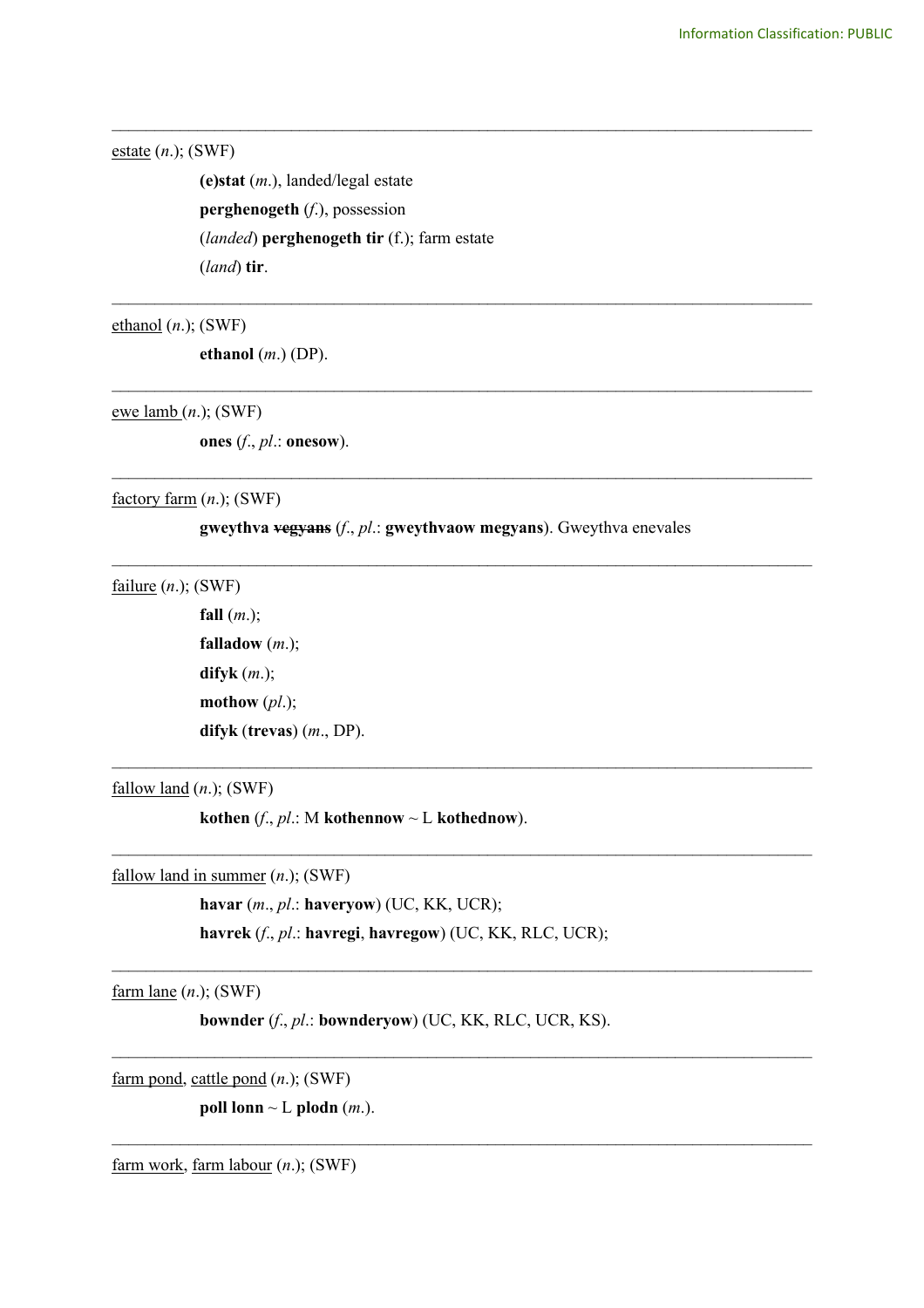estate (*n*.); (SWF)

**(e)stat** (*m*.), landed/legal estate **perghenogeth** (*f*.), possession (*landed*) **perghenogeth tir** (f.); farm estate (*land*) **tir**.

ethanol (*n*.); (SWF)

**ethanol** (*m*.) (DP).

ewe lamb (*n*.); (SWF)

**ones** (*f*., *pl*.: **onesow**).

factory farm (*n*.); (SWF)

**gweythva vegyans** (*f*., *pl*.: **gweythvaow megyans**). Gweythva enevales

\_\_\_\_\_\_\_\_\_\_\_\_\_\_\_\_\_\_\_\_\_\_\_\_\_\_\_\_\_\_\_\_\_\_\_\_\_\_\_\_\_\_\_\_\_\_\_\_\_\_\_\_\_\_\_\_\_\_\_\_\_\_\_\_\_\_\_\_\_\_\_\_\_\_\_\_\_\_\_\_\_\_

\_\_\_\_\_\_\_\_\_\_\_\_\_\_\_\_\_\_\_\_\_\_\_\_\_\_\_\_\_\_\_\_\_\_\_\_\_\_\_\_\_\_\_\_\_\_\_\_\_\_\_\_\_\_\_\_\_\_\_\_\_\_\_\_\_\_\_\_\_\_\_\_\_\_\_\_\_\_\_\_\_\_

\_\_\_\_\_\_\_\_\_\_\_\_\_\_\_\_\_\_\_\_\_\_\_\_\_\_\_\_\_\_\_\_\_\_\_\_\_\_\_\_\_\_\_\_\_\_\_\_\_\_\_\_\_\_\_\_\_\_\_\_\_\_\_\_\_\_\_\_\_\_\_\_\_\_\_\_\_\_\_\_\_\_

\_\_\_\_\_\_\_\_\_\_\_\_\_\_\_\_\_\_\_\_\_\_\_\_\_\_\_\_\_\_\_\_\_\_\_\_\_\_\_\_\_\_\_\_\_\_\_\_\_\_\_\_\_\_\_\_\_\_\_\_\_\_\_\_\_\_\_\_\_\_\_\_\_\_\_\_\_\_\_\_\_\_

\_\_\_\_\_\_\_\_\_\_\_\_\_\_\_\_\_\_\_\_\_\_\_\_\_\_\_\_\_\_\_\_\_\_\_\_\_\_\_\_\_\_\_\_\_\_\_\_\_\_\_\_\_\_\_\_\_\_\_\_\_\_\_\_\_\_\_\_\_\_\_\_\_\_\_\_\_\_\_\_\_\_

 $\mathcal{L}_\text{max}$  , and the contribution of the contribution of the contribution of the contribution of the contribution of the contribution of the contribution of the contribution of the contribution of the contribution of t

 $\mathcal{L}_\text{max}$  , and the contribution of the contribution of the contribution of the contribution of the contribution of the contribution of the contribution of the contribution of the contribution of the contribution of t

 $\mathcal{L}_\text{max}$  , and the contribution of the contribution of the contribution of the contribution of the contribution of the contribution of the contribution of the contribution of the contribution of the contribution of t

 $\mathcal{L}_\mathcal{L} = \{ \mathcal{L}_\mathcal{L} = \{ \mathcal{L}_\mathcal{L} = \{ \mathcal{L}_\mathcal{L} = \{ \mathcal{L}_\mathcal{L} = \{ \mathcal{L}_\mathcal{L} = \{ \mathcal{L}_\mathcal{L} = \{ \mathcal{L}_\mathcal{L} = \{ \mathcal{L}_\mathcal{L} = \{ \mathcal{L}_\mathcal{L} = \{ \mathcal{L}_\mathcal{L} = \{ \mathcal{L}_\mathcal{L} = \{ \mathcal{L}_\mathcal{L} = \{ \mathcal{L}_\mathcal{L} = \{ \mathcal{L}_\mathcal{$ 

 $\mathcal{L}_\mathcal{L} = \{ \mathcal{L}_\mathcal{L} = \{ \mathcal{L}_\mathcal{L} = \{ \mathcal{L}_\mathcal{L} = \{ \mathcal{L}_\mathcal{L} = \{ \mathcal{L}_\mathcal{L} = \{ \mathcal{L}_\mathcal{L} = \{ \mathcal{L}_\mathcal{L} = \{ \mathcal{L}_\mathcal{L} = \{ \mathcal{L}_\mathcal{L} = \{ \mathcal{L}_\mathcal{L} = \{ \mathcal{L}_\mathcal{L} = \{ \mathcal{L}_\mathcal{L} = \{ \mathcal{L}_\mathcal{L} = \{ \mathcal{L}_\mathcal{$ 

failure (*n*.); (SWF)

**fall** (*m*.); **falladow** (*m*.); **difyk** (*m*.); **mothow** (*pl*.); **difyk** (**trevas**) (*m*., DP).

fallow land (*n*.); (SWF)

**kothen** (*f*., *pl*.: M **kothennow**  $\sim$  **L kothednow**).

fallow land in summer (*n*.); (SWF)

**havar** (*m*., *pl*.: **haveryow**) (UC, KK, UCR); **havrek** (*f*., *pl*.: **havregi**, **havregow**) (UC, KK, RLC, UCR);

farm lane (*n*.); (SWF)

**bownder** (*f*., *pl*.: **bownderyow**) (UC, KK, RLC, UCR, KS).

farm pond, cattle pond (*n*.); (SWF)

**poll lonn**  $\sim$  L **plodn** (*m*.).

farm work, farm labour (*n*.); (SWF)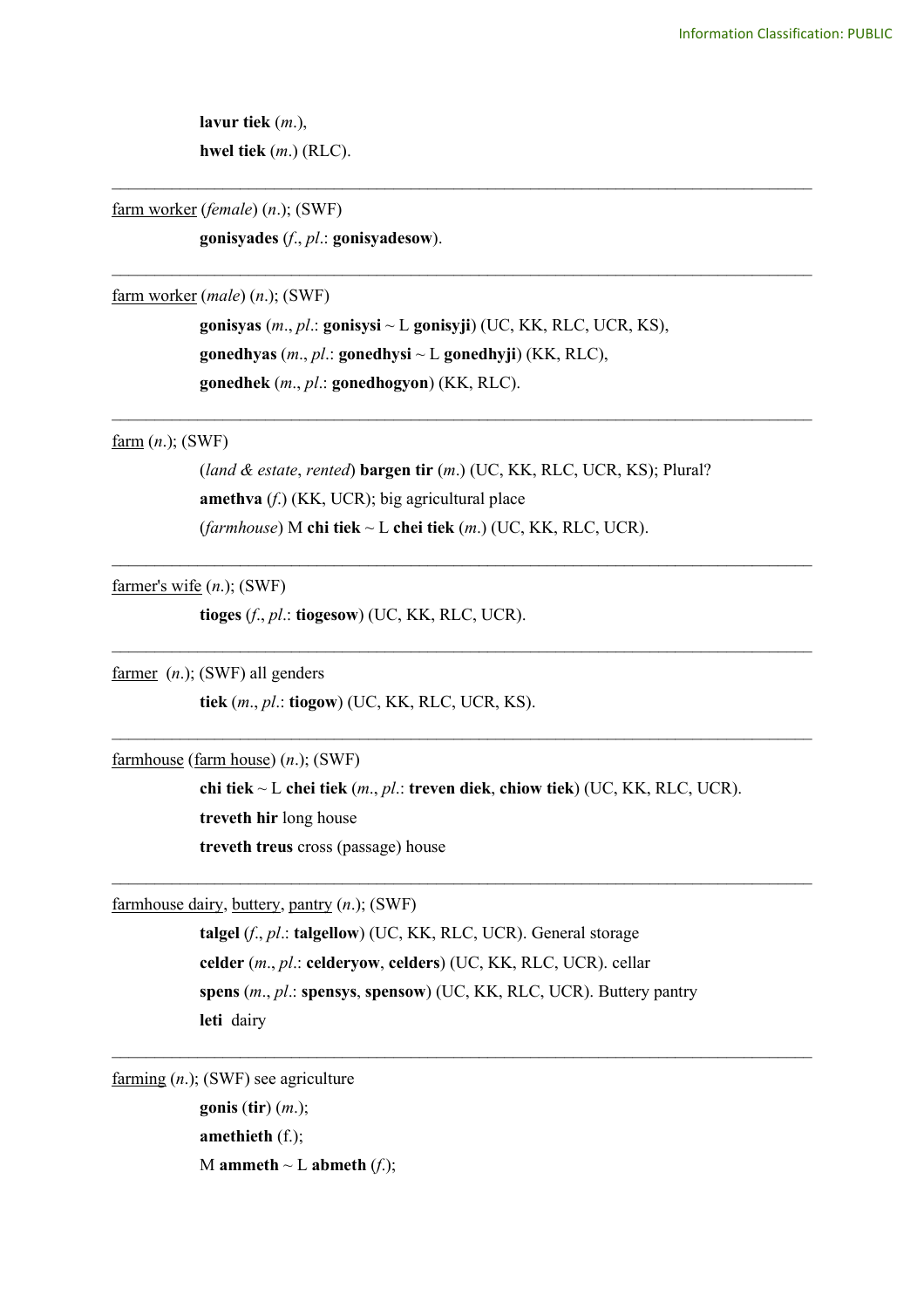**lavur tiek** (*m*.), **hwel tiek** (*m*.) (RLC).

farm worker (*female*) (*n*.); (SWF)

**gonisyades** (*f*., *pl*.: **gonisyadesow**).

farm worker (*male*) (*n*.); (SWF)

**gonisyas** (*m*., *pl*.: **gonisysi** ~ L **gonisyji**) (UC, KK, RLC, UCR, KS), **gonedhyas** (*m*., *pl*.: **gonedhysi** ~ L **gonedhyji**) (KK, RLC), **gonedhek** (*m*., *pl*.: **gonedhogyon**) (KK, RLC).

\_\_\_\_\_\_\_\_\_\_\_\_\_\_\_\_\_\_\_\_\_\_\_\_\_\_\_\_\_\_\_\_\_\_\_\_\_\_\_\_\_\_\_\_\_\_\_\_\_\_\_\_\_\_\_\_\_\_\_\_\_\_\_\_\_\_\_\_\_\_\_\_\_\_\_\_\_\_\_\_\_\_

\_\_\_\_\_\_\_\_\_\_\_\_\_\_\_\_\_\_\_\_\_\_\_\_\_\_\_\_\_\_\_\_\_\_\_\_\_\_\_\_\_\_\_\_\_\_\_\_\_\_\_\_\_\_\_\_\_\_\_\_\_\_\_\_\_\_\_\_\_\_\_\_\_\_\_\_\_\_\_\_\_\_

## farm (*n*.); (SWF)

(*land & estate*, *rented*) **bargen tir** (*m*.) (UC, KK, RLC, UCR, KS); Plural? **amethva** (*f*.) (KK, UCR); big agricultural place (*farmhouse*) M **chi tiek** ~ L **chei tiek** (*m*.) (UC, KK, RLC, UCR).

\_\_\_\_\_\_\_\_\_\_\_\_\_\_\_\_\_\_\_\_\_\_\_\_\_\_\_\_\_\_\_\_\_\_\_\_\_\_\_\_\_\_\_\_\_\_\_\_\_\_\_\_\_\_\_\_\_\_\_\_\_\_\_\_\_\_\_\_\_\_\_\_\_\_\_\_\_\_\_\_\_\_

 $\mathcal{L}_\text{max}$  , and the contribution of the contribution of the contribution of the contribution of the contribution of the contribution of the contribution of the contribution of the contribution of the contribution of t

 $\mathcal{L}_\mathcal{L} = \{ \mathcal{L}_\mathcal{L} = \{ \mathcal{L}_\mathcal{L} = \{ \mathcal{L}_\mathcal{L} = \{ \mathcal{L}_\mathcal{L} = \{ \mathcal{L}_\mathcal{L} = \{ \mathcal{L}_\mathcal{L} = \{ \mathcal{L}_\mathcal{L} = \{ \mathcal{L}_\mathcal{L} = \{ \mathcal{L}_\mathcal{L} = \{ \mathcal{L}_\mathcal{L} = \{ \mathcal{L}_\mathcal{L} = \{ \mathcal{L}_\mathcal{L} = \{ \mathcal{L}_\mathcal{L} = \{ \mathcal{L}_\mathcal{$ 

\_\_\_\_\_\_\_\_\_\_\_\_\_\_\_\_\_\_\_\_\_\_\_\_\_\_\_\_\_\_\_\_\_\_\_\_\_\_\_\_\_\_\_\_\_\_\_\_\_\_\_\_\_\_\_\_\_\_\_\_\_\_\_\_\_\_\_\_\_\_\_\_\_\_\_\_\_\_\_\_\_\_

farmer's wife (*n*.); (SWF)

**tioges** (*f*., *pl*.: **tiogesow**) (UC, KK, RLC, UCR).

farmer (*n*.); (SWF) all genders

**tiek** (*m*., *pl*.: **tiogow**) (UC, KK, RLC, UCR, KS).

farmhouse (farm house) (*n*.); (SWF)

**chi tiek** ~ L **chei tiek** (*m*., *pl*.: **treven diek**, **chiow tiek**) (UC, KK, RLC, UCR). **treveth hir** long house **treveth treus** cross (passage) house

 $\mathcal{L}_\text{max}$  and  $\mathcal{L}_\text{max}$  and  $\mathcal{L}_\text{max}$  and  $\mathcal{L}_\text{max}$  and  $\mathcal{L}_\text{max}$  and  $\mathcal{L}_\text{max}$ 

farmhouse dairy, buttery, pantry (*n*.); (SWF)

**talgel** (*f*., *pl*.: **talgellow**) (UC, KK, RLC, UCR). General storage **celder** (*m*., *pl*.: **celderyow**, **celders**) (UC, KK, RLC, UCR). cellar **spens** (*m*., *pl*.: **spensys**, **spensow**) (UC, KK, RLC, UCR). Buttery pantry **leti** dairy

 $\mathcal{L}_\mathcal{L} = \{ \mathcal{L}_\mathcal{L} = \{ \mathcal{L}_\mathcal{L} = \{ \mathcal{L}_\mathcal{L} = \{ \mathcal{L}_\mathcal{L} = \{ \mathcal{L}_\mathcal{L} = \{ \mathcal{L}_\mathcal{L} = \{ \mathcal{L}_\mathcal{L} = \{ \mathcal{L}_\mathcal{L} = \{ \mathcal{L}_\mathcal{L} = \{ \mathcal{L}_\mathcal{L} = \{ \mathcal{L}_\mathcal{L} = \{ \mathcal{L}_\mathcal{L} = \{ \mathcal{L}_\mathcal{L} = \{ \mathcal{L}_\mathcal{$ 

farming (*n*.); (SWF) see agriculture

**gonis** (**tir**) (*m*.); **amethieth** (f.); M **ammeth**  $\sim$  L **abmeth** (*f*.);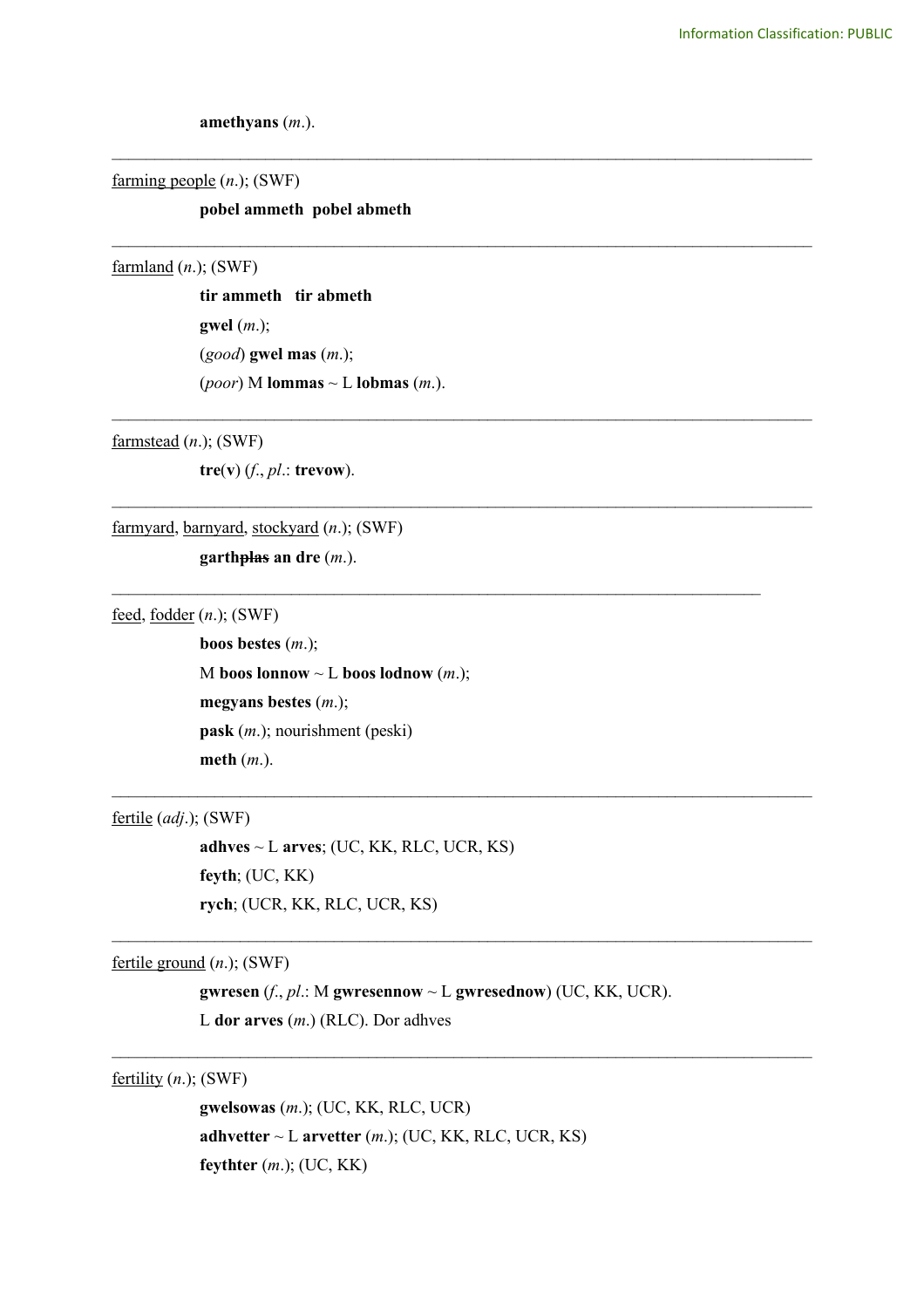**amethyans** (*m*.).

farming people (*n*.); (SWF)

# **pobel ammeth pobel abmeth**

\_\_\_\_\_\_\_\_\_\_\_\_\_\_\_\_\_\_\_\_\_\_\_\_\_\_\_\_\_\_\_\_\_\_\_\_\_\_\_\_\_\_\_\_\_\_\_\_\_\_\_\_\_\_\_\_\_\_\_\_\_\_\_\_\_\_\_\_\_\_\_\_\_\_\_\_\_\_\_\_\_\_

\_\_\_\_\_\_\_\_\_\_\_\_\_\_\_\_\_\_\_\_\_\_\_\_\_\_\_\_\_\_\_\_\_\_\_\_\_\_\_\_\_\_\_\_\_\_\_\_\_\_\_\_\_\_\_\_\_\_\_\_\_\_\_\_\_\_\_\_\_\_\_\_\_\_\_\_\_\_\_\_\_\_

\_\_\_\_\_\_\_\_\_\_\_\_\_\_\_\_\_\_\_\_\_\_\_\_\_\_\_\_\_\_\_\_\_\_\_\_\_\_\_\_\_\_\_\_\_\_\_\_\_\_\_\_\_\_\_\_\_\_\_\_\_\_\_\_\_\_\_\_\_\_\_\_\_\_\_\_\_\_\_\_\_\_

\_\_\_\_\_\_\_\_\_\_\_\_\_\_\_\_\_\_\_\_\_\_\_\_\_\_\_\_\_\_\_\_\_\_\_\_\_\_\_\_\_\_\_\_\_\_\_\_\_\_\_\_\_\_\_\_\_\_\_\_\_\_\_\_\_\_\_\_\_\_\_\_\_\_\_\_\_\_\_\_\_\_

 $\mathcal{L}_\text{max}$  and  $\mathcal{L}_\text{max}$  and  $\mathcal{L}_\text{max}$  and  $\mathcal{L}_\text{max}$  and  $\mathcal{L}_\text{max}$  and  $\mathcal{L}_\text{max}$ 

 $\mathcal{L}_\mathcal{L} = \{ \mathcal{L}_\mathcal{L} = \{ \mathcal{L}_\mathcal{L} = \{ \mathcal{L}_\mathcal{L} = \{ \mathcal{L}_\mathcal{L} = \{ \mathcal{L}_\mathcal{L} = \{ \mathcal{L}_\mathcal{L} = \{ \mathcal{L}_\mathcal{L} = \{ \mathcal{L}_\mathcal{L} = \{ \mathcal{L}_\mathcal{L} = \{ \mathcal{L}_\mathcal{L} = \{ \mathcal{L}_\mathcal{L} = \{ \mathcal{L}_\mathcal{L} = \{ \mathcal{L}_\mathcal{L} = \{ \mathcal{L}_\mathcal{$ 

 $\mathcal{L}_\mathcal{L} = \{ \mathcal{L}_\mathcal{L} = \{ \mathcal{L}_\mathcal{L} = \{ \mathcal{L}_\mathcal{L} = \{ \mathcal{L}_\mathcal{L} = \{ \mathcal{L}_\mathcal{L} = \{ \mathcal{L}_\mathcal{L} = \{ \mathcal{L}_\mathcal{L} = \{ \mathcal{L}_\mathcal{L} = \{ \mathcal{L}_\mathcal{L} = \{ \mathcal{L}_\mathcal{L} = \{ \mathcal{L}_\mathcal{L} = \{ \mathcal{L}_\mathcal{L} = \{ \mathcal{L}_\mathcal{L} = \{ \mathcal{L}_\mathcal{$ 

 $\mathcal{L}_\text{max}$  , and the contribution of the contribution of the contribution of the contribution of the contribution of the contribution of the contribution of the contribution of the contribution of the contribution of t

## farmland (*n*.); (SWF)

**tir ammeth tir abmeth gwel** (*m*.); (*good*) **gwel mas** (*m*.); (*poor*) M **lommas** ~ L **lobmas** (*m*.).

farmstead (*n*.); (SWF)

**tre**(**v**) (*f*., *pl*.: **trevow**).

## farmyard, barnyard, stockyard (*n*.); (SWF)

**garthplas an dre** (*m*.).

feed, fodder (*n*.); (SWF)

**boos bestes** (*m*.); M **boos lonnow**  $\sim$  L **boos lodnow** (*m*.); **megyans bestes** (*m*.); **pask** (*m*.); nourishment (peski) **meth** (*m*.).

fertile (*adj*.); (SWF)

**adhves** ~ L **arves**; (UC, KK, RLC, UCR, KS) **feyth**; (UC, KK) **rych**; (UCR, KK, RLC, UCR, KS)

fertile ground (*n*.); (SWF)

**gwresen** (*f*., *pl*.: M **gwresennow** ~ L **gwresednow**) (UC, KK, UCR). L **dor arves** (*m*.) (RLC). Dor adhves

fertility (*n*.); (SWF)

**gwelsowas** (*m*.); (UC, KK, RLC, UCR) **adhvetter**  $\sim$  L **arvetter** (*m*.); (UC, KK, RLC, UCR, KS) **feythter** (*m*.); (UC, KK)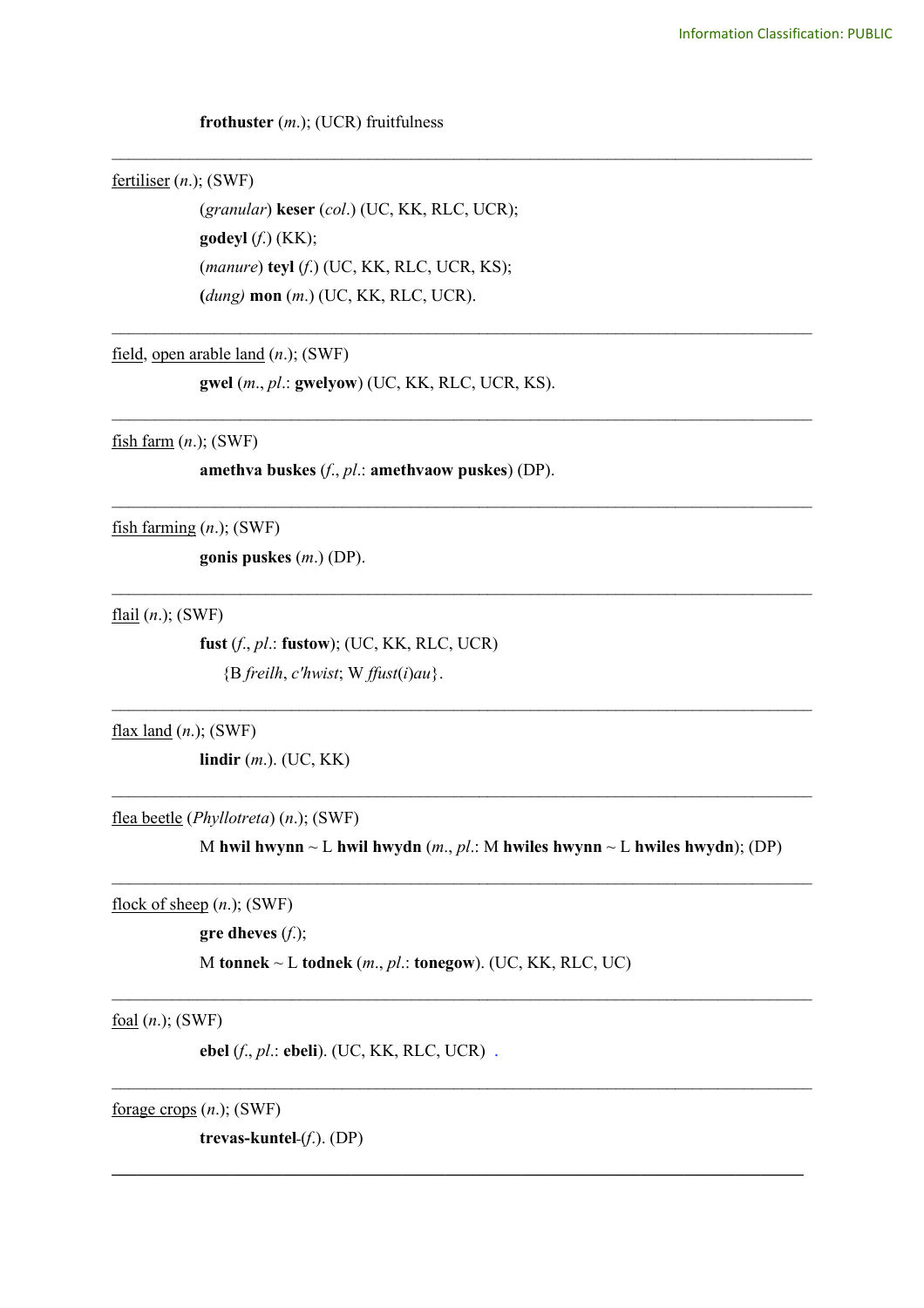## **frothuster** (*m*.); (UCR) fruitfulness

# fertiliser (*n*.); (SWF)

(*granular*) **keser** (*col*.) (UC, KK, RLC, UCR); **godeyl** (*f*.) (KK); (*manure*) **teyl** (*f*.) (UC, KK, RLC, UCR, KS); **(***dung)* **mon** (*m*.) (UC, KK, RLC, UCR).

\_\_\_\_\_\_\_\_\_\_\_\_\_\_\_\_\_\_\_\_\_\_\_\_\_\_\_\_\_\_\_\_\_\_\_\_\_\_\_\_\_\_\_\_\_\_\_\_\_\_\_\_\_\_\_\_\_\_\_\_\_\_\_\_\_\_\_\_\_\_\_\_\_\_\_\_\_\_\_\_\_\_

\_\_\_\_\_\_\_\_\_\_\_\_\_\_\_\_\_\_\_\_\_\_\_\_\_\_\_\_\_\_\_\_\_\_\_\_\_\_\_\_\_\_\_\_\_\_\_\_\_\_\_\_\_\_\_\_\_\_\_\_\_\_\_\_\_\_\_\_\_\_\_\_\_\_\_\_\_\_\_\_\_\_

\_\_\_\_\_\_\_\_\_\_\_\_\_\_\_\_\_\_\_\_\_\_\_\_\_\_\_\_\_\_\_\_\_\_\_\_\_\_\_\_\_\_\_\_\_\_\_\_\_\_\_\_\_\_\_\_\_\_\_\_\_\_\_\_\_\_\_\_\_\_\_\_\_\_\_\_\_\_\_\_\_\_

\_\_\_\_\_\_\_\_\_\_\_\_\_\_\_\_\_\_\_\_\_\_\_\_\_\_\_\_\_\_\_\_\_\_\_\_\_\_\_\_\_\_\_\_\_\_\_\_\_\_\_\_\_\_\_\_\_\_\_\_\_\_\_\_\_\_\_\_\_\_\_\_\_\_\_\_\_\_\_\_\_\_

 $\mathcal{L}_\text{max}$  and  $\mathcal{L}_\text{max}$  and  $\mathcal{L}_\text{max}$  and  $\mathcal{L}_\text{max}$  and  $\mathcal{L}_\text{max}$  and  $\mathcal{L}_\text{max}$ 

 $\mathcal{L}_\text{max}$  and  $\mathcal{L}_\text{max}$  and  $\mathcal{L}_\text{max}$  and  $\mathcal{L}_\text{max}$  and  $\mathcal{L}_\text{max}$  and  $\mathcal{L}_\text{max}$ 

 $\mathcal{L}_\text{max}$  and  $\mathcal{L}_\text{max}$  and  $\mathcal{L}_\text{max}$  and  $\mathcal{L}_\text{max}$  and  $\mathcal{L}_\text{max}$  and  $\mathcal{L}_\text{max}$ 

 $\mathcal{L}_\text{max}$  and  $\mathcal{L}_\text{max}$  and  $\mathcal{L}_\text{max}$  and  $\mathcal{L}_\text{max}$  and  $\mathcal{L}_\text{max}$  and  $\mathcal{L}_\text{max}$ 

 $\_$ 

 $\mathcal{L}_\text{max}$  , and the contribution of the contribution of the contribution of the contribution of the contribution of the contribution of the contribution of the contribution of the contribution of the contribution of t

**\_\_\_\_\_\_\_\_\_\_\_\_\_\_\_\_\_\_\_\_\_\_\_\_\_\_\_\_\_\_\_\_\_\_\_\_\_\_\_\_\_\_\_\_\_\_\_\_\_\_\_\_\_\_\_\_\_\_\_\_\_\_\_\_\_\_\_\_\_\_\_\_\_\_\_\_\_\_\_\_\_**

field, open arable land (*n*.); (SWF)

**gwel** (*m*., *pl*.: **gwelyow**) (UC, KK, RLC, UCR, KS).

fish farm (*n*.); (SWF)

**amethva buskes** (*f*., *pl*.: **amethvaow puskes**) (DP).

fish farming (*n*.); (SWF)

**gonis puskes** (*m*.) (DP).

flail (*n*.); (SWF)

**fust** (*f*., *pl*.: **fustow**); (UC, KK, RLC, UCR) {B *freilh*, *c'hwist*; W *ffust*(*i*)*au*}.

flax land (*n*.); (SWF)

**lindir** (*m*.). (UC, KK)

flea beetle (*Phyllotreta*) (*n*.); (SWF)

M **hwil hwynn** ~ L **hwil hwydn** (*m*., *pl*.: M **hwiles hwynn** ~ L **hwiles hwydn**); (DP)

flock of sheep (*n*.); (SWF)

**gre dheves** (*f*.);

M **tonnek** ~ L **todnek** (*m*., *pl*.: **tonegow**). (UC, KK, RLC, UC)

foal (*n*.); (SWF)

**ebel** (*f*., *pl*.: **ebeli**). (UC, KK, RLC, UCR) .

forage crops (*n*.); (SWF)

**trevas-kuntel** (*f*.). (DP)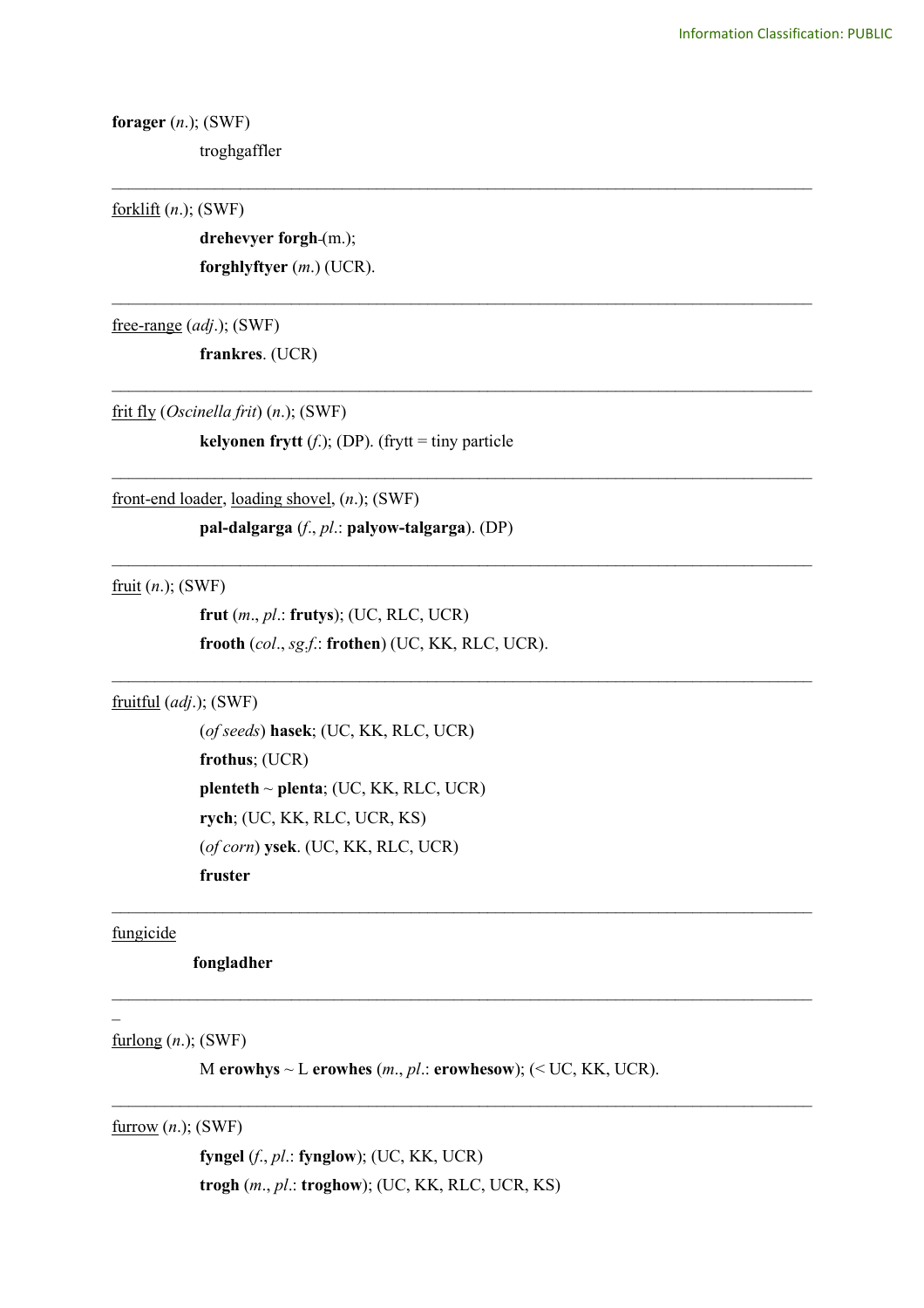**forager** (*n*.); (SWF)

troghgaffler

## forklift (*n*.); (SWF)

drehevyer forgh-(m.); **forghlyftyer** (*m*.) (UCR).

free-range (*adj*.); (SWF)

**frankres**. (UCR)

frit fly (*Oscinella frit*) (*n*.); (SWF)

**kelyonen frytt**  $(f.)$ ; (DP). (frytt = tiny particle

\_\_\_\_\_\_\_\_\_\_\_\_\_\_\_\_\_\_\_\_\_\_\_\_\_\_\_\_\_\_\_\_\_\_\_\_\_\_\_\_\_\_\_\_\_\_\_\_\_\_\_\_\_\_\_\_\_\_\_\_\_\_\_\_\_\_\_\_\_\_\_\_\_\_\_\_\_\_\_\_\_\_

\_\_\_\_\_\_\_\_\_\_\_\_\_\_\_\_\_\_\_\_\_\_\_\_\_\_\_\_\_\_\_\_\_\_\_\_\_\_\_\_\_\_\_\_\_\_\_\_\_\_\_\_\_\_\_\_\_\_\_\_\_\_\_\_\_\_\_\_\_\_\_\_\_\_\_\_\_\_\_\_\_\_

\_\_\_\_\_\_\_\_\_\_\_\_\_\_\_\_\_\_\_\_\_\_\_\_\_\_\_\_\_\_\_\_\_\_\_\_\_\_\_\_\_\_\_\_\_\_\_\_\_\_\_\_\_\_\_\_\_\_\_\_\_\_\_\_\_\_\_\_\_\_\_\_\_\_\_\_\_\_\_\_\_\_

\_\_\_\_\_\_\_\_\_\_\_\_\_\_\_\_\_\_\_\_\_\_\_\_\_\_\_\_\_\_\_\_\_\_\_\_\_\_\_\_\_\_\_\_\_\_\_\_\_\_\_\_\_\_\_\_\_\_\_\_\_\_\_\_\_\_\_\_\_\_\_\_\_\_\_\_\_\_\_\_\_\_

\_\_\_\_\_\_\_\_\_\_\_\_\_\_\_\_\_\_\_\_\_\_\_\_\_\_\_\_\_\_\_\_\_\_\_\_\_\_\_\_\_\_\_\_\_\_\_\_\_\_\_\_\_\_\_\_\_\_\_\_\_\_\_\_\_\_\_\_\_\_\_\_\_\_\_\_\_\_\_\_\_\_

 $\mathcal{L}_\text{max}$  , and the contribution of the contribution of the contribution of the contribution of the contribution of the contribution of the contribution of the contribution of the contribution of the contribution of t

 $\mathcal{L}_\mathcal{L} = \{ \mathcal{L}_\mathcal{L} = \{ \mathcal{L}_\mathcal{L} = \{ \mathcal{L}_\mathcal{L} = \{ \mathcal{L}_\mathcal{L} = \{ \mathcal{L}_\mathcal{L} = \{ \mathcal{L}_\mathcal{L} = \{ \mathcal{L}_\mathcal{L} = \{ \mathcal{L}_\mathcal{L} = \{ \mathcal{L}_\mathcal{L} = \{ \mathcal{L}_\mathcal{L} = \{ \mathcal{L}_\mathcal{L} = \{ \mathcal{L}_\mathcal{L} = \{ \mathcal{L}_\mathcal{L} = \{ \mathcal{L}_\mathcal{$ 

 $\mathcal{L}_\mathcal{L} = \{ \mathcal{L}_\mathcal{L} = \{ \mathcal{L}_\mathcal{L} = \{ \mathcal{L}_\mathcal{L} = \{ \mathcal{L}_\mathcal{L} = \{ \mathcal{L}_\mathcal{L} = \{ \mathcal{L}_\mathcal{L} = \{ \mathcal{L}_\mathcal{L} = \{ \mathcal{L}_\mathcal{L} = \{ \mathcal{L}_\mathcal{L} = \{ \mathcal{L}_\mathcal{L} = \{ \mathcal{L}_\mathcal{L} = \{ \mathcal{L}_\mathcal{L} = \{ \mathcal{L}_\mathcal{L} = \{ \mathcal{L}_\mathcal{$ 

 $\mathcal{L}_\mathcal{L} = \{ \mathcal{L}_\mathcal{L} = \{ \mathcal{L}_\mathcal{L} = \{ \mathcal{L}_\mathcal{L} = \{ \mathcal{L}_\mathcal{L} = \{ \mathcal{L}_\mathcal{L} = \{ \mathcal{L}_\mathcal{L} = \{ \mathcal{L}_\mathcal{L} = \{ \mathcal{L}_\mathcal{L} = \{ \mathcal{L}_\mathcal{L} = \{ \mathcal{L}_\mathcal{L} = \{ \mathcal{L}_\mathcal{L} = \{ \mathcal{L}_\mathcal{L} = \{ \mathcal{L}_\mathcal{L} = \{ \mathcal{L}_\mathcal{$ 

front-end loader, loading shovel, (*n*.); (SWF)

**pal-dalgarga** (*f*., *pl*.: **palyow-talgarga**). (DP)

fruit (*n*.); (SWF)

**frut** (*m*., *pl*.: **frutys**); (UC, RLC, UCR) **frooth** (*col*., *sg*.*f*.: **frothen**) (UC, KK, RLC, UCR).

fruitful (*adj*.); (SWF)

(*of seeds*) **hasek**; (UC, KK, RLC, UCR) **frothus**; (UCR) **plenteth** ~ **plenta**; (UC, KK, RLC, UCR) **rych**; (UC, KK, RLC, UCR, KS) (*of corn*) **ysek**. (UC, KK, RLC, UCR) **fruster**

## fungicide

 $\overline{a}$ 

**fongladher**

furlong (*n*.); (SWF)

M **erowhys** ~ L **erowhes** (*m*., *pl*.: **erowhesow**); (< UC, KK, UCR).

furrow (*n*.); (SWF)

**fyngel** (*f*., *pl*.: **fynglow**); (UC, KK, UCR) **trogh** (*m*., *pl*.: **troghow**); (UC, KK, RLC, UCR, KS)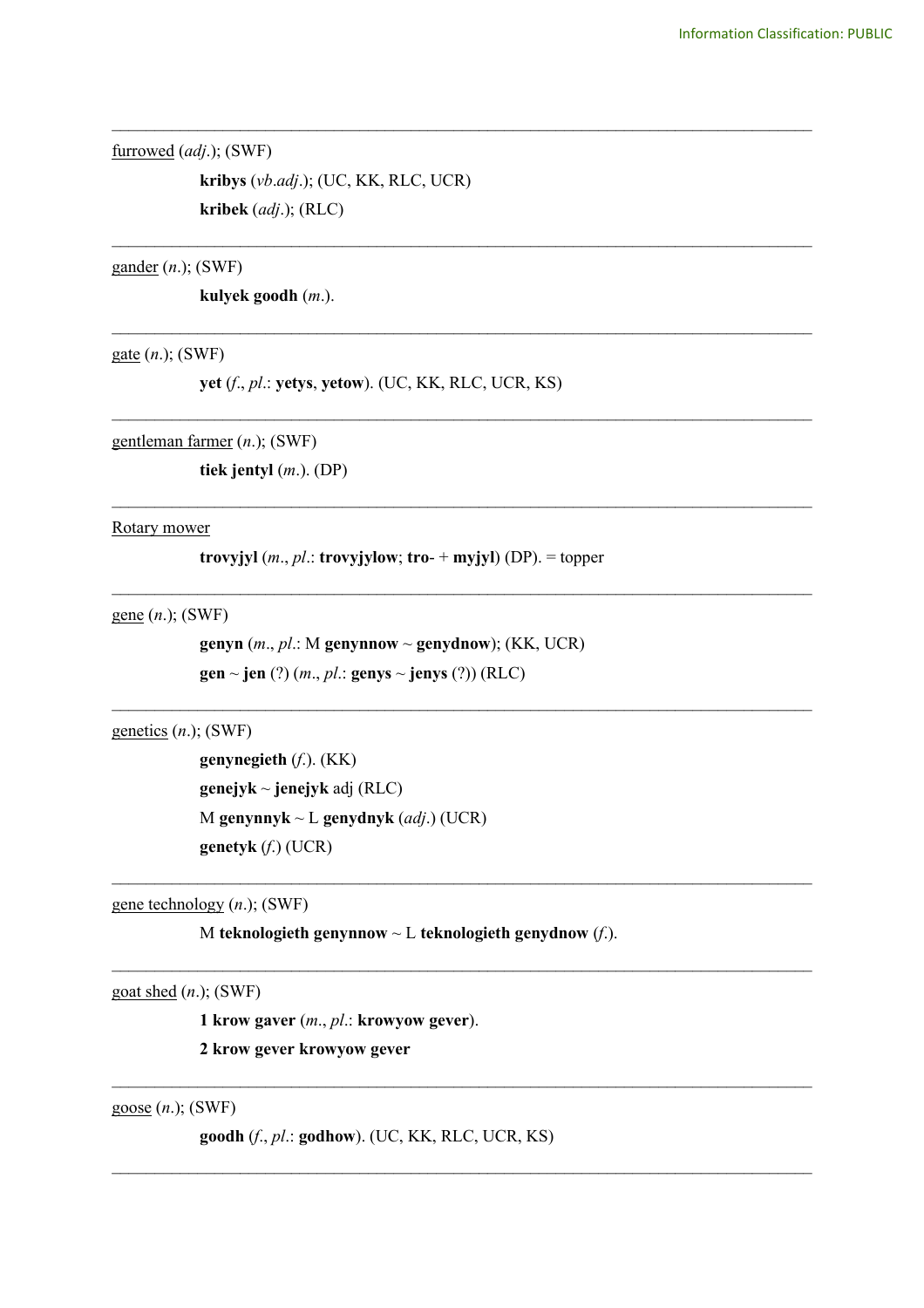furrowed (*adj*.); (SWF)

**kribys** (*vb*.*adj*.); (UC, KK, RLC, UCR) **kribek** (*adj*.); (RLC)

gander (*n*.); (SWF)

**kulyek goodh** (*m*.).

gate (*n*.); (SWF)

**yet** (*f*., *pl*.: **yetys**, **yetow**). (UC, KK, RLC, UCR, KS)

\_\_\_\_\_\_\_\_\_\_\_\_\_\_\_\_\_\_\_\_\_\_\_\_\_\_\_\_\_\_\_\_\_\_\_\_\_\_\_\_\_\_\_\_\_\_\_\_\_\_\_\_\_\_\_\_\_\_\_\_\_\_\_\_\_\_\_\_\_\_\_\_\_\_\_\_\_\_\_\_\_\_

\_\_\_\_\_\_\_\_\_\_\_\_\_\_\_\_\_\_\_\_\_\_\_\_\_\_\_\_\_\_\_\_\_\_\_\_\_\_\_\_\_\_\_\_\_\_\_\_\_\_\_\_\_\_\_\_\_\_\_\_\_\_\_\_\_\_\_\_\_\_\_\_\_\_\_\_\_\_\_\_\_\_

\_\_\_\_\_\_\_\_\_\_\_\_\_\_\_\_\_\_\_\_\_\_\_\_\_\_\_\_\_\_\_\_\_\_\_\_\_\_\_\_\_\_\_\_\_\_\_\_\_\_\_\_\_\_\_\_\_\_\_\_\_\_\_\_\_\_\_\_\_\_\_\_\_\_\_\_\_\_\_\_\_\_

\_\_\_\_\_\_\_\_\_\_\_\_\_\_\_\_\_\_\_\_\_\_\_\_\_\_\_\_\_\_\_\_\_\_\_\_\_\_\_\_\_\_\_\_\_\_\_\_\_\_\_\_\_\_\_\_\_\_\_\_\_\_\_\_\_\_\_\_\_\_\_\_\_\_\_\_\_\_\_\_\_\_

\_\_\_\_\_\_\_\_\_\_\_\_\_\_\_\_\_\_\_\_\_\_\_\_\_\_\_\_\_\_\_\_\_\_\_\_\_\_\_\_\_\_\_\_\_\_\_\_\_\_\_\_\_\_\_\_\_\_\_\_\_\_\_\_\_\_\_\_\_\_\_\_\_\_\_\_\_\_\_\_\_\_

 $\mathcal{L}_\text{max}$  , and the contribution of the contribution of the contribution of the contribution of the contribution of the contribution of the contribution of the contribution of the contribution of the contribution of t

 $\mathcal{L}_\text{max}$  , and the contribution of the contribution of the contribution of the contribution of the contribution of the contribution of the contribution of the contribution of the contribution of the contribution of t

 $\mathcal{L}_\text{max}$  , and the contribution of the contribution of the contribution of the contribution of the contribution of the contribution of the contribution of the contribution of the contribution of the contribution of t

 $\mathcal{L}_\text{max}$  , and the contribution of the contribution of the contribution of the contribution of the contribution of the contribution of the contribution of the contribution of the contribution of the contribution of t

 $\mathcal{L}_\mathcal{L} = \{ \mathcal{L}_\mathcal{L} = \{ \mathcal{L}_\mathcal{L} = \{ \mathcal{L}_\mathcal{L} = \{ \mathcal{L}_\mathcal{L} = \{ \mathcal{L}_\mathcal{L} = \{ \mathcal{L}_\mathcal{L} = \{ \mathcal{L}_\mathcal{L} = \{ \mathcal{L}_\mathcal{L} = \{ \mathcal{L}_\mathcal{L} = \{ \mathcal{L}_\mathcal{L} = \{ \mathcal{L}_\mathcal{L} = \{ \mathcal{L}_\mathcal{L} = \{ \mathcal{L}_\mathcal{L} = \{ \mathcal{L}_\mathcal{$ 

 $\mathcal{L}_\mathcal{L} = \{ \mathcal{L}_\mathcal{L} = \{ \mathcal{L}_\mathcal{L} = \{ \mathcal{L}_\mathcal{L} = \{ \mathcal{L}_\mathcal{L} = \{ \mathcal{L}_\mathcal{L} = \{ \mathcal{L}_\mathcal{L} = \{ \mathcal{L}_\mathcal{L} = \{ \mathcal{L}_\mathcal{L} = \{ \mathcal{L}_\mathcal{L} = \{ \mathcal{L}_\mathcal{L} = \{ \mathcal{L}_\mathcal{L} = \{ \mathcal{L}_\mathcal{L} = \{ \mathcal{L}_\mathcal{L} = \{ \mathcal{L}_\mathcal{$ 

gentleman farmer (*n*.); (SWF)

**tiek jentyl** (*m*.). (DP)

Rotary mower

**trovyjyl**  $(m, pl.:$  **trovyjylow**; **tro**- + **myjyl**) (DP). = topper

gene (*n*.); (SWF)

**genyn**  $(m., p!.: M$  **genynnow**  $\sim$  **genydnow**); (KK, UCR)  $gen \sim jen$  (?)  $(m., pl.: genus \sim jenys$  (?)) (RLC)

genetics (*n*.); (SWF)

**genynegieth** (*f*.). (KK) **genejyk** ~ **jenejyk** adj (RLC) M **genynnyk** ~ L **genydnyk** (*adj*.) (UCR) **genetyk** (*f*.) (UCR)

gene technology (*n*.); (SWF)

M **teknologieth genynnow** ~ L **teknologieth genydnow** (*f*.).

goat shed (*n*.); (SWF)

**1 krow gaver** (*m*., *pl*.: **krowyow gever**).

**2 krow gever krowyow gever**

goose (*n*.); (SWF)

**goodh** (*f*., *pl*.: **godhow**). (UC, KK, RLC, UCR, KS)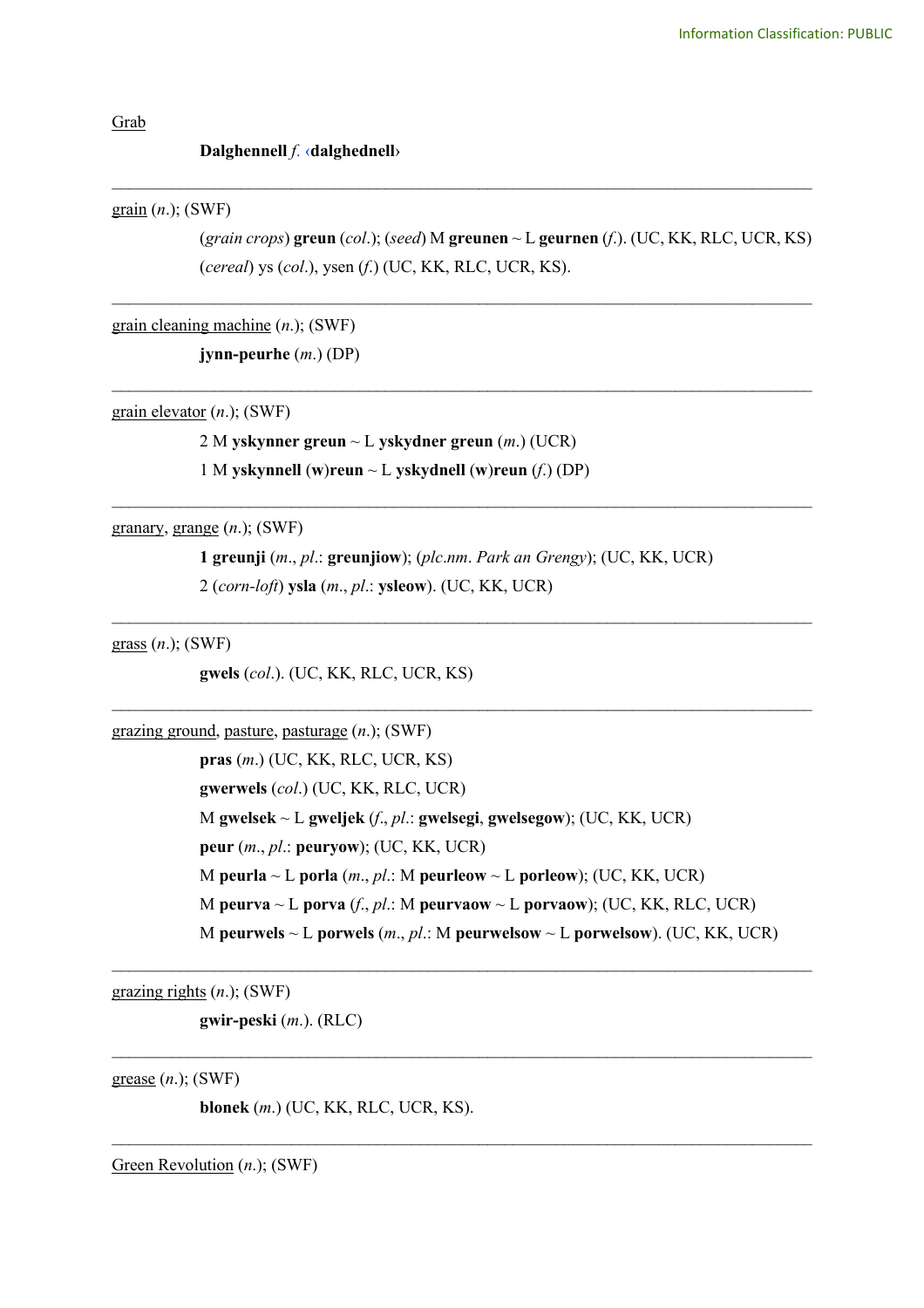Grab

## **Dalghennell** *f*. ‹**dalghednell**›

grain (*n*.); (SWF)

(*grain crops*) **greun** (*col*.); (*seed*) M **greunen** ~ L **geurnen** (*f*.). (UC, KK, RLC, UCR, KS) (*cereal*) ys (*col*.), ysen (*f*.) (UC, KK, RLC, UCR, KS).

*\_\_\_\_\_\_\_\_\_\_\_\_\_\_\_\_\_\_\_\_\_\_\_\_\_\_\_\_\_\_\_\_\_\_\_\_\_\_\_\_\_\_\_\_\_\_\_\_\_\_\_\_\_\_\_\_\_\_\_\_\_\_\_\_\_\_\_\_\_\_\_\_\_\_\_\_\_\_\_\_\_\_*

\_\_\_\_\_\_\_\_\_\_\_\_\_\_\_\_\_\_\_\_\_\_\_\_\_\_\_\_\_\_\_\_\_\_\_\_\_\_\_\_\_\_\_\_\_\_\_\_\_\_\_\_\_\_\_\_\_\_\_\_\_\_\_\_\_\_\_\_\_\_\_\_\_\_\_\_\_\_\_\_\_\_

\_\_\_\_\_\_\_\_\_\_\_\_\_\_\_\_\_\_\_\_\_\_\_\_\_\_\_\_\_\_\_\_\_\_\_\_\_\_\_\_\_\_\_\_\_\_\_\_\_\_\_\_\_\_\_\_\_\_\_\_\_\_\_\_\_\_\_\_\_\_\_\_\_\_\_\_\_\_\_\_\_\_

grain cleaning machine (*n*.); (SWF)

**jynn-peurhe** (*m*.) (DP)

grain elevator (*n*.); (SWF)

2 M **yskynner greun** ~ L **yskydner greun** (*m*.) (UCR) 1 M **yskynnell** (**w**)**reun** ~ L **yskydnell** (**w**)**reun** (*f*.) (DP)

granary, grange (*n*.); (SWF)

**1 greunji** (*m*., *pl*.: **greunjiow**); (*plc*.*nm*. *Park an Grengy*); (UC, KK, UCR) 2 (*corn-loft*) **ysla** (*m*., *pl*.: **ysleow**). (UC, KK, UCR)

\_\_\_\_\_\_\_\_\_\_\_\_\_\_\_\_\_\_\_\_\_\_\_\_\_\_\_\_\_\_\_\_\_\_\_\_\_\_\_\_\_\_\_\_\_\_\_\_\_\_\_\_\_\_\_\_\_\_\_\_\_\_\_\_\_\_\_\_\_\_\_\_\_\_\_\_\_\_\_\_\_\_

 $\mathcal{L}_\text{max}$  , and the contribution of the contribution of the contribution of the contribution of the contribution of the contribution of the contribution of the contribution of the contribution of the contribution of t

\_\_\_\_\_\_\_\_\_\_\_\_\_\_\_\_\_\_\_\_\_\_\_\_\_\_\_\_\_\_\_\_\_\_\_\_\_\_\_\_\_\_\_\_\_\_\_\_\_\_\_\_\_\_\_\_\_\_\_\_\_\_\_\_\_\_\_\_\_\_\_\_\_\_\_\_\_\_\_\_\_\_

grass (*n*.); (SWF)

**gwels** (*col*.). (UC, KK, RLC, UCR, KS)

grazing ground, pasture, pasturage (*n*.); (SWF)

**pras** (*m*.) (UC, KK, RLC, UCR, KS) **gwerwels** (*col*.) (UC, KK, RLC, UCR) M **gwelsek** ~ L **gweljek** (*f*., *pl*.: **gwelsegi**, **gwelsegow**); (UC, KK, UCR) **peur** (*m*., *pl*.: **peuryow**); (UC, KK, UCR) M **peurla**  $\sim$  L **porla** (*m., pl.:* M **peurleow**  $\sim$  L **porleow**); (UC, KK, UCR) M **peurva** ~ L **porva** (*f*., *pl*.: M **peurvaow** ~ L **porvaow**); (UC, KK, RLC, UCR) M **peurwels** ~ L **porwels** (*m*., *pl*.: M **peurwelsow** ~ L **porwelsow**). (UC, KK, UCR)

 $\mathcal{L}_\text{max}$  , and the contribution of the contribution of the contribution of the contribution of the contribution of the contribution of the contribution of the contribution of the contribution of the contribution of t

 $\mathcal{L}_\mathcal{L} = \{ \mathcal{L}_\mathcal{L} = \{ \mathcal{L}_\mathcal{L} = \{ \mathcal{L}_\mathcal{L} = \{ \mathcal{L}_\mathcal{L} = \{ \mathcal{L}_\mathcal{L} = \{ \mathcal{L}_\mathcal{L} = \{ \mathcal{L}_\mathcal{L} = \{ \mathcal{L}_\mathcal{L} = \{ \mathcal{L}_\mathcal{L} = \{ \mathcal{L}_\mathcal{L} = \{ \mathcal{L}_\mathcal{L} = \{ \mathcal{L}_\mathcal{L} = \{ \mathcal{L}_\mathcal{L} = \{ \mathcal{L}_\mathcal{$ 

 $\mathcal{L}_\mathcal{L} = \{ \mathcal{L}_\mathcal{L} = \{ \mathcal{L}_\mathcal{L} = \{ \mathcal{L}_\mathcal{L} = \{ \mathcal{L}_\mathcal{L} = \{ \mathcal{L}_\mathcal{L} = \{ \mathcal{L}_\mathcal{L} = \{ \mathcal{L}_\mathcal{L} = \{ \mathcal{L}_\mathcal{L} = \{ \mathcal{L}_\mathcal{L} = \{ \mathcal{L}_\mathcal{L} = \{ \mathcal{L}_\mathcal{L} = \{ \mathcal{L}_\mathcal{L} = \{ \mathcal{L}_\mathcal{L} = \{ \mathcal{L}_\mathcal{$ 

grazing rights (*n*.); (SWF)

**gwir-peski** (*m*.). (RLC)

grease (*n*.); (SWF)

**blonek** (*m*.) (UC, KK, RLC, UCR, KS).

Green Revolution (*n*.); (SWF)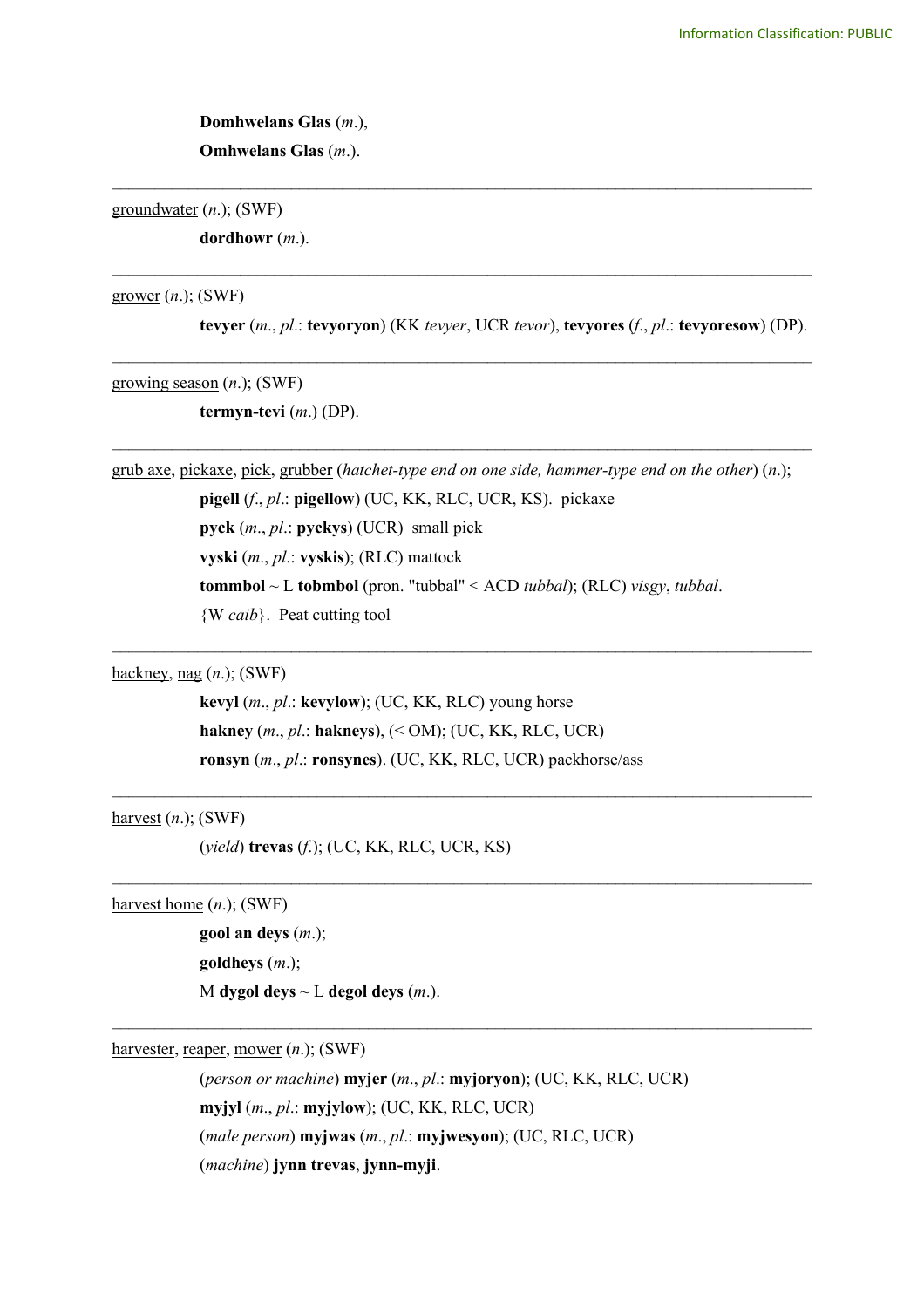**Domhwelans Glas** (*m*.), **Omhwelans Glas** (*m*.).

groundwater (*n*.); (SWF)

**dordhowr** (*m*.).

grower (*n*.); (SWF)

**tevyer** (*m*., *pl*.: **tevyoryon**) (KK *tevyer*, UCR *tevor*), **tevyores** (*f*., *pl*.: **tevyoresow**) (DP).

\_\_\_\_\_\_\_\_\_\_\_\_\_\_\_\_\_\_\_\_\_\_\_\_\_\_\_\_\_\_\_\_\_\_\_\_\_\_\_\_\_\_\_\_\_\_\_\_\_\_\_\_\_\_\_\_\_\_\_\_\_\_\_\_\_\_\_\_\_\_\_\_\_\_\_\_\_\_\_\_\_\_

\_\_\_\_\_\_\_\_\_\_\_\_\_\_\_\_\_\_\_\_\_\_\_\_\_\_\_\_\_\_\_\_\_\_\_\_\_\_\_\_\_\_\_\_\_\_\_\_\_\_\_\_\_\_\_\_\_\_\_\_\_\_\_\_\_\_\_\_\_\_\_\_\_\_\_\_\_\_\_\_\_\_

\_\_\_\_\_\_\_\_\_\_\_\_\_\_\_\_\_\_\_\_\_\_\_\_\_\_\_\_\_\_\_\_\_\_\_\_\_\_\_\_\_\_\_\_\_\_\_\_\_\_\_\_\_\_\_\_\_\_\_\_\_\_\_\_\_\_\_\_\_\_\_\_\_\_\_\_\_\_\_\_\_\_

\_\_\_\_\_\_\_\_\_\_\_\_\_\_\_\_\_\_\_\_\_\_\_\_\_\_\_\_\_\_\_\_\_\_\_\_\_\_\_\_\_\_\_\_\_\_\_\_\_\_\_\_\_\_\_\_\_\_\_\_\_\_\_\_\_\_\_\_\_\_\_\_\_\_\_\_\_\_\_\_\_\_

growing season (*n*.); (SWF)

**termyn-tevi** (*m*.) (DP).

grub axe, pickaxe, pick, grubber (*hatchet-type end on one side, hammer-type end on the other*) (*n*.); **pigell** (*f*., *pl*.: **pigellow**) (UC, KK, RLC, UCR, KS). pickaxe **pyck** (*m*., *pl*.: **pyckys**) (UCR) small pick **vyski** (*m*., *pl*.: **vyskis**); (RLC) mattock **tommbol** ~ L **tobmbol** (pron. "tubbal" < ACD *tubbal*); (RLC) *visgy*, *tubbal*. {W *caib*}. Peat cutting tool

 $\mathcal{L}_\text{max}$  , and the contribution of the contribution of the contribution of the contribution of the contribution of the contribution of the contribution of the contribution of the contribution of the contribution of t

 $\mathcal{L}_\text{max}$  , and the contribution of the contribution of the contribution of the contribution of the contribution of the contribution of the contribution of the contribution of the contribution of the contribution of t

 $\mathcal{L}_\text{max}$  , and the contribution of the contribution of the contribution of the contribution of the contribution of the contribution of the contribution of the contribution of the contribution of the contribution of t

 $\mathcal{L}_\mathcal{L} = \{ \mathcal{L}_\mathcal{L} = \{ \mathcal{L}_\mathcal{L} = \{ \mathcal{L}_\mathcal{L} = \{ \mathcal{L}_\mathcal{L} = \{ \mathcal{L}_\mathcal{L} = \{ \mathcal{L}_\mathcal{L} = \{ \mathcal{L}_\mathcal{L} = \{ \mathcal{L}_\mathcal{L} = \{ \mathcal{L}_\mathcal{L} = \{ \mathcal{L}_\mathcal{L} = \{ \mathcal{L}_\mathcal{L} = \{ \mathcal{L}_\mathcal{L} = \{ \mathcal{L}_\mathcal{L} = \{ \mathcal{L}_\mathcal{$ 

hackney, nag (*n*.); (SWF)

**kevyl** (*m*., *pl*.: **kevylow**); (UC, KK, RLC) young horse **hakney** (*m*., *pl*.: **hakneys**), (< OM); (UC, KK, RLC, UCR) **ronsyn** (*m*., *pl*.: **ronsynes**). (UC, KK, RLC, UCR) packhorse/ass

harvest (*n*.); (SWF)

(*yield*) **trevas** (*f*.); (UC, KK, RLC, UCR, KS)

harvest home (*n*.); (SWF)

**gool an deys** (*m*.); **goldheys** (*m*.); M **dygol deys**  $\sim$  L **degol deys** (*m*.).

harvester, reaper, mower (*n*.); (SWF)

(*person or machine*) **myjer** (*m*., *pl*.: **myjoryon**); (UC, KK, RLC, UCR) **myjyl** (*m*., *pl*.: **myjylow**); (UC, KK, RLC, UCR) (*male person*) **myjwas** (*m*., *pl*.: **myjwesyon**); (UC, RLC, UCR) (*machine*) **jynn trevas**, **jynn-myji**.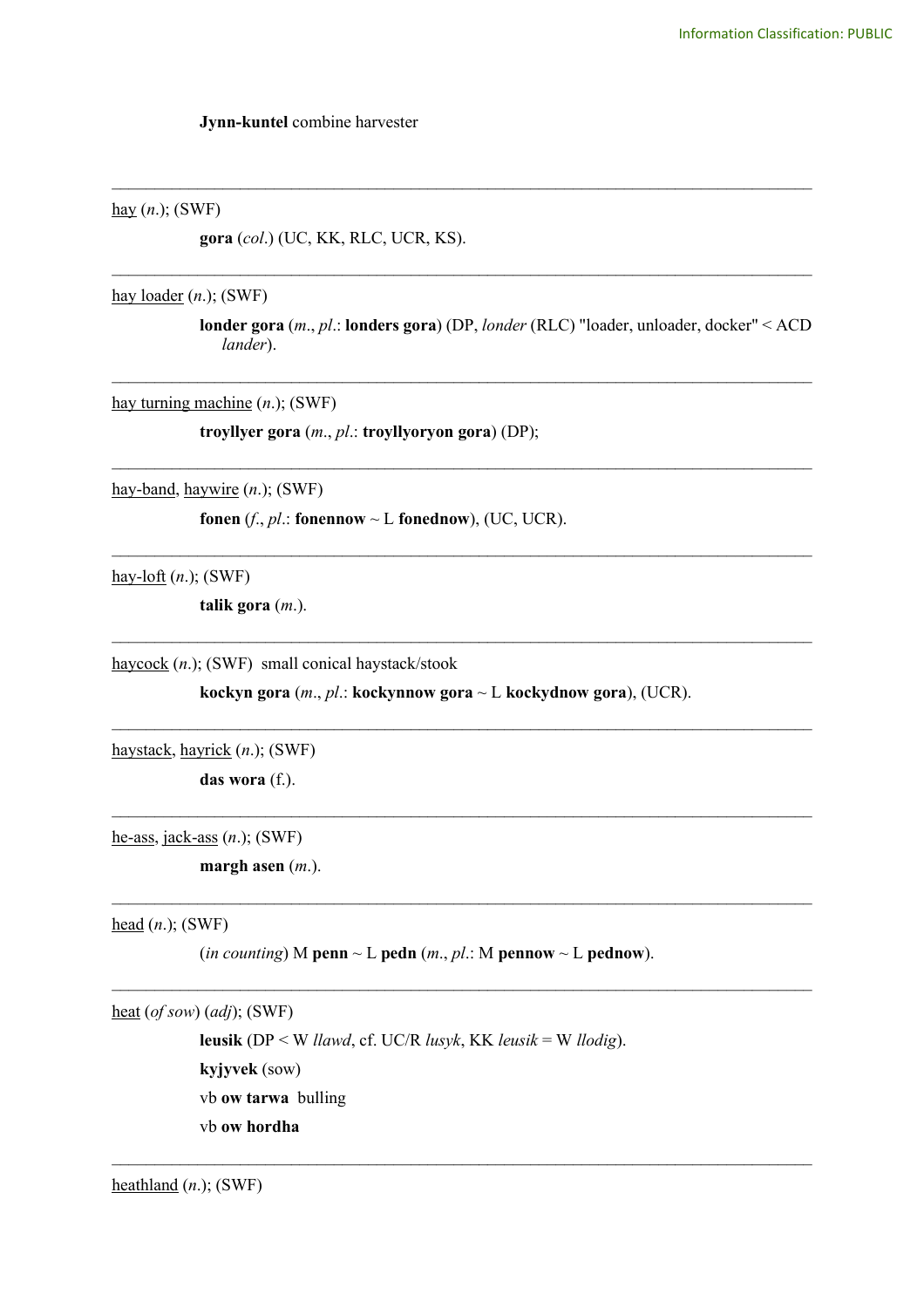**Jynn-kuntel** combine harvester

hay (*n*.); (SWF)

**gora** (*col*.) (UC, KK, RLC, UCR, KS).

hay loader (*n*.); (SWF)

**londer gora** (*m*., *pl*.: **londers gora**) (DP, *londer* (RLC) "loader, unloader, docker" < ACD *lander*).

\_\_\_\_\_\_\_\_\_\_\_\_\_\_\_\_\_\_\_\_\_\_\_\_\_\_\_\_\_\_\_\_\_\_\_\_\_\_\_\_\_\_\_\_\_\_\_\_\_\_\_\_\_\_\_\_\_\_\_\_\_\_\_\_\_\_\_\_\_\_\_\_\_\_\_\_\_\_\_\_\_\_

\_\_\_\_\_\_\_\_\_\_\_\_\_\_\_\_\_\_\_\_\_\_\_\_\_\_\_\_\_\_\_\_\_\_\_\_\_\_\_\_\_\_\_\_\_\_\_\_\_\_\_\_\_\_\_\_\_\_\_\_\_\_\_\_\_\_\_\_\_\_\_\_\_\_\_\_\_\_\_\_\_\_

\_\_\_\_\_\_\_\_\_\_\_\_\_\_\_\_\_\_\_\_\_\_\_\_\_\_\_\_\_\_\_\_\_\_\_\_\_\_\_\_\_\_\_\_\_\_\_\_\_\_\_\_\_\_\_\_\_\_\_\_\_\_\_\_\_\_\_\_\_\_\_\_\_\_\_\_\_\_\_\_\_\_

\_\_\_\_\_\_\_\_\_\_\_\_\_\_\_\_\_\_\_\_\_\_\_\_\_\_\_\_\_\_\_\_\_\_\_\_\_\_\_\_\_\_\_\_\_\_\_\_\_\_\_\_\_\_\_\_\_\_\_\_\_\_\_\_\_\_\_\_\_\_\_\_\_\_\_\_\_\_\_\_\_\_

\_\_\_\_\_\_\_\_\_\_\_\_\_\_\_\_\_\_\_\_\_\_\_\_\_\_\_\_\_\_\_\_\_\_\_\_\_\_\_\_\_\_\_\_\_\_\_\_\_\_\_\_\_\_\_\_\_\_\_\_\_\_\_\_\_\_\_\_\_\_\_\_\_\_\_\_\_\_\_\_\_\_

\_\_\_\_\_\_\_\_\_\_\_\_\_\_\_\_\_\_\_\_\_\_\_\_\_\_\_\_\_\_\_\_\_\_\_\_\_\_\_\_\_\_\_\_\_\_\_\_\_\_\_\_\_\_\_\_\_\_\_\_\_\_\_\_\_\_\_\_\_\_\_\_\_\_\_\_\_\_\_\_\_\_

\_\_\_\_\_\_\_\_\_\_\_\_\_\_\_\_\_\_\_\_\_\_\_\_\_\_\_\_\_\_\_\_\_\_\_\_\_\_\_\_\_\_\_\_\_\_\_\_\_\_\_\_\_\_\_\_\_\_\_\_\_\_\_\_\_\_\_\_\_\_\_\_\_\_\_\_\_\_\_\_\_\_

 $\mathcal{L}_\mathcal{L} = \{ \mathcal{L}_\mathcal{L} = \{ \mathcal{L}_\mathcal{L} = \{ \mathcal{L}_\mathcal{L} = \{ \mathcal{L}_\mathcal{L} = \{ \mathcal{L}_\mathcal{L} = \{ \mathcal{L}_\mathcal{L} = \{ \mathcal{L}_\mathcal{L} = \{ \mathcal{L}_\mathcal{L} = \{ \mathcal{L}_\mathcal{L} = \{ \mathcal{L}_\mathcal{L} = \{ \mathcal{L}_\mathcal{L} = \{ \mathcal{L}_\mathcal{L} = \{ \mathcal{L}_\mathcal{L} = \{ \mathcal{L}_\mathcal{$ 

 $\mathcal{L}_\mathcal{L} = \{ \mathcal{L}_\mathcal{L} = \{ \mathcal{L}_\mathcal{L} = \{ \mathcal{L}_\mathcal{L} = \{ \mathcal{L}_\mathcal{L} = \{ \mathcal{L}_\mathcal{L} = \{ \mathcal{L}_\mathcal{L} = \{ \mathcal{L}_\mathcal{L} = \{ \mathcal{L}_\mathcal{L} = \{ \mathcal{L}_\mathcal{L} = \{ \mathcal{L}_\mathcal{L} = \{ \mathcal{L}_\mathcal{L} = \{ \mathcal{L}_\mathcal{L} = \{ \mathcal{L}_\mathcal{L} = \{ \mathcal{L}_\mathcal{$ 

 $\mathcal{L}_\text{max}$  , and the contribution of the contribution of the contribution of the contribution of the contribution of the contribution of the contribution of the contribution of the contribution of the contribution of t

 $\mathcal{L}_\mathcal{L} = \{ \mathcal{L}_\mathcal{L} = \{ \mathcal{L}_\mathcal{L} = \{ \mathcal{L}_\mathcal{L} = \{ \mathcal{L}_\mathcal{L} = \{ \mathcal{L}_\mathcal{L} = \{ \mathcal{L}_\mathcal{L} = \{ \mathcal{L}_\mathcal{L} = \{ \mathcal{L}_\mathcal{L} = \{ \mathcal{L}_\mathcal{L} = \{ \mathcal{L}_\mathcal{L} = \{ \mathcal{L}_\mathcal{L} = \{ \mathcal{L}_\mathcal{L} = \{ \mathcal{L}_\mathcal{L} = \{ \mathcal{L}_\mathcal{$ 

hay turning machine (*n*.); (SWF)

**troyllyer gora** (*m*., *pl*.: **troyllyoryon gora**) (DP);

hay-band, haywire (*n*.); (SWF)

**fonen** ( $f$ .,  $p$  $l$ .: **fonennow**  $\sim$  **L fonednow**), (UC, UCR).

hay-loft (*n*.); (SWF)

**talik gora** (*m*.).

haycock (*n*.); (SWF) small conical haystack/stook

**kockyn gora** (*m*., *pl*.: **kockynnow gora** ~ L **kockydnow gora**), (UCR).

haystack, hayrick (*n*.); (SWF)

**das wora** (f.).

he-ass, jack-ass (*n*.); (SWF)

**margh asen** (*m*.).

head (*n*.); (SWF)

(*in counting*) M **penn**  $\sim$  L **pedn** (*m*., *pl*.: M **pennow**  $\sim$  L **pednow**).

heat (*of sow*) (*adj*); (SWF)

**leusik** (DP < W *llawd*, cf. UC/R *lusyk*, KK *leusik* = W *llodig*). **kyjyvek** (sow) vb **ow tarwa** bulling vb **ow hordha**

heathland (*n*.); (SWF)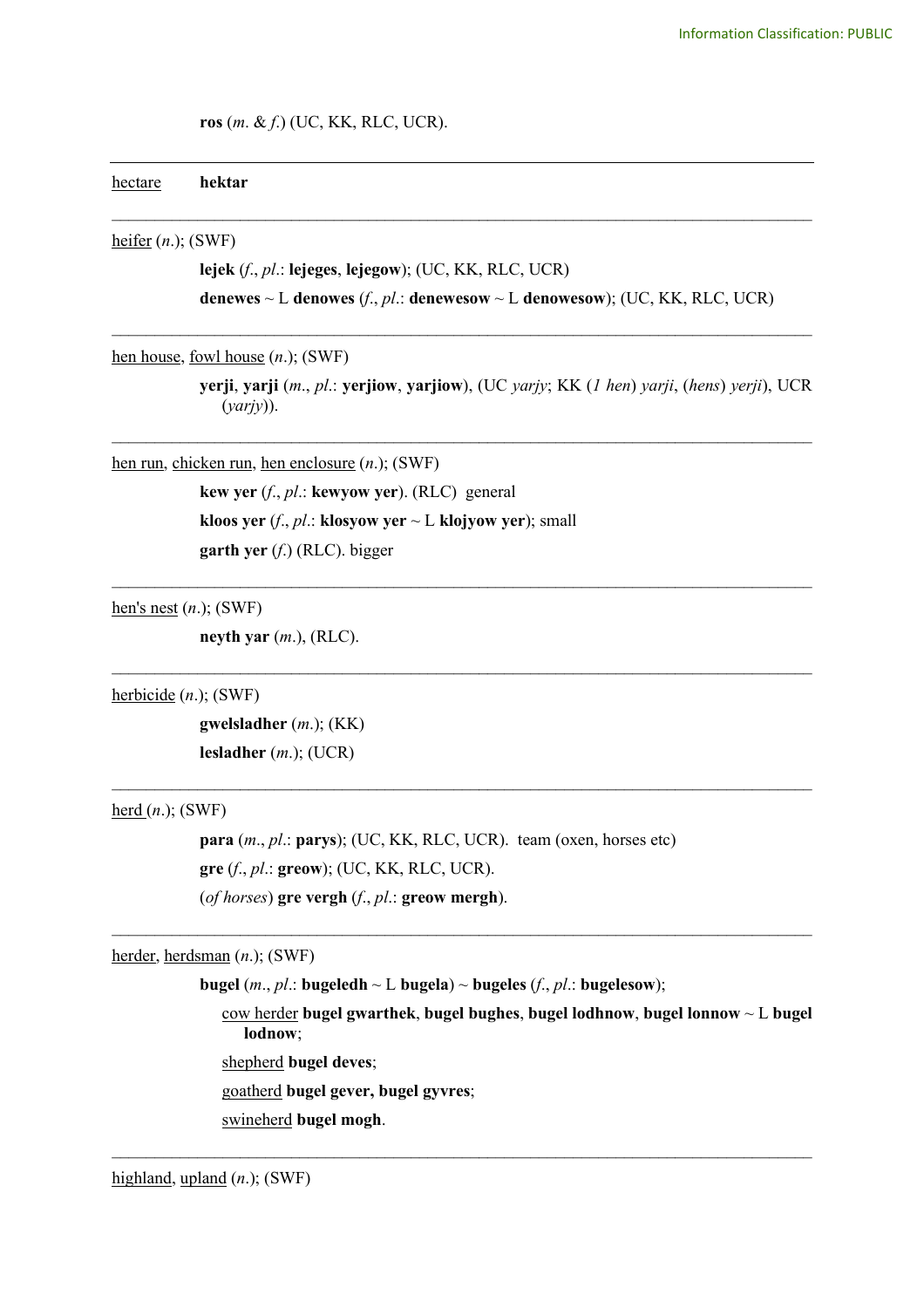## **ros** (*m*. & *f*.) (UC, KK, RLC, UCR).

| hectare | hektar |
|---------|--------|
|         |        |

heifer (*n*.); (SWF)

**lejek** (*f*., *pl*.: **lejeges**, **lejegow**); (UC, KK, RLC, UCR) **denewes**  $\sim$  L **denowes** (*f*., *pl*.: **denewesow**  $\sim$  L **denowesow**); (UC, KK, RLC, UCR)

\_\_\_\_\_\_\_\_\_\_\_\_\_\_\_\_\_\_\_\_\_\_\_\_\_\_\_\_\_\_\_\_\_\_\_\_\_\_\_\_\_\_\_\_\_\_\_\_\_\_\_\_\_\_\_\_\_\_\_\_\_\_\_\_\_\_\_\_\_\_\_\_\_\_\_\_\_\_\_\_\_\_

\_\_\_\_\_\_\_\_\_\_\_\_\_\_\_\_\_\_\_\_\_\_\_\_\_\_\_\_\_\_\_\_\_\_\_\_\_\_\_\_\_\_\_\_\_\_\_\_\_\_\_\_\_\_\_\_\_\_\_\_\_\_\_\_\_\_\_\_\_\_\_\_\_\_\_\_\_\_\_\_\_\_

\_\_\_\_\_\_\_\_\_\_\_\_\_\_\_\_\_\_\_\_\_\_\_\_\_\_\_\_\_\_\_\_\_\_\_\_\_\_\_\_\_\_\_\_\_\_\_\_\_\_\_\_\_\_\_\_\_\_\_\_\_\_\_\_\_\_\_\_\_\_\_\_\_\_\_\_\_\_\_\_\_\_

 $\mathcal{L}_\text{max}$  , and the contribution of the contribution of the contribution of the contribution of the contribution of the contribution of the contribution of the contribution of the contribution of the contribution of t

 $\mathcal{L}_\text{max}$  , and the contribution of the contribution of the contribution of the contribution of the contribution of the contribution of the contribution of the contribution of the contribution of the contribution of t

 $\mathcal{L}_\text{max}$  , and the contribution of the contribution of the contribution of the contribution of the contribution of the contribution of the contribution of the contribution of the contribution of the contribution of t

 $\mathcal{L}_\mathcal{L} = \{ \mathcal{L}_\mathcal{L} = \{ \mathcal{L}_\mathcal{L} = \{ \mathcal{L}_\mathcal{L} = \{ \mathcal{L}_\mathcal{L} = \{ \mathcal{L}_\mathcal{L} = \{ \mathcal{L}_\mathcal{L} = \{ \mathcal{L}_\mathcal{L} = \{ \mathcal{L}_\mathcal{L} = \{ \mathcal{L}_\mathcal{L} = \{ \mathcal{L}_\mathcal{L} = \{ \mathcal{L}_\mathcal{L} = \{ \mathcal{L}_\mathcal{L} = \{ \mathcal{L}_\mathcal{L} = \{ \mathcal{L}_\mathcal{$ 

 $\mathcal{L}_\mathcal{L} = \{ \mathcal{L}_\mathcal{L} = \{ \mathcal{L}_\mathcal{L} = \{ \mathcal{L}_\mathcal{L} = \{ \mathcal{L}_\mathcal{L} = \{ \mathcal{L}_\mathcal{L} = \{ \mathcal{L}_\mathcal{L} = \{ \mathcal{L}_\mathcal{L} = \{ \mathcal{L}_\mathcal{L} = \{ \mathcal{L}_\mathcal{L} = \{ \mathcal{L}_\mathcal{L} = \{ \mathcal{L}_\mathcal{L} = \{ \mathcal{L}_\mathcal{L} = \{ \mathcal{L}_\mathcal{L} = \{ \mathcal{L}_\mathcal{$ 

hen house, fowl house (*n*.); (SWF)

**yerji**, **yarji** (*m*., *pl*.: **yerjiow**, **yarjiow**), (UC *yarjy*; KK (*1 hen*) *yarji*, (*hens*) *yerji*), UCR (*yarjy*)).

hen run, chicken run, hen enclosure (*n*.); (SWF)

**kew yer** (*f*., *pl*.: **kewyow yer**). (RLC) general **kloos yer** (*f*., *pl*.: **klosyow yer**  $\sim$  **L klojyow yer**); small **garth yer** (*f*.) (RLC). bigger

hen's nest (*n*.); (SWF)

**neyth yar** (*m*.), (RLC).

herbicide (*n*.); (SWF)

**gwelsladher** (*m*.); (KK) **lesladher** (*m*.); (UCR)

 $herd(n.);$  (SWF)</u>

**para** (*m*., *pl*.: **parys**); (UC, KK, RLC, UCR). team (oxen, horses etc) **gre** (*f*., *pl*.: **greow**); (UC, KK, RLC, UCR). (*of horses*) **gre vergh** (*f*., *pl*.: **greow mergh**).

herder, herdsman (*n*.); (SWF)

**bugel** (*m*., *pl*.: **bugeledh**  $\sim$  L **bugela**)  $\sim$  **bugeles** (*f*., *pl*.: **bugelesow**);

cow herder **bugel gwarthek**, **bugel bughes**, **bugel lodhnow**, **bugel lonnow** ~ L **bugel lodnow**;

shepherd **bugel deves**;

goatherd **bugel gever, bugel gyvres**;

swineherd **bugel mogh**.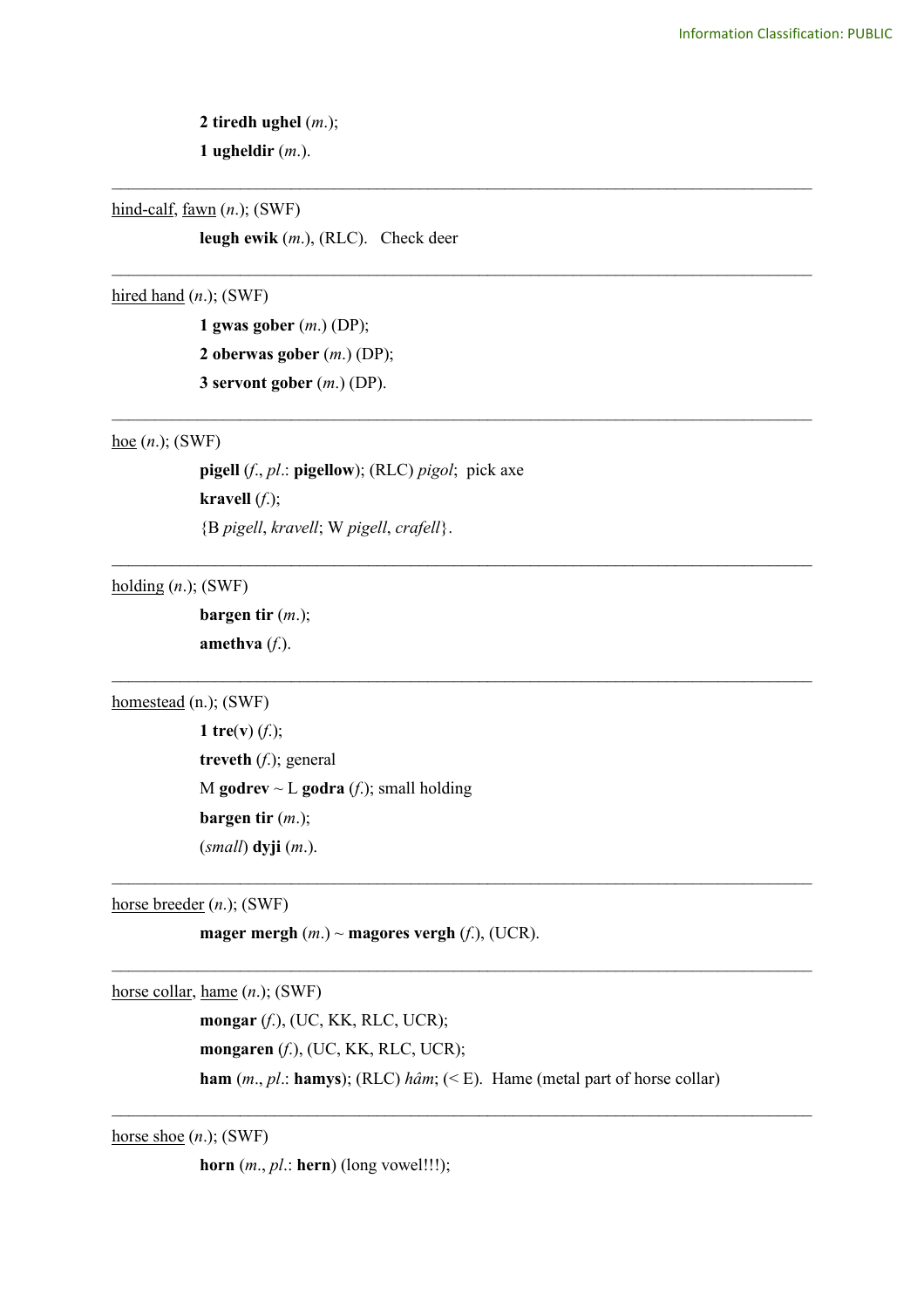**2 tiredh ughel** (*m*.); **1 ugheldir** (*m*.).

hind-calf, fawn (*n*.); (SWF)

**leugh ewik** (*m*.), (RLC). Check deer

\_\_\_\_\_\_\_\_\_\_\_\_\_\_\_\_\_\_\_\_\_\_\_\_\_\_\_\_\_\_\_\_\_\_\_\_\_\_\_\_\_\_\_\_\_\_\_\_\_\_\_\_\_\_\_\_\_\_\_\_\_\_\_\_\_\_\_\_\_\_\_\_\_\_\_\_\_\_\_\_\_\_

\_\_\_\_\_\_\_\_\_\_\_\_\_\_\_\_\_\_\_\_\_\_\_\_\_\_\_\_\_\_\_\_\_\_\_\_\_\_\_\_\_\_\_\_\_\_\_\_\_\_\_\_\_\_\_\_\_\_\_\_\_\_\_\_\_\_\_\_\_\_\_\_\_\_\_\_\_\_\_\_\_\_

\_\_\_\_\_\_\_\_\_\_\_\_\_\_\_\_\_\_\_\_\_\_\_\_\_\_\_\_\_\_\_\_\_\_\_\_\_\_\_\_\_\_\_\_\_\_\_\_\_\_\_\_\_\_\_\_\_\_\_\_\_\_\_\_\_\_\_\_\_\_\_\_\_\_\_\_\_\_\_\_\_\_

\_\_\_\_\_\_\_\_\_\_\_\_\_\_\_\_\_\_\_\_\_\_\_\_\_\_\_\_\_\_\_\_\_\_\_\_\_\_\_\_\_\_\_\_\_\_\_\_\_\_\_\_\_\_\_\_\_\_\_\_\_\_\_\_\_\_\_\_\_\_\_\_\_\_\_\_\_\_\_\_\_\_

 $\mathcal{L}_\text{max}$  , and the contribution of the contribution of the contribution of the contribution of the contribution of the contribution of the contribution of the contribution of the contribution of the contribution of t

hired hand (*n*.); (SWF)

**1 gwas gober** (*m*.) (DP); **2 oberwas gober** (*m*.) (DP); **3 servont gober** (*m*.) (DP).

## hoe (*n*.); (SWF)

**pigell** (*f*., *pl*.: **pigellow**); (RLC) *pigol*; pick axe **kravell**  $(f.);$ {B *pigell*, *kravell*; W *pigell*, *crafell*}.

holding (*n*.); (SWF)

**bargen tir** (*m*.); **amethva** (*f*.).

homestead (n.); (SWF)

**1 tre**(**v**) (*f*.); **treveth** (*f*.); general M **godrev**  $\sim$  **L godra** (*f*.); small holding **bargen tir** (*m*.); (*small*) **dyji** (*m*.).

horse breeder (*n*.); (SWF)

**mager mergh**  $(m.) \sim$  **magores vergh**  $(f.)$ , (UCR).

horse collar, hame (*n*.); (SWF)

**mongar** (*f*.), (UC, KK, RLC, UCR); **mongaren** (*f*.), (UC, KK, RLC, UCR); **ham** (*m*., *pl*.: **hamys**); (RLC) *hâm*; (< E). Hame (metal part of horse collar)

 $\mathcal{L}_\mathcal{L} = \{ \mathcal{L}_\mathcal{L} = \{ \mathcal{L}_\mathcal{L} = \{ \mathcal{L}_\mathcal{L} = \{ \mathcal{L}_\mathcal{L} = \{ \mathcal{L}_\mathcal{L} = \{ \mathcal{L}_\mathcal{L} = \{ \mathcal{L}_\mathcal{L} = \{ \mathcal{L}_\mathcal{L} = \{ \mathcal{L}_\mathcal{L} = \{ \mathcal{L}_\mathcal{L} = \{ \mathcal{L}_\mathcal{L} = \{ \mathcal{L}_\mathcal{L} = \{ \mathcal{L}_\mathcal{L} = \{ \mathcal{L}_\mathcal{$ 

 $\mathcal{L}_\text{max}$  , and the contribution of the contribution of the contribution of the contribution of the contribution of the contribution of the contribution of the contribution of the contribution of the contribution of t

 $\mathcal{L}_\text{max}$  , and the contribution of the contribution of the contribution of the contribution of the contribution of the contribution of the contribution of the contribution of the contribution of the contribution of t

horse shoe (*n*.); (SWF)

**horn** (*m*., *pl*.: **hern**) (long vowel!!!);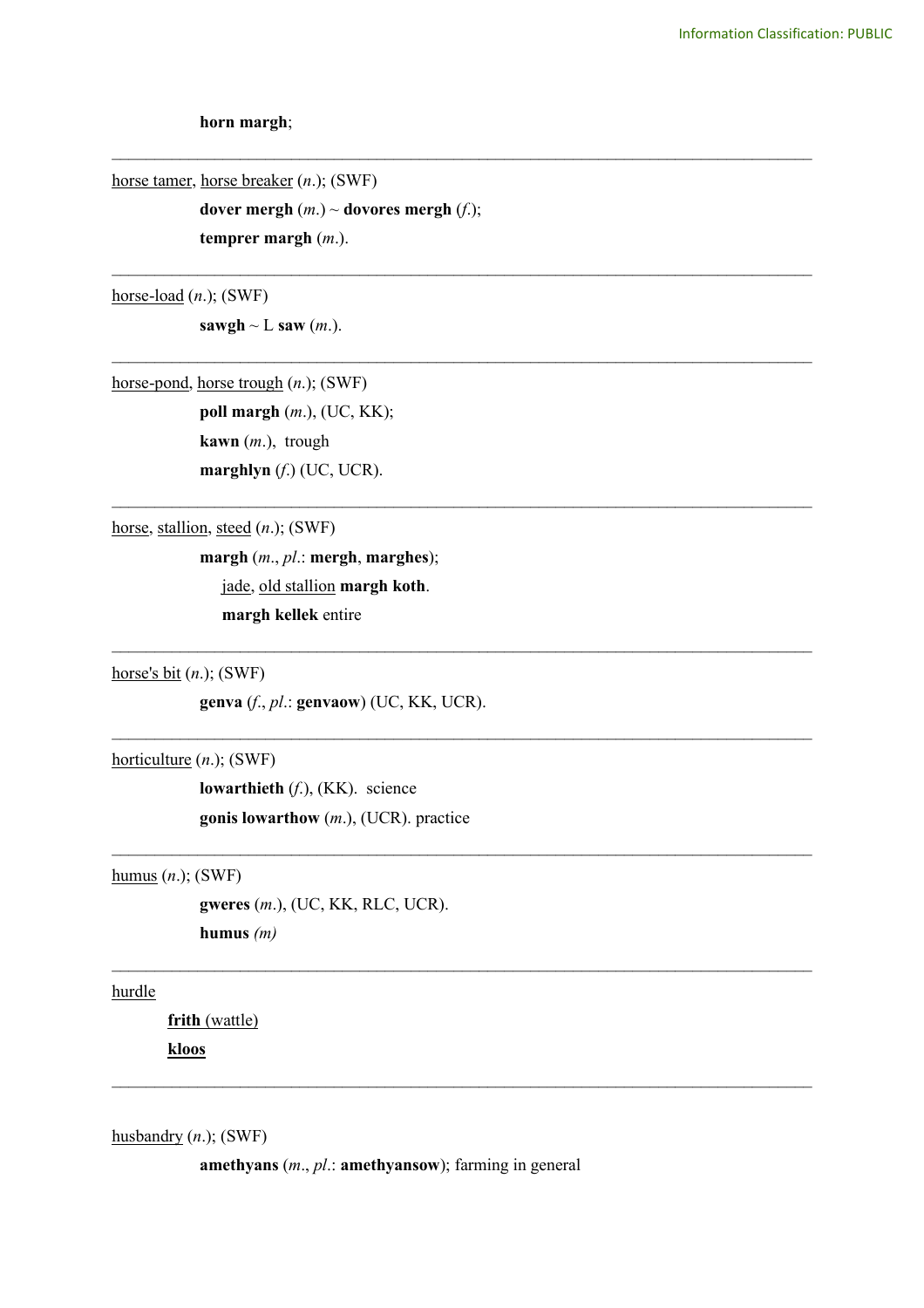**horn margh**;

horse tamer, horse breaker (*n*.); (SWF)

**dover mergh**  $(m.) \sim$  **dovores mergh**  $(f.)$ ; **temprer margh** (*m*.).

\_\_\_\_\_\_\_\_\_\_\_\_\_\_\_\_\_\_\_\_\_\_\_\_\_\_\_\_\_\_\_\_\_\_\_\_\_\_\_\_\_\_\_\_\_\_\_\_\_\_\_\_\_\_\_\_\_\_\_\_\_\_\_\_\_\_\_\_\_\_\_\_\_\_\_\_\_\_\_\_\_\_

\_\_\_\_\_\_\_\_\_\_\_\_\_\_\_\_\_\_\_\_\_\_\_\_\_\_\_\_\_\_\_\_\_\_\_\_\_\_\_\_\_\_\_\_\_\_\_\_\_\_\_\_\_\_\_\_\_\_\_\_\_\_\_\_\_\_\_\_\_\_\_\_\_\_\_\_\_\_\_\_\_\_

\_\_\_\_\_\_\_\_\_\_\_\_\_\_\_\_\_\_\_\_\_\_\_\_\_\_\_\_\_\_\_\_\_\_\_\_\_\_\_\_\_\_\_\_\_\_\_\_\_\_\_\_\_\_\_\_\_\_\_\_\_\_\_\_\_\_\_\_\_\_\_\_\_\_\_\_\_\_\_\_\_\_

\_\_\_\_\_\_\_\_\_\_\_\_\_\_\_\_\_\_\_\_\_\_\_\_\_\_\_\_\_\_\_\_\_\_\_\_\_\_\_\_\_\_\_\_\_\_\_\_\_\_\_\_\_\_\_\_\_\_\_\_\_\_\_\_\_\_\_\_\_\_\_\_\_\_\_\_\_\_\_\_\_\_

 $\mathcal{L}_\text{max}$  , and the contribution of the contribution of the contribution of the contribution of the contribution of the contribution of the contribution of the contribution of the contribution of the contribution of t

 $\mathcal{L}_\mathcal{L} = \{ \mathcal{L}_\mathcal{L} = \{ \mathcal{L}_\mathcal{L} = \{ \mathcal{L}_\mathcal{L} = \{ \mathcal{L}_\mathcal{L} = \{ \mathcal{L}_\mathcal{L} = \{ \mathcal{L}_\mathcal{L} = \{ \mathcal{L}_\mathcal{L} = \{ \mathcal{L}_\mathcal{L} = \{ \mathcal{L}_\mathcal{L} = \{ \mathcal{L}_\mathcal{L} = \{ \mathcal{L}_\mathcal{L} = \{ \mathcal{L}_\mathcal{L} = \{ \mathcal{L}_\mathcal{L} = \{ \mathcal{L}_\mathcal{$ 

 $\mathcal{L}_\text{max}$  , and the contribution of the contribution of the contribution of the contribution of the contribution of the contribution of the contribution of the contribution of the contribution of the contribution of t

 $\mathcal{L}_\text{max}$  , and the contribution of the contribution of the contribution of the contribution of the contribution of the contribution of the contribution of the contribution of the contribution of the contribution of t

 $\mathcal{L}_\mathcal{L} = \{ \mathcal{L}_\mathcal{L} = \{ \mathcal{L}_\mathcal{L} = \{ \mathcal{L}_\mathcal{L} = \{ \mathcal{L}_\mathcal{L} = \{ \mathcal{L}_\mathcal{L} = \{ \mathcal{L}_\mathcal{L} = \{ \mathcal{L}_\mathcal{L} = \{ \mathcal{L}_\mathcal{L} = \{ \mathcal{L}_\mathcal{L} = \{ \mathcal{L}_\mathcal{L} = \{ \mathcal{L}_\mathcal{L} = \{ \mathcal{L}_\mathcal{L} = \{ \mathcal{L}_\mathcal{L} = \{ \mathcal{L}_\mathcal{$ 

horse-load (*n*.); (SWF)

**sawgh**  $\sim$  **L saw** (*m*.).

horse-pond, horse trough (*n*.); (SWF)

**poll margh** (*m*.), (UC, KK); **kawn** (*m*.), trough **marghlyn** (*f*.) (UC, UCR).

horse, stallion, steed (*n*.); (SWF)

**margh** (*m*., *pl*.: **mergh**, **marghes**); jade, old stallion **margh koth**. **margh kellek** entire

horse's bit (*n*.); (SWF)

**genva** (*f*., *pl*.: **genvaow**) (UC, KK, UCR).

horticulture (*n*.); (SWF)

**lowarthieth** (*f*.), (KK). science **gonis lowarthow** (*m*.), (UCR). practice

humus (*n*.); (SWF)

**gweres** (*m*.), (UC, KK, RLC, UCR). **humus** *(m)*

hurdle

**frith** (wattle)

**kloos** 

husbandry (*n*.); (SWF)

**amethyans** (*m*., *pl*.: **amethyansow**); farming in general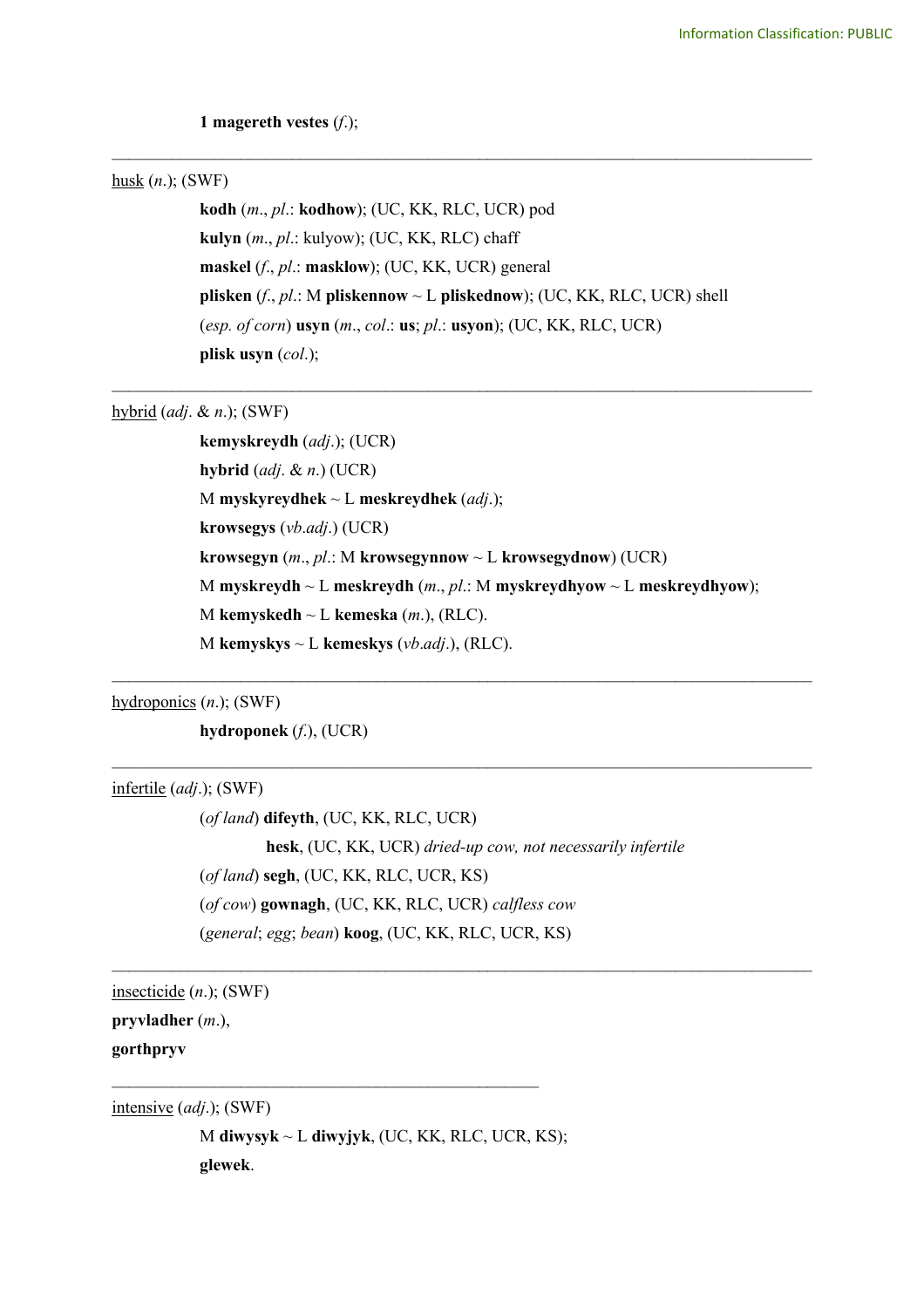## **1 magereth vestes** (*f*.);

# husk (*n*.); (SWF)

**kodh** (*m*., *pl*.: **kodhow**); (UC, KK, RLC, UCR) pod **kulyn** (*m*., *pl*.: kulyow); (UC, KK, RLC) chaff **maskel** (*f*., *pl*.: **masklow**); (UC, KK, UCR) general **plisken** (*f*., *pl*.: M **pliskennow** ~ L **pliskednow**); (UC, KK, RLC, UCR) shell (*esp. of corn*) **usyn** (*m*., *col*.: **us**; *pl*.: **usyon**); (UC, KK, RLC, UCR) **plisk usyn** (*col*.);

\_\_\_\_\_\_\_\_\_\_\_\_\_\_\_\_\_\_\_\_\_\_\_\_\_\_\_\_\_\_\_\_\_\_\_\_\_\_\_\_\_\_\_\_\_\_\_\_\_\_\_\_\_\_\_\_\_\_\_\_\_\_\_\_\_\_\_\_\_\_\_\_\_\_\_\_\_\_\_\_\_\_

\_\_\_\_\_\_\_\_\_\_\_\_\_\_\_\_\_\_\_\_\_\_\_\_\_\_\_\_\_\_\_\_\_\_\_\_\_\_\_\_\_\_\_\_\_\_\_\_\_\_\_\_\_\_\_\_\_\_\_\_\_\_\_\_\_\_\_\_\_\_\_\_\_\_\_\_\_\_\_\_\_\_

hybrid (*adj*. & *n*.); (SWF)

**kemyskreydh** (*adj*.); (UCR) **hybrid** (*adj*. & *n*.) (UCR) M **myskyreydhek** ~ L **meskreydhek** (*adj*.); **krowsegys** (*vb*.*adj*.) (UCR) **krowsegyn** (*m*., *pl*.: M **krowsegynnow** ~ L **krowsegydnow**) (UCR) M **myskreydh** ~ L **meskreydh** (*m*., *pl*.: M **myskreydhyow** ~ L **meskreydhyow**); M **kemyskedh** ~ L **kemeska** (*m*.), (RLC). M **kemyskys** ~ L **kemeskys** (*vb*.*adj*.), (RLC).

 $\mathcal{L}_\text{max}$  , and the contribution of the contribution of the contribution of the contribution of the contribution of the contribution of the contribution of the contribution of the contribution of the contribution of t

 $\mathcal{L}_\text{max}$  , and the contribution of the contribution of the contribution of the contribution of the contribution of the contribution of the contribution of the contribution of the contribution of the contribution of t

 $\mathcal{L}_\text{max}$  , and the contribution of the contribution of the contribution of the contribution of the contribution of the contribution of the contribution of the contribution of the contribution of the contribution of t

hydroponics (*n*.); (SWF)

**hydroponek** (*f*.), (UCR)

infertile (*adj*.); (SWF)

(*of land*) **difeyth**, (UC, KK, RLC, UCR) **hesk**, (UC, KK, UCR) *dried-up cow, not necessarily infertile* (*of land*) **segh**, (UC, KK, RLC, UCR, KS) (*of cow*) **gownagh**, (UC, KK, RLC, UCR) *calfless cow* (*general*; *egg*; *bean*) **koog**, (UC, KK, RLC, UCR, KS)

insecticide (*n*.); (SWF)

**pryvladher** (*m*.),

**gorthpryv**

intensive (*adj*.); (SWF)

M **diwysyk** ~ L **diwyjyk**, (UC, KK, RLC, UCR, KS); **glewek**.

 $\mathcal{L}_\text{max}$  , and the contract of the contract of the contract of the contract of the contract of the contract of the contract of the contract of the contract of the contract of the contract of the contract of the contr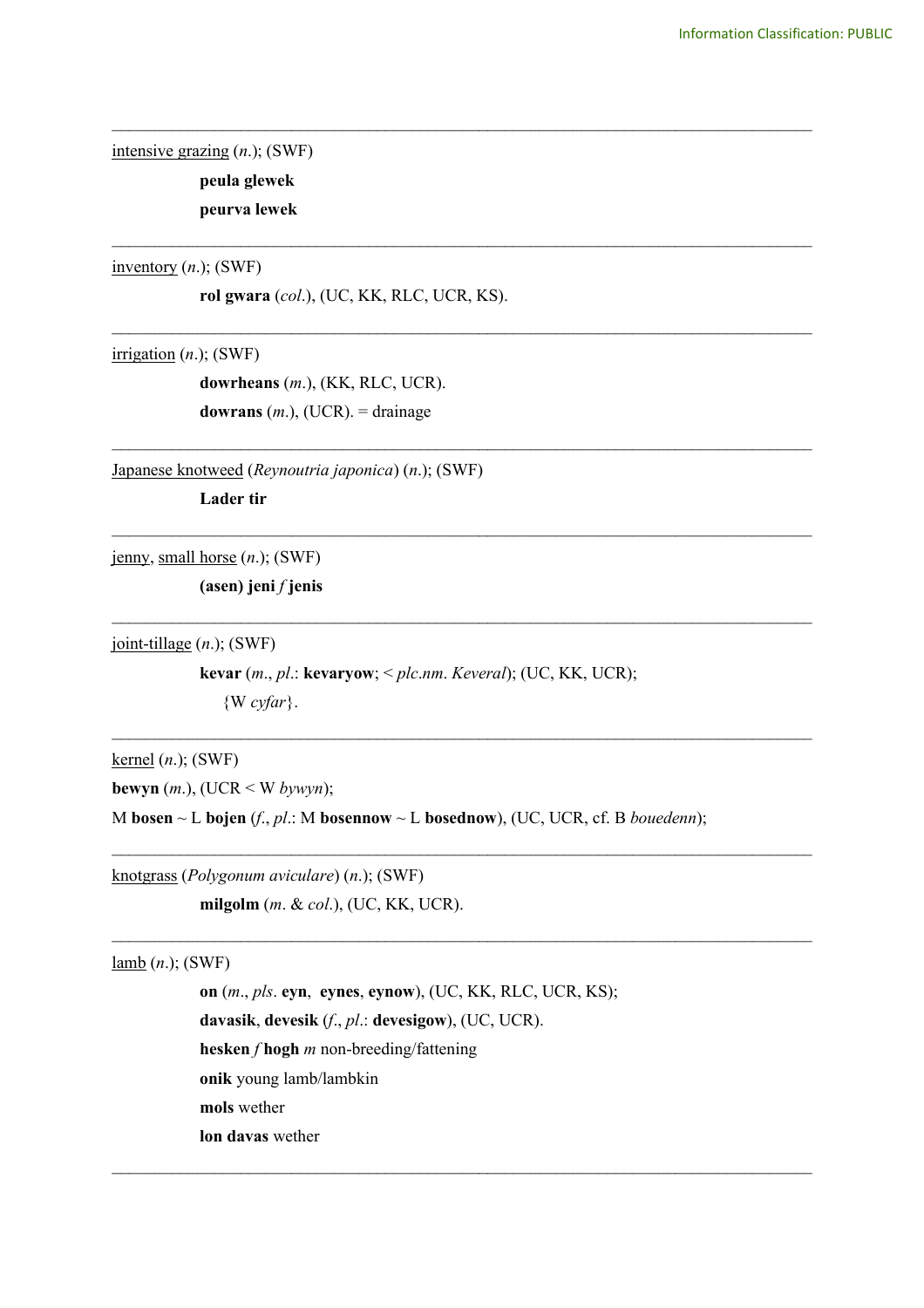intensive grazing (*n*.); (SWF)

**peula glewek peurva lewek**

inventory (*n*.); (SWF)

**rol gwara** (*col*.), (UC, KK, RLC, UCR, KS).

\_\_\_\_\_\_\_\_\_\_\_\_\_\_\_\_\_\_\_\_\_\_\_\_\_\_\_\_\_\_\_\_\_\_\_\_\_\_\_\_\_\_\_\_\_\_\_\_\_\_\_\_\_\_\_\_\_\_\_\_\_\_\_\_\_\_\_\_\_\_\_\_\_\_\_\_\_\_\_\_\_\_

\_\_\_\_\_\_\_\_\_\_\_\_\_\_\_\_\_\_\_\_\_\_\_\_\_\_\_\_\_\_\_\_\_\_\_\_\_\_\_\_\_\_\_\_\_\_\_\_\_\_\_\_\_\_\_\_\_\_\_\_\_\_\_\_\_\_\_\_\_\_\_\_\_\_\_\_\_\_\_\_\_\_

\_\_\_\_\_\_\_\_\_\_\_\_\_\_\_\_\_\_\_\_\_\_\_\_\_\_\_\_\_\_\_\_\_\_\_\_\_\_\_\_\_\_\_\_\_\_\_\_\_\_\_\_\_\_\_\_\_\_\_\_\_\_\_\_\_\_\_\_\_\_\_\_\_\_\_\_\_\_\_\_\_\_

\_\_\_\_\_\_\_\_\_\_\_\_\_\_\_\_\_\_\_\_\_\_\_\_\_\_\_\_\_\_\_\_\_\_\_\_\_\_\_\_\_\_\_\_\_\_\_\_\_\_\_\_\_\_\_\_\_\_\_\_\_\_\_\_\_\_\_\_\_\_\_\_\_\_\_\_\_\_\_\_\_\_

\_\_\_\_\_\_\_\_\_\_\_\_\_\_\_\_\_\_\_\_\_\_\_\_\_\_\_\_\_\_\_\_\_\_\_\_\_\_\_\_\_\_\_\_\_\_\_\_\_\_\_\_\_\_\_\_\_\_\_\_\_\_\_\_\_\_\_\_\_\_\_\_\_\_\_\_\_\_\_\_\_\_

\_\_\_\_\_\_\_\_\_\_\_\_\_\_\_\_\_\_\_\_\_\_\_\_\_\_\_\_\_\_\_\_\_\_\_\_\_\_\_\_\_\_\_\_\_\_\_\_\_\_\_\_\_\_\_\_\_\_\_\_\_\_\_\_\_\_\_\_\_\_\_\_\_\_\_\_\_\_\_\_\_\_

 $\mathcal{L}_\text{max}$  and  $\mathcal{L}_\text{max}$  and  $\mathcal{L}_\text{max}$  and  $\mathcal{L}_\text{max}$  and  $\mathcal{L}_\text{max}$  and  $\mathcal{L}_\text{max}$ 

 $\mathcal{L}_\text{max}$  and  $\mathcal{L}_\text{max}$  and  $\mathcal{L}_\text{max}$  and  $\mathcal{L}_\text{max}$  and  $\mathcal{L}_\text{max}$  and  $\mathcal{L}_\text{max}$ 

 $\mathcal{L}_\mathcal{L} = \{ \mathcal{L}_\mathcal{L} = \{ \mathcal{L}_\mathcal{L} = \{ \mathcal{L}_\mathcal{L} = \{ \mathcal{L}_\mathcal{L} = \{ \mathcal{L}_\mathcal{L} = \{ \mathcal{L}_\mathcal{L} = \{ \mathcal{L}_\mathcal{L} = \{ \mathcal{L}_\mathcal{L} = \{ \mathcal{L}_\mathcal{L} = \{ \mathcal{L}_\mathcal{L} = \{ \mathcal{L}_\mathcal{L} = \{ \mathcal{L}_\mathcal{L} = \{ \mathcal{L}_\mathcal{L} = \{ \mathcal{L}_\mathcal{$ 

 $\mathcal{L}_\mathcal{L} = \{ \mathcal{L}_\mathcal{L} = \{ \mathcal{L}_\mathcal{L} = \{ \mathcal{L}_\mathcal{L} = \{ \mathcal{L}_\mathcal{L} = \{ \mathcal{L}_\mathcal{L} = \{ \mathcal{L}_\mathcal{L} = \{ \mathcal{L}_\mathcal{L} = \{ \mathcal{L}_\mathcal{L} = \{ \mathcal{L}_\mathcal{L} = \{ \mathcal{L}_\mathcal{L} = \{ \mathcal{L}_\mathcal{L} = \{ \mathcal{L}_\mathcal{L} = \{ \mathcal{L}_\mathcal{L} = \{ \mathcal{L}_\mathcal{$ 

irrigation (*n*.); (SWF)

**dowrheans** (*m*.), (KK, RLC, UCR). **dowrans**  $(m.)$ , (UCR). = drainage

Japanese knotweed (*Reynoutria japonica*) (*n*.); (SWF)

**Lader tir**

jenny, small horse (*n*.); (SWF)

**(asen) jeni** *f* **jenis**

joint-tillage (*n*.); (SWF)

**kevar** (*m*., *pl*.: **kevaryow**; < *plc*.*nm*. *Keveral*); (UC, KK, UCR); {W *cyfar*}.

kernel (*n*.); (SWF)

**bewyn** (*m*.), (UCR < W *bywyn*);

M **bosen** ~ L **bojen** (*f*., *pl*.: M **bosennow** ~ L **bosednow**), (UC, UCR, cf. B *bouedenn*);

knotgrass (*Polygonum aviculare*) (*n*.); (SWF) **milgolm** (*m*. & *col*.), (UC, KK, UCR).

# lamb (*n*.); (SWF)

**on** (*m*., *pls*. **eyn**, **eynes**, **eynow**), (UC, KK, RLC, UCR, KS); **davasik**, **devesik** (*f*., *pl*.: **devesigow**), (UC, UCR). **hesken** *f* **hogh** *m* non-breeding/fattening **onik** young lamb/lambkin **mols** wether **lon davas** wether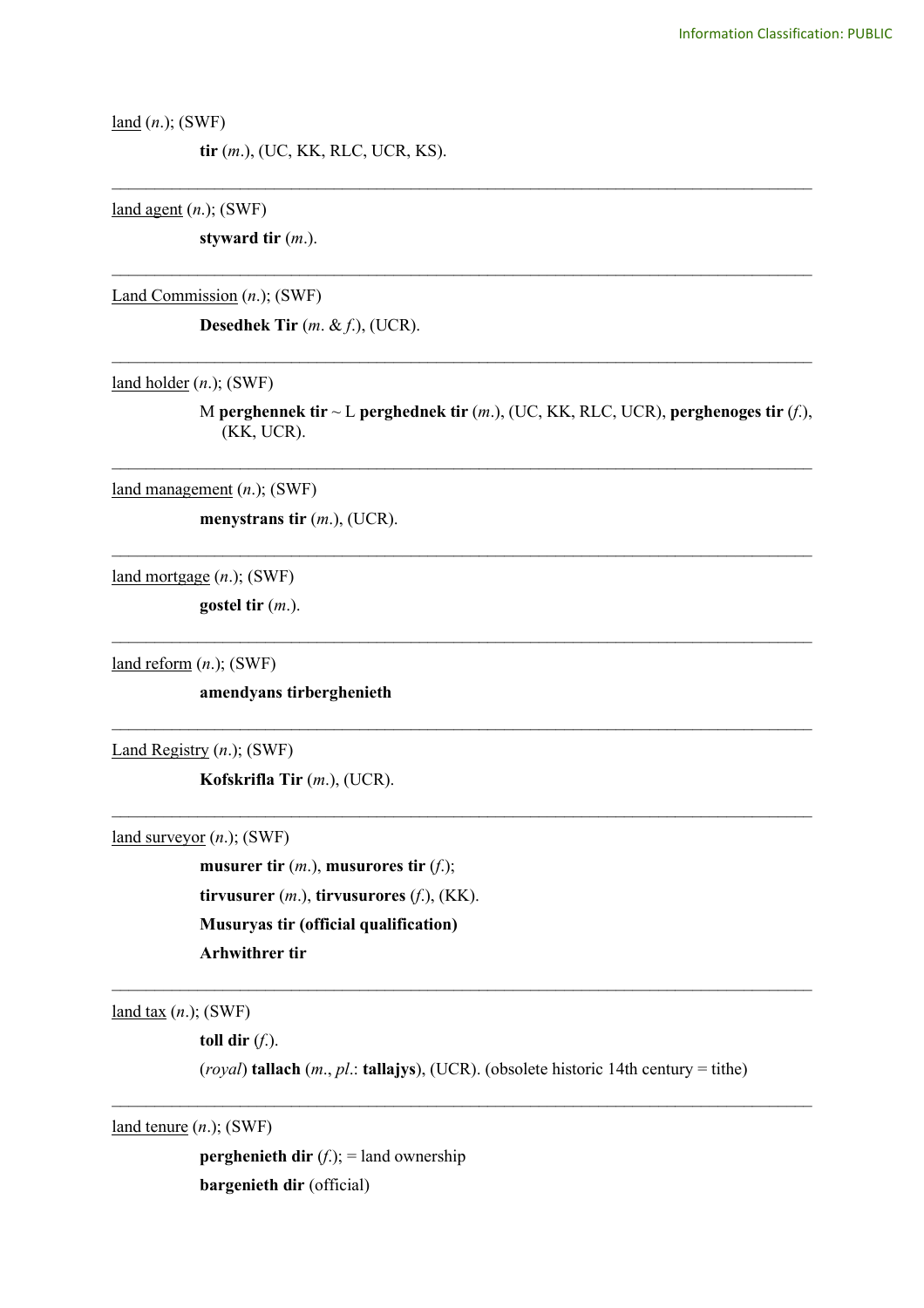land (*n*.); (SWF)

**tir** (*m*.), (UC, KK, RLC, UCR, KS).

land agent (*n*.); (SWF)

**styward tir** (*m*.).

Land Commission (*n*.); (SWF)

**Desedhek Tir** (*m*. & *f*.), (UCR).

land holder (*n*.); (SWF)

M **perghennek tir** ~ L **perghednek tir** (*m*.), (UC, KK, RLC, UCR), **perghenoges tir** (*f*.), (KK, UCR).

\_\_\_\_\_\_\_\_\_\_\_\_\_\_\_\_\_\_\_\_\_\_\_\_\_\_\_\_\_\_\_\_\_\_\_\_\_\_\_\_\_\_\_\_\_\_\_\_\_\_\_\_\_\_\_\_\_\_\_\_\_\_\_\_\_\_\_\_\_\_\_\_\_\_\_\_\_\_\_\_\_\_

\_\_\_\_\_\_\_\_\_\_\_\_\_\_\_\_\_\_\_\_\_\_\_\_\_\_\_\_\_\_\_\_\_\_\_\_\_\_\_\_\_\_\_\_\_\_\_\_\_\_\_\_\_\_\_\_\_\_\_\_\_\_\_\_\_\_\_\_\_\_\_\_\_\_\_\_\_\_\_\_\_\_

\_\_\_\_\_\_\_\_\_\_\_\_\_\_\_\_\_\_\_\_\_\_\_\_\_\_\_\_\_\_\_\_\_\_\_\_\_\_\_\_\_\_\_\_\_\_\_\_\_\_\_\_\_\_\_\_\_\_\_\_\_\_\_\_\_\_\_\_\_\_\_\_\_\_\_\_\_\_\_\_\_\_

\_\_\_\_\_\_\_\_\_\_\_\_\_\_\_\_\_\_\_\_\_\_\_\_\_\_\_\_\_\_\_\_\_\_\_\_\_\_\_\_\_\_\_\_\_\_\_\_\_\_\_\_\_\_\_\_\_\_\_\_\_\_\_\_\_\_\_\_\_\_\_\_\_\_\_\_\_\_\_\_\_\_

\_\_\_\_\_\_\_\_\_\_\_\_\_\_\_\_\_\_\_\_\_\_\_\_\_\_\_\_\_\_\_\_\_\_\_\_\_\_\_\_\_\_\_\_\_\_\_\_\_\_\_\_\_\_\_\_\_\_\_\_\_\_\_\_\_\_\_\_\_\_\_\_\_\_\_\_\_\_\_\_\_\_

\_\_\_\_\_\_\_\_\_\_\_\_\_\_\_\_\_\_\_\_\_\_\_\_\_\_\_\_\_\_\_\_\_\_\_\_\_\_\_\_\_\_\_\_\_\_\_\_\_\_\_\_\_\_\_\_\_\_\_\_\_\_\_\_\_\_\_\_\_\_\_\_\_\_\_\_\_\_\_\_\_\_

\_\_\_\_\_\_\_\_\_\_\_\_\_\_\_\_\_\_\_\_\_\_\_\_\_\_\_\_\_\_\_\_\_\_\_\_\_\_\_\_\_\_\_\_\_\_\_\_\_\_\_\_\_\_\_\_\_\_\_\_\_\_\_\_\_\_\_\_\_\_\_\_\_\_\_\_\_\_\_\_\_\_

 $\mathcal{L}_\text{max}$  and  $\mathcal{L}_\text{max}$  and  $\mathcal{L}_\text{max}$  and  $\mathcal{L}_\text{max}$  and  $\mathcal{L}_\text{max}$  and  $\mathcal{L}_\text{max}$ 

land management (*n*.); (SWF)

**menystrans tir** (*m*.), (UCR).

land mortgage (*n*.); (SWF)

**gostel tir** (*m*.).

land reform (*n*.); (SWF)

**amendyans tirberghenieth**

Land Registry (*n*.); (SWF)

**Kofskrifla Tir** (*m*.), (UCR).

land surveyor (*n*.); (SWF)

**musurer tir** (*m*.), **musurores tir** (*f*.); **tirvusurer** (*m*.), **tirvusurores** (*f*.), (KK). **Musuryas tir (official qualification) Arhwithrer tir**

land tax (*n*.); (SWF)

**toll dir** (*f*.).

(*royal*) **tallach** (*m*., *pl*.: **tallajys**), (UCR). (obsolete historic 14th century = tithe)

 $\mathcal{L}_\text{max}$  and  $\mathcal{L}_\text{max}$  and  $\mathcal{L}_\text{max}$  and  $\mathcal{L}_\text{max}$  and  $\mathcal{L}_\text{max}$  and  $\mathcal{L}_\text{max}$ 

 $\mathcal{L}_\text{max}$  and  $\mathcal{L}_\text{max}$  and  $\mathcal{L}_\text{max}$  and  $\mathcal{L}_\text{max}$  and  $\mathcal{L}_\text{max}$  and  $\mathcal{L}_\text{max}$ 

land tenure (*n*.); (SWF)

**perghenieth dir**  $(f)$ ; = land ownership **bargenieth dir** (official)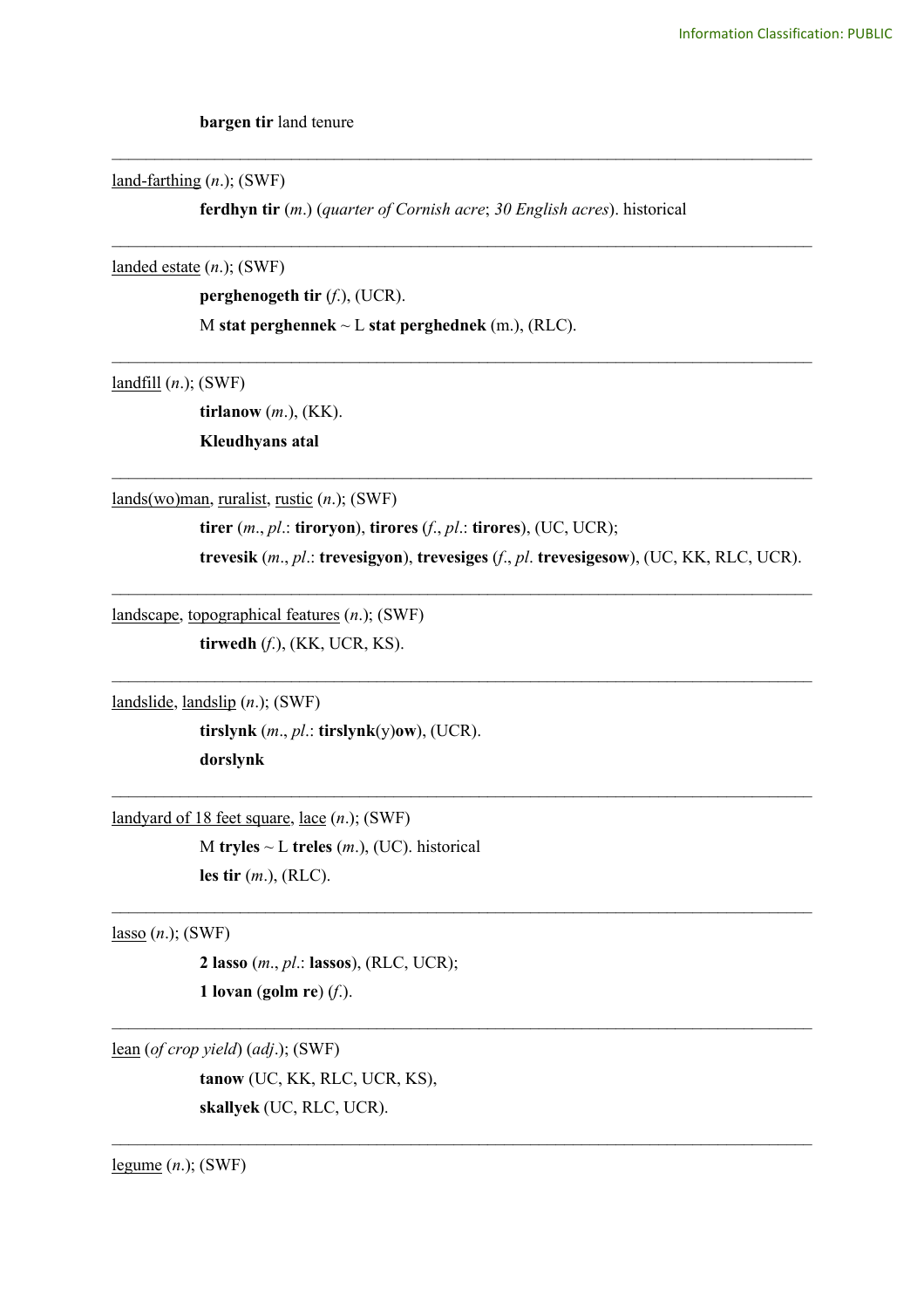**bargen tir** land tenure

land-farthing (*n*.); (SWF)

**ferdhyn tir** (*m*.) (*quarter of Cornish acre*; *30 English acres*). historical

\_\_\_\_\_\_\_\_\_\_\_\_\_\_\_\_\_\_\_\_\_\_\_\_\_\_\_\_\_\_\_\_\_\_\_\_\_\_\_\_\_\_\_\_\_\_\_\_\_\_\_\_\_\_\_\_\_\_\_\_\_\_\_\_\_\_\_\_\_\_\_\_\_\_\_\_\_\_\_\_\_\_

\_\_\_\_\_\_\_\_\_\_\_\_\_\_\_\_\_\_\_\_\_\_\_\_\_\_\_\_\_\_\_\_\_\_\_\_\_\_\_\_\_\_\_\_\_\_\_\_\_\_\_\_\_\_\_\_\_\_\_\_\_\_\_\_\_\_\_\_\_\_\_\_\_\_\_\_\_\_\_\_\_\_

\_\_\_\_\_\_\_\_\_\_\_\_\_\_\_\_\_\_\_\_\_\_\_\_\_\_\_\_\_\_\_\_\_\_\_\_\_\_\_\_\_\_\_\_\_\_\_\_\_\_\_\_\_\_\_\_\_\_\_\_\_\_\_\_\_\_\_\_\_\_\_\_\_\_\_\_\_\_\_\_\_\_

\_\_\_\_\_\_\_\_\_\_\_\_\_\_\_\_\_\_\_\_\_\_\_\_\_\_\_\_\_\_\_\_\_\_\_\_\_\_\_\_\_\_\_\_\_\_\_\_\_\_\_\_\_\_\_\_\_\_\_\_\_\_\_\_\_\_\_\_\_\_\_\_\_\_\_\_\_\_\_\_\_\_

 $\mathcal{L}_\text{max}$  and  $\mathcal{L}_\text{max}$  and  $\mathcal{L}_\text{max}$  and  $\mathcal{L}_\text{max}$  and  $\mathcal{L}_\text{max}$  and  $\mathcal{L}_\text{max}$ 

 $\mathcal{L}_\text{max}$  and  $\mathcal{L}_\text{max}$  and  $\mathcal{L}_\text{max}$  and  $\mathcal{L}_\text{max}$  and  $\mathcal{L}_\text{max}$  and  $\mathcal{L}_\text{max}$ 

 $\mathcal{L}_\text{max}$  and  $\mathcal{L}_\text{max}$  and  $\mathcal{L}_\text{max}$  and  $\mathcal{L}_\text{max}$  and  $\mathcal{L}_\text{max}$  and  $\mathcal{L}_\text{max}$ 

 $\mathcal{L}_\mathcal{L} = \{ \mathcal{L}_\mathcal{L} = \{ \mathcal{L}_\mathcal{L} = \{ \mathcal{L}_\mathcal{L} = \{ \mathcal{L}_\mathcal{L} = \{ \mathcal{L}_\mathcal{L} = \{ \mathcal{L}_\mathcal{L} = \{ \mathcal{L}_\mathcal{L} = \{ \mathcal{L}_\mathcal{L} = \{ \mathcal{L}_\mathcal{L} = \{ \mathcal{L}_\mathcal{L} = \{ \mathcal{L}_\mathcal{L} = \{ \mathcal{L}_\mathcal{L} = \{ \mathcal{L}_\mathcal{L} = \{ \mathcal{L}_\mathcal{$ 

 $\mathcal{L}_\mathcal{L} = \{ \mathcal{L}_\mathcal{L} = \{ \mathcal{L}_\mathcal{L} = \{ \mathcal{L}_\mathcal{L} = \{ \mathcal{L}_\mathcal{L} = \{ \mathcal{L}_\mathcal{L} = \{ \mathcal{L}_\mathcal{L} = \{ \mathcal{L}_\mathcal{L} = \{ \mathcal{L}_\mathcal{L} = \{ \mathcal{L}_\mathcal{L} = \{ \mathcal{L}_\mathcal{L} = \{ \mathcal{L}_\mathcal{L} = \{ \mathcal{L}_\mathcal{L} = \{ \mathcal{L}_\mathcal{L} = \{ \mathcal{L}_\mathcal{$ 

 $\mathcal{L}_\mathcal{L} = \{ \mathcal{L}_\mathcal{L} = \{ \mathcal{L}_\mathcal{L} = \{ \mathcal{L}_\mathcal{L} = \{ \mathcal{L}_\mathcal{L} = \{ \mathcal{L}_\mathcal{L} = \{ \mathcal{L}_\mathcal{L} = \{ \mathcal{L}_\mathcal{L} = \{ \mathcal{L}_\mathcal{L} = \{ \mathcal{L}_\mathcal{L} = \{ \mathcal{L}_\mathcal{L} = \{ \mathcal{L}_\mathcal{L} = \{ \mathcal{L}_\mathcal{L} = \{ \mathcal{L}_\mathcal{L} = \{ \mathcal{L}_\mathcal{$ 

landed estate (*n*.); (SWF)

**perghenogeth tir** (*f*.), (UCR).

M **stat perghennek** ~ L **stat perghednek** (m.), (RLC).

landfill (*n*.); (SWF)

**tirlanow** (*m*.), (KK). **Kleudhyans atal**

lands(wo)man, ruralist, rustic (*n*.); (SWF)

**tirer** (*m*., *pl*.: **tiroryon**), **tirores** (*f*., *pl*.: **tirores**), (UC, UCR);

**trevesik** (*m*., *pl*.: **trevesigyon**), **trevesiges** (*f*., *pl*. **trevesigesow**), (UC, KK, RLC, UCR).

landscape, topographical features (*n*.); (SWF)

**tirwedh** (*f*.), (KK, UCR, KS).

landslide, landslip (*n*.); (SWF)

**tirslynk** (*m*., *pl*.: **tirslynk**(y)**ow**), (UCR). **dorslynk** 

landyard of 18 feet square, lace (*n*.); (SWF)

M **tryles** ~ L **treles** (*m*.), (UC). historical **les tir** (*m*.), (RLC).

lasso (*n*.); (SWF)

**2 lasso** (*m*., *pl*.: **lassos**), (RLC, UCR); **1 lovan** (**golm re**) (*f*.).

lean (*of crop yield*) (*adj*.); (SWF) **tanow** (UC, KK, RLC, UCR, KS), **skallyek** (UC, RLC, UCR).

legume (*n*.); (SWF)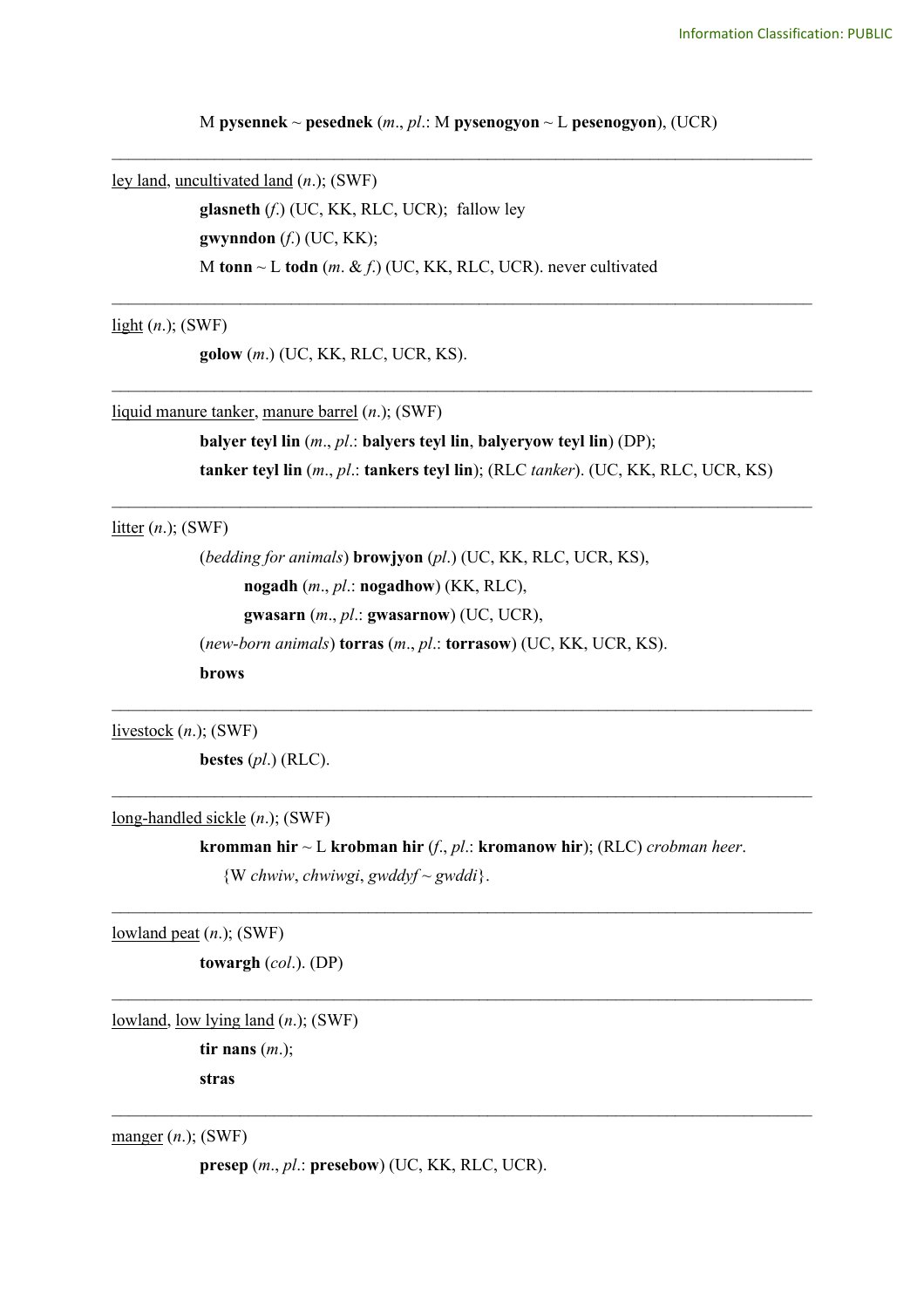M **pysennek** ~ **pesednek** (*m*., *pl*.: M **pysenogyon** ~ L **pesenogyon**), (UCR) \_\_\_\_\_\_\_\_\_\_\_\_\_\_\_\_\_\_\_\_\_\_\_\_\_\_\_\_\_\_\_\_\_\_\_\_\_\_\_\_\_\_\_\_\_\_\_\_\_\_\_\_\_\_\_\_\_\_\_\_\_\_\_\_\_\_\_\_\_\_\_\_\_\_\_\_\_\_\_\_\_\_

\_\_\_\_\_\_\_\_\_\_\_\_\_\_\_\_\_\_\_\_\_\_\_\_\_\_\_\_\_\_\_\_\_\_\_\_\_\_\_\_\_\_\_\_\_\_\_\_\_\_\_\_\_\_\_\_\_\_\_\_\_\_\_\_\_\_\_\_\_\_\_\_\_\_\_\_\_\_\_\_\_\_

\_\_\_\_\_\_\_\_\_\_\_\_\_\_\_\_\_\_\_\_\_\_\_\_\_\_\_\_\_\_\_\_\_\_\_\_\_\_\_\_\_\_\_\_\_\_\_\_\_\_\_\_\_\_\_\_\_\_\_\_\_\_\_\_\_\_\_\_\_\_\_\_\_\_\_\_\_\_\_\_\_\_

\_\_\_\_\_\_\_\_\_\_\_\_\_\_\_\_\_\_\_\_\_\_\_\_\_\_\_\_\_\_\_\_\_\_\_\_\_\_\_\_\_\_\_\_\_\_\_\_\_\_\_\_\_\_\_\_\_\_\_\_\_\_\_\_\_\_\_\_\_\_\_\_\_\_\_\_\_\_\_\_\_\_

 $\mathcal{L}_\text{max}$  , and the contribution of the contribution of the contribution of the contribution of the contribution of the contribution of the contribution of the contribution of the contribution of the contribution of t

 $\mathcal{L}_\text{max}$  , and the contribution of the contribution of the contribution of the contribution of the contribution of the contribution of the contribution of the contribution of the contribution of the contribution of t

ley land, uncultivated land (*n*.); (SWF) **glasneth** (*f*.) (UC, KK, RLC, UCR); fallow ley **gwynndon** (*f*.) (UC, KK); M **tonn** ~ L **todn** (*m*. & *f*.) (UC, KK, RLC, UCR). never cultivated

light (*n*.); (SWF)

**golow** (*m*.) (UC, KK, RLC, UCR, KS).

liquid manure tanker, manure barrel (*n*.); (SWF)

**balyer teyl lin** (*m*., *pl*.: **balyers teyl lin**, **balyeryow teyl lin**) (DP); **tanker teyl lin** (*m*., *pl*.: **tankers teyl lin**); (RLC *tanker*). (UC, KK, RLC, UCR, KS)

litter (*n*.); (SWF)

(*bedding for animals*) **browjyon** (*pl*.) (UC, KK, RLC, UCR, KS), **nogadh** (*m*., *pl*.: **nogadhow**) (KK, RLC), **gwasarn** (*m*., *pl*.: **gwasarnow**) (UC, UCR), (*new-born animals*) **torras** (*m*., *pl*.: **torrasow**) (UC, KK, UCR, KS). **brows**

livestock (*n*.); (SWF)

**bestes** (*pl*.) (RLC).

long-handled sickle (*n*.); (SWF)

**kromman hir** ~ L **krobman hir** (*f*., *pl*.: **kromanow hir**); (RLC) *crobman heer*. {W *chwiw*, *chwiwgi*, *gwddyf* ~ *gwddi*}.

 $\mathcal{L}_\mathcal{L} = \{ \mathcal{L}_\mathcal{L} = \{ \mathcal{L}_\mathcal{L} = \{ \mathcal{L}_\mathcal{L} = \{ \mathcal{L}_\mathcal{L} = \{ \mathcal{L}_\mathcal{L} = \{ \mathcal{L}_\mathcal{L} = \{ \mathcal{L}_\mathcal{L} = \{ \mathcal{L}_\mathcal{L} = \{ \mathcal{L}_\mathcal{L} = \{ \mathcal{L}_\mathcal{L} = \{ \mathcal{L}_\mathcal{L} = \{ \mathcal{L}_\mathcal{L} = \{ \mathcal{L}_\mathcal{L} = \{ \mathcal{L}_\mathcal{$ 

 $\mathcal{L}_\mathcal{L} = \{ \mathcal{L}_\mathcal{L} = \{ \mathcal{L}_\mathcal{L} = \{ \mathcal{L}_\mathcal{L} = \{ \mathcal{L}_\mathcal{L} = \{ \mathcal{L}_\mathcal{L} = \{ \mathcal{L}_\mathcal{L} = \{ \mathcal{L}_\mathcal{L} = \{ \mathcal{L}_\mathcal{L} = \{ \mathcal{L}_\mathcal{L} = \{ \mathcal{L}_\mathcal{L} = \{ \mathcal{L}_\mathcal{L} = \{ \mathcal{L}_\mathcal{L} = \{ \mathcal{L}_\mathcal{L} = \{ \mathcal{L}_\mathcal{$ 

 $\mathcal{L}_\mathcal{L} = \{ \mathcal{L}_\mathcal{L} = \{ \mathcal{L}_\mathcal{L} = \{ \mathcal{L}_\mathcal{L} = \{ \mathcal{L}_\mathcal{L} = \{ \mathcal{L}_\mathcal{L} = \{ \mathcal{L}_\mathcal{L} = \{ \mathcal{L}_\mathcal{L} = \{ \mathcal{L}_\mathcal{L} = \{ \mathcal{L}_\mathcal{L} = \{ \mathcal{L}_\mathcal{L} = \{ \mathcal{L}_\mathcal{L} = \{ \mathcal{L}_\mathcal{L} = \{ \mathcal{L}_\mathcal{L} = \{ \mathcal{L}_\mathcal{$ 

lowland peat (*n*.); (SWF)

**towargh** (*col*.). (DP)

lowland, low lying land (*n*.); (SWF)

**tir nans** (*m*.); **stras**

manger (*n*.); (SWF)

**presep** (*m*., *pl*.: **presebow**) (UC, KK, RLC, UCR).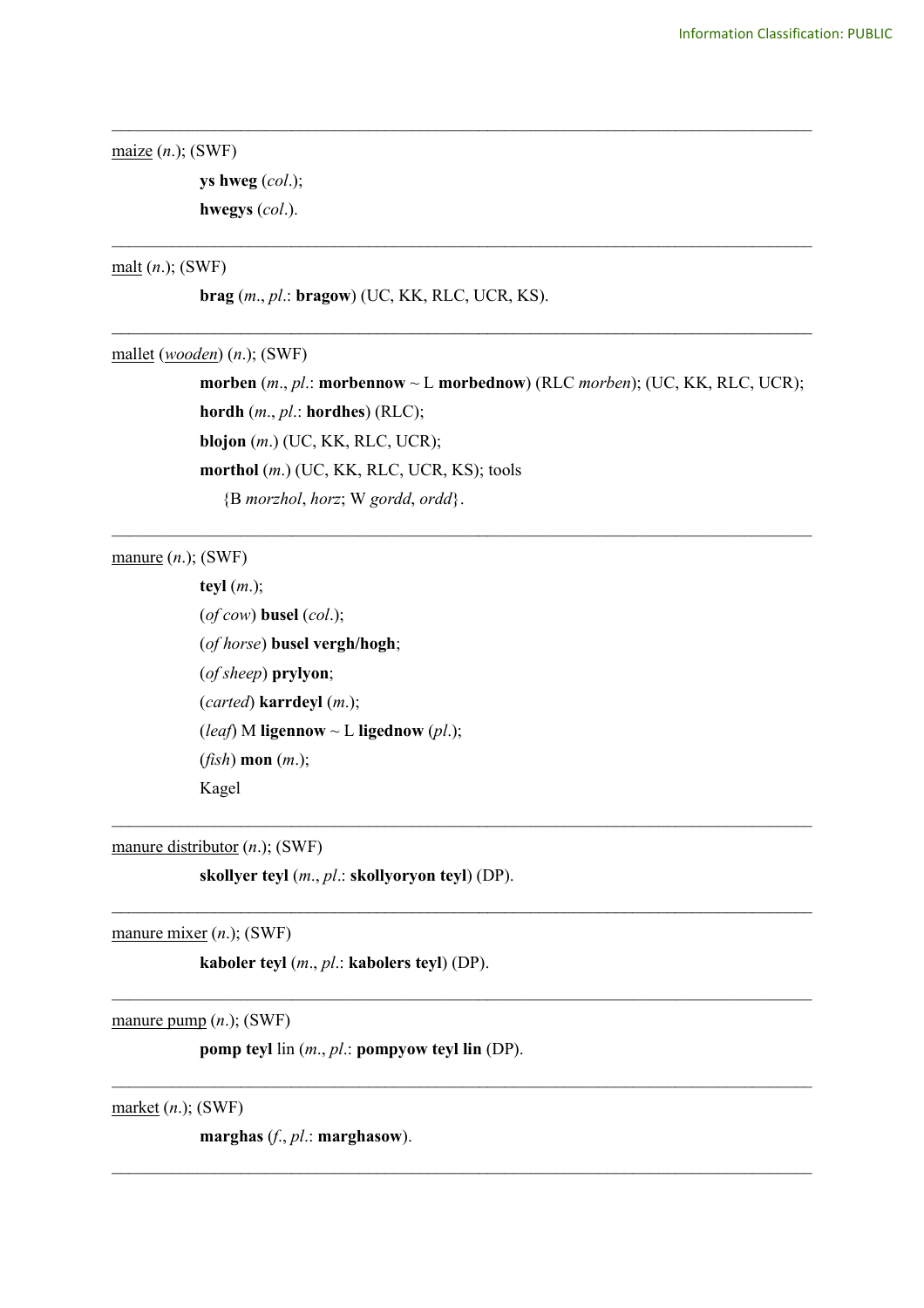```
maize (n.); (SWF)
```
**ys hweg** (*col*.); **hwegys** (*col*.).

## malt (*n*.); (SWF)

**brag** (*m*., *pl*.: **bragow**) (UC, KK, RLC, UCR, KS).

mallet (*wooden*) (*n*.); (SWF)

**morben** (*m*., *pl*.: **morbennow** ~ L **morbednow**) (RLC *morben*); (UC, KK, RLC, UCR); **hordh** (*m*., *pl*.: **hordhes**) (RLC); **blojon** (*m*.) (UC, KK, RLC, UCR); **morthol** (*m*.) (UC, KK, RLC, UCR, KS); tools {B *morzhol*, *horz*; W *gordd*, *ordd*}.

\_\_\_\_\_\_\_\_\_\_\_\_\_\_\_\_\_\_\_\_\_\_\_\_\_\_\_\_\_\_\_\_\_\_\_\_\_\_\_\_\_\_\_\_\_\_\_\_\_\_\_\_\_\_\_\_\_\_\_\_\_\_\_\_\_\_\_\_\_\_\_\_\_\_\_\_\_\_\_\_\_\_

\_\_\_\_\_\_\_\_\_\_\_\_\_\_\_\_\_\_\_\_\_\_\_\_\_\_\_\_\_\_\_\_\_\_\_\_\_\_\_\_\_\_\_\_\_\_\_\_\_\_\_\_\_\_\_\_\_\_\_\_\_\_\_\_\_\_\_\_\_\_\_\_\_\_\_\_\_\_\_\_\_\_

\_\_\_\_\_\_\_\_\_\_\_\_\_\_\_\_\_\_\_\_\_\_\_\_\_\_\_\_\_\_\_\_\_\_\_\_\_\_\_\_\_\_\_\_\_\_\_\_\_\_\_\_\_\_\_\_\_\_\_\_\_\_\_\_\_\_\_\_\_\_\_\_\_\_\_\_\_\_\_\_\_\_

\_\_\_\_\_\_\_\_\_\_\_\_\_\_\_\_\_\_\_\_\_\_\_\_\_\_\_\_\_\_\_\_\_\_\_\_\_\_\_\_\_\_\_\_\_\_\_\_\_\_\_\_\_\_\_\_\_\_\_\_\_\_\_\_\_\_\_\_\_\_\_\_\_\_\_\_\_\_\_\_\_\_

 $\_$ 

 $\_$ 

 $\_$ 

 $\_$ 

 $\mathcal{L}_\mathcal{L} = \{ \mathcal{L}_\mathcal{L} = \{ \mathcal{L}_\mathcal{L} = \{ \mathcal{L}_\mathcal{L} = \{ \mathcal{L}_\mathcal{L} = \{ \mathcal{L}_\mathcal{L} = \{ \mathcal{L}_\mathcal{L} = \{ \mathcal{L}_\mathcal{L} = \{ \mathcal{L}_\mathcal{L} = \{ \mathcal{L}_\mathcal{L} = \{ \mathcal{L}_\mathcal{L} = \{ \mathcal{L}_\mathcal{L} = \{ \mathcal{L}_\mathcal{L} = \{ \mathcal{L}_\mathcal{L} = \{ \mathcal{L}_\mathcal{$ 

manure (*n*.); (SWF)

**teyl** (*m*.); (*of cow*) **busel** (*col*.); (*of horse*) **busel vergh/hogh**; (*of sheep*) **prylyon**; (*carted*) **karrdeyl** (*m*.); (*leaf*) M **ligennow**  $\sim$  **L ligednow** (*pl.*); (*fish*) **mon** (*m*.); Kagel

manure distributor (*n*.); (SWF)

**skollyer teyl** (*m*., *pl*.: **skollyoryon teyl**) (DP).

manure mixer (*n*.); (SWF)

**kaboler teyl** (*m*., *pl*.: **kabolers teyl**) (DP).

manure pump (*n*.); (SWF)

**pomp teyl** lin (*m*., *pl*.: **pompyow teyl lin** (DP).

market (*n*.); (SWF)

**marghas** (*f*., *pl*.: **marghasow**).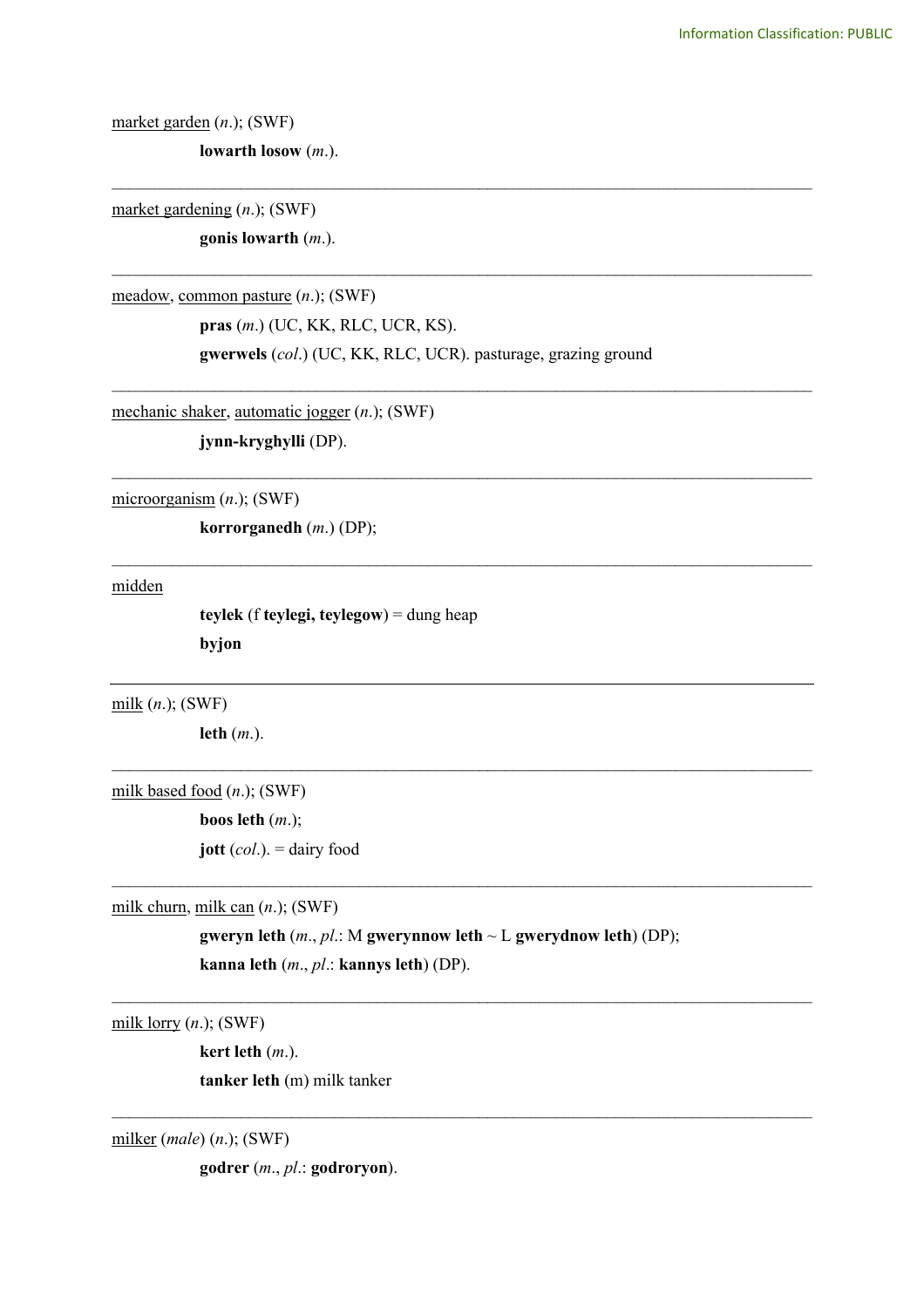market garden (*n*.); (SWF)

**lowarth losow** (*m*.).

market gardening (*n*.); (SWF)

**gonis lowarth** (*m*.).

meadow, common pasture (*n*.); (SWF)

**pras** (*m*.) (UC, KK, RLC, UCR, KS). **gwerwels** (*col*.) (UC, KK, RLC, UCR). pasturage, grazing ground

\_\_\_\_\_\_\_\_\_\_\_\_\_\_\_\_\_\_\_\_\_\_\_\_\_\_\_\_\_\_\_\_\_\_\_\_\_\_\_\_\_\_\_\_\_\_\_\_\_\_\_\_\_\_\_\_\_\_\_\_\_\_\_\_\_\_\_\_\_\_\_\_\_\_\_\_\_\_\_\_\_\_

\_\_\_\_\_\_\_\_\_\_\_\_\_\_\_\_\_\_\_\_\_\_\_\_\_\_\_\_\_\_\_\_\_\_\_\_\_\_\_\_\_\_\_\_\_\_\_\_\_\_\_\_\_\_\_\_\_\_\_\_\_\_\_\_\_\_\_\_\_\_\_\_\_\_\_\_\_\_\_\_\_\_

\_\_\_\_\_\_\_\_\_\_\_\_\_\_\_\_\_\_\_\_\_\_\_\_\_\_\_\_\_\_\_\_\_\_\_\_\_\_\_\_\_\_\_\_\_\_\_\_\_\_\_\_\_\_\_\_\_\_\_\_\_\_\_\_\_\_\_\_\_\_\_\_\_\_\_\_\_\_\_\_\_\_

\_\_\_\_\_\_\_\_\_\_\_\_\_\_\_\_\_\_\_\_\_\_\_\_\_\_\_\_\_\_\_\_\_\_\_\_\_\_\_\_\_\_\_\_\_\_\_\_\_\_\_\_\_\_\_\_\_\_\_\_\_\_\_\_\_\_\_\_\_\_\_\_\_\_\_\_\_\_\_\_\_\_

\_\_\_\_\_\_\_\_\_\_\_\_\_\_\_\_\_\_\_\_\_\_\_\_\_\_\_\_\_\_\_\_\_\_\_\_\_\_\_\_\_\_\_\_\_\_\_\_\_\_\_\_\_\_\_\_\_\_\_\_\_\_\_\_\_\_\_\_\_\_\_\_\_\_\_\_\_\_\_\_\_\_

 $\mathcal{L}_\text{max}$  and  $\mathcal{L}_\text{max}$  and  $\mathcal{L}_\text{max}$  and  $\mathcal{L}_\text{max}$  and  $\mathcal{L}_\text{max}$  and  $\mathcal{L}_\text{max}$ 

 $\mathcal{L}_\text{max}$  and  $\mathcal{L}_\text{max}$  and  $\mathcal{L}_\text{max}$  and  $\mathcal{L}_\text{max}$  and  $\mathcal{L}_\text{max}$  and  $\mathcal{L}_\text{max}$ 

 $\mathcal{L}_\text{max}$  and  $\mathcal{L}_\text{max}$  and  $\mathcal{L}_\text{max}$  and  $\mathcal{L}_\text{max}$  and  $\mathcal{L}_\text{max}$  and  $\mathcal{L}_\text{max}$ 

 $\_$ 

mechanic shaker, automatic jogger (*n*.); (SWF)

**jynn-kryghylli** (DP).

microorganism (*n*.); (SWF)

**korrorganedh** (*m*.) (DP);

midden

**teylek** (f **teylegi, teylegow**) = dung heap **byjon**

milk (*n*.); (SWF)

**leth** (*m*.).

milk based food (*n*.); (SWF)

**boos leth** (*m*.);

**jott** (*col*.). = dairy food

milk churn, milk can (*n*.); (SWF)

**gweryn leth** (*m*., *pl*.: M **gwerynnow leth** ~ L **gwerydnow leth**) (DP); **kanna leth** (*m*., *pl*.: **kannys leth**) (DP).

milk lorry (*n*.); (SWF)

**kert leth** (*m*.).

**tanker leth** (m) milk tanker

milker (*male*) (*n*.); (SWF)

**godrer** (*m*., *pl*.: **godroryon**).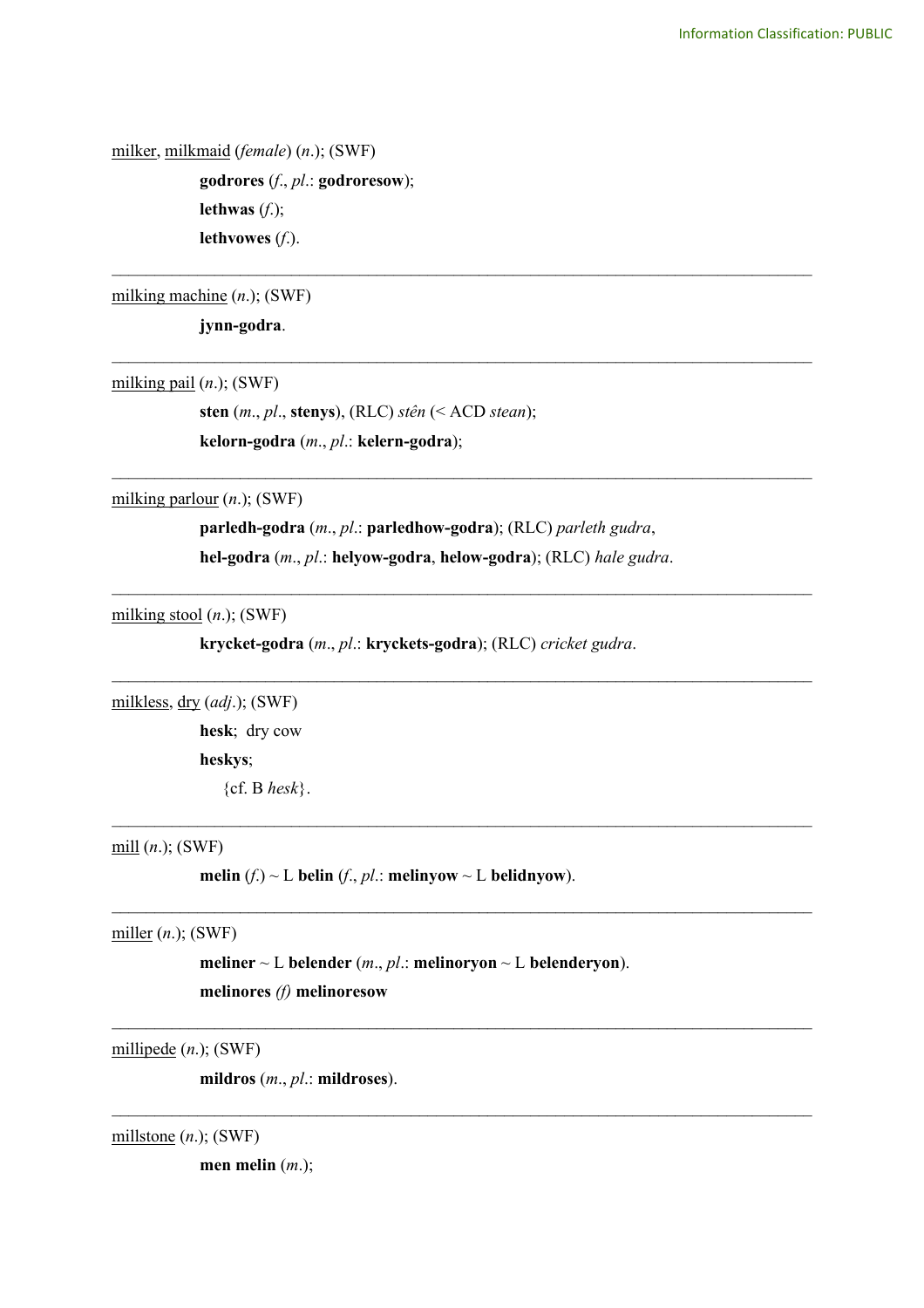milker, milkmaid (*female*) (*n*.); (SWF)

**godrores** (*f*., *pl*.: **godroresow**); **lethwas** (*f*.); **lethvowes** (*f*.).

milking machine (*n*.); (SWF)

**jynn-godra**.

milking pail (*n*.); (SWF)

**sten** (*m*., *pl*., **stenys**), (RLC) *stên* (< ACD *stean*); **kelorn-godra** (*m*., *pl*.: **kelern-godra**);

milking parlour (*n*.); (SWF)

**parledh-godra** (*m*., *pl*.: **parledhow-godra**); (RLC) *parleth gudra*, **hel-godra** (*m*., *pl*.: **helyow-godra**, **helow-godra**); (RLC) *hale gudra*.

\_\_\_\_\_\_\_\_\_\_\_\_\_\_\_\_\_\_\_\_\_\_\_\_\_\_\_\_\_\_\_\_\_\_\_\_\_\_\_\_\_\_\_\_\_\_\_\_\_\_\_\_\_\_\_\_\_\_\_\_\_\_\_\_\_\_\_\_\_\_\_\_\_\_\_\_\_\_\_\_\_\_

\_\_\_\_\_\_\_\_\_\_\_\_\_\_\_\_\_\_\_\_\_\_\_\_\_\_\_\_\_\_\_\_\_\_\_\_\_\_\_\_\_\_\_\_\_\_\_\_\_\_\_\_\_\_\_\_\_\_\_\_\_\_\_\_\_\_\_\_\_\_\_\_\_\_\_\_\_\_\_\_\_\_

\_\_\_\_\_\_\_\_\_\_\_\_\_\_\_\_\_\_\_\_\_\_\_\_\_\_\_\_\_\_\_\_\_\_\_\_\_\_\_\_\_\_\_\_\_\_\_\_\_\_\_\_\_\_\_\_\_\_\_\_\_\_\_\_\_\_\_\_\_\_\_\_\_\_\_\_\_\_\_\_\_\_

 $\mathcal{L}_\text{max}$  , and the contribution of the contribution of the contribution of the contribution of the contribution of the contribution of the contribution of the contribution of the contribution of the contribution of t

 $\mathcal{L}_\text{max}$  , and the contribution of the contribution of the contribution of the contribution of the contribution of the contribution of the contribution of the contribution of the contribution of the contribution of t

 $\mathcal{L}_\mathcal{L} = \{ \mathcal{L}_\mathcal{L} = \{ \mathcal{L}_\mathcal{L} = \{ \mathcal{L}_\mathcal{L} = \{ \mathcal{L}_\mathcal{L} = \{ \mathcal{L}_\mathcal{L} = \{ \mathcal{L}_\mathcal{L} = \{ \mathcal{L}_\mathcal{L} = \{ \mathcal{L}_\mathcal{L} = \{ \mathcal{L}_\mathcal{L} = \{ \mathcal{L}_\mathcal{L} = \{ \mathcal{L}_\mathcal{L} = \{ \mathcal{L}_\mathcal{L} = \{ \mathcal{L}_\mathcal{L} = \{ \mathcal{L}_\mathcal{$ 

 $\mathcal{L}_\mathcal{L} = \{ \mathcal{L}_\mathcal{L} = \{ \mathcal{L}_\mathcal{L} = \{ \mathcal{L}_\mathcal{L} = \{ \mathcal{L}_\mathcal{L} = \{ \mathcal{L}_\mathcal{L} = \{ \mathcal{L}_\mathcal{L} = \{ \mathcal{L}_\mathcal{L} = \{ \mathcal{L}_\mathcal{L} = \{ \mathcal{L}_\mathcal{L} = \{ \mathcal{L}_\mathcal{L} = \{ \mathcal{L}_\mathcal{L} = \{ \mathcal{L}_\mathcal{L} = \{ \mathcal{L}_\mathcal{L} = \{ \mathcal{L}_\mathcal{$ 

 $\mathcal{L}_\mathcal{L} = \{ \mathcal{L}_\mathcal{L} = \{ \mathcal{L}_\mathcal{L} = \{ \mathcal{L}_\mathcal{L} = \{ \mathcal{L}_\mathcal{L} = \{ \mathcal{L}_\mathcal{L} = \{ \mathcal{L}_\mathcal{L} = \{ \mathcal{L}_\mathcal{L} = \{ \mathcal{L}_\mathcal{L} = \{ \mathcal{L}_\mathcal{L} = \{ \mathcal{L}_\mathcal{L} = \{ \mathcal{L}_\mathcal{L} = \{ \mathcal{L}_\mathcal{L} = \{ \mathcal{L}_\mathcal{L} = \{ \mathcal{L}_\mathcal{$ 

 $\mathcal{L}_\mathcal{L} = \{ \mathcal{L}_\mathcal{L} = \{ \mathcal{L}_\mathcal{L} = \{ \mathcal{L}_\mathcal{L} = \{ \mathcal{L}_\mathcal{L} = \{ \mathcal{L}_\mathcal{L} = \{ \mathcal{L}_\mathcal{L} = \{ \mathcal{L}_\mathcal{L} = \{ \mathcal{L}_\mathcal{L} = \{ \mathcal{L}_\mathcal{L} = \{ \mathcal{L}_\mathcal{L} = \{ \mathcal{L}_\mathcal{L} = \{ \mathcal{L}_\mathcal{L} = \{ \mathcal{L}_\mathcal{L} = \{ \mathcal{L}_\mathcal{$ 

milking stool (*n*.); (SWF)

**krycket-godra** (*m*., *pl*.: **kryckets-godra**); (RLC) *cricket gudra*.

milkless, dry (*adj*.); (SWF)

**hesk**; dry cow **heskys**; {cf. B *hesk*}.

mill (*n*.); (SWF)

**melin**  $(f) \sim L$  **belin**  $(f, pl.:$  **melinyow**  $\sim L$  **belidnyow**).

miller (*n*.); (SWF)

**meliner**  $\sim$  L **belender** (*m., pl.:* **melinoryon**  $\sim$  L **belenderyon**). **melinores** *(f)* **melinoresow**

millipede (*n*.); (SWF)

**mildros** (*m*., *pl*.: **mildroses**).

millstone (*n*.); (SWF)

**men melin** (*m*.);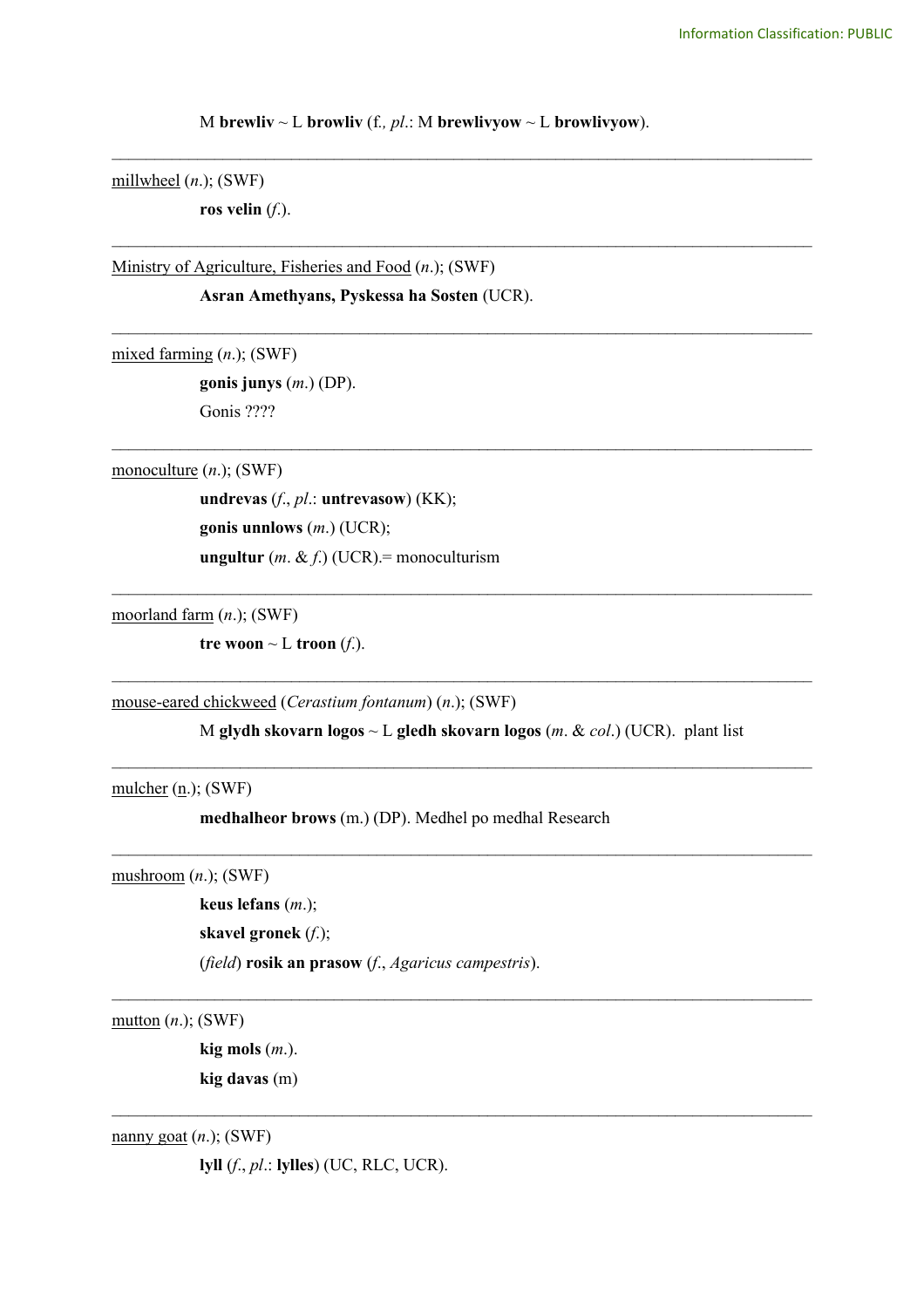M **brewliv**  $\sim$  L **browliv** (f., *pl*.: M **brewlivyow**  $\sim$  L **browlivyow**).

\_\_\_\_\_\_\_\_\_\_\_\_\_\_\_\_\_\_\_\_\_\_\_\_\_\_\_\_\_\_\_\_\_\_\_\_\_\_\_\_\_\_\_\_\_\_\_\_\_\_\_\_\_\_\_\_\_\_\_\_\_\_\_\_\_\_\_\_\_\_\_\_\_\_\_\_\_\_\_\_\_\_

\_\_\_\_\_\_\_\_\_\_\_\_\_\_\_\_\_\_\_\_\_\_\_\_\_\_\_\_\_\_\_\_\_\_\_\_\_\_\_\_\_\_\_\_\_\_\_\_\_\_\_\_\_\_\_\_\_\_\_\_\_\_\_\_\_\_\_\_\_\_\_\_\_\_\_\_\_\_\_\_\_\_

\_\_\_\_\_\_\_\_\_\_\_\_\_\_\_\_\_\_\_\_\_\_\_\_\_\_\_\_\_\_\_\_\_\_\_\_\_\_\_\_\_\_\_\_\_\_\_\_\_\_\_\_\_\_\_\_\_\_\_\_\_\_\_\_\_\_\_\_\_\_\_\_\_\_\_\_\_\_\_\_\_\_

\_\_\_\_\_\_\_\_\_\_\_\_\_\_\_\_\_\_\_\_\_\_\_\_\_\_\_\_\_\_\_\_\_\_\_\_\_\_\_\_\_\_\_\_\_\_\_\_\_\_\_\_\_\_\_\_\_\_\_\_\_\_\_\_\_\_\_\_\_\_\_\_\_\_\_\_\_\_\_\_\_\_

 $\mathcal{L}_\text{max}$  , and the contribution of the contribution of the contribution of the contribution of the contribution of the contribution of the contribution of the contribution of the contribution of the contribution of t

millwheel (*n*.); (SWF)

**ros velin** (*f*.).

Ministry of Agriculture, Fisheries and Food (*n*.); (SWF)

**Asran Amethyans, Pyskessa ha Sosten** (UCR).

mixed farming (*n*.); (SWF)

**gonis junys** (*m*.) (DP). Gonis ????

monoculture (*n*.); (SWF)

**undrevas** (*f*., *pl*.: **untrevasow**) (KK); **gonis unnlows** (*m*.) (UCR); **ungultur** (*m*. & *f*.) (UCR).= monoculturism

moorland farm (*n*.); (SWF)

**tre woon**  $\sim$  **L troon** (*f*.).

mouse-eared chickweed (*Cerastium fontanum*) (*n*.); (SWF)

M **glydh skovarn logos** ~ L **gledh skovarn logos** (*m*. & *col*.) (UCR). plant list

 $\mathcal{L}_\text{max}$  , and the contribution of the contribution of the contribution of the contribution of the contribution of the contribution of the contribution of the contribution of the contribution of the contribution of t

 $\mathcal{L}_\text{max}$  , and the contribution of the contribution of the contribution of the contribution of the contribution of the contribution of the contribution of the contribution of the contribution of the contribution of t

 $\mathcal{L}_\mathcal{L} = \{ \mathcal{L}_\mathcal{L} = \{ \mathcal{L}_\mathcal{L} = \{ \mathcal{L}_\mathcal{L} = \{ \mathcal{L}_\mathcal{L} = \{ \mathcal{L}_\mathcal{L} = \{ \mathcal{L}_\mathcal{L} = \{ \mathcal{L}_\mathcal{L} = \{ \mathcal{L}_\mathcal{L} = \{ \mathcal{L}_\mathcal{L} = \{ \mathcal{L}_\mathcal{L} = \{ \mathcal{L}_\mathcal{L} = \{ \mathcal{L}_\mathcal{L} = \{ \mathcal{L}_\mathcal{L} = \{ \mathcal{L}_\mathcal{$ 

 $\mathcal{L}_\mathcal{L} = \{ \mathcal{L}_\mathcal{L} = \{ \mathcal{L}_\mathcal{L} = \{ \mathcal{L}_\mathcal{L} = \{ \mathcal{L}_\mathcal{L} = \{ \mathcal{L}_\mathcal{L} = \{ \mathcal{L}_\mathcal{L} = \{ \mathcal{L}_\mathcal{L} = \{ \mathcal{L}_\mathcal{L} = \{ \mathcal{L}_\mathcal{L} = \{ \mathcal{L}_\mathcal{L} = \{ \mathcal{L}_\mathcal{L} = \{ \mathcal{L}_\mathcal{L} = \{ \mathcal{L}_\mathcal{L} = \{ \mathcal{L}_\mathcal{$ 

 $\mathcal{L}_\text{max}$  , and the contribution of the contribution of the contribution of the contribution of the contribution of the contribution of the contribution of the contribution of the contribution of the contribution of t

mulcher  $(n.);$  (SWF)

**medhalheor brows** (m.) (DP). Medhel po medhal Research

mushroom (*n*.); (SWF)

**keus lefans** (*m*.);

**skavel gronek** (*f*.);

(*field*) **rosik an prasow** (*f*., *Agaricus campestris*).

mutton (*n*.); (SWF)

**kig mols** (*m*.). **kig davas** (m)

nanny goat (*n*.); (SWF)

**lyll** (*f*., *pl*.: **lylles**) (UC, RLC, UCR).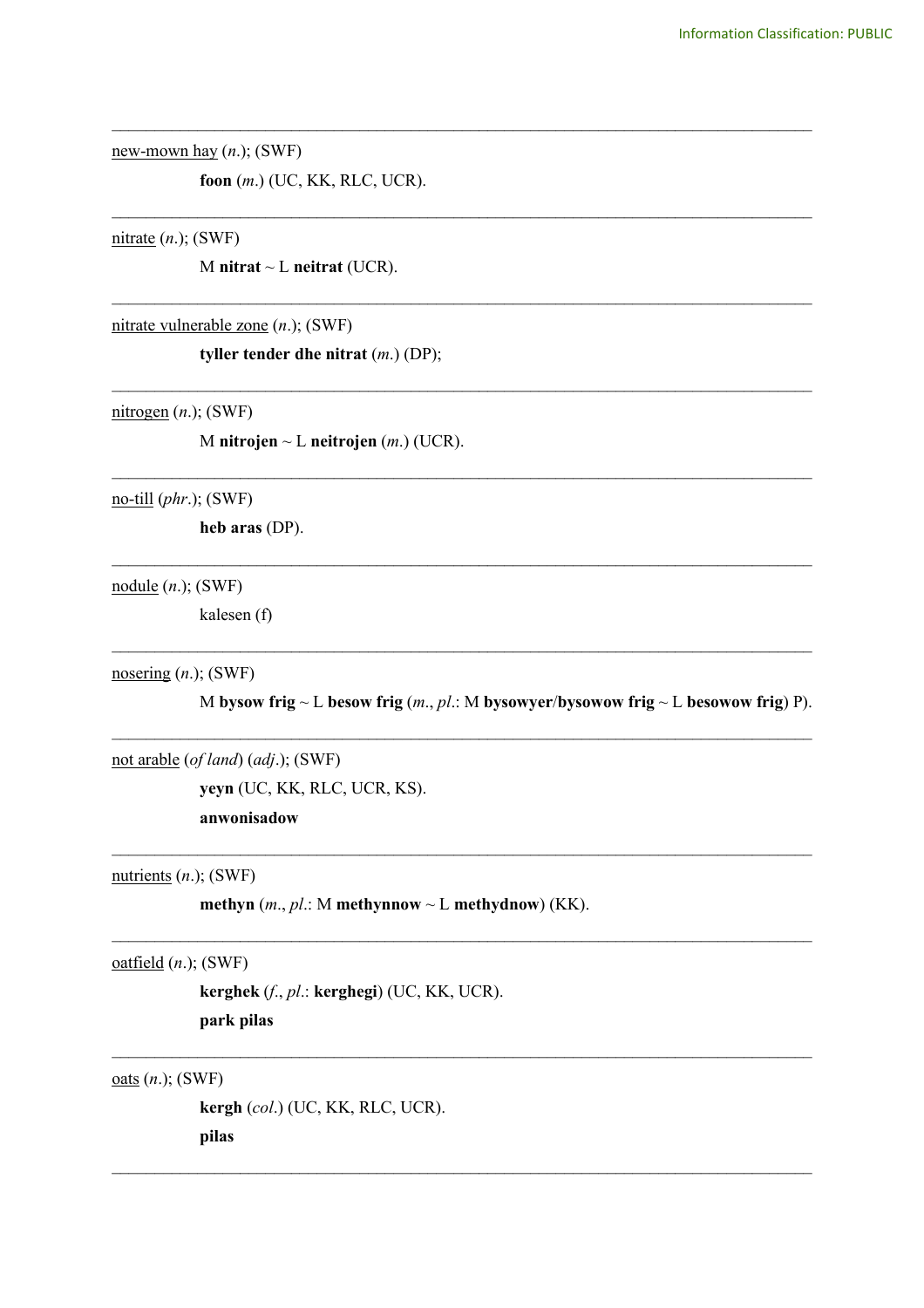new-mown hay  $(n.);$  (SWF)

foon  $(m.)$  (UC, KK, RLC, UCR).

nitrate  $(n.);$  (SWF)

M nitrat  $\sim$  L neitrat (UCR).

 $nitrate vulnerable zone (n.); (SWF)$ 

tyller tender dhe nitrat  $(m.)$  (DP);

 $nitrogen (n.); (SWF)$ 

M nitrojen ~ L neitrojen  $(m.)$  (UCR).

 $\underline{\text{no-till}}(phr.);$  (SWF)

heb aras (DP).

 $module (*n*.)$ ; (SWF)</u>

kalesen (f)

nosering  $(n.);$  (SWF)

M bysow frig ~ L besow frig  $(m, pl.: M$  bysowyer/bysowow frig ~ L besowow frig) P).

not arable (of land) (adj.); (SWF)

yeyn (UC, KK, RLC, UCR, KS). anwonisadow

nutrients  $(n.)$ ; (SWF)

methyn  $(m, pl.: M$  methynnow ~ L methydnow) (KK).

 $oatfield (n.);$  (SWF)

kerghek (f., pl.: kerghegi) (UC, KK, UCR). park pilas

oats  $(n.);$  (SWF)

kergh (col.) (UC, KK, RLC, UCR). pilas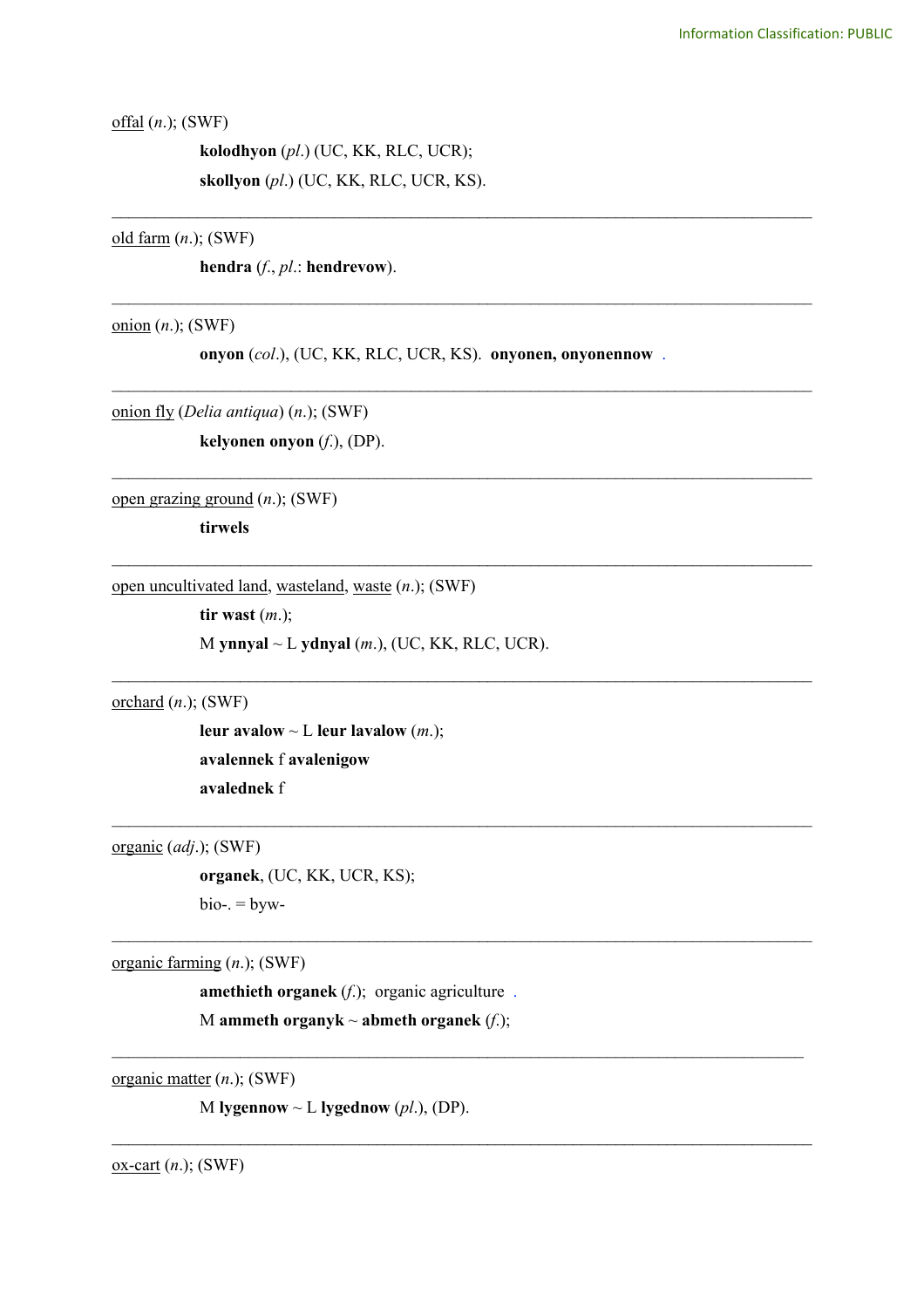offal (*n*.); (SWF)

**kolodhyon** (*pl*.) (UC, KK, RLC, UCR); **skollyon** (*pl*.) (UC, KK, RLC, UCR, KS).

old farm (*n*.); (SWF)

**hendra** (*f*., *pl*.: **hendrevow**).

onion (*n*.); (SWF)

**onyon** (*col*.), (UC, KK, RLC, UCR, KS). **onyonen, onyonennow** .

\_\_\_\_\_\_\_\_\_\_\_\_\_\_\_\_\_\_\_\_\_\_\_\_\_\_\_\_\_\_\_\_\_\_\_\_\_\_\_\_\_\_\_\_\_\_\_\_\_\_\_\_\_\_\_\_\_\_\_\_\_\_\_\_\_\_\_\_\_\_\_\_\_\_\_\_\_\_\_\_\_\_

\_\_\_\_\_\_\_\_\_\_\_\_\_\_\_\_\_\_\_\_\_\_\_\_\_\_\_\_\_\_\_\_\_\_\_\_\_\_\_\_\_\_\_\_\_\_\_\_\_\_\_\_\_\_\_\_\_\_\_\_\_\_\_\_\_\_\_\_\_\_\_\_\_\_\_\_\_\_\_\_\_\_

\_\_\_\_\_\_\_\_\_\_\_\_\_\_\_\_\_\_\_\_\_\_\_\_\_\_\_\_\_\_\_\_\_\_\_\_\_\_\_\_\_\_\_\_\_\_\_\_\_\_\_\_\_\_\_\_\_\_\_\_\_\_\_\_\_\_\_\_\_\_\_\_\_\_\_\_\_\_\_\_\_\_

\_\_\_\_\_\_\_\_\_\_\_\_\_\_\_\_\_\_\_\_\_\_\_\_\_\_\_\_\_\_\_\_\_\_\_\_\_\_\_\_\_\_\_\_\_\_\_\_\_\_\_\_\_\_\_\_\_\_\_\_\_\_\_\_\_\_\_\_\_\_\_\_\_\_\_\_\_\_\_\_\_\_

\_\_\_\_\_\_\_\_\_\_\_\_\_\_\_\_\_\_\_\_\_\_\_\_\_\_\_\_\_\_\_\_\_\_\_\_\_\_\_\_\_\_\_\_\_\_\_\_\_\_\_\_\_\_\_\_\_\_\_\_\_\_\_\_\_\_\_\_\_\_\_\_\_\_\_\_\_\_\_\_\_\_

 $\mathcal{L}_\text{max}$  , and the contribution of the contribution of the contribution of the contribution of the contribution of the contribution of the contribution of the contribution of the contribution of the contribution of t

 $\mathcal{L}_\mathcal{L} = \{ \mathcal{L}_\mathcal{L} = \{ \mathcal{L}_\mathcal{L} = \{ \mathcal{L}_\mathcal{L} = \{ \mathcal{L}_\mathcal{L} = \{ \mathcal{L}_\mathcal{L} = \{ \mathcal{L}_\mathcal{L} = \{ \mathcal{L}_\mathcal{L} = \{ \mathcal{L}_\mathcal{L} = \{ \mathcal{L}_\mathcal{L} = \{ \mathcal{L}_\mathcal{L} = \{ \mathcal{L}_\mathcal{L} = \{ \mathcal{L}_\mathcal{L} = \{ \mathcal{L}_\mathcal{L} = \{ \mathcal{L}_\mathcal{$ 

 $\mathcal{L}_\mathcal{L} = \{ \mathcal{L}_\mathcal{L} = \{ \mathcal{L}_\mathcal{L} = \{ \mathcal{L}_\mathcal{L} = \{ \mathcal{L}_\mathcal{L} = \{ \mathcal{L}_\mathcal{L} = \{ \mathcal{L}_\mathcal{L} = \{ \mathcal{L}_\mathcal{L} = \{ \mathcal{L}_\mathcal{L} = \{ \mathcal{L}_\mathcal{L} = \{ \mathcal{L}_\mathcal{L} = \{ \mathcal{L}_\mathcal{L} = \{ \mathcal{L}_\mathcal{L} = \{ \mathcal{L}_\mathcal{L} = \{ \mathcal{L}_\mathcal{$ 

 $\mathcal{L}_\mathcal{L} = \{ \mathcal{L}_\mathcal{L} = \{ \mathcal{L}_\mathcal{L} = \{ \mathcal{L}_\mathcal{L} = \{ \mathcal{L}_\mathcal{L} = \{ \mathcal{L}_\mathcal{L} = \{ \mathcal{L}_\mathcal{L} = \{ \mathcal{L}_\mathcal{L} = \{ \mathcal{L}_\mathcal{L} = \{ \mathcal{L}_\mathcal{L} = \{ \mathcal{L}_\mathcal{L} = \{ \mathcal{L}_\mathcal{L} = \{ \mathcal{L}_\mathcal{L} = \{ \mathcal{L}_\mathcal{L} = \{ \mathcal{L}_\mathcal{$ 

 $\mathcal{L}_\mathcal{L} = \{ \mathcal{L}_\mathcal{L} = \{ \mathcal{L}_\mathcal{L} = \{ \mathcal{L}_\mathcal{L} = \{ \mathcal{L}_\mathcal{L} = \{ \mathcal{L}_\mathcal{L} = \{ \mathcal{L}_\mathcal{L} = \{ \mathcal{L}_\mathcal{L} = \{ \mathcal{L}_\mathcal{L} = \{ \mathcal{L}_\mathcal{L} = \{ \mathcal{L}_\mathcal{L} = \{ \mathcal{L}_\mathcal{L} = \{ \mathcal{L}_\mathcal{L} = \{ \mathcal{L}_\mathcal{L} = \{ \mathcal{L}_\mathcal{$ 

onion fly (*Delia antiqua*) (*n*.); (SWF)

**kelyonen onyon** (*f*.), (DP).

open grazing ground (*n*.); (SWF)

**tirwels**

open uncultivated land, wasteland, waste (*n*.); (SWF)

**tir wast** (*m*.); M **ynnyal** ~ L **ydnyal** (*m*.), (UC, KK, RLC, UCR).

orchard (*n*.); (SWF)

**leur avalow** ~ L **leur lavalow** (*m*.); **avalennek** f **avalenigow avalednek** f

organic (*adj*.); (SWF)

**organek**, (UC, KK, UCR, KS);  $bio- = byw-$ 

organic farming (*n*.); (SWF)

**amethieth organek** (*f*.); organic agriculture . M **ammeth organyk** ~ **abmeth organek** (*f*.);

organic matter (*n*.); (SWF)

M **lygennow**  $\sim$  L **lygednow** (*pl.*), (DP).

ox-cart (*n*.); (SWF)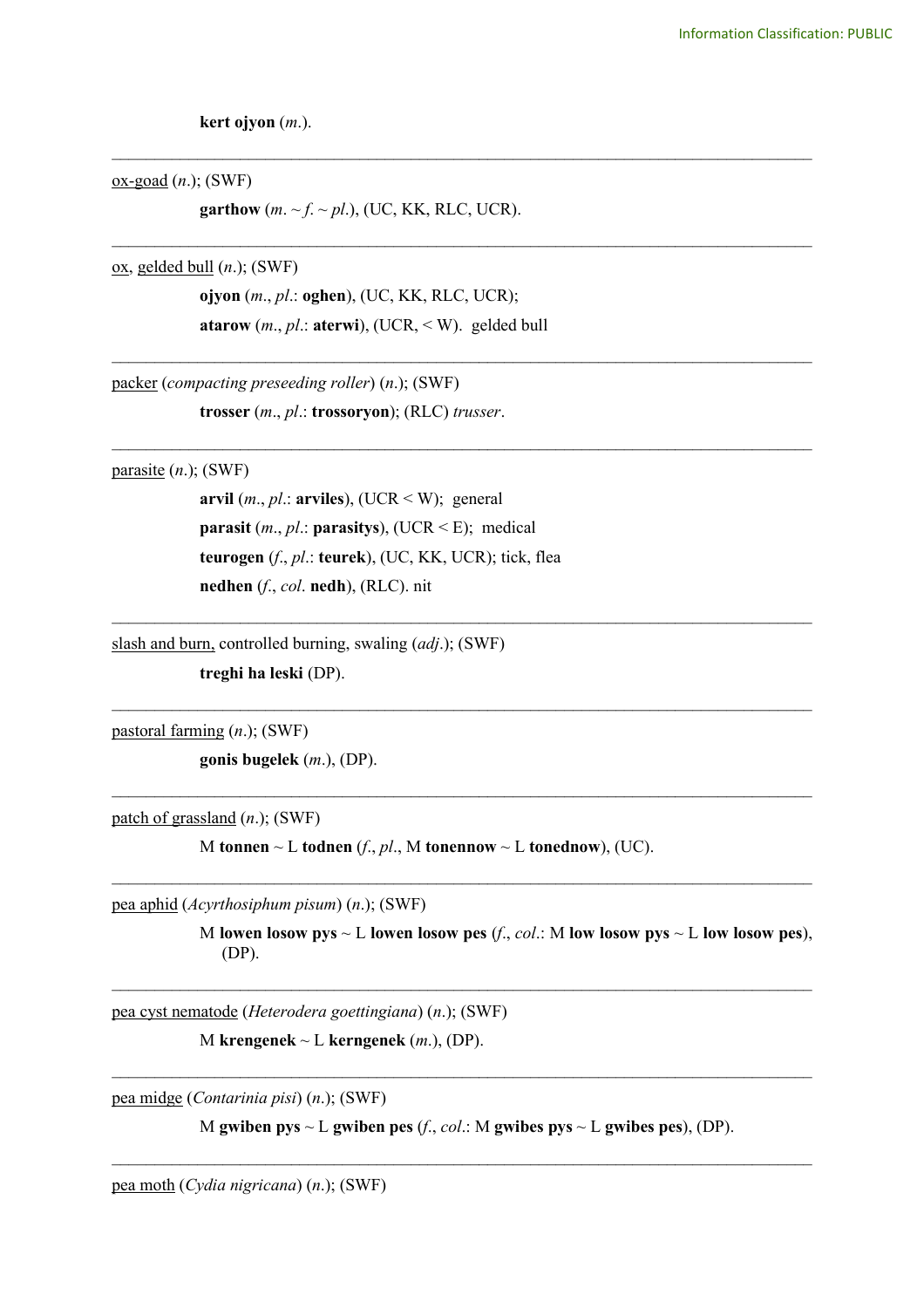**kert ojyon** (*m*.).

ox-goad (*n*.); (SWF)

**garthow**  $(m. \sim f. \sim pl.),$  (UC, KK, RLC, UCR).

\_\_\_\_\_\_\_\_\_\_\_\_\_\_\_\_\_\_\_\_\_\_\_\_\_\_\_\_\_\_\_\_\_\_\_\_\_\_\_\_\_\_\_\_\_\_\_\_\_\_\_\_\_\_\_\_\_\_\_\_\_\_\_\_\_\_\_\_\_\_\_\_\_\_\_\_\_\_\_\_\_\_

\_\_\_\_\_\_\_\_\_\_\_\_\_\_\_\_\_\_\_\_\_\_\_\_\_\_\_\_\_\_\_\_\_\_\_\_\_\_\_\_\_\_\_\_\_\_\_\_\_\_\_\_\_\_\_\_\_\_\_\_\_\_\_\_\_\_\_\_\_\_\_\_\_\_\_\_\_\_\_\_\_\_

\_\_\_\_\_\_\_\_\_\_\_\_\_\_\_\_\_\_\_\_\_\_\_\_\_\_\_\_\_\_\_\_\_\_\_\_\_\_\_\_\_\_\_\_\_\_\_\_\_\_\_\_\_\_\_\_\_\_\_\_\_\_\_\_\_\_\_\_\_\_\_\_\_\_\_\_\_\_\_\_\_\_

\_\_\_\_\_\_\_\_\_\_\_\_\_\_\_\_\_\_\_\_\_\_\_\_\_\_\_\_\_\_\_\_\_\_\_\_\_\_\_\_\_\_\_\_\_\_\_\_\_\_\_\_\_\_\_\_\_\_\_\_\_\_\_\_\_\_\_\_\_\_\_\_\_\_\_\_\_\_\_\_\_\_

\_\_\_\_\_\_\_\_\_\_\_\_\_\_\_\_\_\_\_\_\_\_\_\_\_\_\_\_\_\_\_\_\_\_\_\_\_\_\_\_\_\_\_\_\_\_\_\_\_\_\_\_\_\_\_\_\_\_\_\_\_\_\_\_\_\_\_\_\_\_\_\_\_\_\_\_\_\_\_\_\_\_

 $\mathcal{L}_\text{max}$  , and the contribution of the contribution of the contribution of the contribution of the contribution of the contribution of the contribution of the contribution of the contribution of the contribution of t

 $\mathcal{L}_\text{max}$  , and the contribution of the contribution of the contribution of the contribution of the contribution of the contribution of the contribution of the contribution of the contribution of the contribution of t

 $\mathcal{L}_\text{max}$  , and the contribution of the contribution of the contribution of the contribution of the contribution of the contribution of the contribution of the contribution of the contribution of the contribution of t

 $\mathcal{L}_\text{max}$  , and the contribution of the contribution of the contribution of the contribution of the contribution of the contribution of the contribution of the contribution of the contribution of the contribution of t

ox, gelded bull (*n*.); (SWF)

**ojyon** (*m*., *pl*.: **oghen**), (UC, KK, RLC, UCR); **atarow** (*m*., *pl*.: **aterwi**), (UCR, < W). gelded bull

packer (*compacting preseeding roller*) (*n*.); (SWF)

**trosser** (*m*., *pl*.: **trossoryon**); (RLC) *trusser*.

parasite (*n*.); (SWF)

**arvil**  $(m., pl.:$  **arviles**), (UCR  $\leq$  W); general **parasit** (*m*., *pl*.: **parasitys**), (UCR < E); medical **teurogen** (*f*., *pl*.: **teurek**), (UC, KK, UCR); tick, flea **nedhen** (*f*., *col*. **nedh**), (RLC). nit

slash and burn, controlled burning, swaling (*adj*.); (SWF)

**treghi ha leski** (DP).

pastoral farming (*n*.); (SWF)

**gonis bugelek** (*m*.), (DP).

patch of grassland (*n*.); (SWF)

M **tonnen**  $\sim$  L **todnen** (*f*., *pl*., M **tonennow**  $\sim$  L **tonednow**), (UC).

pea aphid (*Acyrthosiphum pisum*) (*n*.); (SWF)

M lowen losow pys  $\sim$  L lowen losow pes  $(f, col.: M$  low losow pys  $\sim$  L low losow pes), (DP).

pea cyst nematode (*Heterodera goettingiana*) (*n*.); (SWF)

M **krengenek**  $\sim$  L **kerngenek** (*m*.), (DP).

pea midge (*Contarinia pisi*) (*n*.); (SWF)

M **gwiben pys** ~ L **gwiben pes** (*f*., *col*.: M **gwibes pys** ~ L **gwibes pes**), (DP).  $\mathcal{L}_\mathcal{L} = \{ \mathcal{L}_\mathcal{L} = \{ \mathcal{L}_\mathcal{L} = \{ \mathcal{L}_\mathcal{L} = \{ \mathcal{L}_\mathcal{L} = \{ \mathcal{L}_\mathcal{L} = \{ \mathcal{L}_\mathcal{L} = \{ \mathcal{L}_\mathcal{L} = \{ \mathcal{L}_\mathcal{L} = \{ \mathcal{L}_\mathcal{L} = \{ \mathcal{L}_\mathcal{L} = \{ \mathcal{L}_\mathcal{L} = \{ \mathcal{L}_\mathcal{L} = \{ \mathcal{L}_\mathcal{L} = \{ \mathcal{L}_\mathcal{$ 

 $\mathcal{L}_\mathcal{L} = \{ \mathcal{L}_\mathcal{L} = \{ \mathcal{L}_\mathcal{L} = \{ \mathcal{L}_\mathcal{L} = \{ \mathcal{L}_\mathcal{L} = \{ \mathcal{L}_\mathcal{L} = \{ \mathcal{L}_\mathcal{L} = \{ \mathcal{L}_\mathcal{L} = \{ \mathcal{L}_\mathcal{L} = \{ \mathcal{L}_\mathcal{L} = \{ \mathcal{L}_\mathcal{L} = \{ \mathcal{L}_\mathcal{L} = \{ \mathcal{L}_\mathcal{L} = \{ \mathcal{L}_\mathcal{L} = \{ \mathcal{L}_\mathcal{$ 

pea moth (*Cydia nigricana*) (*n*.); (SWF)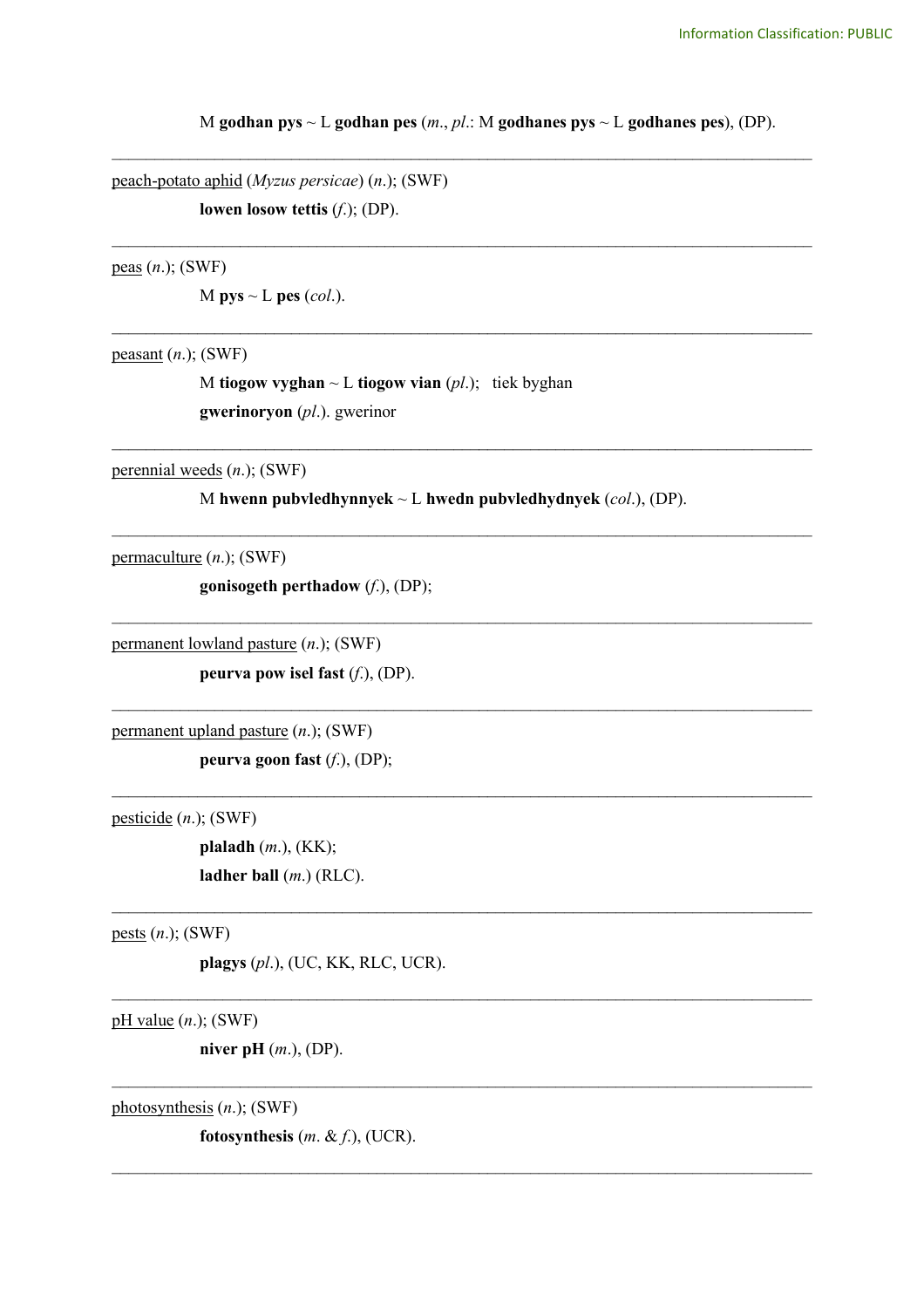M **godhan pys** ~ L **godhan pes** (*m*., *pl*.: M **godhanes pys** ~ L **godhanes pes**), (DP).

\_\_\_\_\_\_\_\_\_\_\_\_\_\_\_\_\_\_\_\_\_\_\_\_\_\_\_\_\_\_\_\_\_\_\_\_\_\_\_\_\_\_\_\_\_\_\_\_\_\_\_\_\_\_\_\_\_\_\_\_\_\_\_\_\_\_\_\_\_\_\_\_\_\_\_\_\_\_\_\_\_\_

\_\_\_\_\_\_\_\_\_\_\_\_\_\_\_\_\_\_\_\_\_\_\_\_\_\_\_\_\_\_\_\_\_\_\_\_\_\_\_\_\_\_\_\_\_\_\_\_\_\_\_\_\_\_\_\_\_\_\_\_\_\_\_\_\_\_\_\_\_\_\_\_\_\_\_\_\_\_\_\_\_\_

\_\_\_\_\_\_\_\_\_\_\_\_\_\_\_\_\_\_\_\_\_\_\_\_\_\_\_\_\_\_\_\_\_\_\_\_\_\_\_\_\_\_\_\_\_\_\_\_\_\_\_\_\_\_\_\_\_\_\_\_\_\_\_\_\_\_\_\_\_\_\_\_\_\_\_\_\_\_\_\_\_\_

\_\_\_\_\_\_\_\_\_\_\_\_\_\_\_\_\_\_\_\_\_\_\_\_\_\_\_\_\_\_\_\_\_\_\_\_\_\_\_\_\_\_\_\_\_\_\_\_\_\_\_\_\_\_\_\_\_\_\_\_\_\_\_\_\_\_\_\_\_\_\_\_\_\_\_\_\_\_\_\_\_\_

\_\_\_\_\_\_\_\_\_\_\_\_\_\_\_\_\_\_\_\_\_\_\_\_\_\_\_\_\_\_\_\_\_\_\_\_\_\_\_\_\_\_\_\_\_\_\_\_\_\_\_\_\_\_\_\_\_\_\_\_\_\_\_\_\_\_\_\_\_\_\_\_\_\_\_\_\_\_\_\_\_\_

\_\_\_\_\_\_\_\_\_\_\_\_\_\_\_\_\_\_\_\_\_\_\_\_\_\_\_\_\_\_\_\_\_\_\_\_\_\_\_\_\_\_\_\_\_\_\_\_\_\_\_\_\_\_\_\_\_\_\_\_\_\_\_\_\_\_\_\_\_\_\_\_\_\_\_\_\_\_\_\_\_\_

 $\mathcal{L}_\text{max}$  , and the contribution of the contribution of the contribution of the contribution of the contribution of the contribution of the contribution of the contribution of the contribution of the contribution of t

 $\mathcal{L}_\text{max}$  , and the contribution of the contribution of the contribution of the contribution of the contribution of the contribution of the contribution of the contribution of the contribution of the contribution of t

 $\mathcal{L}_\mathcal{L} = \{ \mathcal{L}_\mathcal{L} = \{ \mathcal{L}_\mathcal{L} = \{ \mathcal{L}_\mathcal{L} = \{ \mathcal{L}_\mathcal{L} = \{ \mathcal{L}_\mathcal{L} = \{ \mathcal{L}_\mathcal{L} = \{ \mathcal{L}_\mathcal{L} = \{ \mathcal{L}_\mathcal{L} = \{ \mathcal{L}_\mathcal{L} = \{ \mathcal{L}_\mathcal{L} = \{ \mathcal{L}_\mathcal{L} = \{ \mathcal{L}_\mathcal{L} = \{ \mathcal{L}_\mathcal{L} = \{ \mathcal{L}_\mathcal{$ 

 $\mathcal{L}_\mathcal{L} = \{ \mathcal{L}_\mathcal{L} = \{ \mathcal{L}_\mathcal{L} = \{ \mathcal{L}_\mathcal{L} = \{ \mathcal{L}_\mathcal{L} = \{ \mathcal{L}_\mathcal{L} = \{ \mathcal{L}_\mathcal{L} = \{ \mathcal{L}_\mathcal{L} = \{ \mathcal{L}_\mathcal{L} = \{ \mathcal{L}_\mathcal{L} = \{ \mathcal{L}_\mathcal{L} = \{ \mathcal{L}_\mathcal{L} = \{ \mathcal{L}_\mathcal{L} = \{ \mathcal{L}_\mathcal{L} = \{ \mathcal{L}_\mathcal{$ 

 $\mathcal{L}_\mathcal{L} = \{ \mathcal{L}_\mathcal{L} = \{ \mathcal{L}_\mathcal{L} = \{ \mathcal{L}_\mathcal{L} = \{ \mathcal{L}_\mathcal{L} = \{ \mathcal{L}_\mathcal{L} = \{ \mathcal{L}_\mathcal{L} = \{ \mathcal{L}_\mathcal{L} = \{ \mathcal{L}_\mathcal{L} = \{ \mathcal{L}_\mathcal{L} = \{ \mathcal{L}_\mathcal{L} = \{ \mathcal{L}_\mathcal{L} = \{ \mathcal{L}_\mathcal{L} = \{ \mathcal{L}_\mathcal{L} = \{ \mathcal{L}_\mathcal{$ 

 $\mathcal{L}_\mathcal{L} = \{ \mathcal{L}_\mathcal{L} = \{ \mathcal{L}_\mathcal{L} = \{ \mathcal{L}_\mathcal{L} = \{ \mathcal{L}_\mathcal{L} = \{ \mathcal{L}_\mathcal{L} = \{ \mathcal{L}_\mathcal{L} = \{ \mathcal{L}_\mathcal{L} = \{ \mathcal{L}_\mathcal{L} = \{ \mathcal{L}_\mathcal{L} = \{ \mathcal{L}_\mathcal{L} = \{ \mathcal{L}_\mathcal{L} = \{ \mathcal{L}_\mathcal{L} = \{ \mathcal{L}_\mathcal{L} = \{ \mathcal{L}_\mathcal{$ 

peach-potato aphid (*Myzus persicae*) (*n*.); (SWF) **lowen losow tettis** (*f*.); (DP).

peas (*n*.); (SWF)

M  $pys \sim L$   $pes (col.).$ 

peasant (*n*.); (SWF)

M **tiogow vyghan** ~ L **tiogow vian** (*pl*.); tiek byghan **gwerinoryon** (*pl*.). gwerinor

perennial weeds (*n*.); (SWF)

M **hwenn pubvledhynnyek** ~ L **hwedn pubvledhydnyek** (*col*.), (DP).

permaculture (*n*.); (SWF)

**gonisogeth perthadow** (*f*.), (DP);

permanent lowland pasture (*n*.); (SWF)

**peurva pow isel fast** (*f*.), (DP).

permanent upland pasture (*n*.); (SWF)

**peurva goon fast** (*f*.), (DP);

pesticide (*n*.); (SWF)

**plaladh** (*m*.), (KK); **ladher ball** (*m*.) (RLC).

pests (*n*.); (SWF)

**plagys** (*pl*.), (UC, KK, RLC, UCR).

pH value (*n*.); (SWF)

**niver pH** (*m*.), (DP).

photosynthesis (*n*.); (SWF)

**fotosynthesis** (*m*. & *f*.), (UCR).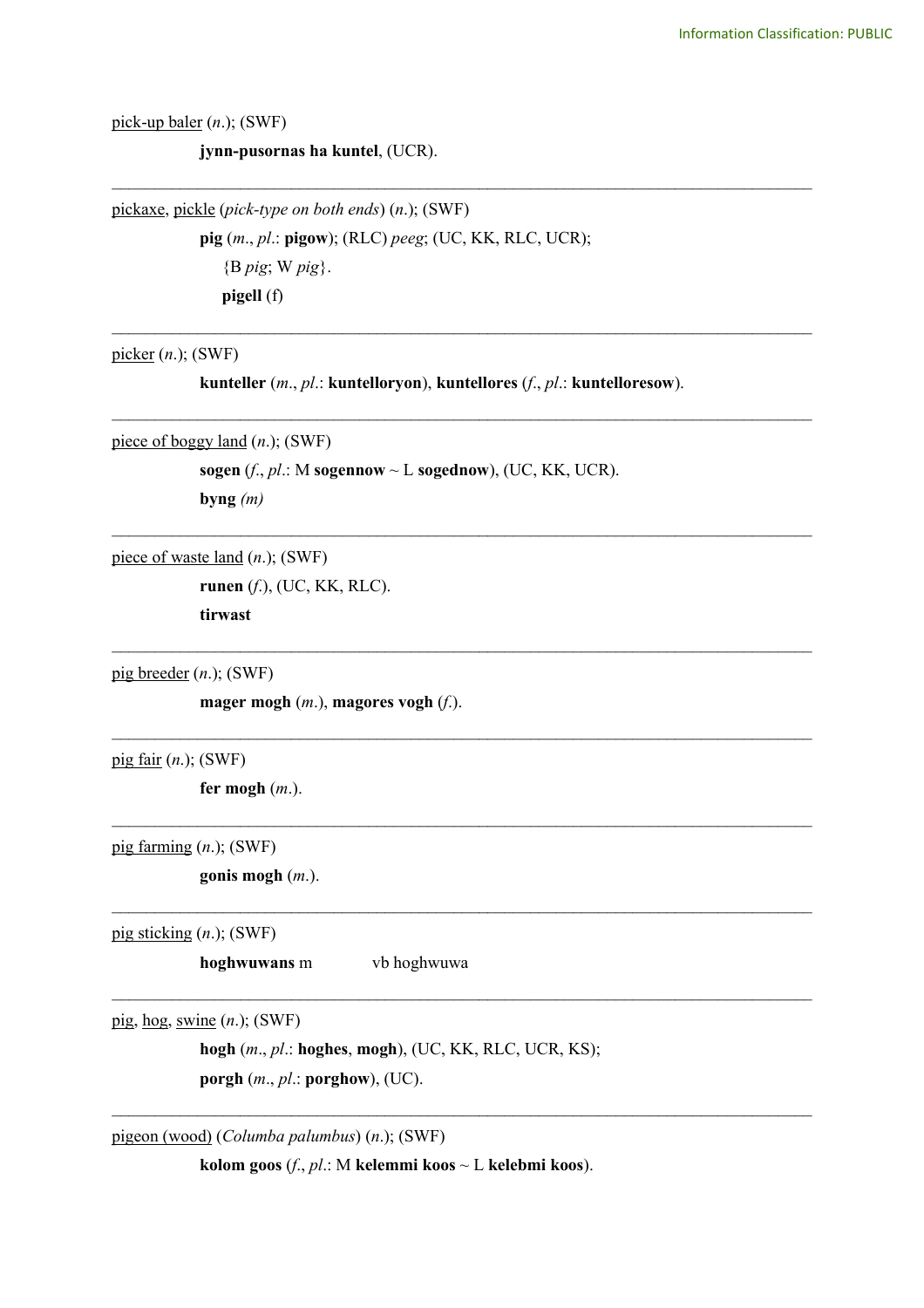pick-up baler (*n*.); (SWF)

**jynn-pusornas ha kuntel**, (UCR).

pickaxe, pickle (*pick-type on both ends*) (*n*.); (SWF) **pig** (*m*., *pl*.: **pigow**); (RLC) *peeg*; (UC, KK, RLC, UCR); {B *pig*; W *pig*}. **pigell** (f)

picker (*n*.); (SWF)

**kunteller** (*m*., *pl*.: **kuntelloryon**), **kuntellores** (*f*., *pl*.: **kuntelloresow**).

\_\_\_\_\_\_\_\_\_\_\_\_\_\_\_\_\_\_\_\_\_\_\_\_\_\_\_\_\_\_\_\_\_\_\_\_\_\_\_\_\_\_\_\_\_\_\_\_\_\_\_\_\_\_\_\_\_\_\_\_\_\_\_\_\_\_\_\_\_\_\_\_\_\_\_\_\_\_\_\_\_\_

\_\_\_\_\_\_\_\_\_\_\_\_\_\_\_\_\_\_\_\_\_\_\_\_\_\_\_\_\_\_\_\_\_\_\_\_\_\_\_\_\_\_\_\_\_\_\_\_\_\_\_\_\_\_\_\_\_\_\_\_\_\_\_\_\_\_\_\_\_\_\_\_\_\_\_\_\_\_\_\_\_\_

\_\_\_\_\_\_\_\_\_\_\_\_\_\_\_\_\_\_\_\_\_\_\_\_\_\_\_\_\_\_\_\_\_\_\_\_\_\_\_\_\_\_\_\_\_\_\_\_\_\_\_\_\_\_\_\_\_\_\_\_\_\_\_\_\_\_\_\_\_\_\_\_\_\_\_\_\_\_\_\_\_\_

\_\_\_\_\_\_\_\_\_\_\_\_\_\_\_\_\_\_\_\_\_\_\_\_\_\_\_\_\_\_\_\_\_\_\_\_\_\_\_\_\_\_\_\_\_\_\_\_\_\_\_\_\_\_\_\_\_\_\_\_\_\_\_\_\_\_\_\_\_\_\_\_\_\_\_\_\_\_\_\_\_\_

 $\mathcal{L}_\text{max}$  , and the contribution of the contribution of the contribution of the contribution of the contribution of the contribution of the contribution of the contribution of the contribution of the contribution of t

 $\mathcal{L}_\mathcal{L} = \{ \mathcal{L}_\mathcal{L} = \{ \mathcal{L}_\mathcal{L} = \{ \mathcal{L}_\mathcal{L} = \{ \mathcal{L}_\mathcal{L} = \{ \mathcal{L}_\mathcal{L} = \{ \mathcal{L}_\mathcal{L} = \{ \mathcal{L}_\mathcal{L} = \{ \mathcal{L}_\mathcal{L} = \{ \mathcal{L}_\mathcal{L} = \{ \mathcal{L}_\mathcal{L} = \{ \mathcal{L}_\mathcal{L} = \{ \mathcal{L}_\mathcal{L} = \{ \mathcal{L}_\mathcal{L} = \{ \mathcal{L}_\mathcal{$ 

 $\mathcal{L}_\mathcal{L} = \{ \mathcal{L}_\mathcal{L} = \{ \mathcal{L}_\mathcal{L} = \{ \mathcal{L}_\mathcal{L} = \{ \mathcal{L}_\mathcal{L} = \{ \mathcal{L}_\mathcal{L} = \{ \mathcal{L}_\mathcal{L} = \{ \mathcal{L}_\mathcal{L} = \{ \mathcal{L}_\mathcal{L} = \{ \mathcal{L}_\mathcal{L} = \{ \mathcal{L}_\mathcal{L} = \{ \mathcal{L}_\mathcal{L} = \{ \mathcal{L}_\mathcal{L} = \{ \mathcal{L}_\mathcal{L} = \{ \mathcal{L}_\mathcal{$ 

 $\mathcal{L}_\mathcal{L} = \{ \mathcal{L}_\mathcal{L} = \{ \mathcal{L}_\mathcal{L} = \{ \mathcal{L}_\mathcal{L} = \{ \mathcal{L}_\mathcal{L} = \{ \mathcal{L}_\mathcal{L} = \{ \mathcal{L}_\mathcal{L} = \{ \mathcal{L}_\mathcal{L} = \{ \mathcal{L}_\mathcal{L} = \{ \mathcal{L}_\mathcal{L} = \{ \mathcal{L}_\mathcal{L} = \{ \mathcal{L}_\mathcal{L} = \{ \mathcal{L}_\mathcal{L} = \{ \mathcal{L}_\mathcal{L} = \{ \mathcal{L}_\mathcal{$ 

 $\mathcal{L}_\mathcal{L} = \{ \mathcal{L}_\mathcal{L} = \{ \mathcal{L}_\mathcal{L} = \{ \mathcal{L}_\mathcal{L} = \{ \mathcal{L}_\mathcal{L} = \{ \mathcal{L}_\mathcal{L} = \{ \mathcal{L}_\mathcal{L} = \{ \mathcal{L}_\mathcal{L} = \{ \mathcal{L}_\mathcal{L} = \{ \mathcal{L}_\mathcal{L} = \{ \mathcal{L}_\mathcal{L} = \{ \mathcal{L}_\mathcal{L} = \{ \mathcal{L}_\mathcal{L} = \{ \mathcal{L}_\mathcal{L} = \{ \mathcal{L}_\mathcal{$ 

 $\mathcal{L}_\mathcal{L} = \{ \mathcal{L}_\mathcal{L} = \{ \mathcal{L}_\mathcal{L} = \{ \mathcal{L}_\mathcal{L} = \{ \mathcal{L}_\mathcal{L} = \{ \mathcal{L}_\mathcal{L} = \{ \mathcal{L}_\mathcal{L} = \{ \mathcal{L}_\mathcal{L} = \{ \mathcal{L}_\mathcal{L} = \{ \mathcal{L}_\mathcal{L} = \{ \mathcal{L}_\mathcal{L} = \{ \mathcal{L}_\mathcal{L} = \{ \mathcal{L}_\mathcal{L} = \{ \mathcal{L}_\mathcal{L} = \{ \mathcal{L}_\mathcal{$ 

piece of boggy land (*n*.); (SWF)

**sogen** ( $f$ .,  $p$  $l$ .: M **sogennow**  $\sim$  **L sogednow**), (UC, KK, UCR). **byng** *(m)*

piece of waste land (*n*.); (SWF)

**runen** (*f*.), (UC, KK, RLC). **tirwast**

pig breeder (*n*.); (SWF)

**mager mogh** (*m*.), **magores vogh** (*f*.).

pig fair (*n*.); (SWF)

**fer mogh** (*m*.).

pig farming (*n*.); (SWF)

**gonis mogh** (*m*.).

pig sticking (*n*.); (SWF)

**hoghwuwans** m vb hoghwuwa

pig, hog, swine (*n*.); (SWF)

**hogh** (*m*., *pl*.: **hoghes**, **mogh**), (UC, KK, RLC, UCR, KS); **porgh** (*m*., *pl*.: **porghow**), (UC).

pigeon (wood) (*Columba palumbus*) (*n*.); (SWF)

**kolom goos** (*f*., *pl*.: M **kelemmi koos** ~ L **kelebmi koos**).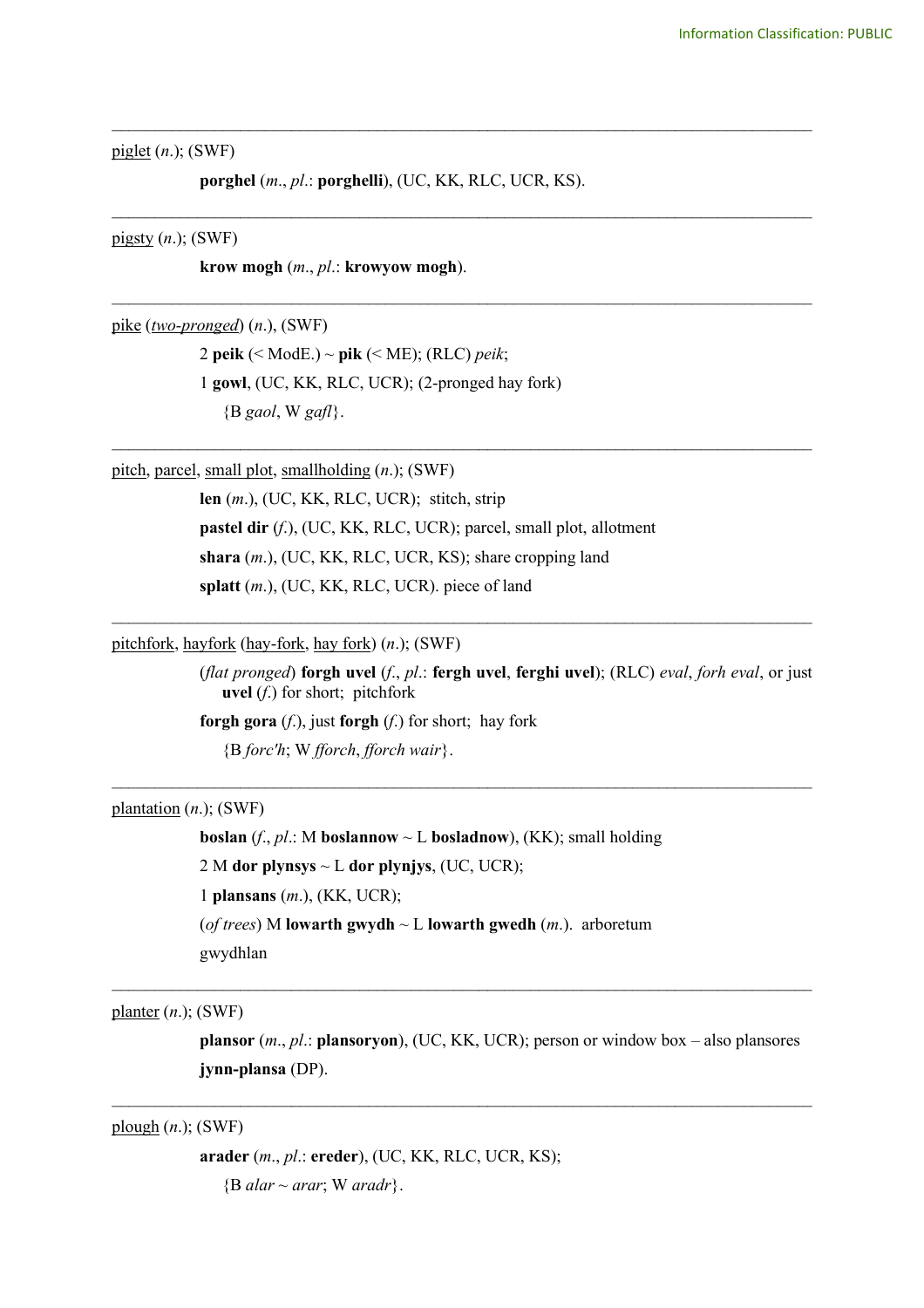piglet (*n*.); (SWF)

**porghel** (*m*., *pl*.: **porghelli**), (UC, KK, RLC, UCR, KS).

\_\_\_\_\_\_\_\_\_\_\_\_\_\_\_\_\_\_\_\_\_\_\_\_\_\_\_\_\_\_\_\_\_\_\_\_\_\_\_\_\_\_\_\_\_\_\_\_\_\_\_\_\_\_\_\_\_\_\_\_\_\_\_\_\_\_\_\_\_\_\_\_\_\_\_\_\_\_\_\_\_\_

\_\_\_\_\_\_\_\_\_\_\_\_\_\_\_\_\_\_\_\_\_\_\_\_\_\_\_\_\_\_\_\_\_\_\_\_\_\_\_\_\_\_\_\_\_\_\_\_\_\_\_\_\_\_\_\_\_\_\_\_\_\_\_\_\_\_\_\_\_\_\_\_\_\_\_\_\_\_\_\_\_\_

\_\_\_\_\_\_\_\_\_\_\_\_\_\_\_\_\_\_\_\_\_\_\_\_\_\_\_\_\_\_\_\_\_\_\_\_\_\_\_\_\_\_\_\_\_\_\_\_\_\_\_\_\_\_\_\_\_\_\_\_\_\_\_\_\_\_\_\_\_\_\_\_\_\_\_\_\_\_\_\_\_\_

\_\_\_\_\_\_\_\_\_\_\_\_\_\_\_\_\_\_\_\_\_\_\_\_\_\_\_\_\_\_\_\_\_\_\_\_\_\_\_\_\_\_\_\_\_\_\_\_\_\_\_\_\_\_\_\_\_\_\_\_\_\_\_\_\_\_\_\_\_\_\_\_\_\_\_\_\_\_\_\_\_\_

\_\_\_\_\_\_\_\_\_\_\_\_\_\_\_\_\_\_\_\_\_\_\_\_\_\_\_\_\_\_\_\_\_\_\_\_\_\_\_\_\_\_\_\_\_\_\_\_\_\_\_\_\_\_\_\_\_\_\_\_\_\_\_\_\_\_\_\_\_\_\_\_\_\_\_\_\_\_\_\_\_\_

 $\mathcal{L}_\text{max}$  , and the contribution of the contribution of the contribution of the contribution of the contribution of the contribution of the contribution of the contribution of the contribution of the contribution of t

 $\mathcal{L}_\text{max}$  , and the contribution of the contribution of the contribution of the contribution of the contribution of the contribution of the contribution of the contribution of the contribution of the contribution of t

 $\mathcal{L}_\mathcal{L} = \{ \mathcal{L}_\mathcal{L} = \{ \mathcal{L}_\mathcal{L} = \{ \mathcal{L}_\mathcal{L} = \{ \mathcal{L}_\mathcal{L} = \{ \mathcal{L}_\mathcal{L} = \{ \mathcal{L}_\mathcal{L} = \{ \mathcal{L}_\mathcal{L} = \{ \mathcal{L}_\mathcal{L} = \{ \mathcal{L}_\mathcal{L} = \{ \mathcal{L}_\mathcal{L} = \{ \mathcal{L}_\mathcal{L} = \{ \mathcal{L}_\mathcal{L} = \{ \mathcal{L}_\mathcal{L} = \{ \mathcal{L}_\mathcal{$ 

pigsty (*n*.); (SWF)

**krow mogh** (*m*., *pl*.: **krowyow mogh**).

pike (*two-pronged*) (*n*.), (SWF)

2 **peik** (< ModE.) ~ **pik** (< ME); (RLC) *peik*; 1 **gowl**, (UC, KK, RLC, UCR); (2-pronged hay fork) {B *gaol*, W *gafl*}.

pitch, parcel, small plot, smallholding (*n*.); (SWF)

**len** (*m*.), (UC, KK, RLC, UCR); stitch, strip **pastel dir** (*f*.), (UC, KK, RLC, UCR); parcel, small plot, allotment **shara** (*m*.), (UC, KK, RLC, UCR, KS); share cropping land **splatt** (*m*.), (UC, KK, RLC, UCR). piece of land

pitchfork, hayfork (hay-fork, hay fork) (*n*.); (SWF)

(*flat pronged*) **forgh uvel** (*f*., *pl*.: **fergh uvel**, **ferghi uvel**); (RLC) *eval*, *forh eval*, or just **uvel** (*f*.) for short; pitchfork

**forgh gora** (*f*.), just **forgh** (*f*.) for short; hay fork

{B *forc'h*; W *fforch*, *fforch wair*}.

plantation (*n*.); (SWF)

**boslan** (*f*.,  $pl$ .: M **boslannow**  $\sim$  **L bosladnow**), (KK); small holding 2 M **dor plynsys** ~ L **dor plynjys**, (UC, UCR); 1 **plansans** (*m*.), (KK, UCR); (*of trees*) M **lowarth gwydh** ~ L **lowarth gwedh** (*m*.). arboretum gwydhlan

planter (*n*.); (SWF)

**plansor** (*m*., *pl*.: **plansoryon**), (UC, KK, UCR); person or window box – also plansores **jynn-plansa** (DP).

plough (*n*.); (SWF)

**arader** (*m*., *pl*.: **ereder**), (UC, KK, RLC, UCR, KS);

 ${B \space alar \sim arar; W \space aradr}.$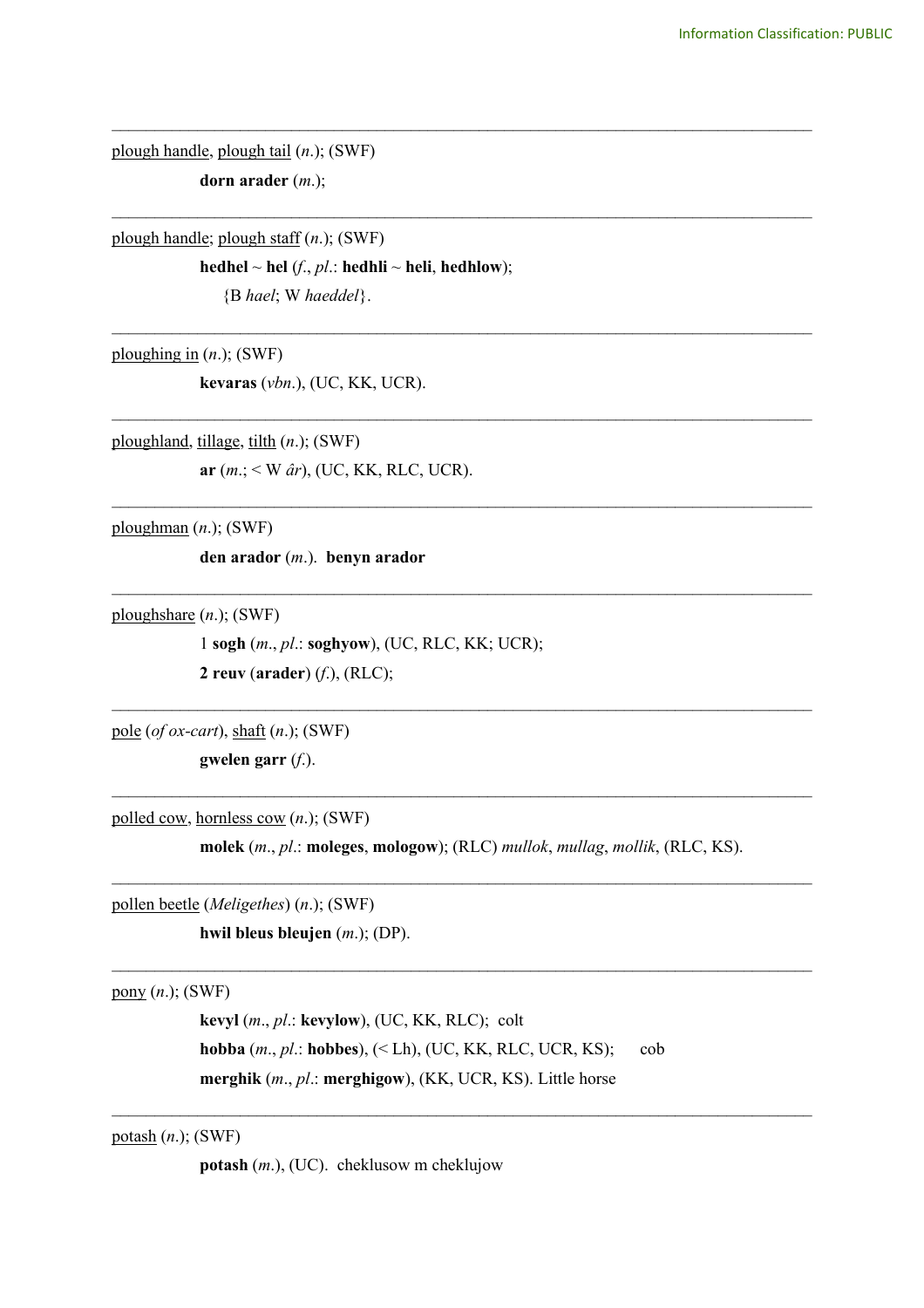plough handle, plough tail (*n*.); (SWF) **dorn arader** (*m*.);

plough handle; plough staff (*n*.); (SWF)

 $\mathbf{h}$ **edhel** ~  $\mathbf{h}$ **el** (*f*., *pl*.:  $\mathbf{h}$ **edhli** ~  $\mathbf{h}$ **eli**,  $\mathbf{h}$ **edhlow**);

\_\_\_\_\_\_\_\_\_\_\_\_\_\_\_\_\_\_\_\_\_\_\_\_\_\_\_\_\_\_\_\_\_\_\_\_\_\_\_\_\_\_\_\_\_\_\_\_\_\_\_\_\_\_\_\_\_\_\_\_\_\_\_\_\_\_\_\_\_\_\_\_\_\_\_\_\_\_\_\_\_\_

\_\_\_\_\_\_\_\_\_\_\_\_\_\_\_\_\_\_\_\_\_\_\_\_\_\_\_\_\_\_\_\_\_\_\_\_\_\_\_\_\_\_\_\_\_\_\_\_\_\_\_\_\_\_\_\_\_\_\_\_\_\_\_\_\_\_\_\_\_\_\_\_\_\_\_\_\_\_\_\_\_\_

\_\_\_\_\_\_\_\_\_\_\_\_\_\_\_\_\_\_\_\_\_\_\_\_\_\_\_\_\_\_\_\_\_\_\_\_\_\_\_\_\_\_\_\_\_\_\_\_\_\_\_\_\_\_\_\_\_\_\_\_\_\_\_\_\_\_\_\_\_\_\_\_\_\_\_\_\_\_\_\_\_\_

\_\_\_\_\_\_\_\_\_\_\_\_\_\_\_\_\_\_\_\_\_\_\_\_\_\_\_\_\_\_\_\_\_\_\_\_\_\_\_\_\_\_\_\_\_\_\_\_\_\_\_\_\_\_\_\_\_\_\_\_\_\_\_\_\_\_\_\_\_\_\_\_\_\_\_\_\_\_\_\_\_\_

\_\_\_\_\_\_\_\_\_\_\_\_\_\_\_\_\_\_\_\_\_\_\_\_\_\_\_\_\_\_\_\_\_\_\_\_\_\_\_\_\_\_\_\_\_\_\_\_\_\_\_\_\_\_\_\_\_\_\_\_\_\_\_\_\_\_\_\_\_\_\_\_\_\_\_\_\_\_\_\_\_\_

 $\mathcal{L}_\text{max}$  , and the contribution of the contribution of the contribution of the contribution of the contribution of the contribution of the contribution of the contribution of the contribution of the contribution of t

 $\mathcal{L}_\text{max}$  , and the contribution of the contribution of the contribution of the contribution of the contribution of the contribution of the contribution of the contribution of the contribution of the contribution of t

 $\mathcal{L}_\text{max}$  , and the contribution of the contribution of the contribution of the contribution of the contribution of the contribution of the contribution of the contribution of the contribution of the contribution of t

{B *hael*; W *haeddel*}.

ploughing in (*n*.); (SWF)

**kevaras** (*vbn*.), (UC, KK, UCR).

ploughland, tillage, tilth (*n*.); (SWF) **ar** (*m*.; < W *âr*), (UC, KK, RLC, UCR).

ploughman (*n*.); (SWF)

**den arador** (*m*.). **benyn arador**

ploughshare (*n*.); (SWF)

1 **sogh** (*m*., *pl*.: **soghyow**), (UC, RLC, KK; UCR); **2 reuv** (**arader**) (*f*.), (RLC);

pole (*of ox-cart*), shaft (*n*.); (SWF)

**gwelen garr** (*f*.).

polled cow, hornless cow (*n*.); (SWF)

**molek** (*m*., *pl*.: **moleges**, **mologow**); (RLC) *mullok*, *mullag*, *mollik*, (RLC, KS).  $\mathcal{L}_\text{max}$  , and the contribution of the contribution of the contribution of the contribution of the contribution of the contribution of the contribution of the contribution of the contribution of the contribution of t

 $\mathcal{L}_\text{max}$  , and the contribution of the contribution of the contribution of the contribution of the contribution of the contribution of the contribution of the contribution of the contribution of the contribution of t

 $\mathcal{L}_\mathcal{L} = \{ \mathcal{L}_\mathcal{L} = \{ \mathcal{L}_\mathcal{L} = \{ \mathcal{L}_\mathcal{L} = \{ \mathcal{L}_\mathcal{L} = \{ \mathcal{L}_\mathcal{L} = \{ \mathcal{L}_\mathcal{L} = \{ \mathcal{L}_\mathcal{L} = \{ \mathcal{L}_\mathcal{L} = \{ \mathcal{L}_\mathcal{L} = \{ \mathcal{L}_\mathcal{L} = \{ \mathcal{L}_\mathcal{L} = \{ \mathcal{L}_\mathcal{L} = \{ \mathcal{L}_\mathcal{L} = \{ \mathcal{L}_\mathcal{$ 

pollen beetle (*Meligethes*) (*n*.); (SWF)

**hwil bleus bleujen** (*m*.); (DP).

pony (*n*.); (SWF)

**kevyl** (*m*., *pl*.: **kevylow**), (UC, KK, RLC); colt **hobba** (*m*., *pl*.: **hobbes**), (< Lh), (UC, KK, RLC, UCR, KS); cob **merghik** (*m*., *pl*.: **merghigow**), (KK, UCR, KS). Little horse

potash (*n*.); (SWF)

**potash** (*m*.), (UC). cheklusow m cheklujow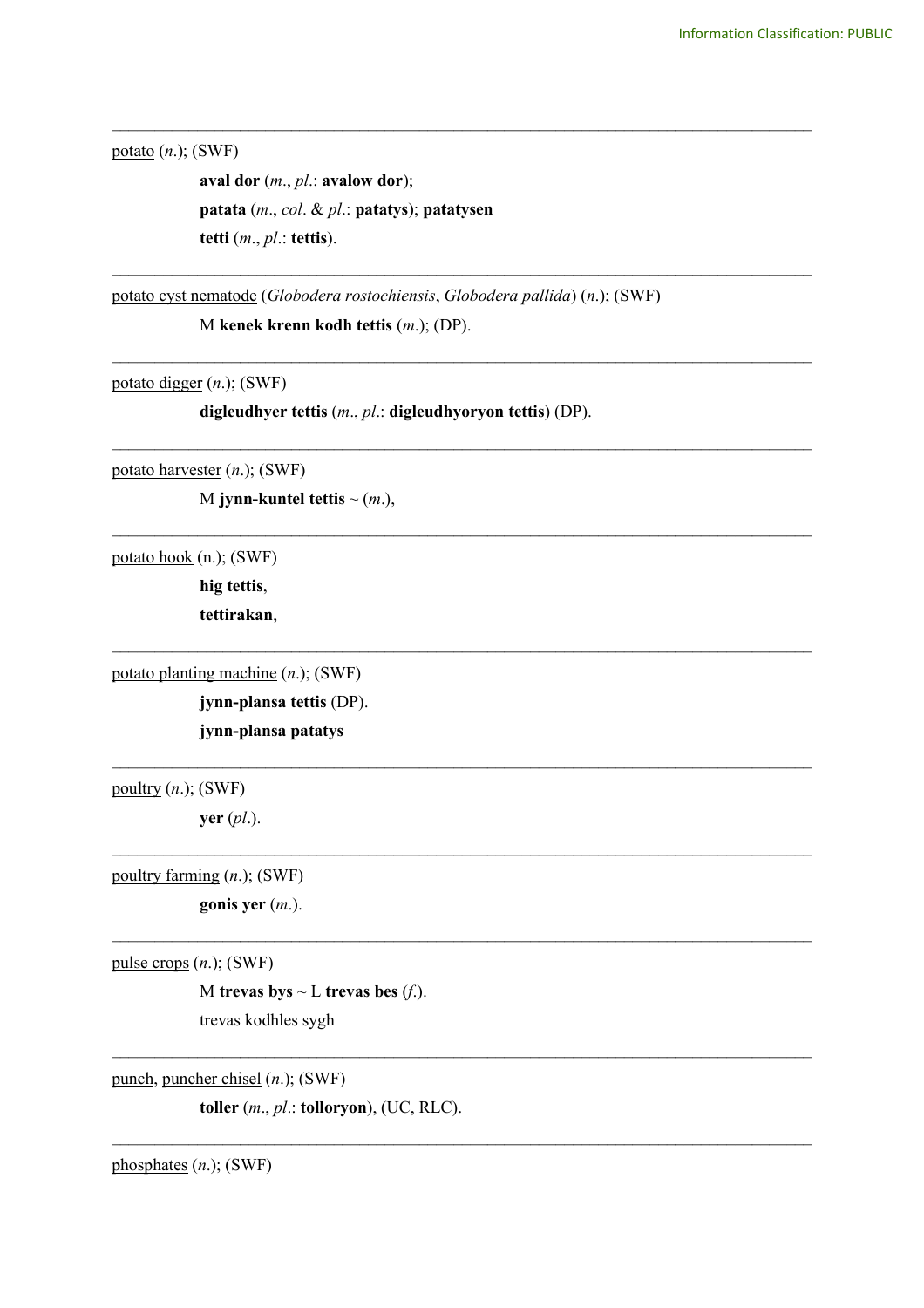potato (*n*.); (SWF)

**aval dor** (*m*., *pl*.: **avalow dor**); **patata** (*m*., *col*. & *pl*.: **patatys**); **patatysen tetti** (*m*., *pl*.: **tettis**).

potato cyst nematode (*Globodera rostochiensis*, *Globodera pallida*) (*n*.); (SWF) M **kenek krenn kodh tettis** (*m*.); (DP).

\_\_\_\_\_\_\_\_\_\_\_\_\_\_\_\_\_\_\_\_\_\_\_\_\_\_\_\_\_\_\_\_\_\_\_\_\_\_\_\_\_\_\_\_\_\_\_\_\_\_\_\_\_\_\_\_\_\_\_\_\_\_\_\_\_\_\_\_\_\_\_\_\_\_\_\_\_\_\_\_\_\_

\_\_\_\_\_\_\_\_\_\_\_\_\_\_\_\_\_\_\_\_\_\_\_\_\_\_\_\_\_\_\_\_\_\_\_\_\_\_\_\_\_\_\_\_\_\_\_\_\_\_\_\_\_\_\_\_\_\_\_\_\_\_\_\_\_\_\_\_\_\_\_\_\_\_\_\_\_\_\_\_\_\_

\_\_\_\_\_\_\_\_\_\_\_\_\_\_\_\_\_\_\_\_\_\_\_\_\_\_\_\_\_\_\_\_\_\_\_\_\_\_\_\_\_\_\_\_\_\_\_\_\_\_\_\_\_\_\_\_\_\_\_\_\_\_\_\_\_\_\_\_\_\_\_\_\_\_\_\_\_\_\_\_\_\_

\_\_\_\_\_\_\_\_\_\_\_\_\_\_\_\_\_\_\_\_\_\_\_\_\_\_\_\_\_\_\_\_\_\_\_\_\_\_\_\_\_\_\_\_\_\_\_\_\_\_\_\_\_\_\_\_\_\_\_\_\_\_\_\_\_\_\_\_\_\_\_\_\_\_\_\_\_\_\_\_\_\_

\_\_\_\_\_\_\_\_\_\_\_\_\_\_\_\_\_\_\_\_\_\_\_\_\_\_\_\_\_\_\_\_\_\_\_\_\_\_\_\_\_\_\_\_\_\_\_\_\_\_\_\_\_\_\_\_\_\_\_\_\_\_\_\_\_\_\_\_\_\_\_\_\_\_\_\_\_\_\_\_\_\_

 $\mathcal{L}_\text{max}$  and  $\mathcal{L}_\text{max}$  and  $\mathcal{L}_\text{max}$  and  $\mathcal{L}_\text{max}$  and  $\mathcal{L}_\text{max}$  and  $\mathcal{L}_\text{max}$ 

 $\mathcal{L}_\text{max}$  and  $\mathcal{L}_\text{max}$  and  $\mathcal{L}_\text{max}$  and  $\mathcal{L}_\text{max}$  and  $\mathcal{L}_\text{max}$  and  $\mathcal{L}_\text{max}$ 

 $\mathcal{L}_\text{max}$  and  $\mathcal{L}_\text{max}$  and  $\mathcal{L}_\text{max}$  and  $\mathcal{L}_\text{max}$  and  $\mathcal{L}_\text{max}$  and  $\mathcal{L}_\text{max}$ 

 $\mathcal{L}_\mathcal{L} = \{ \mathcal{L}_\mathcal{L} = \{ \mathcal{L}_\mathcal{L} = \{ \mathcal{L}_\mathcal{L} = \{ \mathcal{L}_\mathcal{L} = \{ \mathcal{L}_\mathcal{L} = \{ \mathcal{L}_\mathcal{L} = \{ \mathcal{L}_\mathcal{L} = \{ \mathcal{L}_\mathcal{L} = \{ \mathcal{L}_\mathcal{L} = \{ \mathcal{L}_\mathcal{L} = \{ \mathcal{L}_\mathcal{L} = \{ \mathcal{L}_\mathcal{L} = \{ \mathcal{L}_\mathcal{L} = \{ \mathcal{L}_\mathcal{$ 

 $\mathcal{L}_\mathcal{L} = \{ \mathcal{L}_\mathcal{L} = \{ \mathcal{L}_\mathcal{L} = \{ \mathcal{L}_\mathcal{L} = \{ \mathcal{L}_\mathcal{L} = \{ \mathcal{L}_\mathcal{L} = \{ \mathcal{L}_\mathcal{L} = \{ \mathcal{L}_\mathcal{L} = \{ \mathcal{L}_\mathcal{L} = \{ \mathcal{L}_\mathcal{L} = \{ \mathcal{L}_\mathcal{L} = \{ \mathcal{L}_\mathcal{L} = \{ \mathcal{L}_\mathcal{L} = \{ \mathcal{L}_\mathcal{L} = \{ \mathcal{L}_\mathcal{$ 

 $\mathcal{L}_\mathcal{L} = \{ \mathcal{L}_\mathcal{L} = \{ \mathcal{L}_\mathcal{L} = \{ \mathcal{L}_\mathcal{L} = \{ \mathcal{L}_\mathcal{L} = \{ \mathcal{L}_\mathcal{L} = \{ \mathcal{L}_\mathcal{L} = \{ \mathcal{L}_\mathcal{L} = \{ \mathcal{L}_\mathcal{L} = \{ \mathcal{L}_\mathcal{L} = \{ \mathcal{L}_\mathcal{L} = \{ \mathcal{L}_\mathcal{L} = \{ \mathcal{L}_\mathcal{L} = \{ \mathcal{L}_\mathcal{L} = \{ \mathcal{L}_\mathcal{$ 

potato digger (*n*.); (SWF)

**digleudhyer tettis** (*m*., *pl*.: **digleudhyoryon tettis**) (DP).

potato harvester (*n*.); (SWF)

M **jynn-kuntel tettis**  $\sim$   $(m.)$ ,

potato hook (n.); (SWF)

**hig tettis**,

**tettirakan**,

potato planting machine (*n*.); (SWF)

**jynn-plansa tettis** (DP). **jynn-plansa patatys**

poultry (*n*.); (SWF)

**yer** (*pl*.).

poultry farming (*n*.); (SWF)

**gonis yer** (*m*.).

pulse crops (*n*.); (SWF)

M **trevas** by  $\sim$  L **trevas** bes  $(f.)$ . trevas kodhles sygh

punch, puncher chisel (*n*.); (SWF)

**toller** (*m*., *pl*.: **tolloryon**), (UC, RLC).

phosphates (*n*.); (SWF)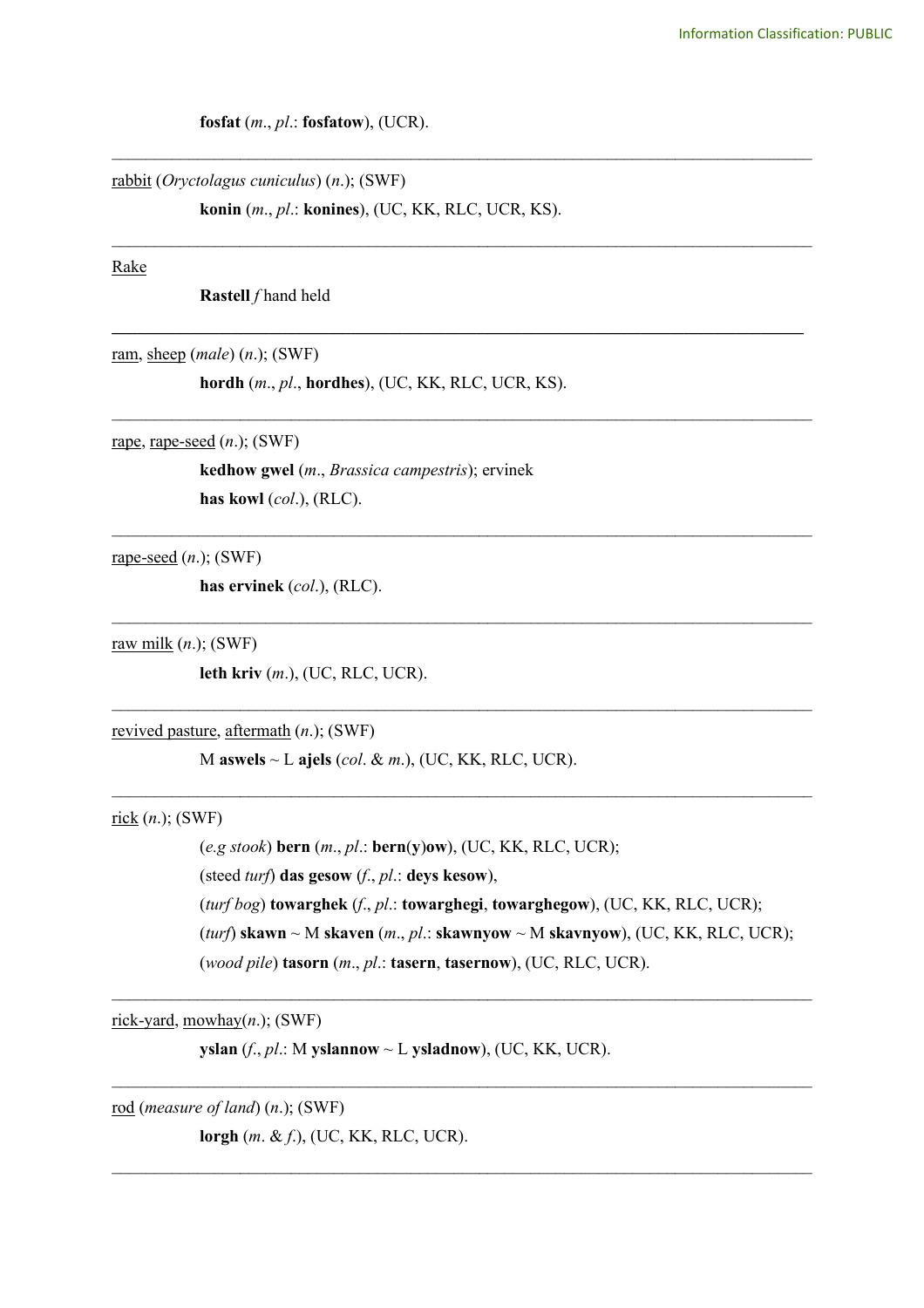**fosfat** (*m*., *pl*.: **fosfatow**), (UCR).

rabbit (*Oryctolagus cuniculus*) (*n*.); (SWF)

**konin** (*m*., *pl*.: **konines**), (UC, KK, RLC, UCR, KS).

\_\_\_\_\_\_\_\_\_\_\_\_\_\_\_\_\_\_\_\_\_\_\_\_\_\_\_\_\_\_\_\_\_\_\_\_\_\_\_\_\_\_\_\_\_\_\_\_\_\_\_\_\_\_\_\_\_\_\_\_\_\_\_\_\_\_\_\_\_\_\_\_\_\_\_\_\_\_\_\_\_\_

\_\_\_\_\_\_\_\_\_\_\_\_\_\_\_\_\_\_\_\_\_\_\_\_\_\_\_\_\_\_\_\_\_\_\_\_\_\_\_\_\_\_\_\_\_\_\_\_\_\_\_\_\_\_\_\_\_\_\_\_\_\_\_\_\_\_\_\_\_\_\_\_\_\_\_\_\_\_\_\_\_\_

**\_\_\_\_\_\_\_\_\_\_\_\_\_\_\_\_\_\_\_\_\_\_\_\_\_\_\_\_\_\_\_\_\_\_\_\_\_\_\_\_\_\_\_\_\_\_\_\_\_\_\_\_\_\_\_\_\_\_\_\_\_\_\_\_\_\_\_\_\_\_\_\_\_\_\_\_\_\_\_\_\_**

\_\_\_\_\_\_\_\_\_\_\_\_\_\_\_\_\_\_\_\_\_\_\_\_\_\_\_\_\_\_\_\_\_\_\_\_\_\_\_\_\_\_\_\_\_\_\_\_\_\_\_\_\_\_\_\_\_\_\_\_\_\_\_\_\_\_\_\_\_\_\_\_\_\_\_\_\_\_\_\_\_\_

\_\_\_\_\_\_\_\_\_\_\_\_\_\_\_\_\_\_\_\_\_\_\_\_\_\_\_\_\_\_\_\_\_\_\_\_\_\_\_\_\_\_\_\_\_\_\_\_\_\_\_\_\_\_\_\_\_\_\_\_\_\_\_\_\_\_\_\_\_\_\_\_\_\_\_\_\_\_\_\_\_\_

\_\_\_\_\_\_\_\_\_\_\_\_\_\_\_\_\_\_\_\_\_\_\_\_\_\_\_\_\_\_\_\_\_\_\_\_\_\_\_\_\_\_\_\_\_\_\_\_\_\_\_\_\_\_\_\_\_\_\_\_\_\_\_\_\_\_\_\_\_\_\_\_\_\_\_\_\_\_\_\_\_\_

 $\mathcal{L}_\text{max}$  and  $\mathcal{L}_\text{max}$  and  $\mathcal{L}_\text{max}$  and  $\mathcal{L}_\text{max}$  and  $\mathcal{L}_\text{max}$  and  $\mathcal{L}_\text{max}$ 

 $\mathcal{L}_\text{max}$  and  $\mathcal{L}_\text{max}$  and  $\mathcal{L}_\text{max}$  and  $\mathcal{L}_\text{max}$  and  $\mathcal{L}_\text{max}$  and  $\mathcal{L}_\text{max}$ 

 $\mathcal{L}_\text{max}$  and  $\mathcal{L}_\text{max}$  and  $\mathcal{L}_\text{max}$  and  $\mathcal{L}_\text{max}$  and  $\mathcal{L}_\text{max}$  and  $\mathcal{L}_\text{max}$ 

 $\mathcal{L}_\text{max}$  and  $\mathcal{L}_\text{max}$  and  $\mathcal{L}_\text{max}$  and  $\mathcal{L}_\text{max}$  and  $\mathcal{L}_\text{max}$  and  $\mathcal{L}_\text{max}$ 

 $\mathcal{L}_\mathcal{L} = \{ \mathcal{L}_\mathcal{L} = \{ \mathcal{L}_\mathcal{L} = \{ \mathcal{L}_\mathcal{L} = \{ \mathcal{L}_\mathcal{L} = \{ \mathcal{L}_\mathcal{L} = \{ \mathcal{L}_\mathcal{L} = \{ \mathcal{L}_\mathcal{L} = \{ \mathcal{L}_\mathcal{L} = \{ \mathcal{L}_\mathcal{L} = \{ \mathcal{L}_\mathcal{L} = \{ \mathcal{L}_\mathcal{L} = \{ \mathcal{L}_\mathcal{L} = \{ \mathcal{L}_\mathcal{L} = \{ \mathcal{L}_\mathcal{$ 

#### Rake

**Rastell** *f* hand held

ram, sheep (*male*) (*n*.); (SWF)

**hordh** (*m*., *pl*., **hordhes**), (UC, KK, RLC, UCR, KS).

rape, rape-seed (*n*.); (SWF)

**kedhow gwel** (*m*., *Brassica campestris*); ervinek **has kowl** (*col*.), (RLC).

rape-seed (*n*.); (SWF)

**has ervinek** (*col*.), (RLC).

raw milk (*n*.); (SWF)

**leth kriv** (*m*.), (UC, RLC, UCR).

revived pasture, aftermath (*n*.); (SWF)

M **aswels** ~ L **ajels** (*col*. & *m*.), (UC, KK, RLC, UCR).

rick (*n*.); (SWF)

(*e.g stook*) **bern** (*m*., *pl*.: **bern**(**y**)**ow**), (UC, KK, RLC, UCR); (steed *turf*) **das gesow** (*f*., *pl*.: **deys kesow**), (*turf bog*) **towarghek** (*f*., *pl*.: **towarghegi**, **towarghegow**), (UC, KK, RLC, UCR); (*turf*) **skawn** ~ M **skaven** (*m*., *pl*.: **skawnyow** ~ M **skavnyow**), (UC, KK, RLC, UCR); (*wood pile*) **tasorn** (*m*., *pl*.: **tasern**, **tasernow**), (UC, RLC, UCR).

rick-yard, mowhay(*n*.); (SWF)

**yslan** (*f*., *pl*.: M **yslannow** ~ L **ysladnow**), (UC, KK, UCR).

rod (*measure of land*) (*n*.); (SWF) **lorgh** (*m*. & *f*.), (UC, KK, RLC, UCR).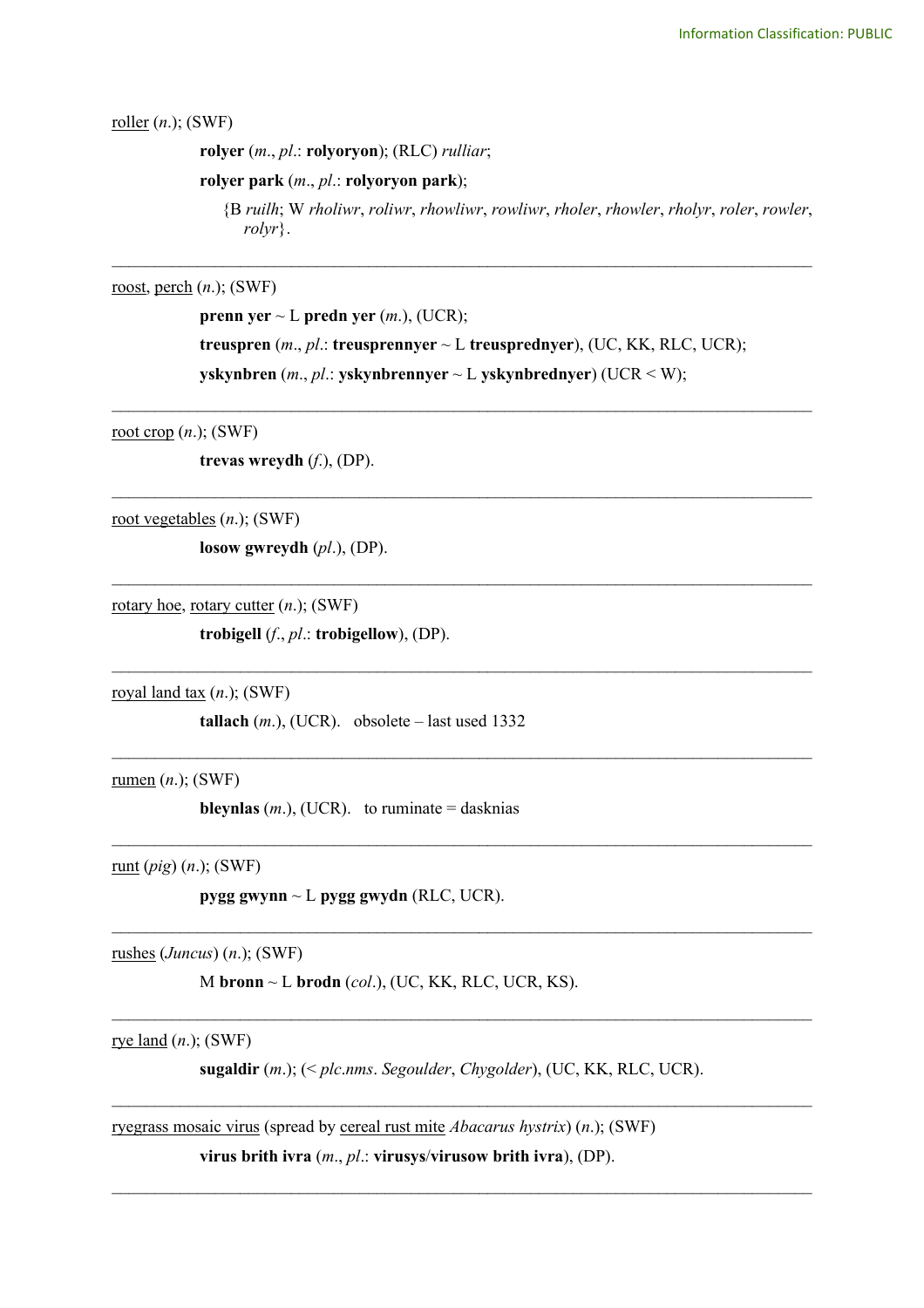roller (*n*.); (SWF)

**rolyer** (*m*., *pl*.: **rolyoryon**); (RLC) *rulliar*;

**rolyer park** (*m*., *pl*.: **rolyoryon park**);

{B *ruilh*; W *rholiwr*, *roliwr*, *rhowliwr*, *rowliwr*, *rholer*, *rhowler*, *rholyr*, *roler*, *rowler*, *rolyr*}.

roost, perch (*n*.); (SWF)

**prenn yer**  $\sim$  L **predn yer** (*m*.), (UCR); **treuspren** (*m*., *pl*.: **treusprennyer** ~ L **treusprednyer**), (UC, KK, RLC, UCR); **yskynbren** (*m*., *pl*.: **yskynbrennyer** ~ L **yskynbrednyer**) (UCR < W);

\_\_\_\_\_\_\_\_\_\_\_\_\_\_\_\_\_\_\_\_\_\_\_\_\_\_\_\_\_\_\_\_\_\_\_\_\_\_\_\_\_\_\_\_\_\_\_\_\_\_\_\_\_\_\_\_\_\_\_\_\_\_\_\_\_\_\_\_\_\_\_\_\_\_\_\_\_\_\_\_\_\_

\_\_\_\_\_\_\_\_\_\_\_\_\_\_\_\_\_\_\_\_\_\_\_\_\_\_\_\_\_\_\_\_\_\_\_\_\_\_\_\_\_\_\_\_\_\_\_\_\_\_\_\_\_\_\_\_\_\_\_\_\_\_\_\_\_\_\_\_\_\_\_\_\_\_\_\_\_\_\_\_\_\_

 $\mathcal{L}_\text{max}$  , and the contribution of the contribution of the contribution of the contribution of the contribution of the contribution of the contribution of the contribution of the contribution of the contribution of t

 $\mathcal{L}_\text{max}$  , and the contribution of the contribution of the contribution of the contribution of the contribution of the contribution of the contribution of the contribution of the contribution of the contribution of t

 $\mathcal{L}_\text{max}$  , and the contribution of the contribution of the contribution of the contribution of the contribution of the contribution of the contribution of the contribution of the contribution of the contribution of t

 $\mathcal{L}_\text{max}$  , and the contribution of the contribution of the contribution of the contribution of the contribution of the contribution of the contribution of the contribution of the contribution of the contribution of t

 $\mathcal{L}_\mathcal{L} = \{ \mathcal{L}_\mathcal{L} = \{ \mathcal{L}_\mathcal{L} = \{ \mathcal{L}_\mathcal{L} = \{ \mathcal{L}_\mathcal{L} = \{ \mathcal{L}_\mathcal{L} = \{ \mathcal{L}_\mathcal{L} = \{ \mathcal{L}_\mathcal{L} = \{ \mathcal{L}_\mathcal{L} = \{ \mathcal{L}_\mathcal{L} = \{ \mathcal{L}_\mathcal{L} = \{ \mathcal{L}_\mathcal{L} = \{ \mathcal{L}_\mathcal{L} = \{ \mathcal{L}_\mathcal{L} = \{ \mathcal{L}_\mathcal{$ 

 $\mathcal{L}_\mathcal{L} = \{ \mathcal{L}_\mathcal{L} = \{ \mathcal{L}_\mathcal{L} = \{ \mathcal{L}_\mathcal{L} = \{ \mathcal{L}_\mathcal{L} = \{ \mathcal{L}_\mathcal{L} = \{ \mathcal{L}_\mathcal{L} = \{ \mathcal{L}_\mathcal{L} = \{ \mathcal{L}_\mathcal{L} = \{ \mathcal{L}_\mathcal{L} = \{ \mathcal{L}_\mathcal{L} = \{ \mathcal{L}_\mathcal{L} = \{ \mathcal{L}_\mathcal{L} = \{ \mathcal{L}_\mathcal{L} = \{ \mathcal{L}_\mathcal{$ 

\_\_\_\_\_\_\_\_\_\_\_\_\_\_\_\_\_\_\_\_\_\_\_\_\_\_\_\_\_\_\_\_\_\_\_\_\_\_\_\_\_\_\_\_\_\_\_\_\_\_\_\_\_\_\_\_\_\_\_\_\_\_\_\_\_\_\_\_\_\_\_\_\_\_\_\_\_\_\_\_\_\_

root crop (*n*.); (SWF)

**trevas wreydh** (*f*.), (DP).

root vegetables (*n*.); (SWF)

**losow gwreydh** (*pl*.), (DP).

rotary hoe, rotary cutter (*n*.); (SWF)

**trobigell** (*f*., *pl*.: **trobigellow**), (DP).

royal land tax (*n*.); (SWF)

**tallach**  $(m.)$ , (UCR). obsolete – last used 1332

rumen (*n*.); (SWF)

**bleynlas**  $(m.)$ , (UCR). to ruminate = dasknias

runt (*pig*) (*n*.); (SWF)

**pygg gwynn** ~ L **pygg gwydn** (RLC, UCR).

rushes (*Juncus*) (*n*.); (SWF)

M **bronn** ~ L **brodn** (*col*.), (UC, KK, RLC, UCR, KS).

rye land (*n*.); (SWF)

**sugaldir** (*m*.); (< *plc*.*nms*. *Segoulder*, *Chygolder*), (UC, KK, RLC, UCR).

 $\mathcal{L}_\mathcal{L} = \{ \mathcal{L}_\mathcal{L} = \{ \mathcal{L}_\mathcal{L} = \{ \mathcal{L}_\mathcal{L} = \{ \mathcal{L}_\mathcal{L} = \{ \mathcal{L}_\mathcal{L} = \{ \mathcal{L}_\mathcal{L} = \{ \mathcal{L}_\mathcal{L} = \{ \mathcal{L}_\mathcal{L} = \{ \mathcal{L}_\mathcal{L} = \{ \mathcal{L}_\mathcal{L} = \{ \mathcal{L}_\mathcal{L} = \{ \mathcal{L}_\mathcal{L} = \{ \mathcal{L}_\mathcal{L} = \{ \mathcal{L}_\mathcal{$ 

 $\mathcal{L}_\mathcal{L} = \{ \mathcal{L}_\mathcal{L} = \{ \mathcal{L}_\mathcal{L} = \{ \mathcal{L}_\mathcal{L} = \{ \mathcal{L}_\mathcal{L} = \{ \mathcal{L}_\mathcal{L} = \{ \mathcal{L}_\mathcal{L} = \{ \mathcal{L}_\mathcal{L} = \{ \mathcal{L}_\mathcal{L} = \{ \mathcal{L}_\mathcal{L} = \{ \mathcal{L}_\mathcal{L} = \{ \mathcal{L}_\mathcal{L} = \{ \mathcal{L}_\mathcal{L} = \{ \mathcal{L}_\mathcal{L} = \{ \mathcal{L}_\mathcal{$ 

ryegrass mosaic virus (spread by cereal rust mite *Abacarus hystrix*) (*n*.); (SWF)

**virus brith ivra** (*m*., *pl*.: **virusys**/**virusow brith ivra**), (DP).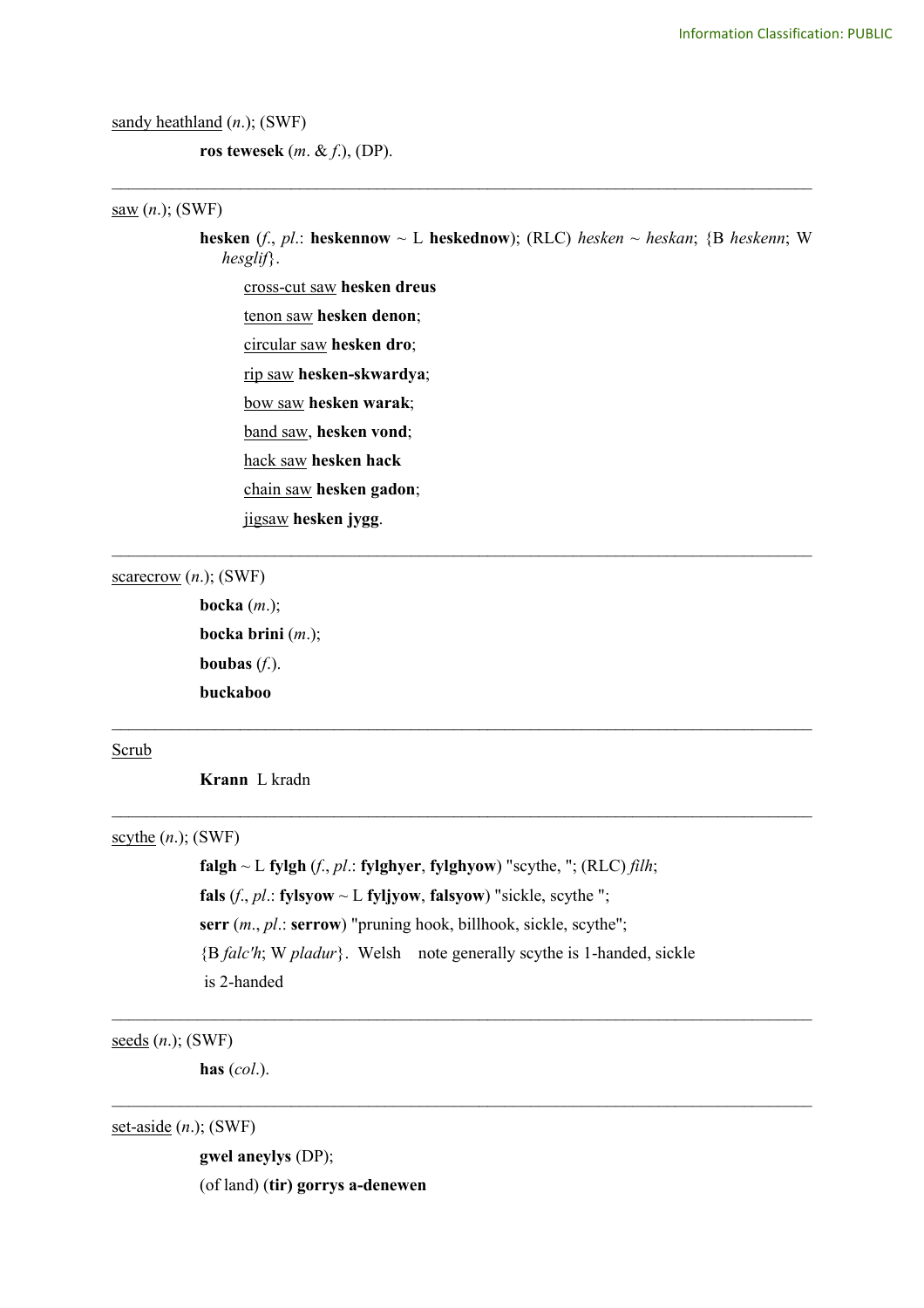sandy heathland (*n*.); (SWF)

**ros tewesek** (*m*. & *f*.), (DP).

#### saw (*n*.); (SWF)

**hesken** (*f*., *pl*.: **heskennow** ~ L **heskednow**); (RLC) *hesken* ~ *heskan*; {B *heskenn*; W *hesglif*}.

\_\_\_\_\_\_\_\_\_\_\_\_\_\_\_\_\_\_\_\_\_\_\_\_\_\_\_\_\_\_\_\_\_\_\_\_\_\_\_\_\_\_\_\_\_\_\_\_\_\_\_\_\_\_\_\_\_\_\_\_\_\_\_\_\_\_\_\_\_\_\_\_\_\_\_\_\_\_\_\_\_\_

\_\_\_\_\_\_\_\_\_\_\_\_\_\_\_\_\_\_\_\_\_\_\_\_\_\_\_\_\_\_\_\_\_\_\_\_\_\_\_\_\_\_\_\_\_\_\_\_\_\_\_\_\_\_\_\_\_\_\_\_\_\_\_\_\_\_\_\_\_\_\_\_\_\_\_\_\_\_\_\_\_\_

\_\_\_\_\_\_\_\_\_\_\_\_\_\_\_\_\_\_\_\_\_\_\_\_\_\_\_\_\_\_\_\_\_\_\_\_\_\_\_\_\_\_\_\_\_\_\_\_\_\_\_\_\_\_\_\_\_\_\_\_\_\_\_\_\_\_\_\_\_\_\_\_\_\_\_\_\_\_\_\_\_\_

 $\mathcal{L}_\mathcal{L} = \{ \mathcal{L}_\mathcal{L} = \{ \mathcal{L}_\mathcal{L} = \{ \mathcal{L}_\mathcal{L} = \{ \mathcal{L}_\mathcal{L} = \{ \mathcal{L}_\mathcal{L} = \{ \mathcal{L}_\mathcal{L} = \{ \mathcal{L}_\mathcal{L} = \{ \mathcal{L}_\mathcal{L} = \{ \mathcal{L}_\mathcal{L} = \{ \mathcal{L}_\mathcal{L} = \{ \mathcal{L}_\mathcal{L} = \{ \mathcal{L}_\mathcal{L} = \{ \mathcal{L}_\mathcal{L} = \{ \mathcal{L}_\mathcal{$ 

cross-cut saw **hesken dreus**

tenon saw **hesken denon**;

circular saw **hesken dro**;

rip saw **hesken-skwardya**;

bow saw **hesken warak**;

band saw, **hesken vond**;

hack saw **hesken hack**

chain saw **hesken gadon**;

jigsaw **hesken jygg**.

scarecrow (*n*.); (SWF)

**bocka** (*m*.); **bocka brini** (*m*.); **boubas** (*f*.). **buckaboo**

#### Scrub

**Krann** L kradn

scythe (*n*.); (SWF)

**falgh** ~ L **fylgh** (*f*., *pl*.: **fylghyer**, **fylghyow**) "scythe, "; (RLC) *filh*; **fals** (*f*., *pl*.: **fylsyow**  $\sim$  L **fyljyow**, **falsyow**) "sickle, scythe "; **serr** (*m*., *pl*.: **serrow**) "pruning hook, billhook, sickle, scythe"; {B *falc'h*; W *pladur*}. Welsh note generally scythe is 1-handed, sickle is 2-handed

 $\mathcal{L}_\mathcal{L} = \{ \mathcal{L}_\mathcal{L} = \{ \mathcal{L}_\mathcal{L} = \{ \mathcal{L}_\mathcal{L} = \{ \mathcal{L}_\mathcal{L} = \{ \mathcal{L}_\mathcal{L} = \{ \mathcal{L}_\mathcal{L} = \{ \mathcal{L}_\mathcal{L} = \{ \mathcal{L}_\mathcal{L} = \{ \mathcal{L}_\mathcal{L} = \{ \mathcal{L}_\mathcal{L} = \{ \mathcal{L}_\mathcal{L} = \{ \mathcal{L}_\mathcal{L} = \{ \mathcal{L}_\mathcal{L} = \{ \mathcal{L}_\mathcal{$ 

 $\mathcal{L}_\mathcal{L} = \{ \mathcal{L}_\mathcal{L} = \{ \mathcal{L}_\mathcal{L} = \{ \mathcal{L}_\mathcal{L} = \{ \mathcal{L}_\mathcal{L} = \{ \mathcal{L}_\mathcal{L} = \{ \mathcal{L}_\mathcal{L} = \{ \mathcal{L}_\mathcal{L} = \{ \mathcal{L}_\mathcal{L} = \{ \mathcal{L}_\mathcal{L} = \{ \mathcal{L}_\mathcal{L} = \{ \mathcal{L}_\mathcal{L} = \{ \mathcal{L}_\mathcal{L} = \{ \mathcal{L}_\mathcal{L} = \{ \mathcal{L}_\mathcal{$ 

seeds (*n*.); (SWF)

**has** (*col*.).

set-aside (*n*.); (SWF)

**gwel aneylys** (DP); (of land) (**tir) gorrys a-denewen**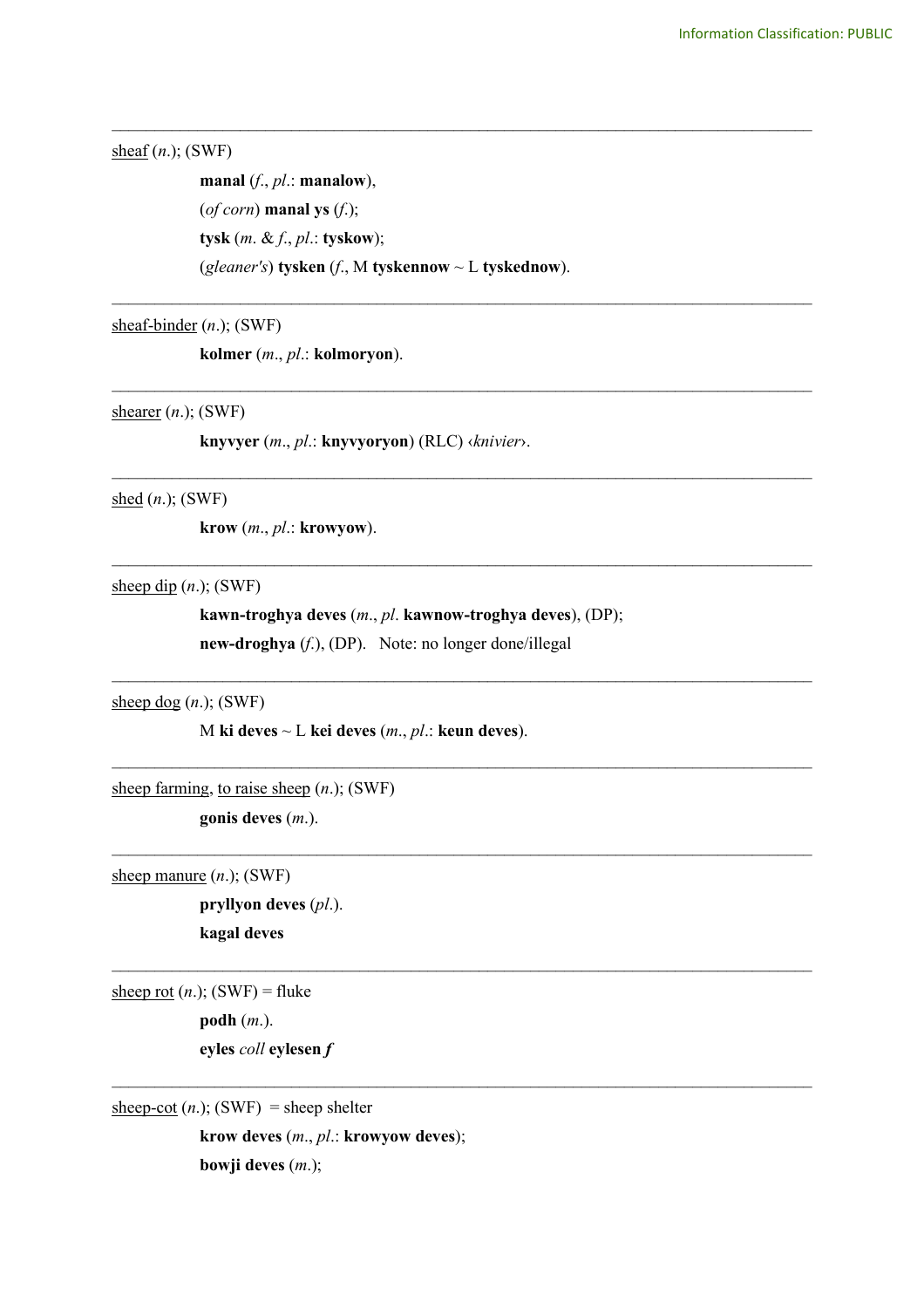sheaf (*n*.); (SWF)

**manal** (*f*., *pl*.: **manalow**), (*of corn*) **manal ys** (*f*.); **tysk** (*m*. & *f*., *pl*.: **tyskow**); (*gleaner's*) **tysken** (*f*., M **tyskennow** ~ L **tyskednow**).

\_\_\_\_\_\_\_\_\_\_\_\_\_\_\_\_\_\_\_\_\_\_\_\_\_\_\_\_\_\_\_\_\_\_\_\_\_\_\_\_\_\_\_\_\_\_\_\_\_\_\_\_\_\_\_\_\_\_\_\_\_\_\_\_\_\_\_\_\_\_\_\_\_\_\_\_\_\_\_\_\_\_

\_\_\_\_\_\_\_\_\_\_\_\_\_\_\_\_\_\_\_\_\_\_\_\_\_\_\_\_\_\_\_\_\_\_\_\_\_\_\_\_\_\_\_\_\_\_\_\_\_\_\_\_\_\_\_\_\_\_\_\_\_\_\_\_\_\_\_\_\_\_\_\_\_\_\_\_\_\_\_\_\_\_

\_\_\_\_\_\_\_\_\_\_\_\_\_\_\_\_\_\_\_\_\_\_\_\_\_\_\_\_\_\_\_\_\_\_\_\_\_\_\_\_\_\_\_\_\_\_\_\_\_\_\_\_\_\_\_\_\_\_\_\_\_\_\_\_\_\_\_\_\_\_\_\_\_\_\_\_\_\_\_\_\_\_

\_\_\_\_\_\_\_\_\_\_\_\_\_\_\_\_\_\_\_\_\_\_\_\_\_\_\_\_\_\_\_\_\_\_\_\_\_\_\_\_\_\_\_\_\_\_\_\_\_\_\_\_\_\_\_\_\_\_\_\_\_\_\_\_\_\_\_\_\_\_\_\_\_\_\_\_\_\_\_\_\_\_

\_\_\_\_\_\_\_\_\_\_\_\_\_\_\_\_\_\_\_\_\_\_\_\_\_\_\_\_\_\_\_\_\_\_\_\_\_\_\_\_\_\_\_\_\_\_\_\_\_\_\_\_\_\_\_\_\_\_\_\_\_\_\_\_\_\_\_\_\_\_\_\_\_\_\_\_\_\_\_\_\_\_

 $\mathcal{L}_\text{max}$  , and the contribution of the contribution of the contribution of the contribution of the contribution of the contribution of the contribution of the contribution of the contribution of the contribution of t

 $\mathcal{L}_\text{max}$  , and the contribution of the contribution of the contribution of the contribution of the contribution of the contribution of the contribution of the contribution of the contribution of the contribution of t

 $\mathcal{L}_\text{max}$  , and the contribution of the contribution of the contribution of the contribution of the contribution of the contribution of the contribution of the contribution of the contribution of the contribution of t

 $\mathcal{L}_\text{max}$  , and the contribution of the contribution of the contribution of the contribution of the contribution of the contribution of the contribution of the contribution of the contribution of the contribution of t

 $\mathcal{L}_\mathcal{L} = \{ \mathcal{L}_\mathcal{L} = \{ \mathcal{L}_\mathcal{L} = \{ \mathcal{L}_\mathcal{L} = \{ \mathcal{L}_\mathcal{L} = \{ \mathcal{L}_\mathcal{L} = \{ \mathcal{L}_\mathcal{L} = \{ \mathcal{L}_\mathcal{L} = \{ \mathcal{L}_\mathcal{L} = \{ \mathcal{L}_\mathcal{L} = \{ \mathcal{L}_\mathcal{L} = \{ \mathcal{L}_\mathcal{L} = \{ \mathcal{L}_\mathcal{L} = \{ \mathcal{L}_\mathcal{L} = \{ \mathcal{L}_\mathcal{$ 

sheaf-binder (*n*.); (SWF)

**kolmer** (*m*., *pl*.: **kolmoryon**).

shearer (*n*.); (SWF)

**knyvyer** (*m*., *pl*.: **knyvyoryon**) (RLC) ‹*knivier*›.

shed (*n*.); (SWF)

**krow** (*m*., *pl*.: **krowyow**).

sheep dip (*n*.); (SWF)

**kawn-troghya deves** (*m*., *pl*. **kawnow-troghya deves**), (DP); **new-droghya** (*f*.), (DP). Note: no longer done/illegal

sheep dog  $(n.)$ ; (SWF)

M **ki deves** ~ L **kei deves** (*m*., *pl*.: **keun deves**).

sheep farming, to raise sheep (*n*.); (SWF)

**gonis deves** (*m*.).

sheep manure (*n*.); (SWF)

**pryllyon deves** (*pl*.). **kagal deves**

sheep rot  $(n.)$ ; (SWF) = fluke **podh** (*m*.).

**eyles** *coll* **eylesen** *f*

 $\frac{\text{sheep-cot}}{\text{(n.)}}$ ; (SWF) = sheep shelter

**krow deves** (*m*., *pl*.: **krowyow deves**);

**bowji deves** (*m*.);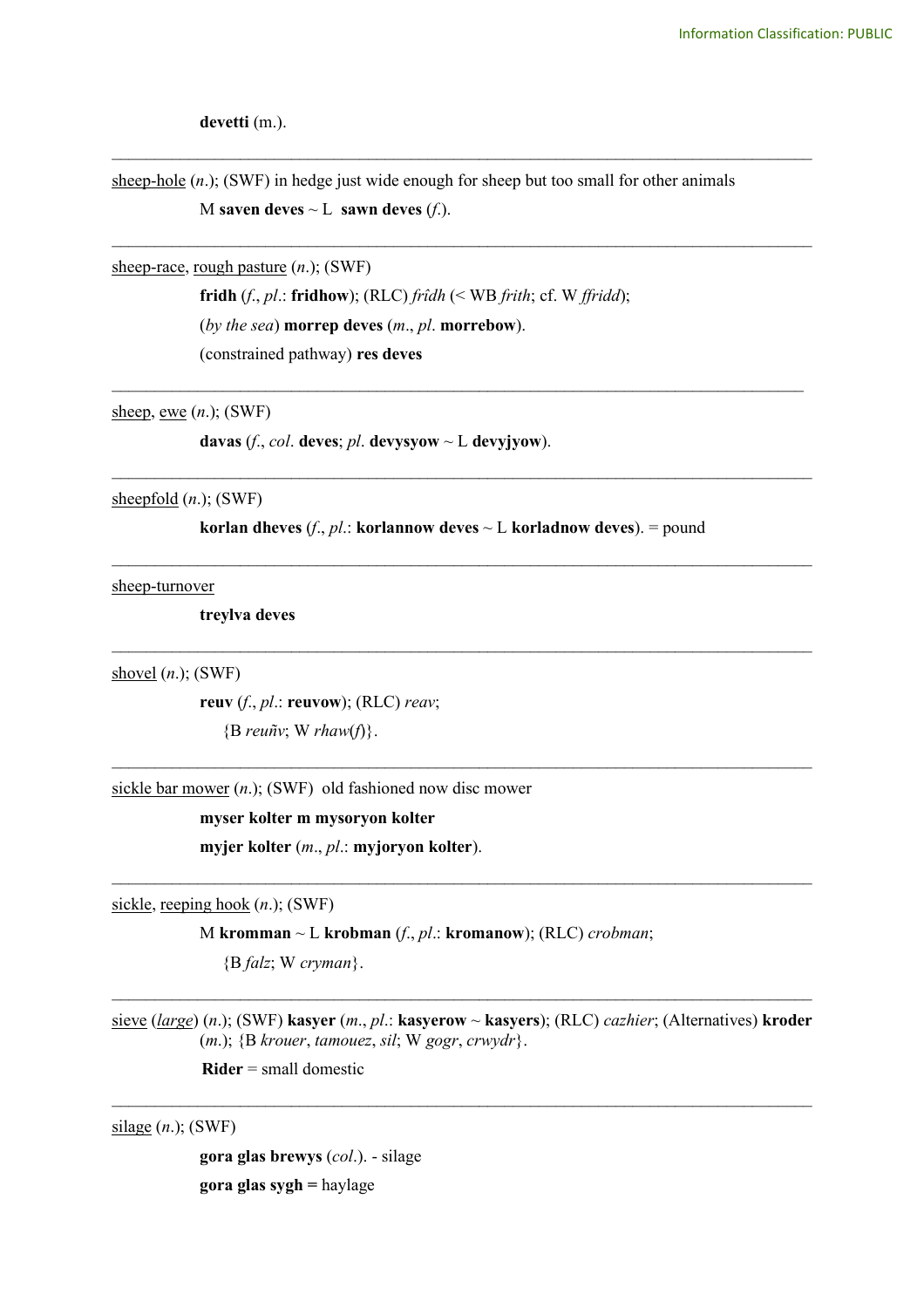**devetti** (m.).

sheep-hole (*n*.); (SWF) in hedge just wide enough for sheep but too small for other animals M **saven deves**  $\sim$  L **sawn deves** (*f*.).

\_\_\_\_\_\_\_\_\_\_\_\_\_\_\_\_\_\_\_\_\_\_\_\_\_\_\_\_\_\_\_\_\_\_\_\_\_\_\_\_\_\_\_\_\_\_\_\_\_\_\_\_\_\_\_\_\_\_\_\_\_\_\_\_\_\_\_\_\_\_\_\_\_\_\_\_\_\_\_\_\_\_

\_\_\_\_\_\_\_\_\_\_\_\_\_\_\_\_\_\_\_\_\_\_\_\_\_\_\_\_\_\_\_\_\_\_\_\_\_\_\_\_\_\_\_\_\_\_\_\_\_\_\_\_\_\_\_\_\_\_\_\_\_\_\_\_\_\_\_\_\_\_\_\_\_\_\_\_\_\_\_\_\_\_

\_\_\_\_\_\_\_\_\_\_\_\_\_\_\_\_\_\_\_\_\_\_\_\_\_\_\_\_\_\_\_\_\_\_\_\_\_\_\_\_\_\_\_\_\_\_\_\_\_\_\_\_\_\_\_\_\_\_\_\_\_\_\_\_\_\_\_\_\_\_\_\_\_\_\_\_\_\_\_\_\_

sheep-race, rough pasture (*n*.); (SWF)

**fridh** (*f*., *pl*.: **fridhow**); (RLC) *frîdh* (< WB *frith*; cf. W *ffridd*); (*by the sea*) **morrep deves** (*m*., *pl*. **morrebow**). (constrained pathway) **res deves**

sheep, ewe (*n*.); (SWF)

**davas** (*f.*, *col.* **deves**; *pl.* **devysyow**  $\sim$  **L devyjyow**).

sheepfold (*n*.); (SWF)

**korlan dheves** (*f*., *pl*.: **korlannow deves** ~ L **korladnow deves**). = pound

\_\_\_\_\_\_\_\_\_\_\_\_\_\_\_\_\_\_\_\_\_\_\_\_\_\_\_\_\_\_\_\_\_\_\_\_\_\_\_\_\_\_\_\_\_\_\_\_\_\_\_\_\_\_\_\_\_\_\_\_\_\_\_\_\_\_\_\_\_\_\_\_\_\_\_\_\_\_\_\_\_\_

 $\mathcal{L}_\text{max}$  , and the contribution of the contribution of the contribution of the contribution of the contribution of the contribution of the contribution of the contribution of the contribution of the contribution of t

 $\mathcal{L}_\text{max}$  , and the contribution of the contribution of the contribution of the contribution of the contribution of the contribution of the contribution of the contribution of the contribution of the contribution of t

 $\mathcal{L}_\text{max}$  , and the contribution of the contribution of the contribution of the contribution of the contribution of the contribution of the contribution of the contribution of the contribution of the contribution of t

\_\_\_\_\_\_\_\_\_\_\_\_\_\_\_\_\_\_\_\_\_\_\_\_\_\_\_\_\_\_\_\_\_\_\_\_\_\_\_\_\_\_\_\_\_\_\_\_\_\_\_\_\_\_\_\_\_\_\_\_\_\_\_\_\_\_\_\_\_\_\_\_\_\_\_\_\_\_\_\_\_\_

sheep-turnover

**treylva deves**

shovel (*n*.); (SWF)

**reuv** (*f*., *pl*.: **reuvow**); (RLC) *reav*; {B *reuñv*; W *rhaw*(*f*)}.

sickle bar mower (*n*.); (SWF) old fashioned now disc mower

**myser kolter m mysoryon kolter myjer kolter** (*m*., *pl*.: **myjoryon kolter**).

sickle, reeping hook (*n*.); (SWF)

M **kromman** ~ L **krobman** (*f*., *pl*.: **kromanow**); (RLC) *crobman*;

{B *falz*; W *cryman*}.

sieve (*large*) (*n*.); (SWF) **kasyer** (*m*., *pl*.: **kasyerow** ~ **kasyers**); (RLC) *cazhier*; (Alternatives) **kroder** (*m*.); {B *krouer*, *tamouez*, *sil*; W *gogr*, *crwydr*}.

 $\mathcal{L}_\mathcal{L} = \{ \mathcal{L}_\mathcal{L} = \{ \mathcal{L}_\mathcal{L} = \{ \mathcal{L}_\mathcal{L} = \{ \mathcal{L}_\mathcal{L} = \{ \mathcal{L}_\mathcal{L} = \{ \mathcal{L}_\mathcal{L} = \{ \mathcal{L}_\mathcal{L} = \{ \mathcal{L}_\mathcal{L} = \{ \mathcal{L}_\mathcal{L} = \{ \mathcal{L}_\mathcal{L} = \{ \mathcal{L}_\mathcal{L} = \{ \mathcal{L}_\mathcal{L} = \{ \mathcal{L}_\mathcal{L} = \{ \mathcal{L}_\mathcal{$ 

 $\mathcal{L}_\mathcal{L} = \{ \mathcal{L}_\mathcal{L} = \{ \mathcal{L}_\mathcal{L} = \{ \mathcal{L}_\mathcal{L} = \{ \mathcal{L}_\mathcal{L} = \{ \mathcal{L}_\mathcal{L} = \{ \mathcal{L}_\mathcal{L} = \{ \mathcal{L}_\mathcal{L} = \{ \mathcal{L}_\mathcal{L} = \{ \mathcal{L}_\mathcal{L} = \{ \mathcal{L}_\mathcal{L} = \{ \mathcal{L}_\mathcal{L} = \{ \mathcal{L}_\mathcal{L} = \{ \mathcal{L}_\mathcal{L} = \{ \mathcal{L}_\mathcal{$ 

**Rider** = small domestic

silage (*n*.); (SWF)

**gora glas brewys** (*col*.). - silage **gora glas sygh =** haylage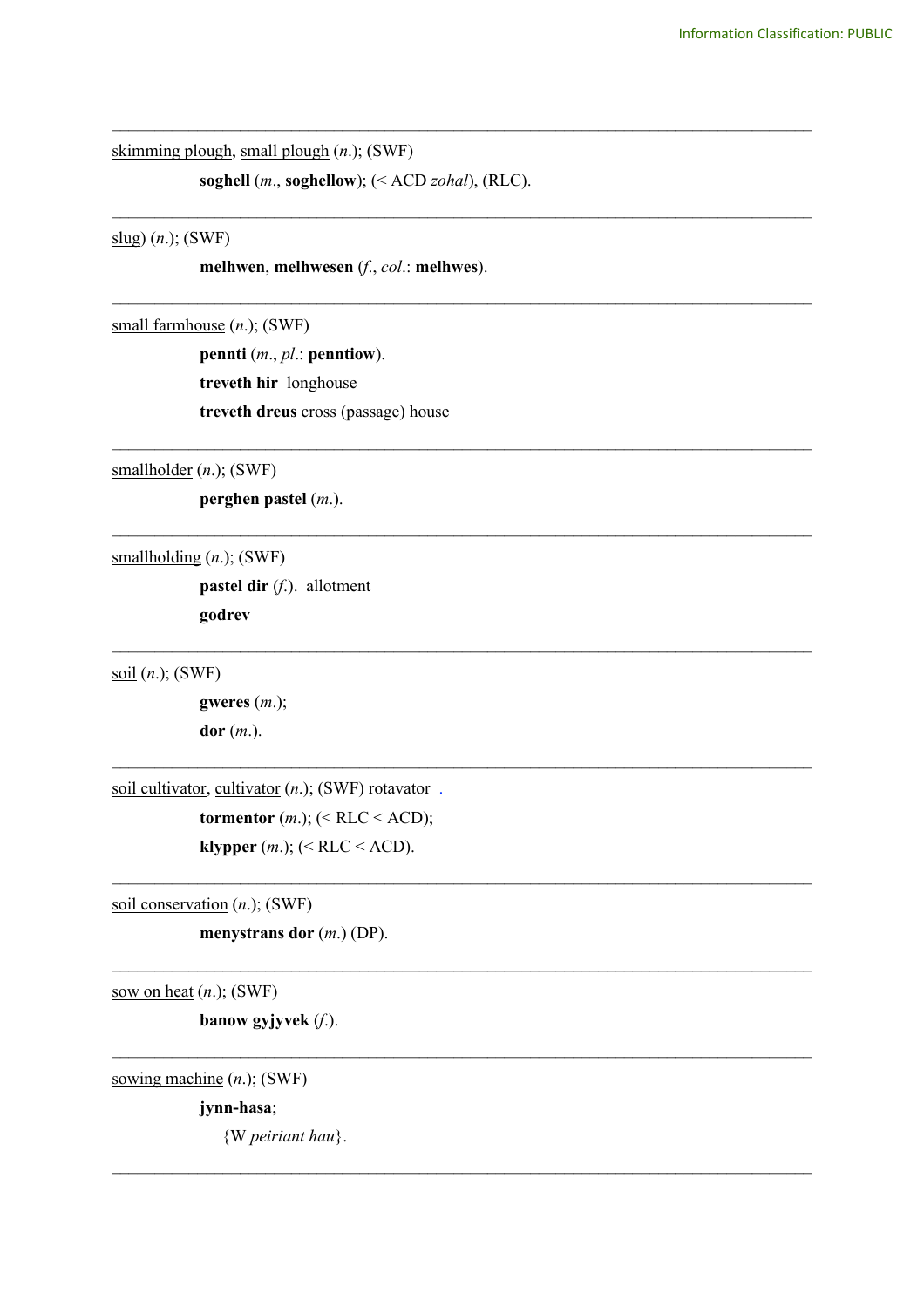skimming plough, small plough (*n*.); (SWF)

**soghell** (*m*., **soghellow**); (< ACD *zohal*), (RLC).

\_\_\_\_\_\_\_\_\_\_\_\_\_\_\_\_\_\_\_\_\_\_\_\_\_\_\_\_\_\_\_\_\_\_\_\_\_\_\_\_\_\_\_\_\_\_\_\_\_\_\_\_\_\_\_\_\_\_\_\_\_\_\_\_\_\_\_\_\_\_\_\_\_\_\_\_\_\_\_\_\_\_

\_\_\_\_\_\_\_\_\_\_\_\_\_\_\_\_\_\_\_\_\_\_\_\_\_\_\_\_\_\_\_\_\_\_\_\_\_\_\_\_\_\_\_\_\_\_\_\_\_\_\_\_\_\_\_\_\_\_\_\_\_\_\_\_\_\_\_\_\_\_\_\_\_\_\_\_\_\_\_\_\_\_

\_\_\_\_\_\_\_\_\_\_\_\_\_\_\_\_\_\_\_\_\_\_\_\_\_\_\_\_\_\_\_\_\_\_\_\_\_\_\_\_\_\_\_\_\_\_\_\_\_\_\_\_\_\_\_\_\_\_\_\_\_\_\_\_\_\_\_\_\_\_\_\_\_\_\_\_\_\_\_\_\_\_

\_\_\_\_\_\_\_\_\_\_\_\_\_\_\_\_\_\_\_\_\_\_\_\_\_\_\_\_\_\_\_\_\_\_\_\_\_\_\_\_\_\_\_\_\_\_\_\_\_\_\_\_\_\_\_\_\_\_\_\_\_\_\_\_\_\_\_\_\_\_\_\_\_\_\_\_\_\_\_\_\_\_

\_\_\_\_\_\_\_\_\_\_\_\_\_\_\_\_\_\_\_\_\_\_\_\_\_\_\_\_\_\_\_\_\_\_\_\_\_\_\_\_\_\_\_\_\_\_\_\_\_\_\_\_\_\_\_\_\_\_\_\_\_\_\_\_\_\_\_\_\_\_\_\_\_\_\_\_\_\_\_\_\_\_

 $\mathcal{L}_\text{max}$  , and the contribution of the contribution of the contribution of the contribution of the contribution of the contribution of the contribution of the contribution of the contribution of the contribution of t

 $\mathcal{L}_\text{max}$  , and the contribution of the contribution of the contribution of the contribution of the contribution of the contribution of the contribution of the contribution of the contribution of the contribution of t

 $\mathcal{L}_\text{max}$  , and the contribution of the contribution of the contribution of the contribution of the contribution of the contribution of the contribution of the contribution of the contribution of the contribution of t

 $\mathcal{L}_\text{max}$  , and the contribution of the contribution of the contribution of the contribution of the contribution of the contribution of the contribution of the contribution of the contribution of the contribution of t

 $\mathcal{L}_\mathcal{L} = \{ \mathcal{L}_\mathcal{L} = \{ \mathcal{L}_\mathcal{L} = \{ \mathcal{L}_\mathcal{L} = \{ \mathcal{L}_\mathcal{L} = \{ \mathcal{L}_\mathcal{L} = \{ \mathcal{L}_\mathcal{L} = \{ \mathcal{L}_\mathcal{L} = \{ \mathcal{L}_\mathcal{L} = \{ \mathcal{L}_\mathcal{L} = \{ \mathcal{L}_\mathcal{L} = \{ \mathcal{L}_\mathcal{L} = \{ \mathcal{L}_\mathcal{L} = \{ \mathcal{L}_\mathcal{L} = \{ \mathcal{L}_\mathcal{$ 

 $\mathcal{L}_\mathcal{L} = \{ \mathcal{L}_\mathcal{L} = \{ \mathcal{L}_\mathcal{L} = \{ \mathcal{L}_\mathcal{L} = \{ \mathcal{L}_\mathcal{L} = \{ \mathcal{L}_\mathcal{L} = \{ \mathcal{L}_\mathcal{L} = \{ \mathcal{L}_\mathcal{L} = \{ \mathcal{L}_\mathcal{L} = \{ \mathcal{L}_\mathcal{L} = \{ \mathcal{L}_\mathcal{L} = \{ \mathcal{L}_\mathcal{L} = \{ \mathcal{L}_\mathcal{L} = \{ \mathcal{L}_\mathcal{L} = \{ \mathcal{L}_\mathcal{$ 

slug) (*n*.); (SWF)

**melhwen**, **melhwesen** (*f*., *col*.: **melhwes**).

small farmhouse (*n*.); (SWF)

**pennti** (*m*., *pl*.: **penntiow**). **treveth hir** longhouse **treveth dreus** cross (passage) house

smallholder (*n*.); (SWF)

**perghen pastel** (*m*.).

smallholding (*n*.); (SWF)

**pastel dir** (*f*.). allotment **godrev** 

soil (*n*.); (SWF)

**gweres** (*m*.); **dor** (*m*.).

soil cultivator, cultivator  $(n.)$ ; (SWF) rotavator .

**tormentor**  $(m.)$ ;  $(< RLC < ACD)$ ; **klypper** (*m*.); (< RLC < ACD).

soil conservation (*n*.); (SWF)

**menystrans dor** (*m*.) (DP).

sow on heat (*n*.); (SWF)

**banow gyjyvek** (*f*.).

sowing machine (*n*.); (SWF)

**jynn-hasa**;

{W *peiriant hau*}.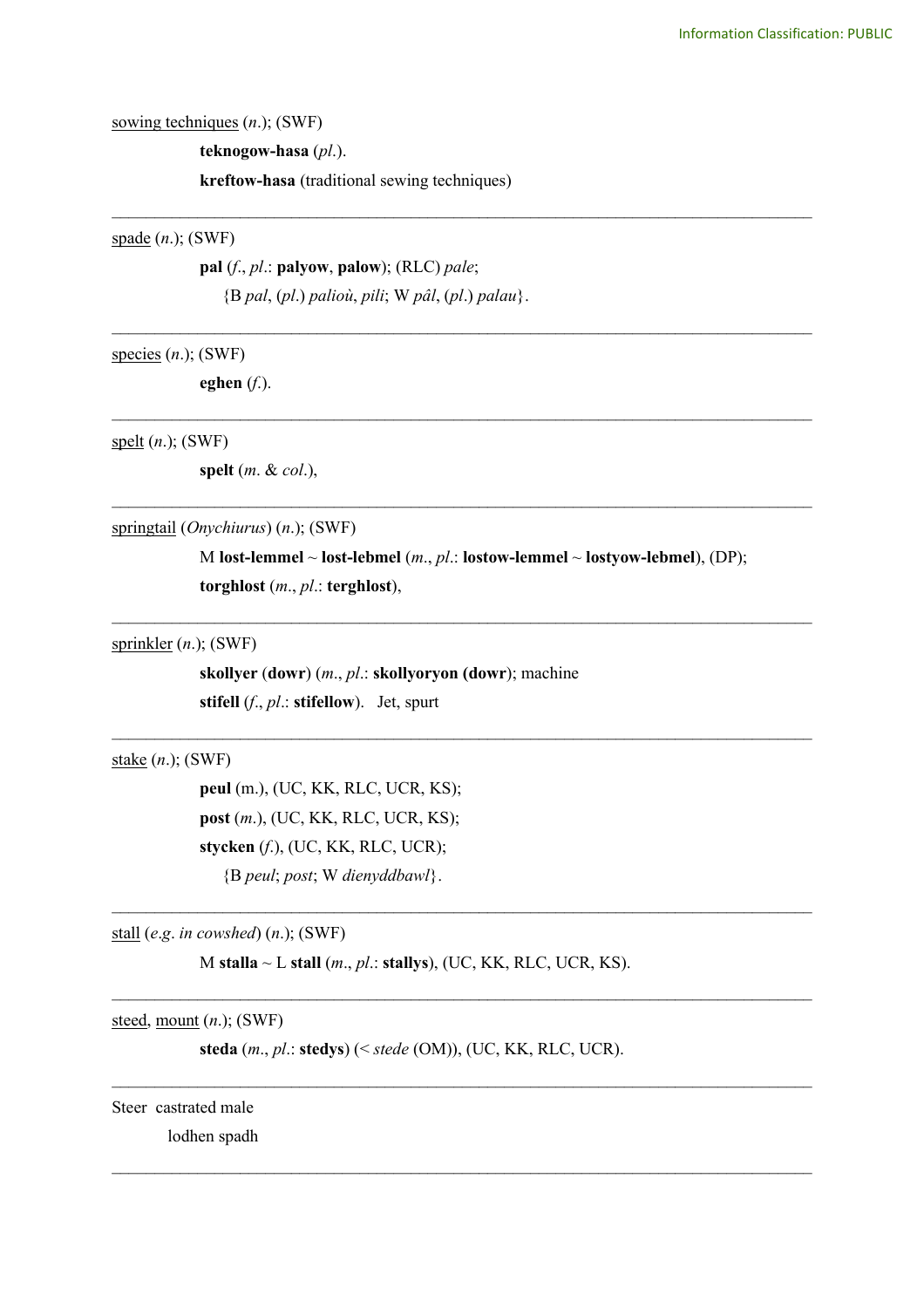sowing techniques (*n*.); (SWF)

**teknogow-hasa** (*pl*.).

**kreftow-hasa** (traditional sewing techniques)

spade (*n*.); (SWF)

**pal** (*f*., *pl*.: **palyow**, **palow**); (RLC) *pale*; {B *pal*, (*pl*.) *palioù*, *pili*; W *pâl*, (*pl*.) *palau*}.

species (*n*.); (SWF)

**eghen** (*f*.).

spelt (*n*.); (SWF)

**spelt** (*m*. & *col*.),

springtail (*Onychiurus*) (*n*.); (SWF)

M **lost-lemmel** ~ **lost-lebmel** (*m*., *pl*.: **lostow-lemmel** ~ **lostyow-lebmel**), (DP); **torghlost** (*m*., *pl*.: **terghlost**),

\_\_\_\_\_\_\_\_\_\_\_\_\_\_\_\_\_\_\_\_\_\_\_\_\_\_\_\_\_\_\_\_\_\_\_\_\_\_\_\_\_\_\_\_\_\_\_\_\_\_\_\_\_\_\_\_\_\_\_\_\_\_\_\_\_\_\_\_\_\_\_\_\_\_\_\_\_\_\_\_\_\_

 $\mathcal{L}_\mathcal{L} = \{ \mathcal{L}_\mathcal{L} = \{ \mathcal{L}_\mathcal{L} = \{ \mathcal{L}_\mathcal{L} = \{ \mathcal{L}_\mathcal{L} = \{ \mathcal{L}_\mathcal{L} = \{ \mathcal{L}_\mathcal{L} = \{ \mathcal{L}_\mathcal{L} = \{ \mathcal{L}_\mathcal{L} = \{ \mathcal{L}_\mathcal{L} = \{ \mathcal{L}_\mathcal{L} = \{ \mathcal{L}_\mathcal{L} = \{ \mathcal{L}_\mathcal{L} = \{ \mathcal{L}_\mathcal{L} = \{ \mathcal{L}_\mathcal{$ 

 $\mathcal{L}_\mathcal{L} = \{ \mathcal{L}_\mathcal{L} = \{ \mathcal{L}_\mathcal{L} = \{ \mathcal{L}_\mathcal{L} = \{ \mathcal{L}_\mathcal{L} = \{ \mathcal{L}_\mathcal{L} = \{ \mathcal{L}_\mathcal{L} = \{ \mathcal{L}_\mathcal{L} = \{ \mathcal{L}_\mathcal{L} = \{ \mathcal{L}_\mathcal{L} = \{ \mathcal{L}_\mathcal{L} = \{ \mathcal{L}_\mathcal{L} = \{ \mathcal{L}_\mathcal{L} = \{ \mathcal{L}_\mathcal{L} = \{ \mathcal{L}_\mathcal{$ 

 $\mathcal{L}_\mathcal{L} = \{ \mathcal{L}_\mathcal{L} = \{ \mathcal{L}_\mathcal{L} = \{ \mathcal{L}_\mathcal{L} = \{ \mathcal{L}_\mathcal{L} = \{ \mathcal{L}_\mathcal{L} = \{ \mathcal{L}_\mathcal{L} = \{ \mathcal{L}_\mathcal{L} = \{ \mathcal{L}_\mathcal{L} = \{ \mathcal{L}_\mathcal{L} = \{ \mathcal{L}_\mathcal{L} = \{ \mathcal{L}_\mathcal{L} = \{ \mathcal{L}_\mathcal{L} = \{ \mathcal{L}_\mathcal{L} = \{ \mathcal{L}_\mathcal{$ 

 $\mathcal{L}_\mathcal{L} = \{ \mathcal{L}_\mathcal{L} = \{ \mathcal{L}_\mathcal{L} = \{ \mathcal{L}_\mathcal{L} = \{ \mathcal{L}_\mathcal{L} = \{ \mathcal{L}_\mathcal{L} = \{ \mathcal{L}_\mathcal{L} = \{ \mathcal{L}_\mathcal{L} = \{ \mathcal{L}_\mathcal{L} = \{ \mathcal{L}_\mathcal{L} = \{ \mathcal{L}_\mathcal{L} = \{ \mathcal{L}_\mathcal{L} = \{ \mathcal{L}_\mathcal{L} = \{ \mathcal{L}_\mathcal{L} = \{ \mathcal{L}_\mathcal{$ 

 $\mathcal{L}_\mathcal{L} = \{ \mathcal{L}_\mathcal{L} = \{ \mathcal{L}_\mathcal{L} = \{ \mathcal{L}_\mathcal{L} = \{ \mathcal{L}_\mathcal{L} = \{ \mathcal{L}_\mathcal{L} = \{ \mathcal{L}_\mathcal{L} = \{ \mathcal{L}_\mathcal{L} = \{ \mathcal{L}_\mathcal{L} = \{ \mathcal{L}_\mathcal{L} = \{ \mathcal{L}_\mathcal{L} = \{ \mathcal{L}_\mathcal{L} = \{ \mathcal{L}_\mathcal{L} = \{ \mathcal{L}_\mathcal{L} = \{ \mathcal{L}_\mathcal{$ 

\_\_\_\_\_\_\_\_\_\_\_\_\_\_\_\_\_\_\_\_\_\_\_\_\_\_\_\_\_\_\_\_\_\_\_\_\_\_\_\_\_\_\_\_\_\_\_\_\_\_\_\_\_\_\_\_\_\_\_\_\_\_\_\_\_\_\_\_\_\_\_\_\_\_\_\_\_\_\_\_\_\_

\_\_\_\_\_\_\_\_\_\_\_\_\_\_\_\_\_\_\_\_\_\_\_\_\_\_\_\_\_\_\_\_\_\_\_\_\_\_\_\_\_\_\_\_\_\_\_\_\_\_\_\_\_\_\_\_\_\_\_\_\_\_\_\_\_\_\_\_\_\_\_\_\_\_\_\_\_\_\_\_\_\_

\_\_\_\_\_\_\_\_\_\_\_\_\_\_\_\_\_\_\_\_\_\_\_\_\_\_\_\_\_\_\_\_\_\_\_\_\_\_\_\_\_\_\_\_\_\_\_\_\_\_\_\_\_\_\_\_\_\_\_\_\_\_\_\_\_\_\_\_\_\_\_\_\_\_\_\_\_\_\_\_\_\_

\_\_\_\_\_\_\_\_\_\_\_\_\_\_\_\_\_\_\_\_\_\_\_\_\_\_\_\_\_\_\_\_\_\_\_\_\_\_\_\_\_\_\_\_\_\_\_\_\_\_\_\_\_\_\_\_\_\_\_\_\_\_\_\_\_\_\_\_\_\_\_\_\_\_\_\_\_\_\_\_\_\_

sprinkler (*n*.); (SWF)

**skollyer** (**dowr**) (*m*., *pl*.: **skollyoryon (dowr**); machine **stifell** (*f*., *pl*.: **stifellow**). Jet, spurt

stake (*n*.); (SWF)

**peul** (m.), (UC, KK, RLC, UCR, KS); **post** (*m*.), (UC, KK, RLC, UCR, KS); **stycken** (*f*.), (UC, KK, RLC, UCR); {B *peul*; *post*; W *dienyddbawl*}.

stall (*e*.*g*. *in cowshed*) (*n*.); (SWF)

M **stalla** ~ L **stall** (*m*., *pl*.: **stallys**), (UC, KK, RLC, UCR, KS).

steed, mount (*n*.); (SWF)

**steda** (*m*., *pl*.: **stedys**) (< *stede* (OM)), (UC, KK, RLC, UCR).

Steer castrated male

lodhen spadh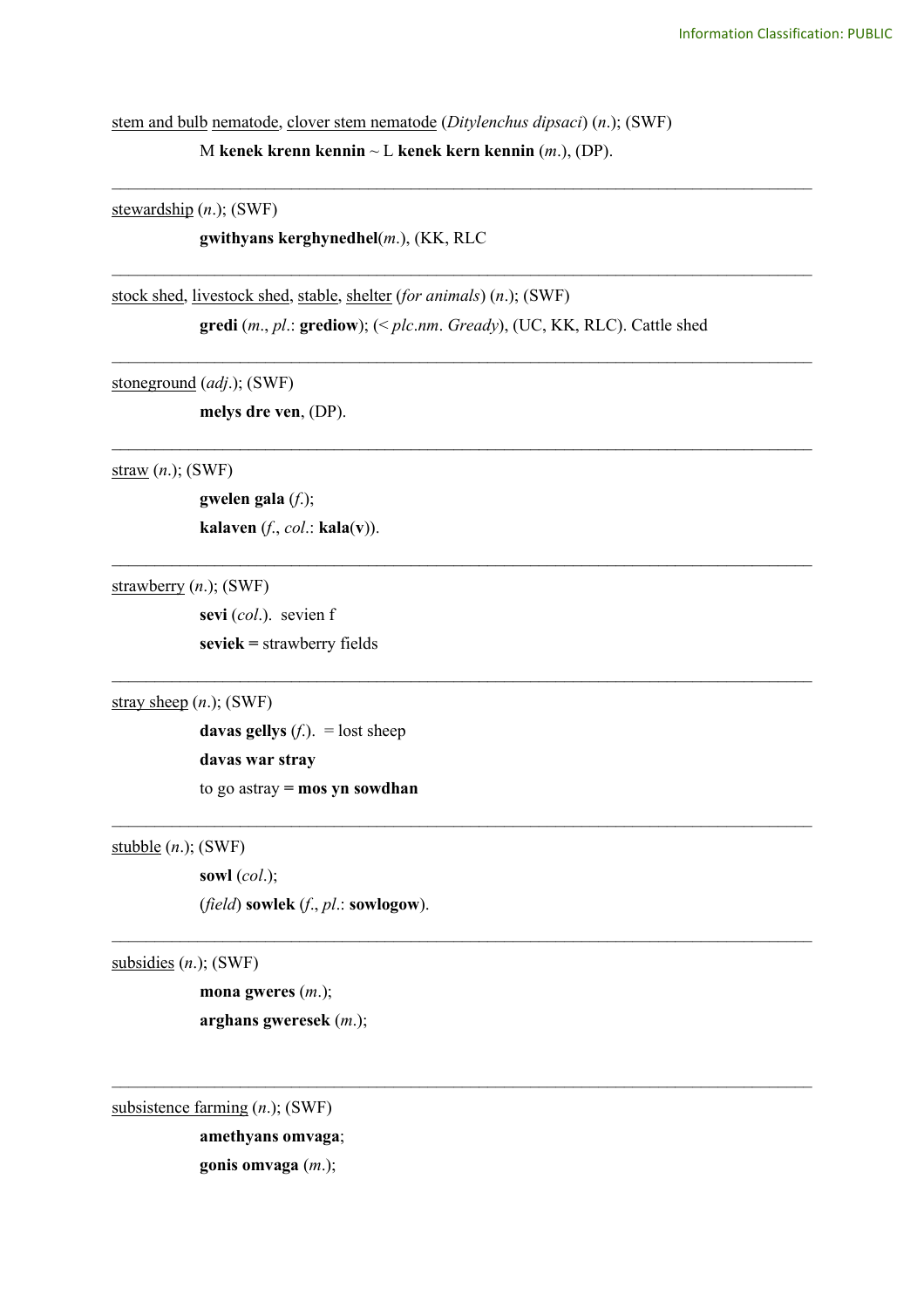stem and bulb nematode, clover stem nematode (*Ditylenchus dipsaci*) (*n*.); (SWF)

M **kenek krenn kennin** ~ L **kenek kern kennin** (*m*.), (DP).

\_\_\_\_\_\_\_\_\_\_\_\_\_\_\_\_\_\_\_\_\_\_\_\_\_\_\_\_\_\_\_\_\_\_\_\_\_\_\_\_\_\_\_\_\_\_\_\_\_\_\_\_\_\_\_\_\_\_\_\_\_\_\_\_\_\_\_\_\_\_\_\_\_\_\_\_\_\_\_\_\_\_

\_\_\_\_\_\_\_\_\_\_\_\_\_\_\_\_\_\_\_\_\_\_\_\_\_\_\_\_\_\_\_\_\_\_\_\_\_\_\_\_\_\_\_\_\_\_\_\_\_\_\_\_\_\_\_\_\_\_\_\_\_\_\_\_\_\_\_\_\_\_\_\_\_\_\_\_\_\_\_\_\_\_

\_\_\_\_\_\_\_\_\_\_\_\_\_\_\_\_\_\_\_\_\_\_\_\_\_\_\_\_\_\_\_\_\_\_\_\_\_\_\_\_\_\_\_\_\_\_\_\_\_\_\_\_\_\_\_\_\_\_\_\_\_\_\_\_\_\_\_\_\_\_\_\_\_\_\_\_\_\_\_\_\_\_

\_\_\_\_\_\_\_\_\_\_\_\_\_\_\_\_\_\_\_\_\_\_\_\_\_\_\_\_\_\_\_\_\_\_\_\_\_\_\_\_\_\_\_\_\_\_\_\_\_\_\_\_\_\_\_\_\_\_\_\_\_\_\_\_\_\_\_\_\_\_\_\_\_\_\_\_\_\_\_\_\_\_

\_\_\_\_\_\_\_\_\_\_\_\_\_\_\_\_\_\_\_\_\_\_\_\_\_\_\_\_\_\_\_\_\_\_\_\_\_\_\_\_\_\_\_\_\_\_\_\_\_\_\_\_\_\_\_\_\_\_\_\_\_\_\_\_\_\_\_\_\_\_\_\_\_\_\_\_\_\_\_\_\_\_

 $\mathcal{L}_\text{max}$  and  $\mathcal{L}_\text{max}$  and  $\mathcal{L}_\text{max}$  and  $\mathcal{L}_\text{max}$  and  $\mathcal{L}_\text{max}$  and  $\mathcal{L}_\text{max}$ 

 $\_$ 

 $\mathcal{L}_\mathcal{L} = \{ \mathcal{L}_\mathcal{L} = \{ \mathcal{L}_\mathcal{L} = \{ \mathcal{L}_\mathcal{L} = \{ \mathcal{L}_\mathcal{L} = \{ \mathcal{L}_\mathcal{L} = \{ \mathcal{L}_\mathcal{L} = \{ \mathcal{L}_\mathcal{L} = \{ \mathcal{L}_\mathcal{L} = \{ \mathcal{L}_\mathcal{L} = \{ \mathcal{L}_\mathcal{L} = \{ \mathcal{L}_\mathcal{L} = \{ \mathcal{L}_\mathcal{L} = \{ \mathcal{L}_\mathcal{L} = \{ \mathcal{L}_\mathcal{$ 

 $\_$ 

stewardship (*n*.); (SWF)

**gwithyans kerghynedhel**(*m*.), (KK, RLC

stock shed, livestock shed, stable, shelter (*for animals*) (*n*.); (SWF) **gredi** (*m*., *pl*.: **grediow**); (< *plc*.*nm*. *Gready*), (UC, KK, RLC). Cattle shed

stoneground (*adj*.); (SWF)

**melys dre ven**, (DP).

straw (*n*.); (SWF)

**gwelen gala** (*f*.); **kalaven** (*f*., *col*.: **kala**(**v**)).

strawberry (*n*.); (SWF)

**sevi** (*col*.). sevien f **seviek =** strawberry fields

stray sheep (*n*.); (SWF)

**davas gellys**  $(f)$ . = lost sheep **davas war stray** to go astray **= mos yn sowdhan**

stubble (*n*.); (SWF)

**sowl** (*col*.); (*field*) **sowlek** (*f*., *pl*.: **sowlogow**).

subsidies (*n*.); (SWF)

**mona gweres** (*m*.); **arghans gweresek** (*m*.);

subsistence farming (*n*.); (SWF)

**amethyans omvaga**;

**gonis omvaga** (*m*.);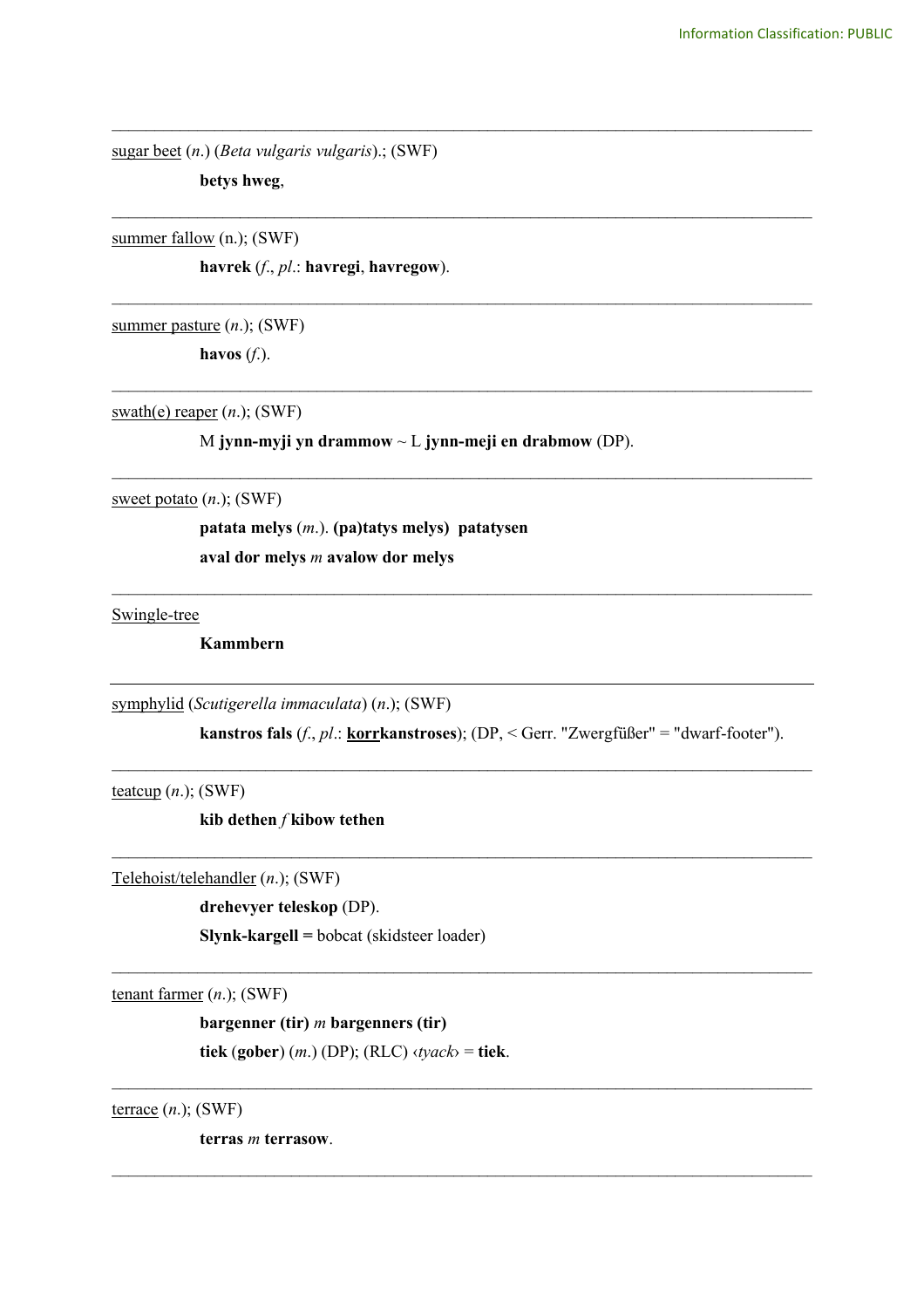sugar beet (*n*.) (*Beta vulgaris vulgaris*).; (SWF)

**betys hweg**,

summer fallow (n.); (SWF)

**havrek** (*f*., *pl*.: **havregi**, **havregow**).

summer pasture (*n*.); (SWF) **havos** (*f*.).

swath(e) reaper (*n*.); (SWF)

M **jynn-myji yn drammow** ~ L **jynn-meji en drabmow** (DP).

\_\_\_\_\_\_\_\_\_\_\_\_\_\_\_\_\_\_\_\_\_\_\_\_\_\_\_\_\_\_\_\_\_\_\_\_\_\_\_\_\_\_\_\_\_\_\_\_\_\_\_\_\_\_\_\_\_\_\_\_\_\_\_\_\_\_\_\_\_\_\_\_\_\_\_\_\_\_\_\_\_\_

\_\_\_\_\_\_\_\_\_\_\_\_\_\_\_\_\_\_\_\_\_\_\_\_\_\_\_\_\_\_\_\_\_\_\_\_\_\_\_\_\_\_\_\_\_\_\_\_\_\_\_\_\_\_\_\_\_\_\_\_\_\_\_\_\_\_\_\_\_\_\_\_\_\_\_\_\_\_\_\_\_\_

\_\_\_\_\_\_\_\_\_\_\_\_\_\_\_\_\_\_\_\_\_\_\_\_\_\_\_\_\_\_\_\_\_\_\_\_\_\_\_\_\_\_\_\_\_\_\_\_\_\_\_\_\_\_\_\_\_\_\_\_\_\_\_\_\_\_\_\_\_\_\_\_\_\_\_\_\_\_\_\_\_\_

\_\_\_\_\_\_\_\_\_\_\_\_\_\_\_\_\_\_\_\_\_\_\_\_\_\_\_\_\_\_\_\_\_\_\_\_\_\_\_\_\_\_\_\_\_\_\_\_\_\_\_\_\_\_\_\_\_\_\_\_\_\_\_\_\_\_\_\_\_\_\_\_\_\_\_\_\_\_\_\_\_\_

\_\_\_\_\_\_\_\_\_\_\_\_\_\_\_\_\_\_\_\_\_\_\_\_\_\_\_\_\_\_\_\_\_\_\_\_\_\_\_\_\_\_\_\_\_\_\_\_\_\_\_\_\_\_\_\_\_\_\_\_\_\_\_\_\_\_\_\_\_\_\_\_\_\_\_\_\_\_\_\_\_\_

 $\mathcal{L}_\text{max}$  and  $\mathcal{L}_\text{max}$  and  $\mathcal{L}_\text{max}$  and  $\mathcal{L}_\text{max}$  and  $\mathcal{L}_\text{max}$  and  $\mathcal{L}_\text{max}$ 

sweet potato (*n*.); (SWF)

**patata melys** (*m*.). **(pa)tatys melys) patatysen aval dor melys** *m* **avalow dor melys**

Swingle-tree

**Kammbern** 

symphylid (*Scutigerella immaculata*) (*n*.); (SWF)

**kanstros fals** (*f*., *pl*.: **korrkanstroses**); (DP, < Gerr. "Zwergfüßer" = "dwarf-footer").

 $\mathcal{L}_\text{max}$  and  $\mathcal{L}_\text{max}$  and  $\mathcal{L}_\text{max}$  and  $\mathcal{L}_\text{max}$  and  $\mathcal{L}_\text{max}$  and  $\mathcal{L}_\text{max}$ 

\_\_\_\_\_\_\_\_\_\_\_\_\_\_\_\_\_\_\_\_\_\_\_\_\_\_\_\_\_\_\_\_\_\_\_\_\_\_\_\_\_\_\_\_\_\_\_\_\_\_\_\_\_\_\_\_\_\_\_\_\_\_\_\_\_\_\_\_\_\_\_\_\_\_\_\_\_\_\_\_\_\_

 $\mathcal{L}_\text{max}$  and  $\mathcal{L}_\text{max}$  and  $\mathcal{L}_\text{max}$  and  $\mathcal{L}_\text{max}$  and  $\mathcal{L}_\text{max}$  and  $\mathcal{L}_\text{max}$ 

 $\mathcal{L}_\text{max}$  and  $\mathcal{L}_\text{max}$  and  $\mathcal{L}_\text{max}$  and  $\mathcal{L}_\text{max}$  and  $\mathcal{L}_\text{max}$  and  $\mathcal{L}_\text{max}$ 

 $\mathcal{L}_\mathcal{L} = \{ \mathcal{L}_\mathcal{L} = \{ \mathcal{L}_\mathcal{L} = \{ \mathcal{L}_\mathcal{L} = \{ \mathcal{L}_\mathcal{L} = \{ \mathcal{L}_\mathcal{L} = \{ \mathcal{L}_\mathcal{L} = \{ \mathcal{L}_\mathcal{L} = \{ \mathcal{L}_\mathcal{L} = \{ \mathcal{L}_\mathcal{L} = \{ \mathcal{L}_\mathcal{L} = \{ \mathcal{L}_\mathcal{L} = \{ \mathcal{L}_\mathcal{L} = \{ \mathcal{L}_\mathcal{L} = \{ \mathcal{L}_\mathcal{$ 

teatcup  $(n.)$ ; (SWF)

**kib dethen** *f* **kibow tethen**

Telehoist/telehandler (*n*.); (SWF)

**drehevyer teleskop** (DP).

**Slynk-kargell =** bobcat (skidsteer loader)

tenant farmer (*n*.); (SWF)

**bargenner (tir)** *m* **bargenners (tir)**

**tiek** (**gober**) (*m*.) (DP); (RLC) ‹*tyack*› = **tiek**.

terrace (*n*.); (SWF)

**terras** *m* **terrasow**.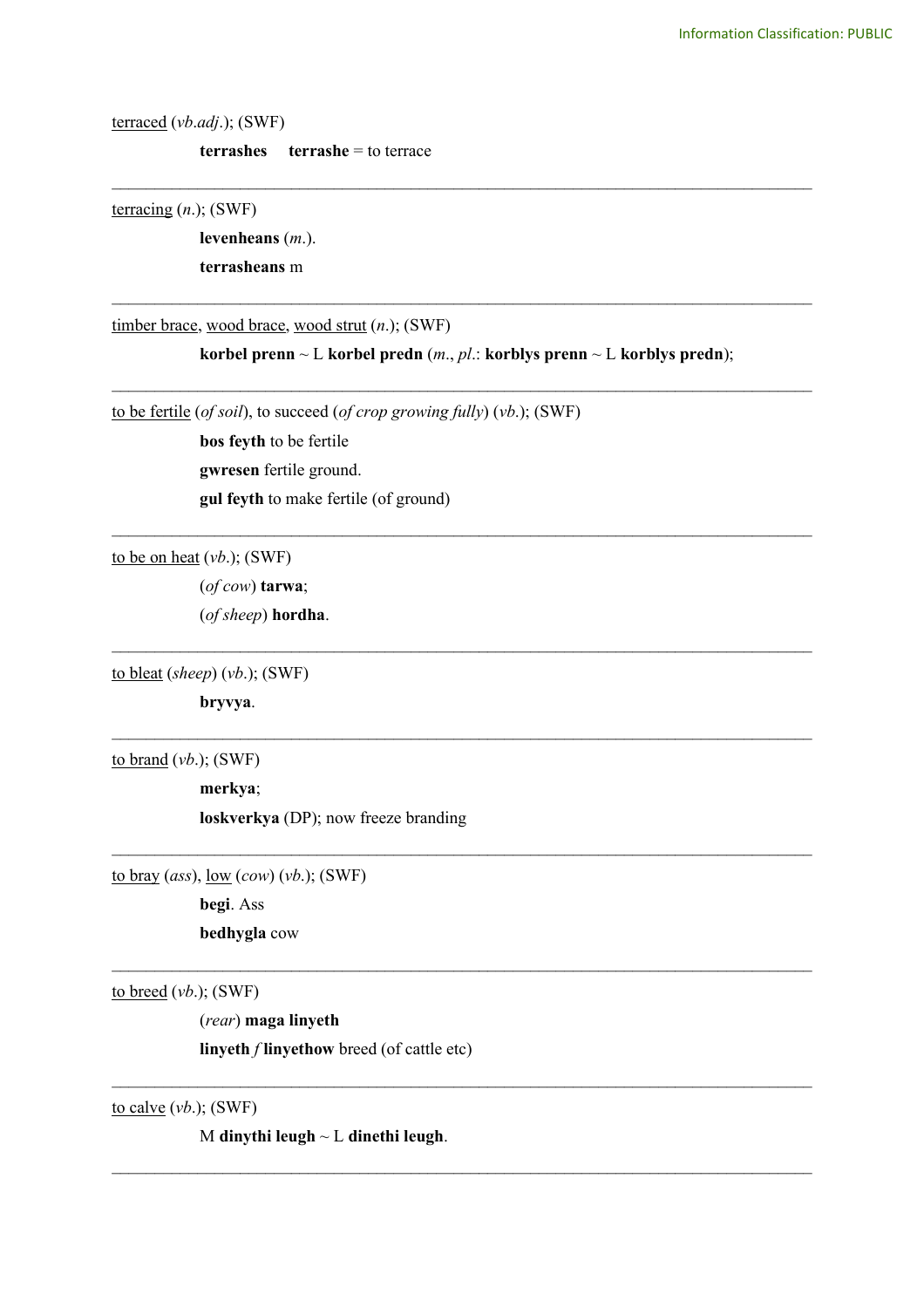terraced (*vb*.*adj*.); (SWF)

**terrashes terrashe** = to terrace

terracing (*n*.); (SWF)

**levenheans** (*m*.).

**terrasheans** m

timber brace, wood brace, wood strut (*n*.); (SWF)

**korbel prenn** ~ L **korbel predn**  $(m, pl.:$  **korblys prenn** ~ L **korblys predn**);

\_\_\_\_\_\_\_\_\_\_\_\_\_\_\_\_\_\_\_\_\_\_\_\_\_\_\_\_\_\_\_\_\_\_\_\_\_\_\_\_\_\_\_\_\_\_\_\_\_\_\_\_\_\_\_\_\_\_\_\_\_\_\_\_\_\_\_\_\_\_\_\_\_\_\_\_\_\_\_\_\_\_

\_\_\_\_\_\_\_\_\_\_\_\_\_\_\_\_\_\_\_\_\_\_\_\_\_\_\_\_\_\_\_\_\_\_\_\_\_\_\_\_\_\_\_\_\_\_\_\_\_\_\_\_\_\_\_\_\_\_\_\_\_\_\_\_\_\_\_\_\_\_\_\_\_\_\_\_\_\_\_\_\_\_

 $\mathcal{L}_\text{max}$  and  $\mathcal{L}_\text{max}$  and  $\mathcal{L}_\text{max}$  and  $\mathcal{L}_\text{max}$  and  $\mathcal{L}_\text{max}$  and  $\mathcal{L}_\text{max}$ 

 $\_$ 

 $\mathcal{L}_\text{max}$  and  $\mathcal{L}_\text{max}$  and  $\mathcal{L}_\text{max}$  and  $\mathcal{L}_\text{max}$  and  $\mathcal{L}_\text{max}$  and  $\mathcal{L}_\text{max}$ 

 $\mathcal{L}_\text{max}$  and  $\mathcal{L}_\text{max}$  and  $\mathcal{L}_\text{max}$  and  $\mathcal{L}_\text{max}$  and  $\mathcal{L}_\text{max}$  and  $\mathcal{L}_\text{max}$ 

 $\mathcal{L}_\mathcal{L} = \{ \mathcal{L}_\mathcal{L} = \{ \mathcal{L}_\mathcal{L} = \{ \mathcal{L}_\mathcal{L} = \{ \mathcal{L}_\mathcal{L} = \{ \mathcal{L}_\mathcal{L} = \{ \mathcal{L}_\mathcal{L} = \{ \mathcal{L}_\mathcal{L} = \{ \mathcal{L}_\mathcal{L} = \{ \mathcal{L}_\mathcal{L} = \{ \mathcal{L}_\mathcal{L} = \{ \mathcal{L}_\mathcal{L} = \{ \mathcal{L}_\mathcal{L} = \{ \mathcal{L}_\mathcal{L} = \{ \mathcal{L}_\mathcal{$ 

\_\_\_\_\_\_\_\_\_\_\_\_\_\_\_\_\_\_\_\_\_\_\_\_\_\_\_\_\_\_\_\_\_\_\_\_\_\_\_\_\_\_\_\_\_\_\_\_\_\_\_\_\_\_\_\_\_\_\_\_\_\_\_\_\_\_\_\_\_\_\_\_\_\_\_\_\_\_\_\_\_\_

\_\_\_\_\_\_\_\_\_\_\_\_\_\_\_\_\_\_\_\_\_\_\_\_\_\_\_\_\_\_\_\_\_\_\_\_\_\_\_\_\_\_\_\_\_\_\_\_\_\_\_\_\_\_\_\_\_\_\_\_\_\_\_\_\_\_\_\_\_\_\_\_\_\_\_\_\_\_\_\_\_\_

to be fertile (*of soil*), to succeed (*of crop growing fully*) (*vb*.); (SWF)

**bos feyth** to be fertile **gwresen** fertile ground. **gul feyth** to make fertile (of ground)

to be on heat (*vb*.); (SWF)

(*of cow*) **tarwa**;

(*of sheep*) **hordha**.

to bleat (*sheep*) (*vb*.); (SWF)

**bryvya**.

to brand (*vb*.); (SWF)

**merkya**;

**loskverkya** (DP); now freeze branding

to bray (*ass*), low (*cow*) (*vb*.); (SWF)

**begi**. Ass

**bedhygla** cow

to breed (*vb*.); (SWF)

(*rear*) **maga linyeth linyeth** *f* **linyethow** breed (of cattle etc)

 $\_$ 

to calve (*vb*.); (SWF)

M **dinythi leugh** ~ L **dinethi leugh**.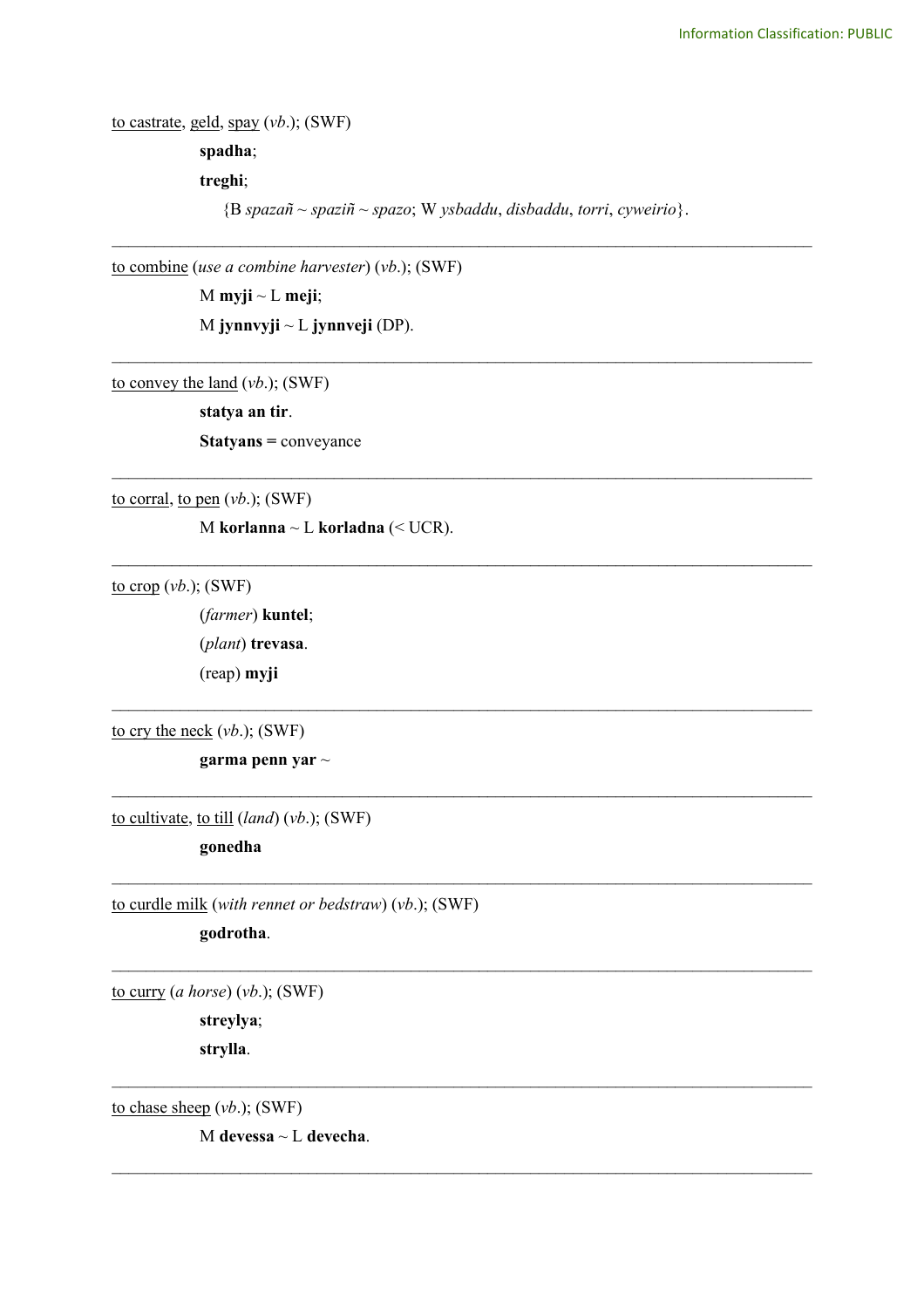to castrate, geld, spay (*vb*.); (SWF) **spadha**; **treghi**; {B *spazañ* ~ *spaziñ* ~ *spazo*; W *ysbaddu*, *disbaddu*, *torri*, *cyweirio*}.

\_\_\_\_\_\_\_\_\_\_\_\_\_\_\_\_\_\_\_\_\_\_\_\_\_\_\_\_\_\_\_\_\_\_\_\_\_\_\_\_\_\_\_\_\_\_\_\_\_\_\_\_\_\_\_\_\_\_\_\_\_\_\_\_\_\_\_\_\_\_\_\_\_\_\_\_\_\_\_\_\_\_

\_\_\_\_\_\_\_\_\_\_\_\_\_\_\_\_\_\_\_\_\_\_\_\_\_\_\_\_\_\_\_\_\_\_\_\_\_\_\_\_\_\_\_\_\_\_\_\_\_\_\_\_\_\_\_\_\_\_\_\_\_\_\_\_\_\_\_\_\_\_\_\_\_\_\_\_\_\_\_\_\_\_

\_\_\_\_\_\_\_\_\_\_\_\_\_\_\_\_\_\_\_\_\_\_\_\_\_\_\_\_\_\_\_\_\_\_\_\_\_\_\_\_\_\_\_\_\_\_\_\_\_\_\_\_\_\_\_\_\_\_\_\_\_\_\_\_\_\_\_\_\_\_\_\_\_\_\_\_\_\_\_\_\_\_

\_\_\_\_\_\_\_\_\_\_\_\_\_\_\_\_\_\_\_\_\_\_\_\_\_\_\_\_\_\_\_\_\_\_\_\_\_\_\_\_\_\_\_\_\_\_\_\_\_\_\_\_\_\_\_\_\_\_\_\_\_\_\_\_\_\_\_\_\_\_\_\_\_\_\_\_\_\_\_\_\_\_

 $\mathcal{L}_\text{max}$  and  $\mathcal{L}_\text{max}$  and  $\mathcal{L}_\text{max}$  and  $\mathcal{L}_\text{max}$  and  $\mathcal{L}_\text{max}$  and  $\mathcal{L}_\text{max}$ 

 $\mathcal{L}_\text{max}$  and  $\mathcal{L}_\text{max}$  and  $\mathcal{L}_\text{max}$  and  $\mathcal{L}_\text{max}$  and  $\mathcal{L}_\text{max}$  and  $\mathcal{L}_\text{max}$ 

 $\mathcal{L}_\text{max}$  and  $\mathcal{L}_\text{max}$  and  $\mathcal{L}_\text{max}$  and  $\mathcal{L}_\text{max}$  and  $\mathcal{L}_\text{max}$  and  $\mathcal{L}_\text{max}$ 

 $\mathcal{L}_\text{max}$  and  $\mathcal{L}_\text{max}$  and  $\mathcal{L}_\text{max}$  and  $\mathcal{L}_\text{max}$  and  $\mathcal{L}_\text{max}$  and  $\mathcal{L}_\text{max}$ 

 $\_$ 

 $\mathcal{L}_\mathcal{L} = \{ \mathcal{L}_\mathcal{L} = \{ \mathcal{L}_\mathcal{L} = \{ \mathcal{L}_\mathcal{L} = \{ \mathcal{L}_\mathcal{L} = \{ \mathcal{L}_\mathcal{L} = \{ \mathcal{L}_\mathcal{L} = \{ \mathcal{L}_\mathcal{L} = \{ \mathcal{L}_\mathcal{L} = \{ \mathcal{L}_\mathcal{L} = \{ \mathcal{L}_\mathcal{L} = \{ \mathcal{L}_\mathcal{L} = \{ \mathcal{L}_\mathcal{L} = \{ \mathcal{L}_\mathcal{L} = \{ \mathcal{L}_\mathcal{$ 

to combine (*use a combine harvester*) (*vb*.); (SWF)

M **myji** ~ L **meji**; M **jynnvyji** ~ L **jynnveji** (DP).

to convey the land (*vb*.); (SWF)

**statya an tir**. **Statyans =** conveyance

to corral, to pen (*vb*.); (SWF)

M **korlanna** ~ L **korladna** (< UCR).

to crop (*vb*.); (SWF)

(*farmer*) **kuntel**; (*plant*) **trevasa**. (reap) **myji**

to cry the neck (*vb*.); (SWF)

**garma penn yar** ~

to cultivate, to till (*land*) (*vb*.); (SWF)

**gonedha**

to curdle milk (*with rennet or bedstraw*) (*vb*.); (SWF)

**godrotha**.

to curry (*a horse*) (*vb*.); (SWF)

**streylya**; **strylla**.

to chase sheep (*vb*.); (SWF)

M **devessa** ~ L **devecha**.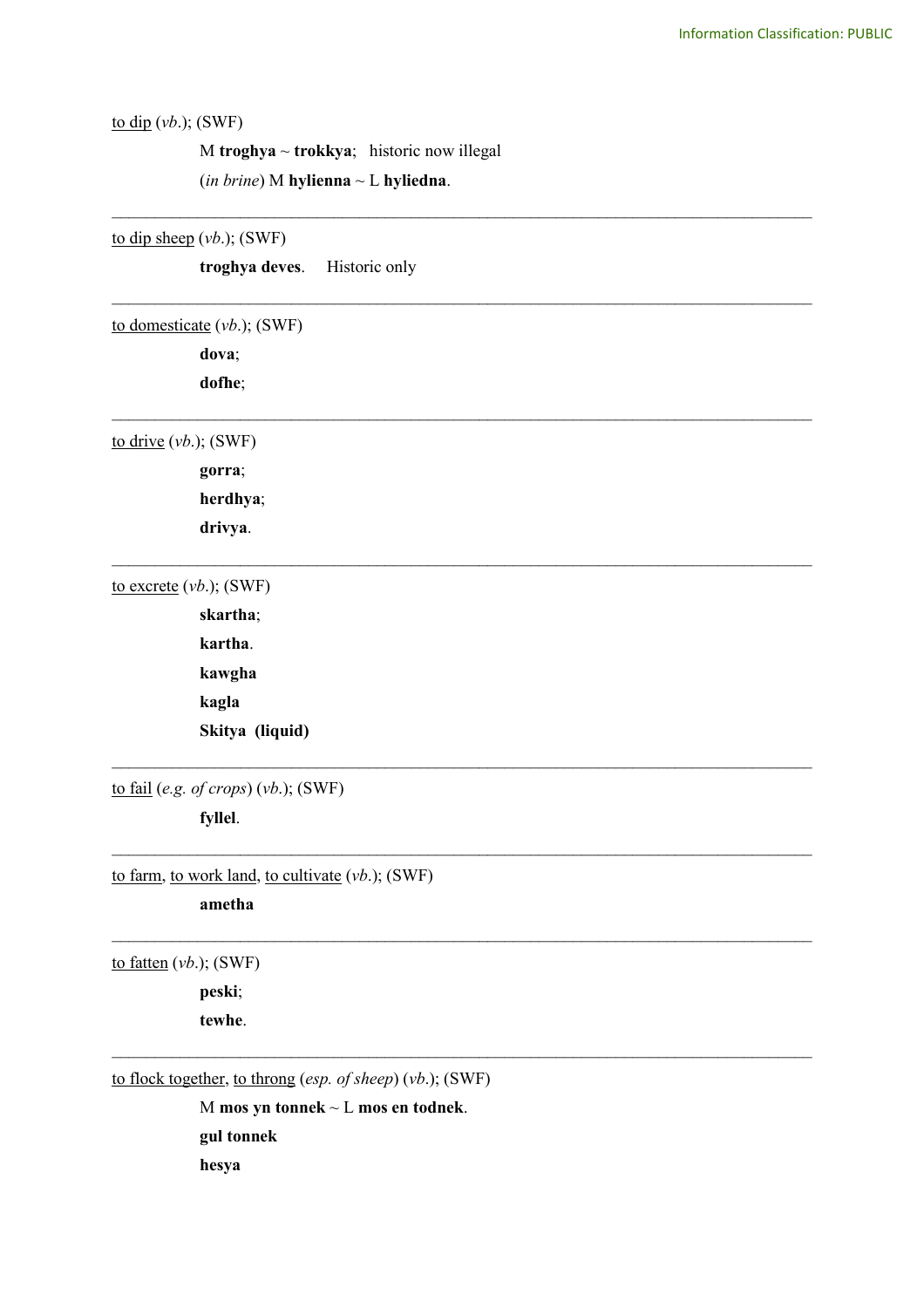# to dip (*vb*.); (SWF)

M **troghya** ~ **trokkya**; historic now illegal (*in brine*) M **hylienna** ~ L **hyliedna**.

to dip sheep (*vb*.); (SWF)

**troghya deves**. Historic only \_\_\_\_\_\_\_\_\_\_\_\_\_\_\_\_\_\_\_\_\_\_\_\_\_\_\_\_\_\_\_\_\_\_\_\_\_\_\_\_\_\_\_\_\_\_\_\_\_\_\_\_\_\_\_\_\_\_\_\_\_\_\_\_\_\_\_\_\_\_\_\_\_\_\_\_\_\_\_\_\_\_ to domesticate (*vb*.); (SWF) **dova**; **dofhe**; \_\_\_\_\_\_\_\_\_\_\_\_\_\_\_\_\_\_\_\_\_\_\_\_\_\_\_\_\_\_\_\_\_\_\_\_\_\_\_\_\_\_\_\_\_\_\_\_\_\_\_\_\_\_\_\_\_\_\_\_\_\_\_\_\_\_\_\_\_\_\_\_\_\_\_\_\_\_\_\_\_\_ to drive (*vb*.); (SWF) **gorra**; **herdhya**; **drivya**. \_\_\_\_\_\_\_\_\_\_\_\_\_\_\_\_\_\_\_\_\_\_\_\_\_\_\_\_\_\_\_\_\_\_\_\_\_\_\_\_\_\_\_\_\_\_\_\_\_\_\_\_\_\_\_\_\_\_\_\_\_\_\_\_\_\_\_\_\_\_\_\_\_\_\_\_\_\_\_\_\_\_ to excrete (*vb*.); (SWF) **skartha**; **kartha**. **kawgha kagla Skitya (liquid)**  $\mathcal{L}_\text{max}$  and  $\mathcal{L}_\text{max}$  and  $\mathcal{L}_\text{max}$  and  $\mathcal{L}_\text{max}$  and  $\mathcal{L}_\text{max}$  and  $\mathcal{L}_\text{max}$ to fail (*e.g. of crops*) (*vb*.); (SWF) **fyllel**.  $\mathcal{L}_\text{max}$  and  $\mathcal{L}_\text{max}$  and  $\mathcal{L}_\text{max}$  and  $\mathcal{L}_\text{max}$  and  $\mathcal{L}_\text{max}$  and  $\mathcal{L}_\text{max}$ to farm, to work land, to cultivate (*vb*.); (SWF) **ametha**  $\mathcal{L}_\mathcal{L} = \{ \mathcal{L}_\mathcal{L} = \{ \mathcal{L}_\mathcal{L} = \{ \mathcal{L}_\mathcal{L} = \{ \mathcal{L}_\mathcal{L} = \{ \mathcal{L}_\mathcal{L} = \{ \mathcal{L}_\mathcal{L} = \{ \mathcal{L}_\mathcal{L} = \{ \mathcal{L}_\mathcal{L} = \{ \mathcal{L}_\mathcal{L} = \{ \mathcal{L}_\mathcal{L} = \{ \mathcal{L}_\mathcal{L} = \{ \mathcal{L}_\mathcal{L} = \{ \mathcal{L}_\mathcal{L} = \{ \mathcal{L}_\mathcal{$ to fatten (*vb*.); (SWF) **peski**; **tewhe**.  $\mathcal{L}_\mathcal{L} = \{ \mathcal{L}_\mathcal{L} = \{ \mathcal{L}_\mathcal{L} = \{ \mathcal{L}_\mathcal{L} = \{ \mathcal{L}_\mathcal{L} = \{ \mathcal{L}_\mathcal{L} = \{ \mathcal{L}_\mathcal{L} = \{ \mathcal{L}_\mathcal{L} = \{ \mathcal{L}_\mathcal{L} = \{ \mathcal{L}_\mathcal{L} = \{ \mathcal{L}_\mathcal{L} = \{ \mathcal{L}_\mathcal{L} = \{ \mathcal{L}_\mathcal{L} = \{ \mathcal{L}_\mathcal{L} = \{ \mathcal{L}_\mathcal{$ to flock together, to throng (*esp. of sheep*) (*vb*.); (SWF) M **mos yn tonnek** ~ L **mos en todnek**.

\_\_\_\_\_\_\_\_\_\_\_\_\_\_\_\_\_\_\_\_\_\_\_\_\_\_\_\_\_\_\_\_\_\_\_\_\_\_\_\_\_\_\_\_\_\_\_\_\_\_\_\_\_\_\_\_\_\_\_\_\_\_\_\_\_\_\_\_\_\_\_\_\_\_\_\_\_\_\_\_\_\_

**hesya**

**gul tonnek**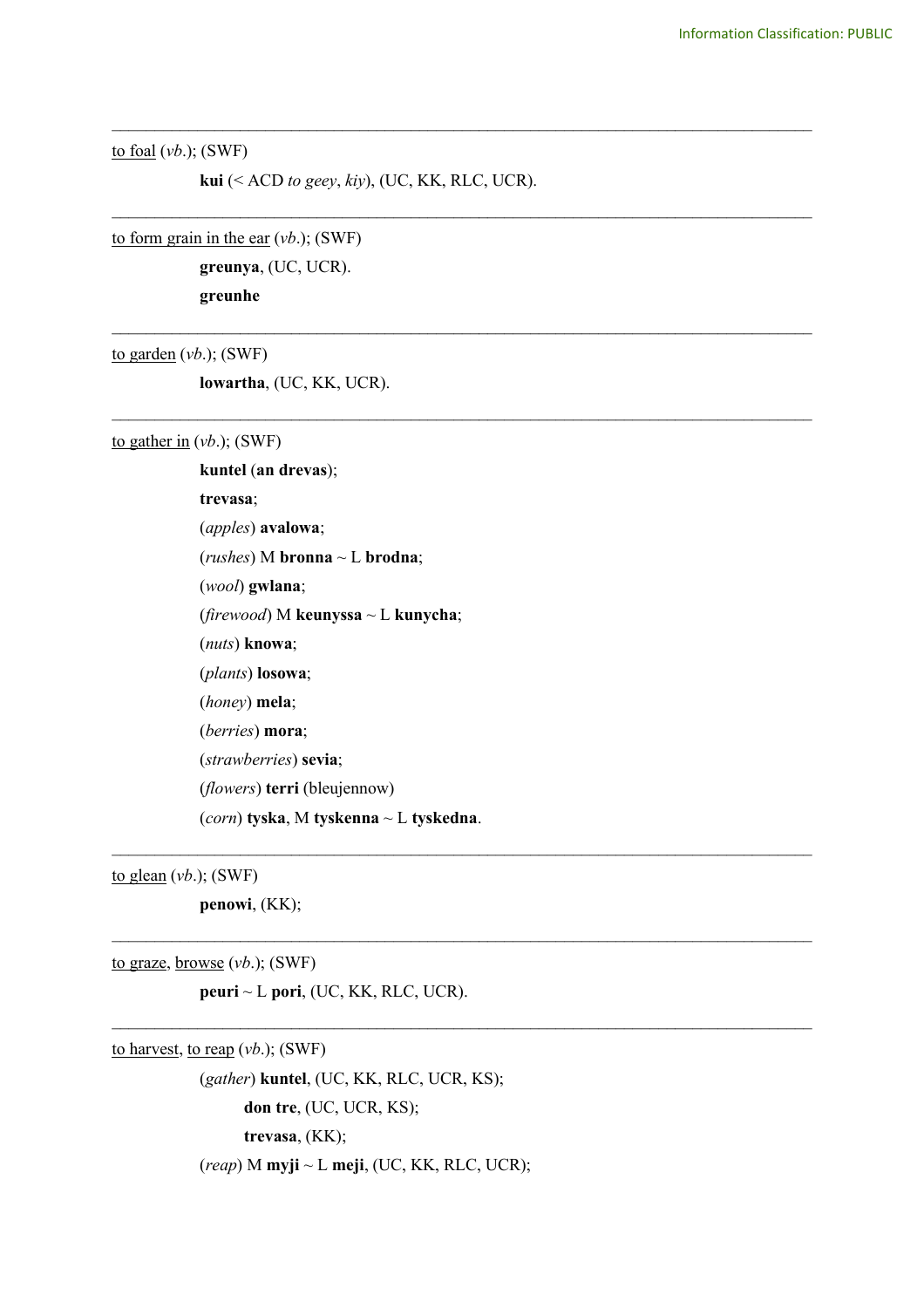to foal (*vb*.); (SWF)

**kui** (< ACD *to geey*, *kiy*), (UC, KK, RLC, UCR).

\_\_\_\_\_\_\_\_\_\_\_\_\_\_\_\_\_\_\_\_\_\_\_\_\_\_\_\_\_\_\_\_\_\_\_\_\_\_\_\_\_\_\_\_\_\_\_\_\_\_\_\_\_\_\_\_\_\_\_\_\_\_\_\_\_\_\_\_\_\_\_\_\_\_\_\_\_\_\_\_\_\_

\_\_\_\_\_\_\_\_\_\_\_\_\_\_\_\_\_\_\_\_\_\_\_\_\_\_\_\_\_\_\_\_\_\_\_\_\_\_\_\_\_\_\_\_\_\_\_\_\_\_\_\_\_\_\_\_\_\_\_\_\_\_\_\_\_\_\_\_\_\_\_\_\_\_\_\_\_\_\_\_\_\_

\_\_\_\_\_\_\_\_\_\_\_\_\_\_\_\_\_\_\_\_\_\_\_\_\_\_\_\_\_\_\_\_\_\_\_\_\_\_\_\_\_\_\_\_\_\_\_\_\_\_\_\_\_\_\_\_\_\_\_\_\_\_\_\_\_\_\_\_\_\_\_\_\_\_\_\_\_\_\_\_\_\_

\_\_\_\_\_\_\_\_\_\_\_\_\_\_\_\_\_\_\_\_\_\_\_\_\_\_\_\_\_\_\_\_\_\_\_\_\_\_\_\_\_\_\_\_\_\_\_\_\_\_\_\_\_\_\_\_\_\_\_\_\_\_\_\_\_\_\_\_\_\_\_\_\_\_\_\_\_\_\_\_\_\_

 $\mathcal{L}_\text{max}$  , and the contribution of the contribution of the contribution of the contribution of the contribution of the contribution of the contribution of the contribution of the contribution of the contribution of t

 $\mathcal{L}_\mathcal{L} = \{ \mathcal{L}_\mathcal{L} = \{ \mathcal{L}_\mathcal{L} = \{ \mathcal{L}_\mathcal{L} = \{ \mathcal{L}_\mathcal{L} = \{ \mathcal{L}_\mathcal{L} = \{ \mathcal{L}_\mathcal{L} = \{ \mathcal{L}_\mathcal{L} = \{ \mathcal{L}_\mathcal{L} = \{ \mathcal{L}_\mathcal{L} = \{ \mathcal{L}_\mathcal{L} = \{ \mathcal{L}_\mathcal{L} = \{ \mathcal{L}_\mathcal{L} = \{ \mathcal{L}_\mathcal{L} = \{ \mathcal{L}_\mathcal{$ 

 $\mathcal{L}_\mathcal{L} = \{ \mathcal{L}_\mathcal{L} = \{ \mathcal{L}_\mathcal{L} = \{ \mathcal{L}_\mathcal{L} = \{ \mathcal{L}_\mathcal{L} = \{ \mathcal{L}_\mathcal{L} = \{ \mathcal{L}_\mathcal{L} = \{ \mathcal{L}_\mathcal{L} = \{ \mathcal{L}_\mathcal{L} = \{ \mathcal{L}_\mathcal{L} = \{ \mathcal{L}_\mathcal{L} = \{ \mathcal{L}_\mathcal{L} = \{ \mathcal{L}_\mathcal{L} = \{ \mathcal{L}_\mathcal{L} = \{ \mathcal{L}_\mathcal{$ 

to form grain in the ear (*vb*.); (SWF)

**greunya**, (UC, UCR). **greunhe**

to garden (*vb*.); (SWF)

**lowartha**, (UC, KK, UCR).

to gather in  $(vb)$ ; (SWF)

**kuntel** (**an drevas**); **trevasa**; (*apples*) **avalowa**; (*rushes*) M **bronna** ~ L **brodna**; (*wool*) **gwlana**; (*firewood*) M **keunyssa** ~ L **kunycha**; (*nuts*) **knowa**; (*plants*) **losowa**; (*honey*) **mela**; (*berries*) **mora**; (*strawberries*) **sevia**; (*flowers*) **terri** (bleujennow) (*corn*) **tyska**, M **tyskenna** ~ L **tyskedna**.

to glean (*vb*.); (SWF)

**penowi**, (KK);

to graze, browse (*vb*.); (SWF)

**peuri** ~ L **pori**, (UC, KK, RLC, UCR).

to harvest, to reap (*vb*.); (SWF)

(*gather*) **kuntel**, (UC, KK, RLC, UCR, KS); **don tre**, (UC, UCR, KS); **trevasa**, (KK); (*reap*) M **myji** ~ L **meji**, (UC, KK, RLC, UCR);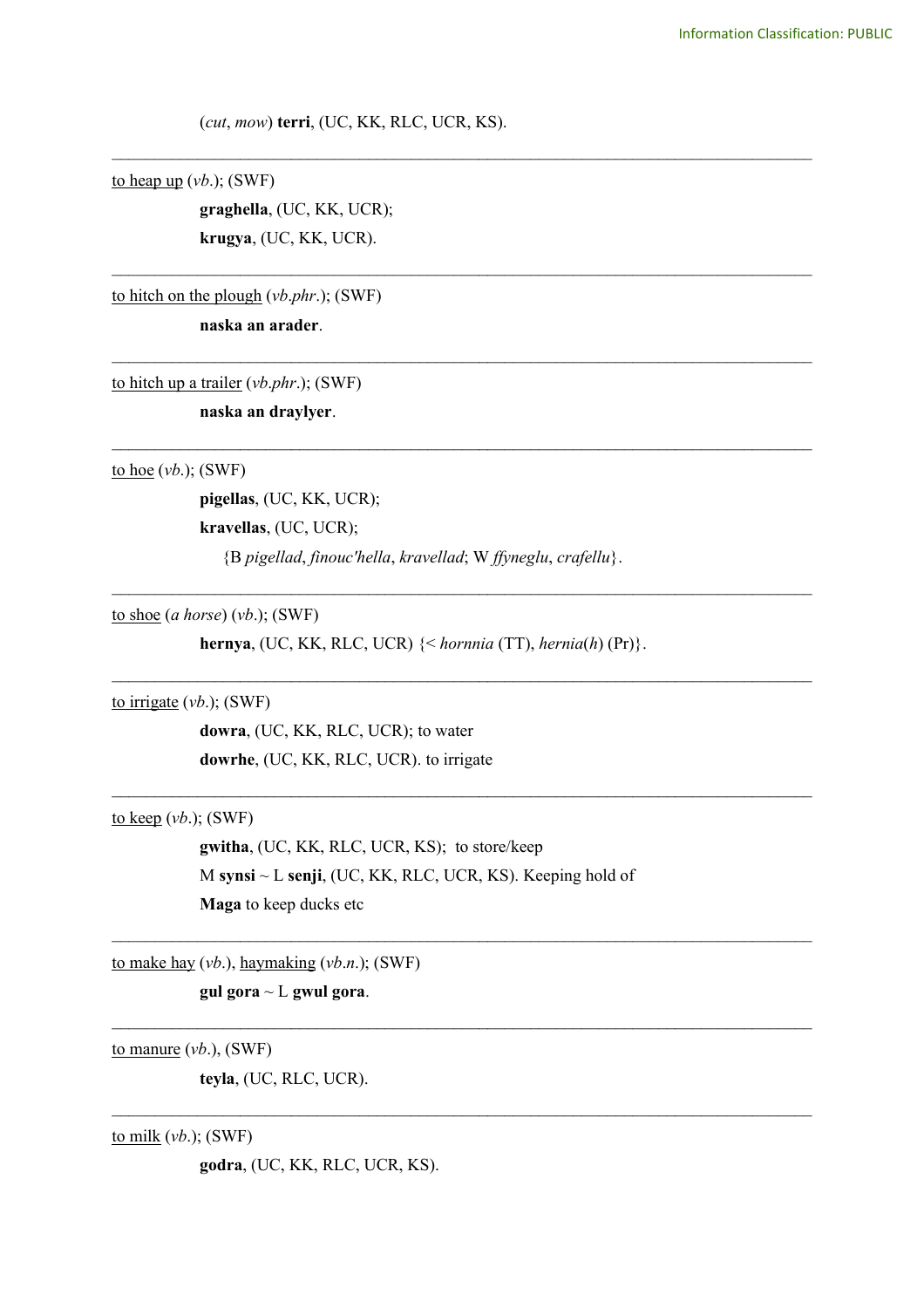(*cut*, *mow*) **terri**, (UC, KK, RLC, UCR, KS).

\_\_\_\_\_\_\_\_\_\_\_\_\_\_\_\_\_\_\_\_\_\_\_\_\_\_\_\_\_\_\_\_\_\_\_\_\_\_\_\_\_\_\_\_\_\_\_\_\_\_\_\_\_\_\_\_\_\_\_\_\_\_\_\_\_\_\_\_\_\_\_\_\_\_\_\_\_\_\_\_\_\_

\_\_\_\_\_\_\_\_\_\_\_\_\_\_\_\_\_\_\_\_\_\_\_\_\_\_\_\_\_\_\_\_\_\_\_\_\_\_\_\_\_\_\_\_\_\_\_\_\_\_\_\_\_\_\_\_\_\_\_\_\_\_\_\_\_\_\_\_\_\_\_\_\_\_\_\_\_\_\_\_\_\_

\_\_\_\_\_\_\_\_\_\_\_\_\_\_\_\_\_\_\_\_\_\_\_\_\_\_\_\_\_\_\_\_\_\_\_\_\_\_\_\_\_\_\_\_\_\_\_\_\_\_\_\_\_\_\_\_\_\_\_\_\_\_\_\_\_\_\_\_\_\_\_\_\_\_\_\_\_\_\_\_\_\_

\_\_\_\_\_\_\_\_\_\_\_\_\_\_\_\_\_\_\_\_\_\_\_\_\_\_\_\_\_\_\_\_\_\_\_\_\_\_\_\_\_\_\_\_\_\_\_\_\_\_\_\_\_\_\_\_\_\_\_\_\_\_\_\_\_\_\_\_\_\_\_\_\_\_\_\_\_\_\_\_\_\_

 $\mathcal{L}_\text{max}$  and  $\mathcal{L}_\text{max}$  and  $\mathcal{L}_\text{max}$  and  $\mathcal{L}_\text{max}$  and  $\mathcal{L}_\text{max}$  and  $\mathcal{L}_\text{max}$ 

 $\mathcal{L}_\text{max}$  and  $\mathcal{L}_\text{max}$  and  $\mathcal{L}_\text{max}$  and  $\mathcal{L}_\text{max}$  and  $\mathcal{L}_\text{max}$  and  $\mathcal{L}_\text{max}$ 

 $\mathcal{L}_\text{max}$  and  $\mathcal{L}_\text{max}$  and  $\mathcal{L}_\text{max}$  and  $\mathcal{L}_\text{max}$  and  $\mathcal{L}_\text{max}$  and  $\mathcal{L}_\text{max}$ 

 $\mathcal{L}_\mathcal{L} = \{ \mathcal{L}_\mathcal{L} = \{ \mathcal{L}_\mathcal{L} = \{ \mathcal{L}_\mathcal{L} = \{ \mathcal{L}_\mathcal{L} = \{ \mathcal{L}_\mathcal{L} = \{ \mathcal{L}_\mathcal{L} = \{ \mathcal{L}_\mathcal{L} = \{ \mathcal{L}_\mathcal{L} = \{ \mathcal{L}_\mathcal{L} = \{ \mathcal{L}_\mathcal{L} = \{ \mathcal{L}_\mathcal{L} = \{ \mathcal{L}_\mathcal{L} = \{ \mathcal{L}_\mathcal{L} = \{ \mathcal{L}_\mathcal{$ 

 $\_$ 

 $\_$ 

to heap up  $(vb)$ ; (SWF)

**graghella**, (UC, KK, UCR); **krugya**, (UC, KK, UCR).

to hitch on the plough (*vb*.*phr*.); (SWF)

**naska an arader**.

to hitch up a trailer (*vb*.*phr*.); (SWF)

**naska an draylyer**.

to hoe (*vb*.); (SWF)

**pigellas**, (UC, KK, UCR); **kravellas**, (UC, UCR); {B *pigellad*, *finouc'hella*, *kravellad*; W *ffyneglu*, *crafellu*}.

to shoe (*a horse*) (*vb*.); (SWF)

**hernya**, (UC, KK, RLC, UCR) {< *hornnia* (TT), *hernia*(*h*) (Pr)}.

to irrigate (*vb*.); (SWF)

**dowra**, (UC, KK, RLC, UCR); to water **dowrhe**, (UC, KK, RLC, UCR). to irrigate

to keep (*vb*.); (SWF)

**gwitha**, (UC, KK, RLC, UCR, KS); to store/keep M **synsi** ~ L **senji**, (UC, KK, RLC, UCR, KS). Keeping hold of **Maga** to keep ducks etc

to make hay (*vb*.), haymaking (*vb*.*n*.); (SWF)

**gul gora** ~ L **gwul gora**.

to manure (*vb*.), (SWF)

**teyla**, (UC, RLC, UCR).

to milk (*vb*.); (SWF)

**godra**, (UC, KK, RLC, UCR, KS).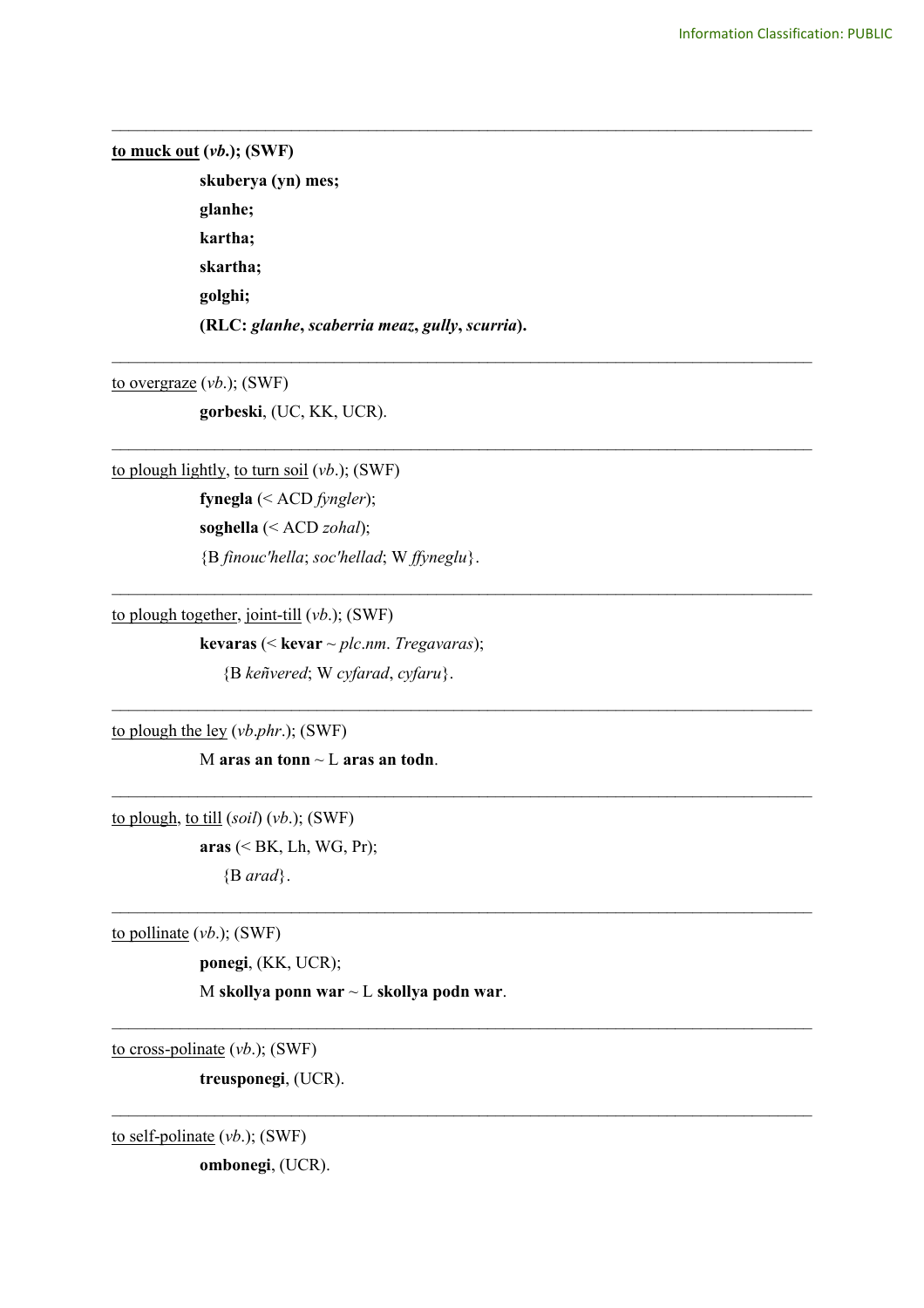## **to muck out (***vb***.); (SWF)**

**skuberya (yn) mes; glanhe; kartha; skartha; golghi; (RLC:** *glanhe***,** *scaberria meaz***,** *gully***,** *scurria***).** 

\_\_\_\_\_\_\_\_\_\_\_\_\_\_\_\_\_\_\_\_\_\_\_\_\_\_\_\_\_\_\_\_\_\_\_\_\_\_\_\_\_\_\_\_\_\_\_\_\_\_\_\_\_\_\_\_\_\_\_\_\_\_\_\_\_\_\_\_\_\_\_\_\_\_\_\_\_\_\_\_\_\_

\_\_\_\_\_\_\_\_\_\_\_\_\_\_\_\_\_\_\_\_\_\_\_\_\_\_\_\_\_\_\_\_\_\_\_\_\_\_\_\_\_\_\_\_\_\_\_\_\_\_\_\_\_\_\_\_\_\_\_\_\_\_\_\_\_\_\_\_\_\_\_\_\_\_\_\_\_\_\_\_\_\_

\_\_\_\_\_\_\_\_\_\_\_\_\_\_\_\_\_\_\_\_\_\_\_\_\_\_\_\_\_\_\_\_\_\_\_\_\_\_\_\_\_\_\_\_\_\_\_\_\_\_\_\_\_\_\_\_\_\_\_\_\_\_\_\_\_\_\_\_\_\_\_\_\_\_\_\_\_\_\_\_\_\_

 $\mathcal{L}_\text{max}$  and  $\mathcal{L}_\text{max}$  and  $\mathcal{L}_\text{max}$  and  $\mathcal{L}_\text{max}$  and  $\mathcal{L}_\text{max}$  and  $\mathcal{L}_\text{max}$ 

 $\mathcal{L}_\text{max}$  and  $\mathcal{L}_\text{max}$  and  $\mathcal{L}_\text{max}$  and  $\mathcal{L}_\text{max}$  and  $\mathcal{L}_\text{max}$  and  $\mathcal{L}_\text{max}$ 

 $\mathcal{L}_\text{max}$  and  $\mathcal{L}_\text{max}$  and  $\mathcal{L}_\text{max}$  and  $\mathcal{L}_\text{max}$  and  $\mathcal{L}_\text{max}$  and  $\mathcal{L}_\text{max}$ 

 $\_$ 

 $\_$ 

 $\_$ 

to overgraze (*vb*.); (SWF)

**gorbeski**, (UC, KK, UCR).

to plough lightly, to turn soil (*vb*.); (SWF)

**fynegla** (< ACD *fyngler*); **soghella** (< ACD *zohal*); {B *finouc'hella*; *soc'hellad*; W *ffyneglu*}.

to plough together, joint-till (*vb*.); (SWF)

**kevaras** (< **kevar** ~ *plc*.*nm*. *Tregavaras*);

{B *keñvered*; W *cyfarad*, *cyfaru*}.

to plough the ley (*vb*.*phr*.); (SWF)

M **aras an tonn** ~ L **aras an todn**.

to plough, to till (*soil*) (*vb*.); (SWF) **aras** (< BK, Lh, WG, Pr);

{B *arad*}.

to pollinate (*vb*.); (SWF)

**ponegi**, (KK, UCR);

M **skollya ponn war** ~ L **skollya podn war**.

to cross-polinate (*vb*.); (SWF)

**treusponegi**, (UCR).

to self-polinate (*vb*.); (SWF)

**ombonegi**, (UCR).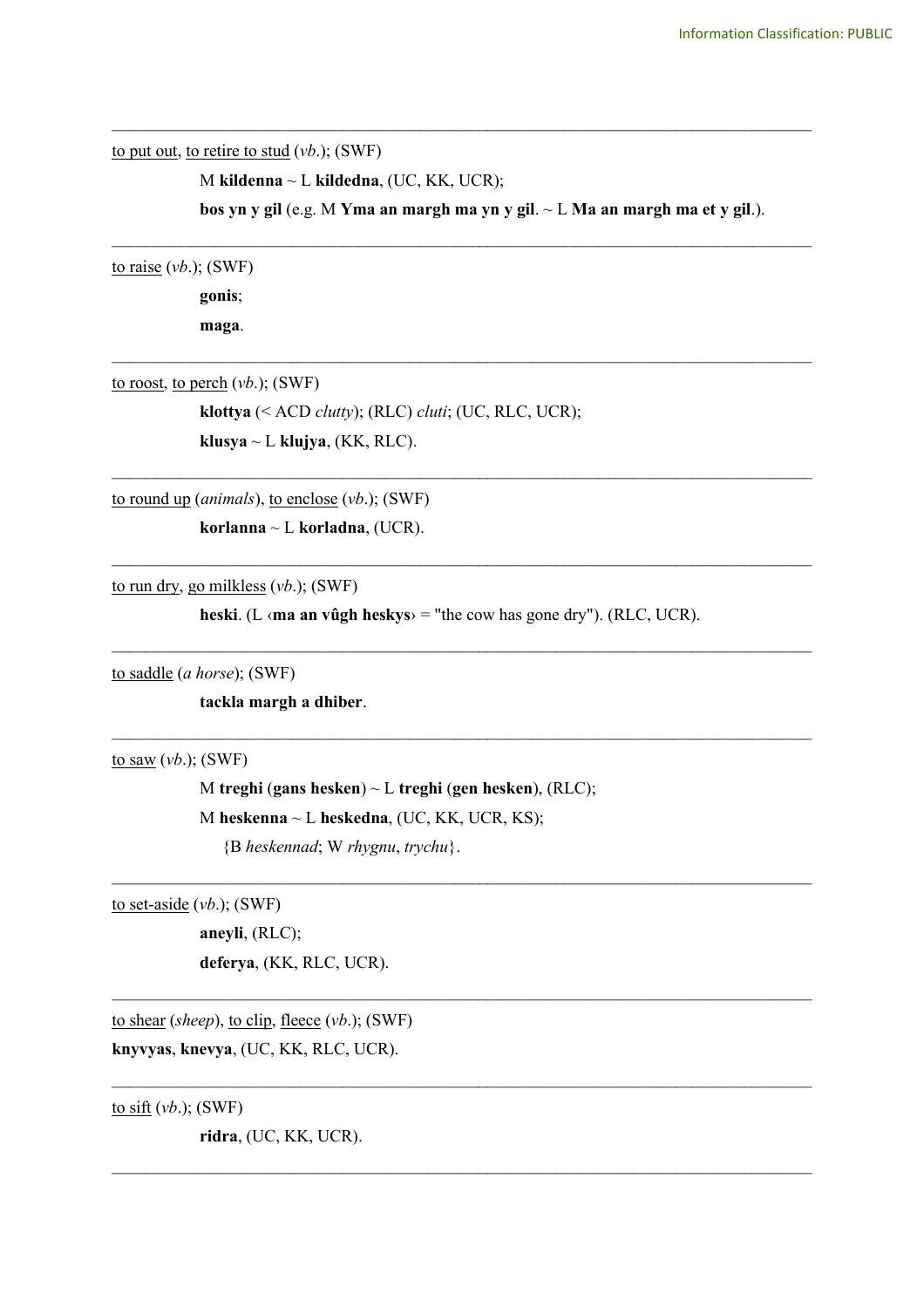to put out, to retire to stud (*vb*.); (SWF)

M **kildenna** ~ L **kildedna**, (UC, KK, UCR);

**bos yn y gil** (e.g. M **Yma an margh ma yn y gil**. ~ L **Ma an margh ma et y gil**.).

\_\_\_\_\_\_\_\_\_\_\_\_\_\_\_\_\_\_\_\_\_\_\_\_\_\_\_\_\_\_\_\_\_\_\_\_\_\_\_\_\_\_\_\_\_\_\_\_\_\_\_\_\_\_\_\_\_\_\_\_\_\_\_\_\_\_\_\_\_\_\_\_\_\_\_\_\_\_\_\_\_\_

\_\_\_\_\_\_\_\_\_\_\_\_\_\_\_\_\_\_\_\_\_\_\_\_\_\_\_\_\_\_\_\_\_\_\_\_\_\_\_\_\_\_\_\_\_\_\_\_\_\_\_\_\_\_\_\_\_\_\_\_\_\_\_\_\_\_\_\_\_\_\_\_\_\_\_\_\_\_\_\_\_\_

\_\_\_\_\_\_\_\_\_\_\_\_\_\_\_\_\_\_\_\_\_\_\_\_\_\_\_\_\_\_\_\_\_\_\_\_\_\_\_\_\_\_\_\_\_\_\_\_\_\_\_\_\_\_\_\_\_\_\_\_\_\_\_\_\_\_\_\_\_\_\_\_\_\_\_\_\_\_\_\_\_\_

\_\_\_\_\_\_\_\_\_\_\_\_\_\_\_\_\_\_\_\_\_\_\_\_\_\_\_\_\_\_\_\_\_\_\_\_\_\_\_\_\_\_\_\_\_\_\_\_\_\_\_\_\_\_\_\_\_\_\_\_\_\_\_\_\_\_\_\_\_\_\_\_\_\_\_\_\_\_\_\_\_\_

\_\_\_\_\_\_\_\_\_\_\_\_\_\_\_\_\_\_\_\_\_\_\_\_\_\_\_\_\_\_\_\_\_\_\_\_\_\_\_\_\_\_\_\_\_\_\_\_\_\_\_\_\_\_\_\_\_\_\_\_\_\_\_\_\_\_\_\_\_\_\_\_\_\_\_\_\_\_\_\_\_\_

 $\mathcal{L}_\text{max}$  , and the contribution of the contribution of the contribution of the contribution of the contribution of the contribution of the contribution of the contribution of the contribution of the contribution of t

 $\mathcal{L}_\mathcal{L} = \{ \mathcal{L}_\mathcal{L} = \{ \mathcal{L}_\mathcal{L} = \{ \mathcal{L}_\mathcal{L} = \{ \mathcal{L}_\mathcal{L} = \{ \mathcal{L}_\mathcal{L} = \{ \mathcal{L}_\mathcal{L} = \{ \mathcal{L}_\mathcal{L} = \{ \mathcal{L}_\mathcal{L} = \{ \mathcal{L}_\mathcal{L} = \{ \mathcal{L}_\mathcal{L} = \{ \mathcal{L}_\mathcal{L} = \{ \mathcal{L}_\mathcal{L} = \{ \mathcal{L}_\mathcal{L} = \{ \mathcal{L}_\mathcal{$ 

 $\mathcal{L}_\text{max}$  , and the contribution of the contribution of the contribution of the contribution of the contribution of the contribution of the contribution of the contribution of the contribution of the contribution of t

 $\mathcal{L}_\mathcal{L} = \{ \mathcal{L}_\mathcal{L} = \{ \mathcal{L}_\mathcal{L} = \{ \mathcal{L}_\mathcal{L} = \{ \mathcal{L}_\mathcal{L} = \{ \mathcal{L}_\mathcal{L} = \{ \mathcal{L}_\mathcal{L} = \{ \mathcal{L}_\mathcal{L} = \{ \mathcal{L}_\mathcal{L} = \{ \mathcal{L}_\mathcal{L} = \{ \mathcal{L}_\mathcal{L} = \{ \mathcal{L}_\mathcal{L} = \{ \mathcal{L}_\mathcal{L} = \{ \mathcal{L}_\mathcal{L} = \{ \mathcal{L}_\mathcal{$ 

 $\mathcal{L}_\mathcal{L} = \{ \mathcal{L}_\mathcal{L} = \{ \mathcal{L}_\mathcal{L} = \{ \mathcal{L}_\mathcal{L} = \{ \mathcal{L}_\mathcal{L} = \{ \mathcal{L}_\mathcal{L} = \{ \mathcal{L}_\mathcal{L} = \{ \mathcal{L}_\mathcal{L} = \{ \mathcal{L}_\mathcal{L} = \{ \mathcal{L}_\mathcal{L} = \{ \mathcal{L}_\mathcal{L} = \{ \mathcal{L}_\mathcal{L} = \{ \mathcal{L}_\mathcal{L} = \{ \mathcal{L}_\mathcal{L} = \{ \mathcal{L}_\mathcal{$ 

 $\mathcal{L}_\mathcal{L} = \{ \mathcal{L}_\mathcal{L} = \{ \mathcal{L}_\mathcal{L} = \{ \mathcal{L}_\mathcal{L} = \{ \mathcal{L}_\mathcal{L} = \{ \mathcal{L}_\mathcal{L} = \{ \mathcal{L}_\mathcal{L} = \{ \mathcal{L}_\mathcal{L} = \{ \mathcal{L}_\mathcal{L} = \{ \mathcal{L}_\mathcal{L} = \{ \mathcal{L}_\mathcal{L} = \{ \mathcal{L}_\mathcal{L} = \{ \mathcal{L}_\mathcal{L} = \{ \mathcal{L}_\mathcal{L} = \{ \mathcal{L}_\mathcal{$ 

to raise (*vb*.); (SWF)

**gonis**; **maga**.

to roost, to perch (*vb*.); (SWF)

**klottya** (< ACD *clutty*); (RLC) *cluti*; (UC, RLC, UCR);  $klusya \sim L \; klujya$ , (KK, RLC).

to round up (*animals*), to enclose (*vb*.); (SWF)

**korlanna** ~ L **korladna**, (UCR).

to run dry, go milkless (*vb*.); (SWF)

**heski**. (L ‹**ma an vûgh heskys**› = "the cow has gone dry"). (RLC, UCR).

to saddle (*a horse*); (SWF)

**tackla margh a dhiber**.

to saw (*vb*.); (SWF)

M **treghi** (**gans hesken**) ~ L **treghi** (**gen hesken**), (RLC); M **heskenna** ~ L **heskedna**, (UC, KK, UCR, KS);

{B *heskennad*; W *rhygnu*, *trychu*}.

to set-aside (*vb*.); (SWF)

**aneyli**, (RLC); **deferya**, (KK, RLC, UCR).

to shear (*sheep*), to clip, fleece (*vb*.); (SWF) **knyvyas**, **knevya**, (UC, KK, RLC, UCR).

 $\underline{\text{to sift}}$  (*vb.*); (SWF)

**ridra**, (UC, KK, UCR).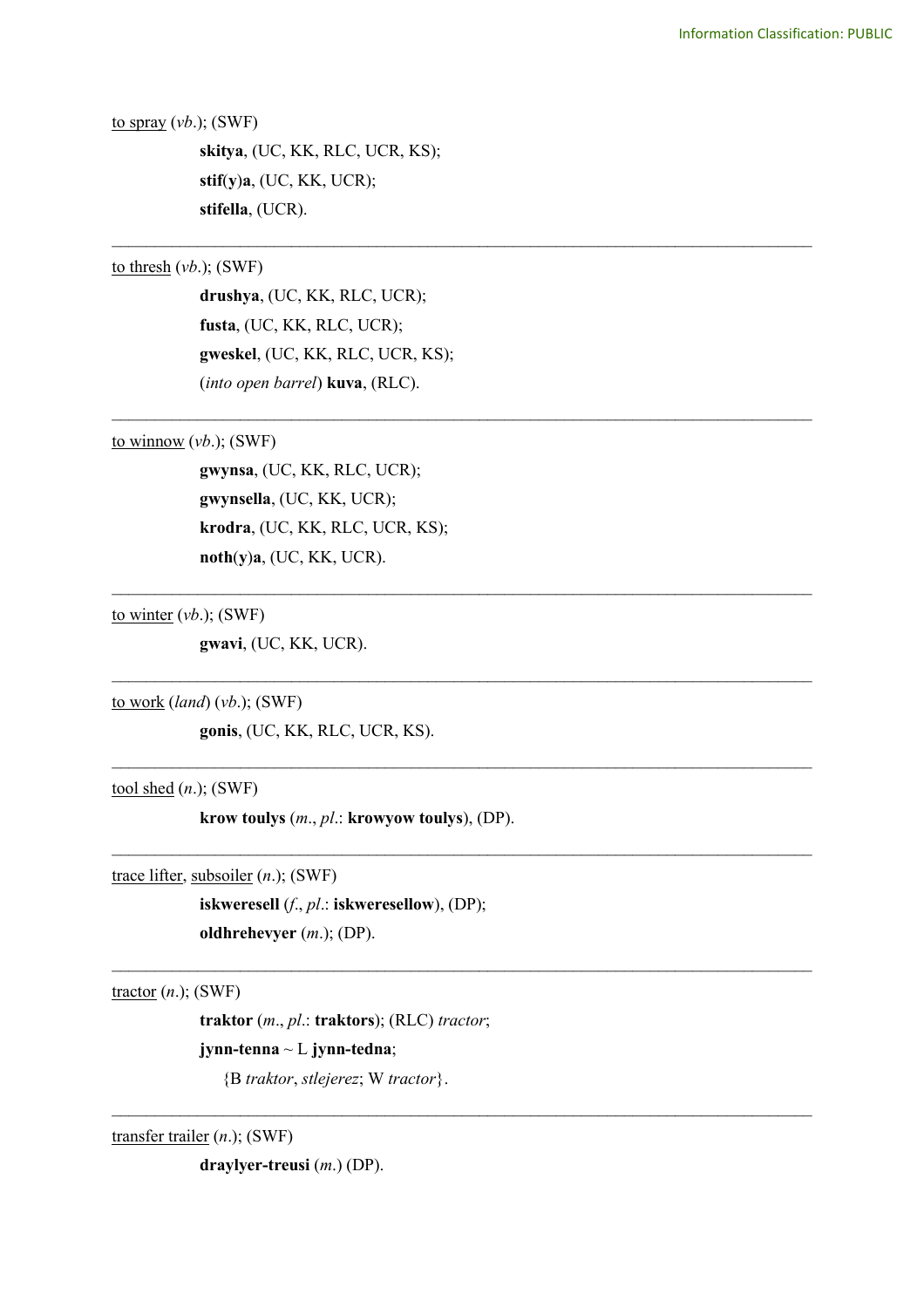to spray (*vb*.); (SWF)

**skitya**, (UC, KK, RLC, UCR, KS); **stif**(**y**)**a**, (UC, KK, UCR); **stifella**, (UCR).

\_\_\_\_\_\_\_\_\_\_\_\_\_\_\_\_\_\_\_\_\_\_\_\_\_\_\_\_\_\_\_\_\_\_\_\_\_\_\_\_\_\_\_\_\_\_\_\_\_\_\_\_\_\_\_\_\_\_\_\_\_\_\_\_\_\_\_\_\_\_\_\_\_\_\_\_\_\_\_\_\_\_

\_\_\_\_\_\_\_\_\_\_\_\_\_\_\_\_\_\_\_\_\_\_\_\_\_\_\_\_\_\_\_\_\_\_\_\_\_\_\_\_\_\_\_\_\_\_\_\_\_\_\_\_\_\_\_\_\_\_\_\_\_\_\_\_\_\_\_\_\_\_\_\_\_\_\_\_\_\_\_\_\_\_

 $\mathcal{L}_\text{max}$  , and the contribution of the contribution of the contribution of the contribution of the contribution of the contribution of the contribution of the contribution of the contribution of the contribution of t

 $\mathcal{L}_\text{max}$  , and the contribution of the contribution of the contribution of the contribution of the contribution of the contribution of the contribution of the contribution of the contribution of the contribution of t

 $\mathcal{L}_\text{max}$  , and the contribution of the contribution of the contribution of the contribution of the contribution of the contribution of the contribution of the contribution of the contribution of the contribution of t

 $\mathcal{L}_\text{max}$  , and the contribution of the contribution of the contribution of the contribution of the contribution of the contribution of the contribution of the contribution of the contribution of the contribution of t

 $\mathcal{L}_\text{max}$  , and the contribution of the contribution of the contribution of the contribution of the contribution of the contribution of the contribution of the contribution of the contribution of the contribution of t

 $\mathcal{L}_\mathcal{L} = \{ \mathcal{L}_\mathcal{L} = \{ \mathcal{L}_\mathcal{L} = \{ \mathcal{L}_\mathcal{L} = \{ \mathcal{L}_\mathcal{L} = \{ \mathcal{L}_\mathcal{L} = \{ \mathcal{L}_\mathcal{L} = \{ \mathcal{L}_\mathcal{L} = \{ \mathcal{L}_\mathcal{L} = \{ \mathcal{L}_\mathcal{L} = \{ \mathcal{L}_\mathcal{L} = \{ \mathcal{L}_\mathcal{L} = \{ \mathcal{L}_\mathcal{L} = \{ \mathcal{L}_\mathcal{L} = \{ \mathcal{L}_\mathcal{$ 

to thresh (*vb*.); (SWF)

**drushya**, (UC, KK, RLC, UCR); **fusta**, (UC, KK, RLC, UCR); **gweskel**, (UC, KK, RLC, UCR, KS); (*into open barrel*) **kuva**, (RLC).

to winnow  $(vb.);$  (SWF)

**gwynsa**, (UC, KK, RLC, UCR); **gwynsella**, (UC, KK, UCR); **krodra**, (UC, KK, RLC, UCR, KS); **noth**(**y**)**a**, (UC, KK, UCR).

to winter (*vb*.); (SWF)

**gwavi**, (UC, KK, UCR).

to work (*land*) (*vb*.); (SWF)

**gonis**, (UC, KK, RLC, UCR, KS).

tool shed (*n*.); (SWF)

**krow toulys** (*m*., *pl*.: **krowyow toulys**), (DP).

trace lifter, subsoiler (*n*.); (SWF)

**iskweresell** (*f*., *pl*.: **iskweresellow**), (DP); **oldhrehevyer** (*m*.); (DP).

tractor (*n*.); (SWF)

**traktor** (*m*., *pl*.: **traktors**); (RLC) *tractor*;

**jynn-tenna** ~ L **jynn-tedna**;

{B *traktor*, *stlejerez*; W *tractor*}.

transfer trailer (*n*.); (SWF)

**draylyer-treusi** (*m*.) (DP).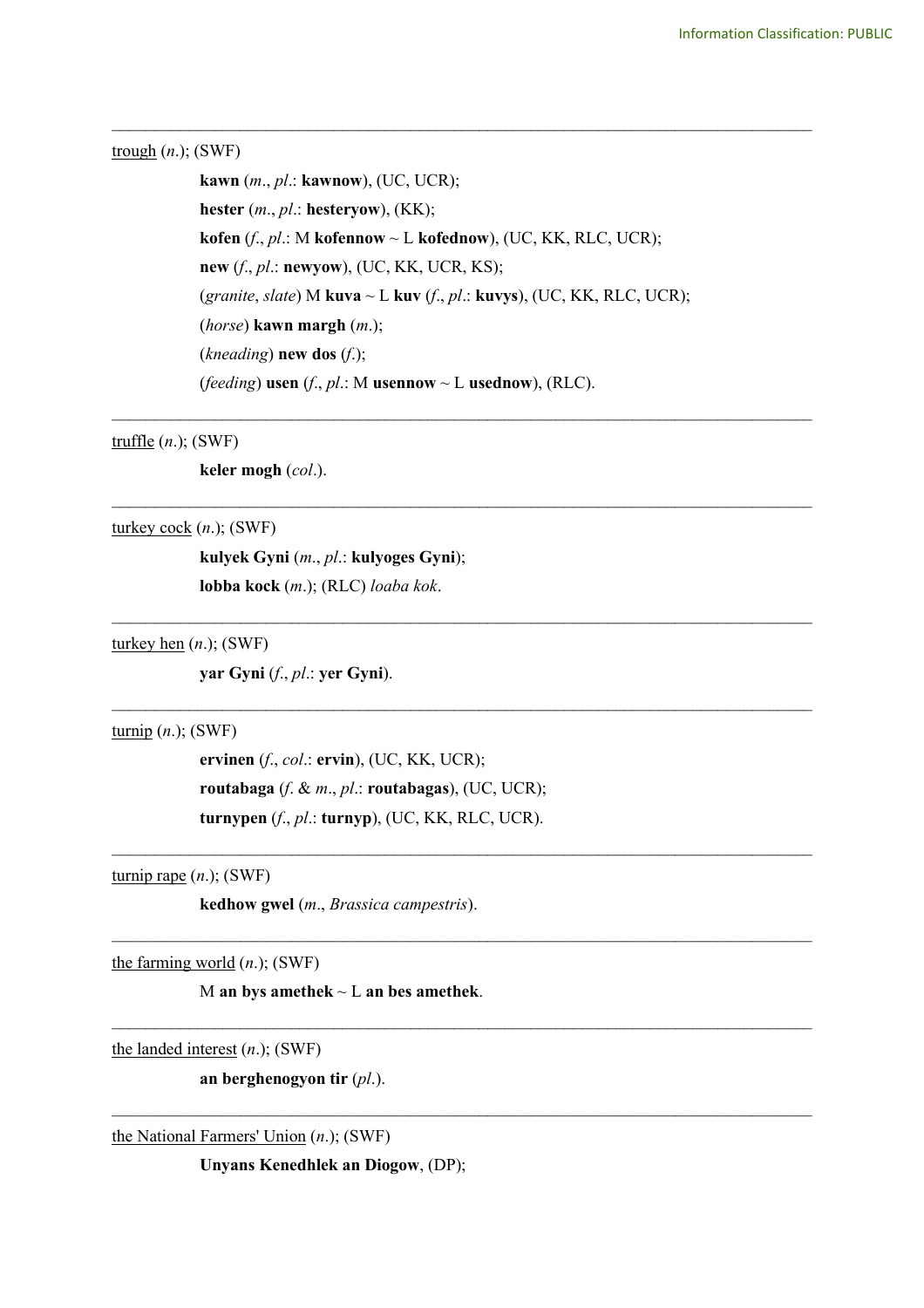#### trough (*n*.); (SWF)

**kawn** (*m*., *pl*.: **kawnow**), (UC, UCR); **hester** (*m*., *pl*.: **hesteryow**), (KK); **kofen** (*f*., *pl*.: M **kofennow** ~ L **kofednow**), (UC, KK, RLC, UCR); **new** (*f*., *pl*.: **newyow**), (UC, KK, UCR, KS); (*granite*, *slate*) M **kuva** ~ L **kuv** (*f*., *pl*.: **kuvys**), (UC, KK, RLC, UCR); (*horse*) **kawn margh** (*m*.); (*kneading*) **new dos** (*f*.); (*feeding*) **usen** (*f*., *pl*.: M **usennow** ~ L **usednow**), (RLC).

\_\_\_\_\_\_\_\_\_\_\_\_\_\_\_\_\_\_\_\_\_\_\_\_\_\_\_\_\_\_\_\_\_\_\_\_\_\_\_\_\_\_\_\_\_\_\_\_\_\_\_\_\_\_\_\_\_\_\_\_\_\_\_\_\_\_\_\_\_\_\_\_\_\_\_\_\_\_\_\_\_\_

\_\_\_\_\_\_\_\_\_\_\_\_\_\_\_\_\_\_\_\_\_\_\_\_\_\_\_\_\_\_\_\_\_\_\_\_\_\_\_\_\_\_\_\_\_\_\_\_\_\_\_\_\_\_\_\_\_\_\_\_\_\_\_\_\_\_\_\_\_\_\_\_\_\_\_\_\_\_\_\_\_\_

\_\_\_\_\_\_\_\_\_\_\_\_\_\_\_\_\_\_\_\_\_\_\_\_\_\_\_\_\_\_\_\_\_\_\_\_\_\_\_\_\_\_\_\_\_\_\_\_\_\_\_\_\_\_\_\_\_\_\_\_\_\_\_\_\_\_\_\_\_\_\_\_\_\_\_\_\_\_\_\_\_\_

 $\mathcal{L}_\text{max}$  , and the contribution of the contribution of the contribution of the contribution of the contribution of the contribution of the contribution of the contribution of the contribution of the contribution of t

 $\mathcal{L}_\text{max}$  , and the contribution of the contribution of the contribution of the contribution of the contribution of the contribution of the contribution of the contribution of the contribution of the contribution of t

 $\mathcal{L}_\mathcal{L} = \{ \mathcal{L}_\mathcal{L} = \{ \mathcal{L}_\mathcal{L} = \{ \mathcal{L}_\mathcal{L} = \{ \mathcal{L}_\mathcal{L} = \{ \mathcal{L}_\mathcal{L} = \{ \mathcal{L}_\mathcal{L} = \{ \mathcal{L}_\mathcal{L} = \{ \mathcal{L}_\mathcal{L} = \{ \mathcal{L}_\mathcal{L} = \{ \mathcal{L}_\mathcal{L} = \{ \mathcal{L}_\mathcal{L} = \{ \mathcal{L}_\mathcal{L} = \{ \mathcal{L}_\mathcal{L} = \{ \mathcal{L}_\mathcal{$ 

 $\mathcal{L}_\mathcal{L} = \{ \mathcal{L}_\mathcal{L} = \{ \mathcal{L}_\mathcal{L} = \{ \mathcal{L}_\mathcal{L} = \{ \mathcal{L}_\mathcal{L} = \{ \mathcal{L}_\mathcal{L} = \{ \mathcal{L}_\mathcal{L} = \{ \mathcal{L}_\mathcal{L} = \{ \mathcal{L}_\mathcal{L} = \{ \mathcal{L}_\mathcal{L} = \{ \mathcal{L}_\mathcal{L} = \{ \mathcal{L}_\mathcal{L} = \{ \mathcal{L}_\mathcal{L} = \{ \mathcal{L}_\mathcal{L} = \{ \mathcal{L}_\mathcal{$ 

 $\mathcal{L}_\mathcal{L} = \{ \mathcal{L}_\mathcal{L} = \{ \mathcal{L}_\mathcal{L} = \{ \mathcal{L}_\mathcal{L} = \{ \mathcal{L}_\mathcal{L} = \{ \mathcal{L}_\mathcal{L} = \{ \mathcal{L}_\mathcal{L} = \{ \mathcal{L}_\mathcal{L} = \{ \mathcal{L}_\mathcal{L} = \{ \mathcal{L}_\mathcal{L} = \{ \mathcal{L}_\mathcal{L} = \{ \mathcal{L}_\mathcal{L} = \{ \mathcal{L}_\mathcal{L} = \{ \mathcal{L}_\mathcal{L} = \{ \mathcal{L}_\mathcal{$ 

\_\_\_\_\_\_\_\_\_\_\_\_\_\_\_\_\_\_\_\_\_\_\_\_\_\_\_\_\_\_\_\_\_\_\_\_\_\_\_\_\_\_\_\_\_\_\_\_\_\_\_\_\_\_\_\_\_\_\_\_\_\_\_\_\_\_\_\_\_\_\_\_\_\_\_\_\_\_\_\_\_\_

## truffle (*n*.); (SWF)

**keler mogh** (*col*.).

## turkey cock (*n*.); (SWF)

**kulyek Gyni** (*m*., *pl*.: **kulyoges Gyni**); **lobba kock** (*m*.); (RLC) *loaba kok*.

#### turkey hen (*n*.); (SWF)

**yar Gyni** (*f*., *pl*.: **yer Gyni**).

#### turnip (*n*.); (SWF)

**ervinen** (*f*., *col*.: **ervin**), (UC, KK, UCR); **routabaga** (*f*. & *m*., *pl*.: **routabagas**), (UC, UCR); **turnypen** (*f*., *pl*.: **turnyp**), (UC, KK, RLC, UCR).

# turnip rape (*n*.); (SWF)

**kedhow gwel** (*m*., *Brassica campestris*).

the farming world (*n*.); (SWF)

M **an bys amethek** ~ L **an bes amethek**.

the landed interest (*n*.); (SWF)

**an berghenogyon tir** (*pl*.).

the National Farmers' Union (*n*.); (SWF)

**Unyans Kenedhlek an Diogow**, (DP);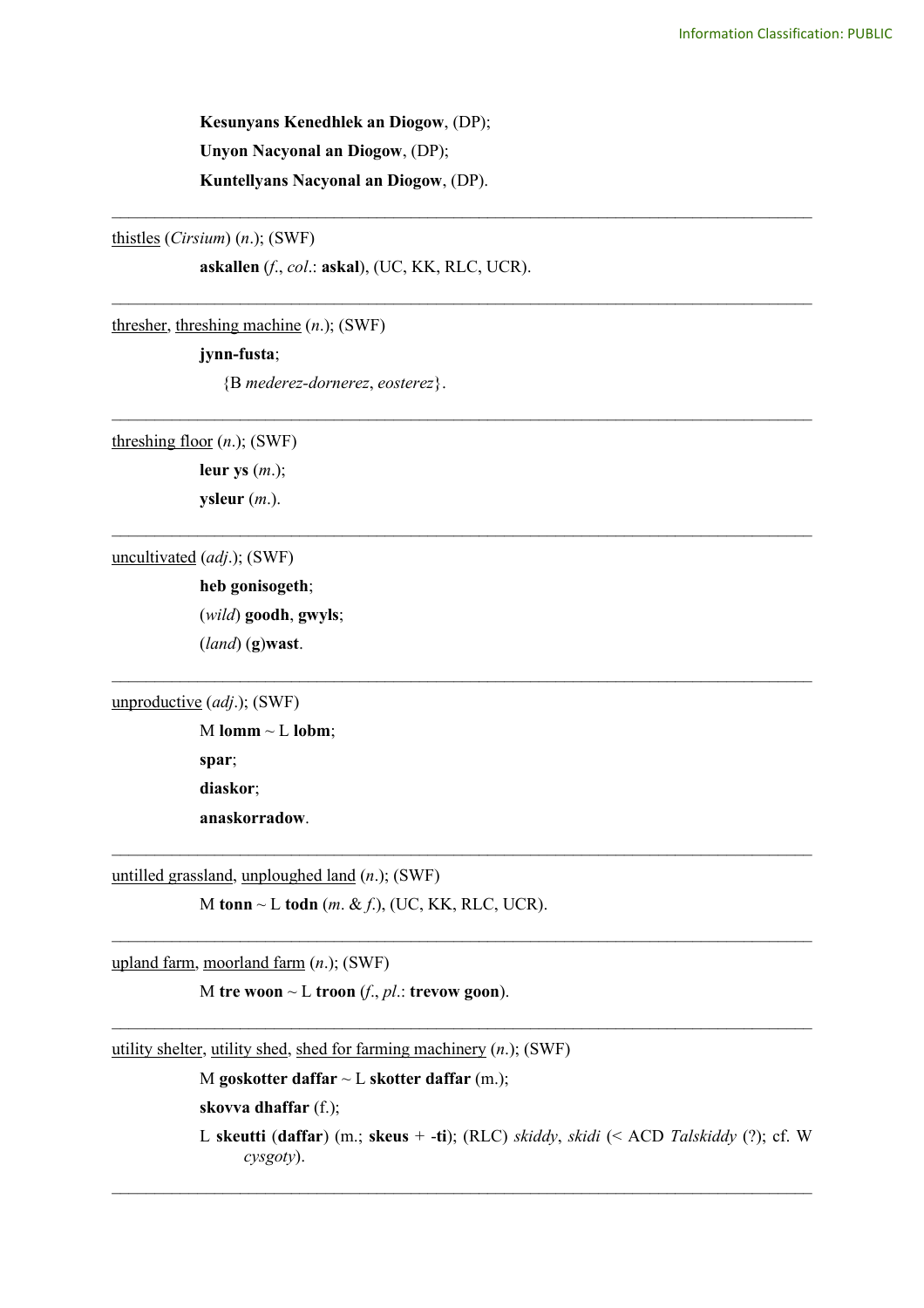**Kesunyans Kenedhlek an Diogow**, (DP); **Unyon Nacyonal an Diogow**, (DP); **Kuntellyans Nacyonal an Diogow**, (DP).

thistles (*Cirsium*) (*n*.); (SWF)

**askallen** (*f*., *col*.: **askal**), (UC, KK, RLC, UCR).

\_\_\_\_\_\_\_\_\_\_\_\_\_\_\_\_\_\_\_\_\_\_\_\_\_\_\_\_\_\_\_\_\_\_\_\_\_\_\_\_\_\_\_\_\_\_\_\_\_\_\_\_\_\_\_\_\_\_\_\_\_\_\_\_\_\_\_\_\_\_\_\_\_\_\_\_\_\_\_\_\_\_

\_\_\_\_\_\_\_\_\_\_\_\_\_\_\_\_\_\_\_\_\_\_\_\_\_\_\_\_\_\_\_\_\_\_\_\_\_\_\_\_\_\_\_\_\_\_\_\_\_\_\_\_\_\_\_\_\_\_\_\_\_\_\_\_\_\_\_\_\_\_\_\_\_\_\_\_\_\_\_\_\_\_

\_\_\_\_\_\_\_\_\_\_\_\_\_\_\_\_\_\_\_\_\_\_\_\_\_\_\_\_\_\_\_\_\_\_\_\_\_\_\_\_\_\_\_\_\_\_\_\_\_\_\_\_\_\_\_\_\_\_\_\_\_\_\_\_\_\_\_\_\_\_\_\_\_\_\_\_\_\_\_\_\_\_

\_\_\_\_\_\_\_\_\_\_\_\_\_\_\_\_\_\_\_\_\_\_\_\_\_\_\_\_\_\_\_\_\_\_\_\_\_\_\_\_\_\_\_\_\_\_\_\_\_\_\_\_\_\_\_\_\_\_\_\_\_\_\_\_\_\_\_\_\_\_\_\_\_\_\_\_\_\_\_\_\_\_

 $\mathcal{L}_\text{max}$  , and the contribution of the contribution of the contribution of the contribution of the contribution of the contribution of the contribution of the contribution of the contribution of the contribution of t

 $\mathcal{L}_\text{max}$  , and the contribution of the contribution of the contribution of the contribution of the contribution of the contribution of the contribution of the contribution of the contribution of the contribution of t

 $\mathcal{L}_\mathcal{L} = \{ \mathcal{L}_\mathcal{L} = \{ \mathcal{L}_\mathcal{L} = \{ \mathcal{L}_\mathcal{L} = \{ \mathcal{L}_\mathcal{L} = \{ \mathcal{L}_\mathcal{L} = \{ \mathcal{L}_\mathcal{L} = \{ \mathcal{L}_\mathcal{L} = \{ \mathcal{L}_\mathcal{L} = \{ \mathcal{L}_\mathcal{L} = \{ \mathcal{L}_\mathcal{L} = \{ \mathcal{L}_\mathcal{L} = \{ \mathcal{L}_\mathcal{L} = \{ \mathcal{L}_\mathcal{L} = \{ \mathcal{L}_\mathcal{$ 

 $\mathcal{L}_\mathcal{L} = \{ \mathcal{L}_\mathcal{L} = \{ \mathcal{L}_\mathcal{L} = \{ \mathcal{L}_\mathcal{L} = \{ \mathcal{L}_\mathcal{L} = \{ \mathcal{L}_\mathcal{L} = \{ \mathcal{L}_\mathcal{L} = \{ \mathcal{L}_\mathcal{L} = \{ \mathcal{L}_\mathcal{L} = \{ \mathcal{L}_\mathcal{L} = \{ \mathcal{L}_\mathcal{L} = \{ \mathcal{L}_\mathcal{L} = \{ \mathcal{L}_\mathcal{L} = \{ \mathcal{L}_\mathcal{L} = \{ \mathcal{L}_\mathcal{$ 

 $\mathcal{L}_\mathcal{L} = \{ \mathcal{L}_\mathcal{L} = \{ \mathcal{L}_\mathcal{L} = \{ \mathcal{L}_\mathcal{L} = \{ \mathcal{L}_\mathcal{L} = \{ \mathcal{L}_\mathcal{L} = \{ \mathcal{L}_\mathcal{L} = \{ \mathcal{L}_\mathcal{L} = \{ \mathcal{L}_\mathcal{L} = \{ \mathcal{L}_\mathcal{L} = \{ \mathcal{L}_\mathcal{L} = \{ \mathcal{L}_\mathcal{L} = \{ \mathcal{L}_\mathcal{L} = \{ \mathcal{L}_\mathcal{L} = \{ \mathcal{L}_\mathcal{$ 

thresher, threshing machine (*n*.); (SWF)

# **jynn-fusta**;

{B *mederez-dornerez*, *eosterez*}.

threshing floor (*n*.); (SWF)

**leur ys** (*m*.);

**ysleur** (*m*.).

uncultivated (*adj*.); (SWF)

**heb gonisogeth**; (*wild*) **goodh**, **gwyls**; (*land*) (**g**)**wast**.

unproductive (*adj*.); (SWF)

 $M$  **lomm**  $\sim$   $L$  **lobm**; **spar**; **diaskor**; **anaskorradow**.

untilled grassland, unploughed land (*n*.); (SWF)

M **tonn** ~ L **todn** (*m*. & *f*.), (UC, KK, RLC, UCR).

upland farm, moorland farm (*n*.); (SWF)

M **tre woon**  $\sim$  L **troon** (*f*., *pl*.: **trevow goon**).

utility shelter, utility shed, shed for farming machinery (*n*.); (SWF)

M **goskotter daffar** ~ L **skotter daffar** (m.);

```
skovva dhaffar (f.);
```
L **skeutti** (**daffar**) (m.; **skeus** + -**ti**); (RLC) *skiddy*, *skidi* (< ACD *Talskiddy* (?); cf. W *cysgoty*).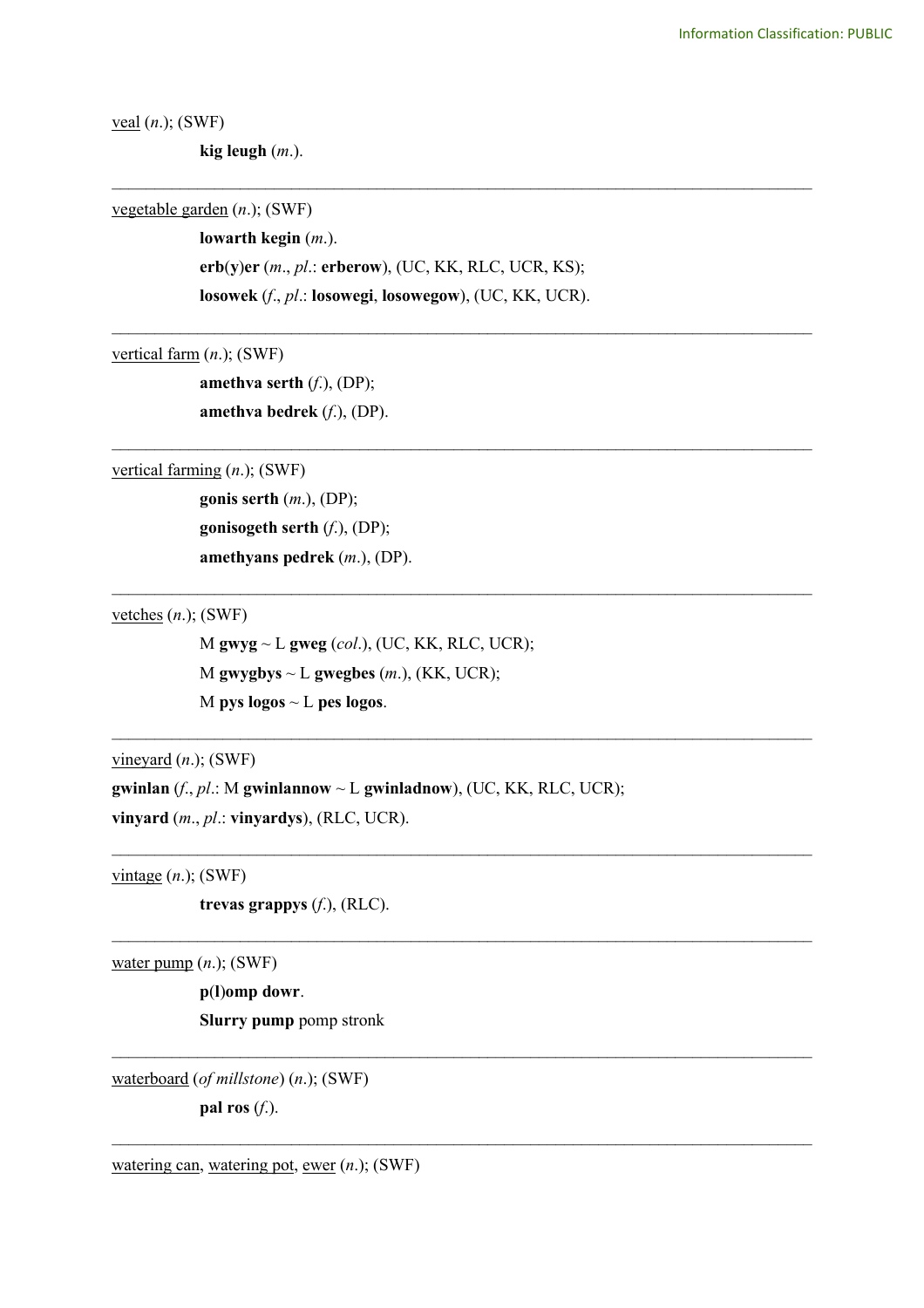veal (*n*.); (SWF)

**kig leugh** (*m*.).

vegetable garden (*n*.); (SWF)

**lowarth kegin** (*m*.).

**erb**(**y**)**er** (*m*., *pl*.: **erberow**), (UC, KK, RLC, UCR, KS);

\_\_\_\_\_\_\_\_\_\_\_\_\_\_\_\_\_\_\_\_\_\_\_\_\_\_\_\_\_\_\_\_\_\_\_\_\_\_\_\_\_\_\_\_\_\_\_\_\_\_\_\_\_\_\_\_\_\_\_\_\_\_\_\_\_\_\_\_\_\_\_\_\_\_\_\_\_\_\_\_\_\_

\_\_\_\_\_\_\_\_\_\_\_\_\_\_\_\_\_\_\_\_\_\_\_\_\_\_\_\_\_\_\_\_\_\_\_\_\_\_\_\_\_\_\_\_\_\_\_\_\_\_\_\_\_\_\_\_\_\_\_\_\_\_\_\_\_\_\_\_\_\_\_\_\_\_\_\_\_\_\_\_\_\_

\_\_\_\_\_\_\_\_\_\_\_\_\_\_\_\_\_\_\_\_\_\_\_\_\_\_\_\_\_\_\_\_\_\_\_\_\_\_\_\_\_\_\_\_\_\_\_\_\_\_\_\_\_\_\_\_\_\_\_\_\_\_\_\_\_\_\_\_\_\_\_\_\_\_\_\_\_\_\_\_\_\_

 $\mathcal{L}_\text{max}$  , and the contribution of the contribution of the contribution of the contribution of the contribution of the contribution of the contribution of the contribution of the contribution of the contribution of t

 $\mathcal{L}_\mathcal{L} = \{ \mathcal{L}_\mathcal{L} = \{ \mathcal{L}_\mathcal{L} = \{ \mathcal{L}_\mathcal{L} = \{ \mathcal{L}_\mathcal{L} = \{ \mathcal{L}_\mathcal{L} = \{ \mathcal{L}_\mathcal{L} = \{ \mathcal{L}_\mathcal{L} = \{ \mathcal{L}_\mathcal{L} = \{ \mathcal{L}_\mathcal{L} = \{ \mathcal{L}_\mathcal{L} = \{ \mathcal{L}_\mathcal{L} = \{ \mathcal{L}_\mathcal{L} = \{ \mathcal{L}_\mathcal{L} = \{ \mathcal{L}_\mathcal{$ 

 $\mathcal{L}_\text{max}$  , and the contribution of the contribution of the contribution of the contribution of the contribution of the contribution of the contribution of the contribution of the contribution of the contribution of t

 $\mathcal{L}_\mathcal{L} = \{ \mathcal{L}_\mathcal{L} = \{ \mathcal{L}_\mathcal{L} = \{ \mathcal{L}_\mathcal{L} = \{ \mathcal{L}_\mathcal{L} = \{ \mathcal{L}_\mathcal{L} = \{ \mathcal{L}_\mathcal{L} = \{ \mathcal{L}_\mathcal{L} = \{ \mathcal{L}_\mathcal{L} = \{ \mathcal{L}_\mathcal{L} = \{ \mathcal{L}_\mathcal{L} = \{ \mathcal{L}_\mathcal{L} = \{ \mathcal{L}_\mathcal{L} = \{ \mathcal{L}_\mathcal{L} = \{ \mathcal{L}_\mathcal{$ 

 $\mathcal{L}_\mathcal{L} = \{ \mathcal{L}_\mathcal{L} = \{ \mathcal{L}_\mathcal{L} = \{ \mathcal{L}_\mathcal{L} = \{ \mathcal{L}_\mathcal{L} = \{ \mathcal{L}_\mathcal{L} = \{ \mathcal{L}_\mathcal{L} = \{ \mathcal{L}_\mathcal{L} = \{ \mathcal{L}_\mathcal{L} = \{ \mathcal{L}_\mathcal{L} = \{ \mathcal{L}_\mathcal{L} = \{ \mathcal{L}_\mathcal{L} = \{ \mathcal{L}_\mathcal{L} = \{ \mathcal{L}_\mathcal{L} = \{ \mathcal{L}_\mathcal{$ 

 $\mathcal{L}_\mathcal{L} = \{ \mathcal{L}_\mathcal{L} = \{ \mathcal{L}_\mathcal{L} = \{ \mathcal{L}_\mathcal{L} = \{ \mathcal{L}_\mathcal{L} = \{ \mathcal{L}_\mathcal{L} = \{ \mathcal{L}_\mathcal{L} = \{ \mathcal{L}_\mathcal{L} = \{ \mathcal{L}_\mathcal{L} = \{ \mathcal{L}_\mathcal{L} = \{ \mathcal{L}_\mathcal{L} = \{ \mathcal{L}_\mathcal{L} = \{ \mathcal{L}_\mathcal{L} = \{ \mathcal{L}_\mathcal{L} = \{ \mathcal{L}_\mathcal{$ 

**losowek** (*f*., *pl*.: **losowegi**, **losowegow**), (UC, KK, UCR).

vertical farm (*n*.); (SWF)

**amethva serth** (*f*.), (DP); **amethva bedrek** (*f*.), (DP).

vertical farming (*n*.); (SWF)

**gonis serth** (*m*.), (DP); **gonisogeth serth** (*f*.), (DP); **amethyans pedrek** (*m*.), (DP).

vetches (*n*.); (SWF)

M **gwyg** ~ L **gweg** (*col*.), (UC, KK, RLC, UCR); M gwygbys  $\sim$  L gwegbes  $(m.)$ , (KK, UCR); M **pys logos** ~ L **pes logos**.

vineyard (*n*.); (SWF)

**gwinlan** (*f*., *pl*.: M **gwinlannow** ~ L **gwinladnow**), (UC, KK, RLC, UCR); **vinyard** (*m*., *pl*.: **vinyardys**), (RLC, UCR).

 $vintage(n.);$  (SWF)

**trevas grappys** (*f*.), (RLC).

water pump (*n*.); (SWF)

**p**(**l**)**omp dowr**. **Slurry pump** pomp stronk

waterboard (*of millstone*) (*n*.); (SWF)

**pal ros** (*f*.).

watering can, watering pot, ewer (*n*.); (SWF)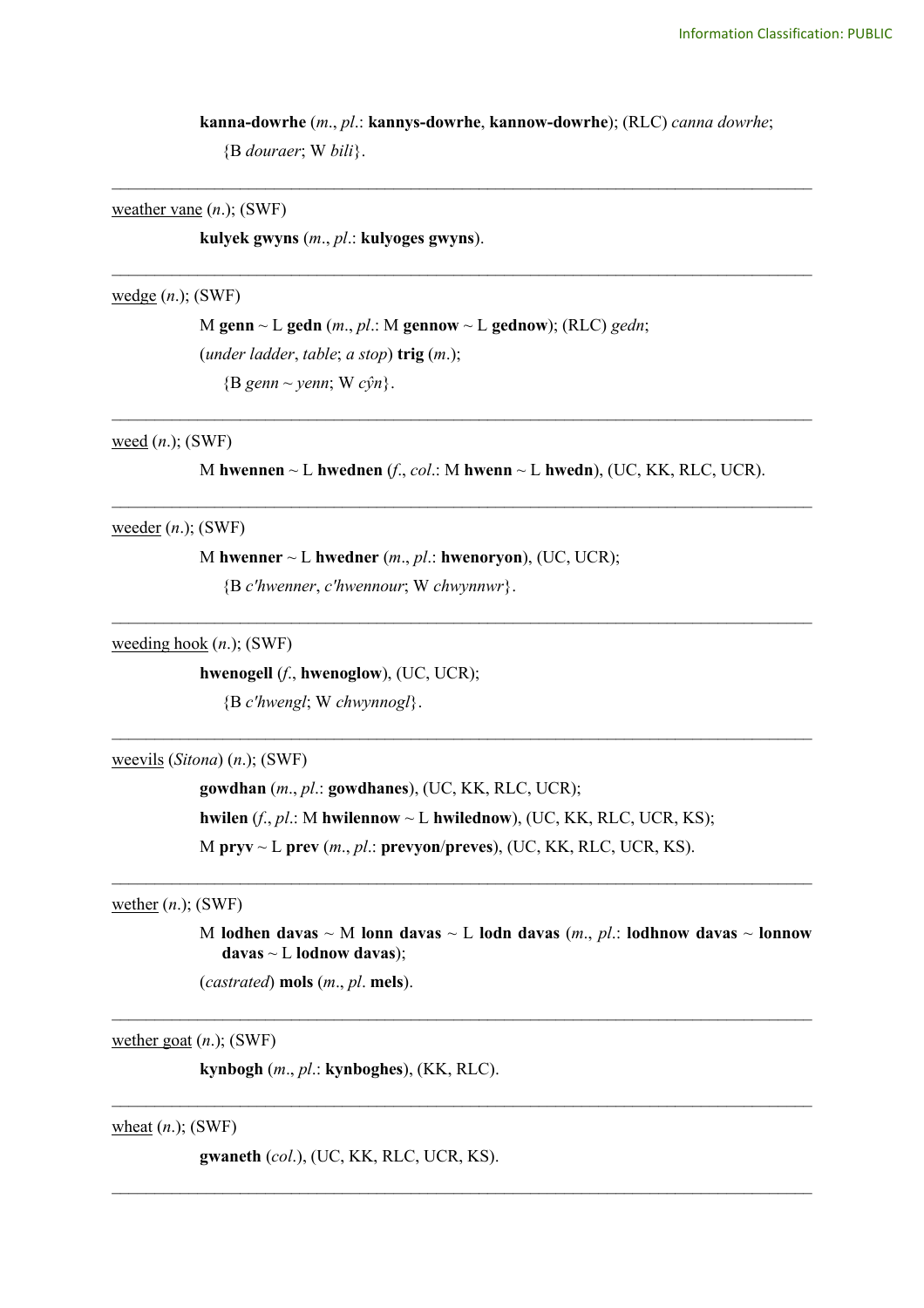**kanna-dowrhe** (*m*., *pl*.: **kannys-dowrhe**, **kannow-dowrhe**); (RLC) *canna dowrhe*; {B *douraer*; W *bili*}.

\_\_\_\_\_\_\_\_\_\_\_\_\_\_\_\_\_\_\_\_\_\_\_\_\_\_\_\_\_\_\_\_\_\_\_\_\_\_\_\_\_\_\_\_\_\_\_\_\_\_\_\_\_\_\_\_\_\_\_\_\_\_\_\_\_\_\_\_\_\_\_\_\_\_\_\_\_\_\_\_\_\_

\_\_\_\_\_\_\_\_\_\_\_\_\_\_\_\_\_\_\_\_\_\_\_\_\_\_\_\_\_\_\_\_\_\_\_\_\_\_\_\_\_\_\_\_\_\_\_\_\_\_\_\_\_\_\_\_\_\_\_\_\_\_\_\_\_\_\_\_\_\_\_\_\_\_\_\_\_\_\_\_\_\_

\_\_\_\_\_\_\_\_\_\_\_\_\_\_\_\_\_\_\_\_\_\_\_\_\_\_\_\_\_\_\_\_\_\_\_\_\_\_\_\_\_\_\_\_\_\_\_\_\_\_\_\_\_\_\_\_\_\_\_\_\_\_\_\_\_\_\_\_\_\_\_\_\_\_\_\_\_\_\_\_\_\_

\_\_\_\_\_\_\_\_\_\_\_\_\_\_\_\_\_\_\_\_\_\_\_\_\_\_\_\_\_\_\_\_\_\_\_\_\_\_\_\_\_\_\_\_\_\_\_\_\_\_\_\_\_\_\_\_\_\_\_\_\_\_\_\_\_\_\_\_\_\_\_\_\_\_\_\_\_\_\_\_\_\_

\_\_\_\_\_\_\_\_\_\_\_\_\_\_\_\_\_\_\_\_\_\_\_\_\_\_\_\_\_\_\_\_\_\_\_\_\_\_\_\_\_\_\_\_\_\_\_\_\_\_\_\_\_\_\_\_\_\_\_\_\_\_\_\_\_\_\_\_\_\_\_\_\_\_\_\_\_\_\_\_\_\_

## weather vane (*n*.); (SWF)

**kulyek gwyns** (*m*., *pl*.: **kulyoges gwyns**).

#### wedge (*n*.); (SWF)

M **genn** ~ L **gedn** (*m*., *pl*.: M **gennow** ~ L **gednow**); (RLC) *gedn*; (*under ladder*, *table*; *a stop*) **trig** (*m*.); {B *genn* ~ *yenn*; W *cŷn*}.

# weed (*n*.); (SWF)

M **hwennen** ~ L **hwednen** (*f*., *col*.: M **hwenn** ~ L **hwedn**), (UC, KK, RLC, UCR).

## weeder (*n*.); (SWF)

M **hwenner** ~ L **hwedner** (*m*., *pl*.: **hwenoryon**), (UC, UCR);

{B *c'hwenner*, *c'hwennour*; W *chwynnwr*}.

weeding hook (*n*.); (SWF)

## **hwenogell** (*f*., **hwenoglow**), (UC, UCR);

{B *c'hwengl*; W *chwynnogl*}.

### weevils (*Sitona*) (*n*.); (SWF)

**gowdhan** (*m*., *pl*.: **gowdhanes**), (UC, KK, RLC, UCR); **hwilen**  $(f, pl.: M$  **hwilennow**  $\sim$  L **hwilednow**), (UC, KK, RLC, UCR, KS); M **pryv** ~ L **prev** (*m*., *pl*.: **prevyon**/**preves**), (UC, KK, RLC, UCR, KS).

 $\mathcal{L}_\text{max}$  , and the contribution of the contribution of the contribution of the contribution of the contribution of the contribution of the contribution of the contribution of the contribution of the contribution of t

 $\mathcal{L}_\mathcal{L} = \{ \mathcal{L}_\mathcal{L} = \{ \mathcal{L}_\mathcal{L} = \{ \mathcal{L}_\mathcal{L} = \{ \mathcal{L}_\mathcal{L} = \{ \mathcal{L}_\mathcal{L} = \{ \mathcal{L}_\mathcal{L} = \{ \mathcal{L}_\mathcal{L} = \{ \mathcal{L}_\mathcal{L} = \{ \mathcal{L}_\mathcal{L} = \{ \mathcal{L}_\mathcal{L} = \{ \mathcal{L}_\mathcal{L} = \{ \mathcal{L}_\mathcal{L} = \{ \mathcal{L}_\mathcal{L} = \{ \mathcal{L}_\mathcal{$ 

 $\mathcal{L}_\mathcal{L} = \{ \mathcal{L}_\mathcal{L} = \{ \mathcal{L}_\mathcal{L} = \{ \mathcal{L}_\mathcal{L} = \{ \mathcal{L}_\mathcal{L} = \{ \mathcal{L}_\mathcal{L} = \{ \mathcal{L}_\mathcal{L} = \{ \mathcal{L}_\mathcal{L} = \{ \mathcal{L}_\mathcal{L} = \{ \mathcal{L}_\mathcal{L} = \{ \mathcal{L}_\mathcal{L} = \{ \mathcal{L}_\mathcal{L} = \{ \mathcal{L}_\mathcal{L} = \{ \mathcal{L}_\mathcal{L} = \{ \mathcal{L}_\mathcal{$ 

 $\mathcal{L}_\mathcal{L} = \{ \mathcal{L}_\mathcal{L} = \{ \mathcal{L}_\mathcal{L} = \{ \mathcal{L}_\mathcal{L} = \{ \mathcal{L}_\mathcal{L} = \{ \mathcal{L}_\mathcal{L} = \{ \mathcal{L}_\mathcal{L} = \{ \mathcal{L}_\mathcal{L} = \{ \mathcal{L}_\mathcal{L} = \{ \mathcal{L}_\mathcal{L} = \{ \mathcal{L}_\mathcal{L} = \{ \mathcal{L}_\mathcal{L} = \{ \mathcal{L}_\mathcal{L} = \{ \mathcal{L}_\mathcal{L} = \{ \mathcal{L}_\mathcal{$ 

 $\mathcal{L}_\mathcal{L} = \{ \mathcal{L}_\mathcal{L} = \{ \mathcal{L}_\mathcal{L} = \{ \mathcal{L}_\mathcal{L} = \{ \mathcal{L}_\mathcal{L} = \{ \mathcal{L}_\mathcal{L} = \{ \mathcal{L}_\mathcal{L} = \{ \mathcal{L}_\mathcal{L} = \{ \mathcal{L}_\mathcal{L} = \{ \mathcal{L}_\mathcal{L} = \{ \mathcal{L}_\mathcal{L} = \{ \mathcal{L}_\mathcal{L} = \{ \mathcal{L}_\mathcal{L} = \{ \mathcal{L}_\mathcal{L} = \{ \mathcal{L}_\mathcal{$ 

## wether (*n*.); (SWF)

M **lodhen davas**  $\sim$  M **lonn davas**  $\sim$  L **lodn davas** (*m., pl.:* **lodhnow davas**  $\sim$  **lonnow davas** ~ L **lodnow davas**);

(*castrated*) **mols** (*m*., *pl*. **mels**).

wether goat (*n*.); (SWF)

**kynbogh** (*m*., *pl*.: **kynboghes**), (KK, RLC).

wheat (*n*.); (SWF)

**gwaneth** (*col*.), (UC, KK, RLC, UCR, KS).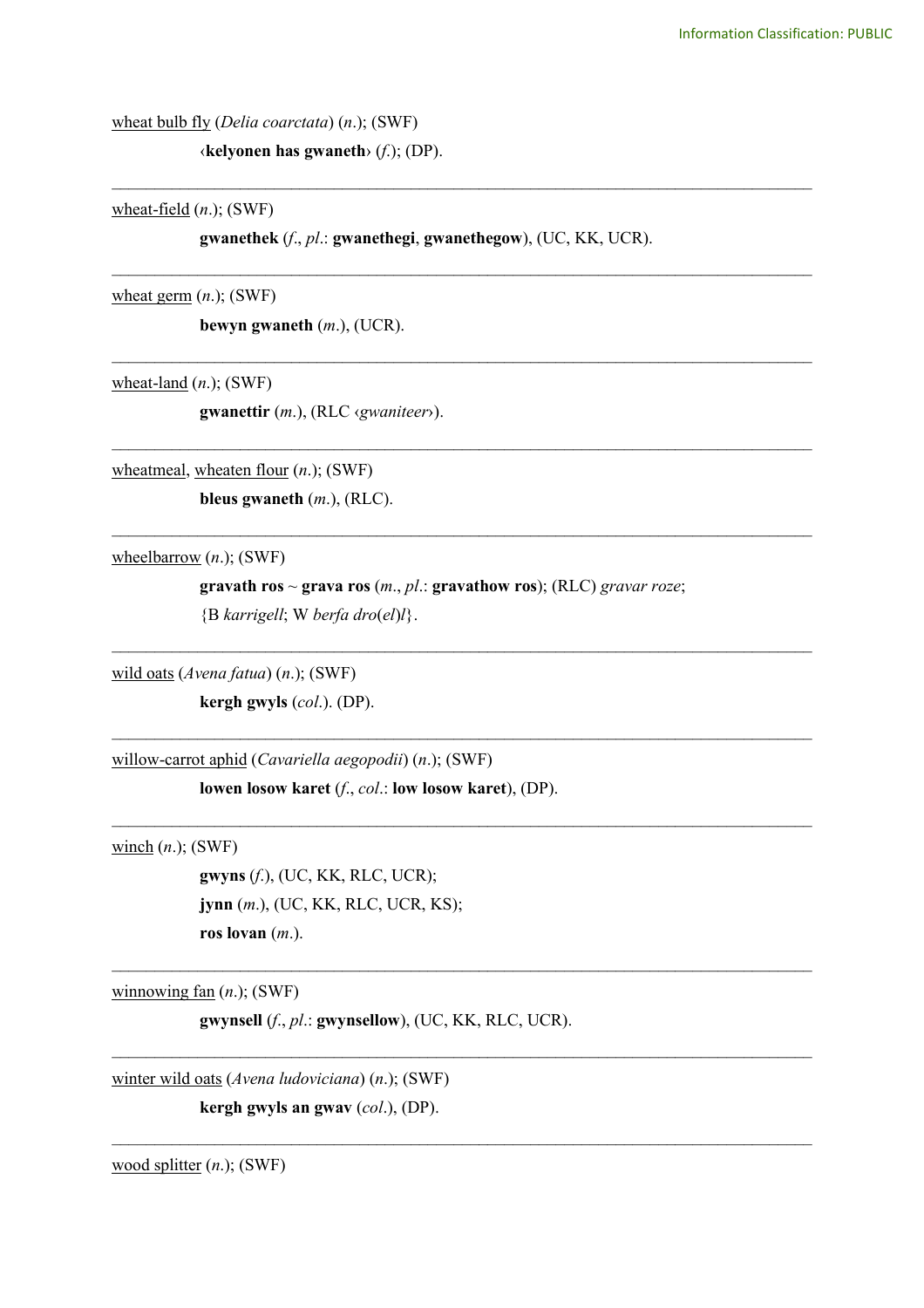wheat bulb fly (*Delia coarctata*) (*n*.); (SWF)

‹**kelyonen has gwaneth**› (*f*.); (DP).

wheat-field (*n*.); (SWF)

**gwanethek** (*f*., *pl*.: **gwanethegi**, **gwanethegow**), (UC, KK, UCR).

\_\_\_\_\_\_\_\_\_\_\_\_\_\_\_\_\_\_\_\_\_\_\_\_\_\_\_\_\_\_\_\_\_\_\_\_\_\_\_\_\_\_\_\_\_\_\_\_\_\_\_\_\_\_\_\_\_\_\_\_\_\_\_\_\_\_\_\_\_\_\_\_\_\_\_\_\_\_\_\_\_\_

\_\_\_\_\_\_\_\_\_\_\_\_\_\_\_\_\_\_\_\_\_\_\_\_\_\_\_\_\_\_\_\_\_\_\_\_\_\_\_\_\_\_\_\_\_\_\_\_\_\_\_\_\_\_\_\_\_\_\_\_\_\_\_\_\_\_\_\_\_\_\_\_\_\_\_\_\_\_\_\_\_\_

\_\_\_\_\_\_\_\_\_\_\_\_\_\_\_\_\_\_\_\_\_\_\_\_\_\_\_\_\_\_\_\_\_\_\_\_\_\_\_\_\_\_\_\_\_\_\_\_\_\_\_\_\_\_\_\_\_\_\_\_\_\_\_\_\_\_\_\_\_\_\_\_\_\_\_\_\_\_\_\_\_\_

\_\_\_\_\_\_\_\_\_\_\_\_\_\_\_\_\_\_\_\_\_\_\_\_\_\_\_\_\_\_\_\_\_\_\_\_\_\_\_\_\_\_\_\_\_\_\_\_\_\_\_\_\_\_\_\_\_\_\_\_\_\_\_\_\_\_\_\_\_\_\_\_\_\_\_\_\_\_\_\_\_\_

\_\_\_\_\_\_\_\_\_\_\_\_\_\_\_\_\_\_\_\_\_\_\_\_\_\_\_\_\_\_\_\_\_\_\_\_\_\_\_\_\_\_\_\_\_\_\_\_\_\_\_\_\_\_\_\_\_\_\_\_\_\_\_\_\_\_\_\_\_\_\_\_\_\_\_\_\_\_\_\_\_\_

 $\mathcal{L}_\text{max}$  , and the contribution of the contribution of the contribution of the contribution of the contribution of the contribution of the contribution of the contribution of the contribution of the contribution of t

 $\mathcal{L}_\mathcal{L} = \{ \mathcal{L}_\mathcal{L} = \{ \mathcal{L}_\mathcal{L} = \{ \mathcal{L}_\mathcal{L} = \{ \mathcal{L}_\mathcal{L} = \{ \mathcal{L}_\mathcal{L} = \{ \mathcal{L}_\mathcal{L} = \{ \mathcal{L}_\mathcal{L} = \{ \mathcal{L}_\mathcal{L} = \{ \mathcal{L}_\mathcal{L} = \{ \mathcal{L}_\mathcal{L} = \{ \mathcal{L}_\mathcal{L} = \{ \mathcal{L}_\mathcal{L} = \{ \mathcal{L}_\mathcal{L} = \{ \mathcal{L}_\mathcal{$ 

 $\mathcal{L}_\mathcal{L} = \{ \mathcal{L}_\mathcal{L} = \{ \mathcal{L}_\mathcal{L} = \{ \mathcal{L}_\mathcal{L} = \{ \mathcal{L}_\mathcal{L} = \{ \mathcal{L}_\mathcal{L} = \{ \mathcal{L}_\mathcal{L} = \{ \mathcal{L}_\mathcal{L} = \{ \mathcal{L}_\mathcal{L} = \{ \mathcal{L}_\mathcal{L} = \{ \mathcal{L}_\mathcal{L} = \{ \mathcal{L}_\mathcal{L} = \{ \mathcal{L}_\mathcal{L} = \{ \mathcal{L}_\mathcal{L} = \{ \mathcal{L}_\mathcal{$ 

 $\mathcal{L}_\text{max}$  , and the contribution of the contribution of the contribution of the contribution of the contribution of the contribution of the contribution of the contribution of the contribution of the contribution of t

 $\mathcal{L}_\mathcal{L} = \{ \mathcal{L}_\mathcal{L} = \{ \mathcal{L}_\mathcal{L} = \{ \mathcal{L}_\mathcal{L} = \{ \mathcal{L}_\mathcal{L} = \{ \mathcal{L}_\mathcal{L} = \{ \mathcal{L}_\mathcal{L} = \{ \mathcal{L}_\mathcal{L} = \{ \mathcal{L}_\mathcal{L} = \{ \mathcal{L}_\mathcal{L} = \{ \mathcal{L}_\mathcal{L} = \{ \mathcal{L}_\mathcal{L} = \{ \mathcal{L}_\mathcal{L} = \{ \mathcal{L}_\mathcal{L} = \{ \mathcal{L}_\mathcal{$ 

 $\mathcal{L}_\mathcal{L} = \{ \mathcal{L}_\mathcal{L} = \{ \mathcal{L}_\mathcal{L} = \{ \mathcal{L}_\mathcal{L} = \{ \mathcal{L}_\mathcal{L} = \{ \mathcal{L}_\mathcal{L} = \{ \mathcal{L}_\mathcal{L} = \{ \mathcal{L}_\mathcal{L} = \{ \mathcal{L}_\mathcal{L} = \{ \mathcal{L}_\mathcal{L} = \{ \mathcal{L}_\mathcal{L} = \{ \mathcal{L}_\mathcal{L} = \{ \mathcal{L}_\mathcal{L} = \{ \mathcal{L}_\mathcal{L} = \{ \mathcal{L}_\mathcal{$ 

wheat germ (*n*.); (SWF)

**bewyn gwaneth** (*m*.), (UCR).

wheat-land (*n*.); (SWF)

**gwanettir** (*m*.), (RLC ‹*gwaniteer*›).

wheatmeal, wheaten flour (*n*.); (SWF) **bleus gwaneth** (*m*.), (RLC).

wheelbarrow (*n*.); (SWF)

**gravath ros** ~ **grava ros** (*m*., *pl*.: **gravathow ros**); (RLC) *gravar roze*; {B *karrigell*; W *berfa dro*(*el*)*l*}.

wild oats (*Avena fatua*) (*n*.); (SWF)

**kergh gwyls** (*col*.). (DP).

willow-carrot aphid (*Cavariella aegopodii*) (*n*.); (SWF)

**lowen losow karet** (*f*., *col*.: **low losow karet**), (DP).

winch (*n*.); (SWF)

**gwyns** (*f*.), (UC, KK, RLC, UCR); **jynn** (*m*.), (UC, KK, RLC, UCR, KS); **ros lovan** (*m*.).

winnowing fan (*n*.); (SWF)

**gwynsell** (*f*., *pl*.: **gwynsellow**), (UC, KK, RLC, UCR).

winter wild oats (*Avena ludoviciana*) (*n*.); (SWF)

**kergh gwyls an gwav** (*col*.), (DP).

wood splitter (*n*.); (SWF)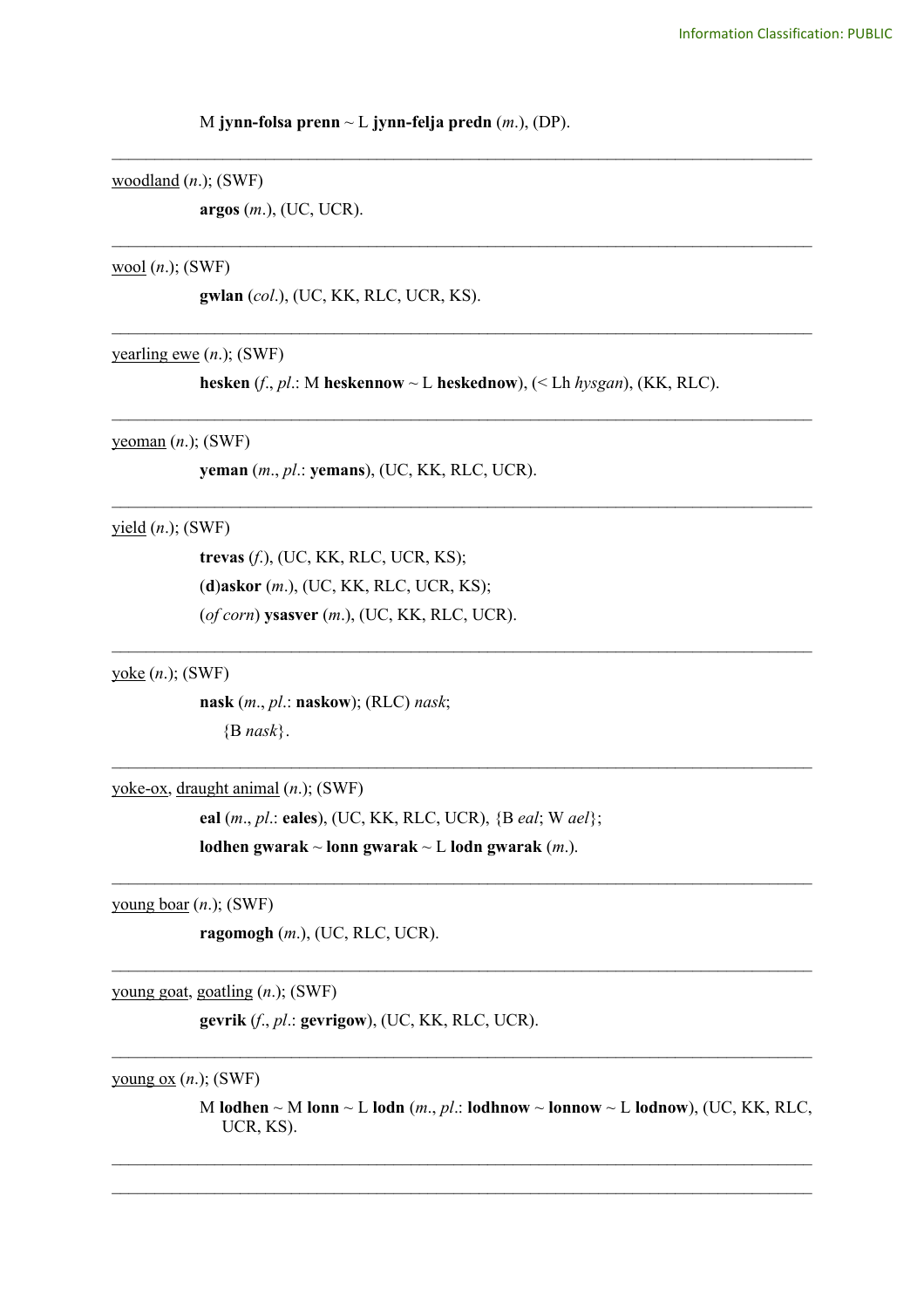#### M **jynn-folsa prenn** ~ L **jynn-felja predn** (*m*.), (DP).

## woodland (*n*.); (SWF)

**argos** (*m*.), (UC, UCR).

## wool (*n*.); (SWF)

**gwlan** (*col*.), (UC, KK, RLC, UCR, KS).

# yearling ewe (*n*.); (SWF)

**hesken** (*f*., *pl*.: M **heskennow** ~ L **heskednow**), (< Lh *hysgan*), (KK, RLC). \_\_\_\_\_\_\_\_\_\_\_\_\_\_\_\_\_\_\_\_\_\_\_\_\_\_\_\_\_\_\_\_\_\_\_\_\_\_\_\_\_\_\_\_\_\_\_\_\_\_\_\_\_\_\_\_\_\_\_\_\_\_\_\_\_\_\_\_\_\_\_\_\_\_\_\_\_\_\_\_\_\_

\_\_\_\_\_\_\_\_\_\_\_\_\_\_\_\_\_\_\_\_\_\_\_\_\_\_\_\_\_\_\_\_\_\_\_\_\_\_\_\_\_\_\_\_\_\_\_\_\_\_\_\_\_\_\_\_\_\_\_\_\_\_\_\_\_\_\_\_\_\_\_\_\_\_\_\_\_\_\_\_\_\_

 $\mathcal{L}_\text{max}$  , and the contribution of the contribution of the contribution of the contribution of the contribution of the contribution of the contribution of the contribution of the contribution of the contribution of t

 $\mathcal{L}_\text{max}$  , and the contribution of the contribution of the contribution of the contribution of the contribution of the contribution of the contribution of the contribution of the contribution of the contribution of t

 $\mathcal{L}_\text{max}$  , and the contribution of the contribution of the contribution of the contribution of the contribution of the contribution of the contribution of the contribution of the contribution of the contribution of t

 $\mathcal{L}_\text{max}$  , and the contribution of the contribution of the contribution of the contribution of the contribution of the contribution of the contribution of the contribution of the contribution of the contribution of t

 $\mathcal{L}_\mathcal{L} = \{ \mathcal{L}_\mathcal{L} = \{ \mathcal{L}_\mathcal{L} = \{ \mathcal{L}_\mathcal{L} = \{ \mathcal{L}_\mathcal{L} = \{ \mathcal{L}_\mathcal{L} = \{ \mathcal{L}_\mathcal{L} = \{ \mathcal{L}_\mathcal{L} = \{ \mathcal{L}_\mathcal{L} = \{ \mathcal{L}_\mathcal{L} = \{ \mathcal{L}_\mathcal{L} = \{ \mathcal{L}_\mathcal{L} = \{ \mathcal{L}_\mathcal{L} = \{ \mathcal{L}_\mathcal{L} = \{ \mathcal{L}_\mathcal{$ 

 $\mathcal{L}_\mathcal{L} = \{ \mathcal{L}_\mathcal{L} = \{ \mathcal{L}_\mathcal{L} = \{ \mathcal{L}_\mathcal{L} = \{ \mathcal{L}_\mathcal{L} = \{ \mathcal{L}_\mathcal{L} = \{ \mathcal{L}_\mathcal{L} = \{ \mathcal{L}_\mathcal{L} = \{ \mathcal{L}_\mathcal{L} = \{ \mathcal{L}_\mathcal{L} = \{ \mathcal{L}_\mathcal{L} = \{ \mathcal{L}_\mathcal{L} = \{ \mathcal{L}_\mathcal{L} = \{ \mathcal{L}_\mathcal{L} = \{ \mathcal{L}_\mathcal{$  $\mathcal{L}_\mathcal{L} = \{ \mathcal{L}_\mathcal{L} = \{ \mathcal{L}_\mathcal{L} = \{ \mathcal{L}_\mathcal{L} = \{ \mathcal{L}_\mathcal{L} = \{ \mathcal{L}_\mathcal{L} = \{ \mathcal{L}_\mathcal{L} = \{ \mathcal{L}_\mathcal{L} = \{ \mathcal{L}_\mathcal{L} = \{ \mathcal{L}_\mathcal{L} = \{ \mathcal{L}_\mathcal{L} = \{ \mathcal{L}_\mathcal{L} = \{ \mathcal{L}_\mathcal{L} = \{ \mathcal{L}_\mathcal{L} = \{ \mathcal{L}_\mathcal{$ 

\_\_\_\_\_\_\_\_\_\_\_\_\_\_\_\_\_\_\_\_\_\_\_\_\_\_\_\_\_\_\_\_\_\_\_\_\_\_\_\_\_\_\_\_\_\_\_\_\_\_\_\_\_\_\_\_\_\_\_\_\_\_\_\_\_\_\_\_\_\_\_\_\_\_\_\_\_\_\_\_\_\_

\_\_\_\_\_\_\_\_\_\_\_\_\_\_\_\_\_\_\_\_\_\_\_\_\_\_\_\_\_\_\_\_\_\_\_\_\_\_\_\_\_\_\_\_\_\_\_\_\_\_\_\_\_\_\_\_\_\_\_\_\_\_\_\_\_\_\_\_\_\_\_\_\_\_\_\_\_\_\_\_\_\_

\_\_\_\_\_\_\_\_\_\_\_\_\_\_\_\_\_\_\_\_\_\_\_\_\_\_\_\_\_\_\_\_\_\_\_\_\_\_\_\_\_\_\_\_\_\_\_\_\_\_\_\_\_\_\_\_\_\_\_\_\_\_\_\_\_\_\_\_\_\_\_\_\_\_\_\_\_\_\_\_\_\_

## yeoman (*n*.); (SWF)

**yeman** (*m*., *pl*.: **yemans**), (UC, KK, RLC, UCR).

## yield (*n*.); (SWF)

**trevas** (*f*.), (UC, KK, RLC, UCR, KS); (**d**)**askor** (*m*.), (UC, KK, RLC, UCR, KS); (*of corn*) **ysasver** (*m*.), (UC, KK, RLC, UCR).

yoke (*n*.); (SWF)

**nask** (*m*., *pl*.: **naskow**); (RLC) *nask*; {B *nask*}.

yoke-ox, draught animal (*n*.); (SWF)

**eal** (*m*., *pl*.: **eales**), (UC, KK, RLC, UCR), {B *eal*; W *ael*};

```
lodhen gwarak ~ lonn gwarak ~ L lodn gwarak (m.).
```
young boar (*n*.); (SWF)

**ragomogh** (*m*.), (UC, RLC, UCR).

young goat, goatling (*n*.); (SWF)

**gevrik** (*f*., *pl*.: **gevrigow**), (UC, KK, RLC, UCR).

young ox (*n*.); (SWF)

M **lodhen**  $\sim$  M **lonn**  $\sim$  L **lodn** (*m*., *pl*.: **lodhnow**  $\sim$  **lonnow**  $\sim$  L **lodnow**), (UC, KK, RLC, UCR, KS).